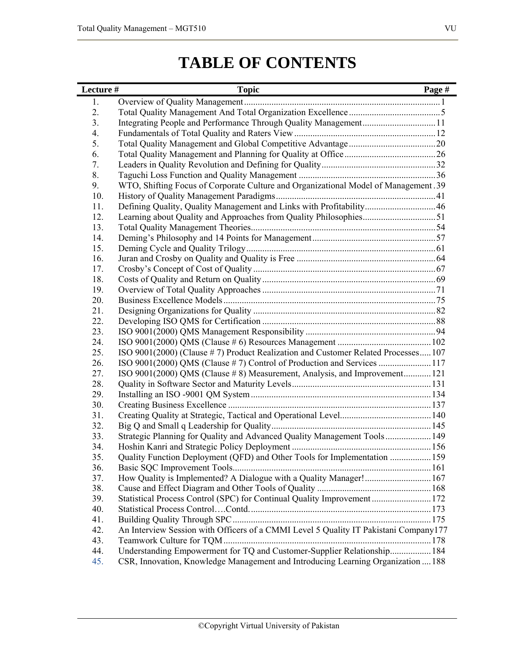| Lecture # | <b>Topic</b>                                                                         | Page # |
|-----------|--------------------------------------------------------------------------------------|--------|
| 1.        |                                                                                      |        |
| 2.        |                                                                                      |        |
| 3.        |                                                                                      |        |
| 4.        |                                                                                      |        |
| 5.        |                                                                                      |        |
| 6.        |                                                                                      |        |
| 7.        |                                                                                      |        |
| 8.        |                                                                                      |        |
| 9.        | WTO, Shifting Focus of Corporate Culture and Organizational Model of Management. 39  |        |
| 10.       |                                                                                      |        |
| 11.       | Defining Quality, Quality Management and Links with Profitability 46                 |        |
| 12.       | Learning about Quality and Approaches from Quality Philosophies51                    |        |
| 13.       |                                                                                      |        |
| 14.       |                                                                                      |        |
| 15.       |                                                                                      |        |
| 16.       |                                                                                      |        |
| 17.       |                                                                                      |        |
| 18.       |                                                                                      |        |
| 19.       |                                                                                      |        |
| 20.       |                                                                                      |        |
| 21.       |                                                                                      |        |
| 22.       |                                                                                      |        |
| 23.       |                                                                                      |        |
| 24.       |                                                                                      |        |
| 25.       | ISO 9001(2000) (Clause #7) Product Realization and Customer Related Processes107     |        |
| 26.       |                                                                                      |        |
| 27.       | ISO 9001(2000) QMS (Clause #8) Measurement, Analysis, and Improvement121             |        |
| 28.       |                                                                                      |        |
| 29.       |                                                                                      |        |
| 30.       |                                                                                      |        |
| 31.       |                                                                                      |        |
| 32.       |                                                                                      |        |
| 33.       | Strategic Planning for Quality and Advanced Quality Management Tools 149             |        |
| 34.       |                                                                                      |        |
| 35.       | Quality Function Deployment (QFD) and Other Tools for Implementation  159            |        |
| 36.       |                                                                                      |        |
| 37.       |                                                                                      |        |
| 38.       |                                                                                      |        |
| 39.       | Statistical Process Control (SPC) for Continual Quality Improvement  172             |        |
| 40.       |                                                                                      |        |
| 41.       |                                                                                      |        |
| 42.       | An Interview Session with Officers of a CMMI Level 5 Quality IT Pakistani Company177 |        |
| 43.       |                                                                                      |        |
| 44.       | Understanding Empowerment for TQ and Customer-Supplier Relationship 184              |        |
| 45.       | CSR, Innovation, Knowledge Management and Introducing Learning Organization  188     |        |

# **TABLE OF CONTENTS**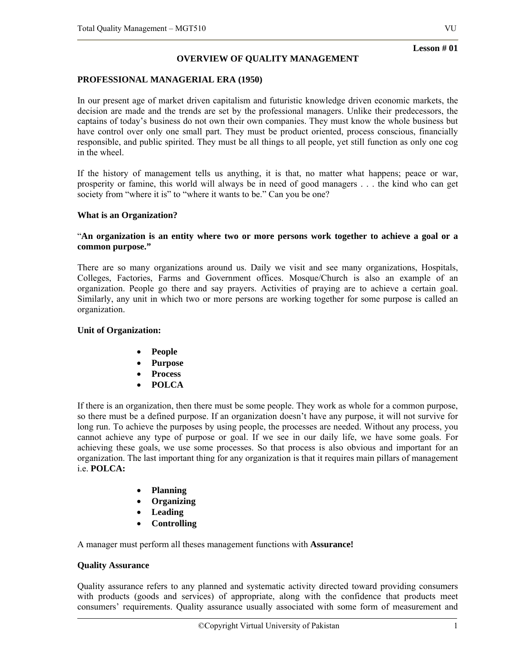## **Lesson # 01**

## **OVERVIEW OF QUALITY MANAGEMENT**

#### **PROFESSIONAL MANAGERIAL ERA (1950)**

In our present age of market driven capitalism and futuristic knowledge driven economic markets, the decision are made and the trends are set by the professional managers. Unlike their predecessors, the captains of today's business do not own their own companies. They must know the whole business but have control over only one small part. They must be product oriented, process conscious, financially responsible, and public spirited. They must be all things to all people, yet still function as only one cog in the wheel.

If the history of management tells us anything, it is that, no matter what happens; peace or war, prosperity or famine, this world will always be in need of good managers . . . the kind who can get society from "where it is" to "where it wants to be." Can you be one?

#### **What is an Organization?**

#### "**An organization is an entity where two or more persons work together to achieve a goal or a common purpose."**

There are so many organizations around us. Daily we visit and see many organizations, Hospitals, Colleges, Factories, Farms and Government offices. Mosque/Church is also an example of an organization. People go there and say prayers. Activities of praying are to achieve a certain goal. Similarly, any unit in which two or more persons are working together for some purpose is called an organization.

#### **Unit of Organization:**

- **People**
- **Purpose**
- **Process**
- **POLCA**

If there is an organization, then there must be some people. They work as whole for a common purpose, so there must be a defined purpose. If an organization doesn't have any purpose, it will not survive for long run. To achieve the purposes by using people, the processes are needed. Without any process, you cannot achieve any type of purpose or goal. If we see in our daily life, we have some goals. For achieving these goals, we use some processes. So that process is also obvious and important for an organization. The last important thing for any organization is that it requires main pillars of management i.e. **POLCA:** 

- **Planning**
- **Organizing**
- **Leading**
- **Controlling**

A manager must perform all theses management functions with **Assurance!** 

#### **Quality Assurance**

Quality assurance refers to any planned and systematic activity directed toward providing consumers with products (goods and services) of appropriate, along with the confidence that products meet consumers' requirements. Quality assurance usually associated with some form of measurement and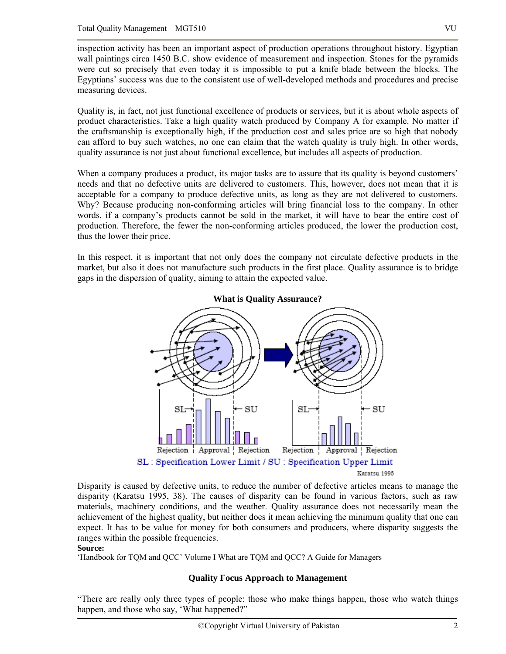inspection activity has been an important aspect of production operations throughout history. Egyptian wall paintings circa 1450 B.C. show evidence of measurement and inspection. Stones for the pyramids were cut so precisely that even today it is impossible to put a knife blade between the blocks. The Egyptians' success was due to the consistent use of well-developed methods and procedures and precise measuring devices.

Quality is, in fact, not just functional excellence of products or services, but it is about whole aspects of product characteristics. Take a high quality watch produced by Company A for example. No matter if the craftsmanship is exceptionally high, if the production cost and sales price are so high that nobody can afford to buy such watches, no one can claim that the watch quality is truly high. In other words, quality assurance is not just about functional excellence, but includes all aspects of production.

When a company produces a product, its major tasks are to assure that its quality is beyond customers' needs and that no defective units are delivered to customers. This, however, does not mean that it is acceptable for a company to produce defective units, as long as they are not delivered to customers. Why? Because producing non-conforming articles will bring financial loss to the company. In other words, if a company's products cannot be sold in the market, it will have to bear the entire cost of production. Therefore, the fewer the non-conforming articles produced, the lower the production cost, thus the lower their price.

In this respect, it is important that not only does the company not circulate defective products in the market, but also it does not manufacture such products in the first place. Quality assurance is to bridge gaps in the dispersion of quality, aiming to attain the expected value.



Disparity is caused by defective units, to reduce the number of defective articles means to manage the disparity (Karatsu 1995, 38). The causes of disparity can be found in various factors, such as raw materials, machinery conditions, and the weather. Quality assurance does not necessarily mean the achievement of the highest quality, but neither does it mean achieving the minimum quality that one can expect. It has to be value for money for both consumers and producers, where disparity suggests the ranges within the possible frequencies.

#### **Source:**

'Handbook for TQM and QCC' Volume I What are TQM and QCC? A Guide for Managers

#### **Quality Focus Approach to Management**

"There are really only three types of people: those who make things happen, those who watch things happen, and those who say, 'What happened?"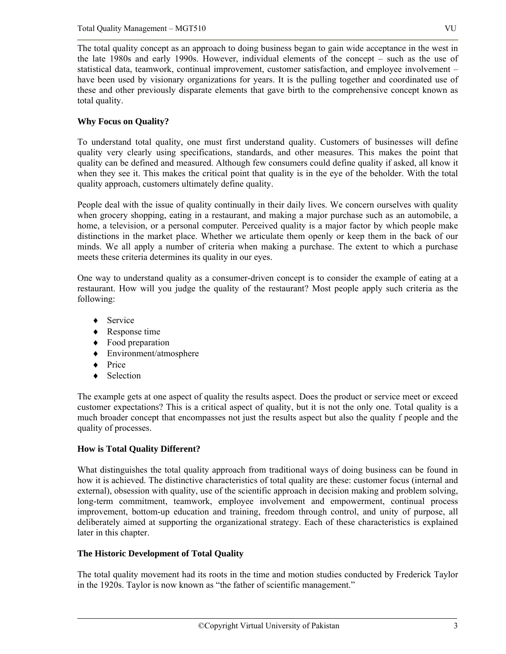The total quality concept as an approach to doing business began to gain wide acceptance in the west in the late 1980s and early 1990s. However, individual elements of the concept – such as the use of statistical data, teamwork, continual improvement, customer satisfaction, and employee involvement – have been used by visionary organizations for years. It is the pulling together and coordinated use of these and other previously disparate elements that gave birth to the comprehensive concept known as total quality.

## **Why Focus on Quality?**

To understand total quality, one must first understand quality. Customers of businesses will define quality very clearly using specifications, standards, and other measures. This makes the point that quality can be defined and measured. Although few consumers could define quality if asked, all know it when they see it. This makes the critical point that quality is in the eye of the beholder. With the total quality approach, customers ultimately define quality.

People deal with the issue of quality continually in their daily lives. We concern ourselves with quality when grocery shopping, eating in a restaurant, and making a major purchase such as an automobile, a home, a television, or a personal computer. Perceived quality is a major factor by which people make distinctions in the market place. Whether we articulate them openly or keep them in the back of our minds. We all apply a number of criteria when making a purchase. The extent to which a purchase meets these criteria determines its quality in our eyes.

One way to understand quality as a consumer-driven concept is to consider the example of eating at a restaurant. How will you judge the quality of the restaurant? Most people apply such criteria as the following:

- ◆ Service
- ♦ Response time
- ♦ Food preparation
- ♦ Environment/atmosphere
- ♦ Price
- ◆ Selection

The example gets at one aspect of quality the results aspect. Does the product or service meet or exceed customer expectations? This is a critical aspect of quality, but it is not the only one. Total quality is a much broader concept that encompasses not just the results aspect but also the quality f people and the quality of processes.

## **How is Total Quality Different?**

What distinguishes the total quality approach from traditional ways of doing business can be found in how it is achieved. The distinctive characteristics of total quality are these: customer focus (internal and external), obsession with quality, use of the scientific approach in decision making and problem solving, long-term commitment, teamwork, employee involvement and empowerment, continual process improvement, bottom-up education and training, freedom through control, and unity of purpose, all deliberately aimed at supporting the organizational strategy. Each of these characteristics is explained later in this chapter.

## **The Historic Development of Total Quality**

The total quality movement had its roots in the time and motion studies conducted by Frederick Taylor in the 1920s. Taylor is now known as "the father of scientific management."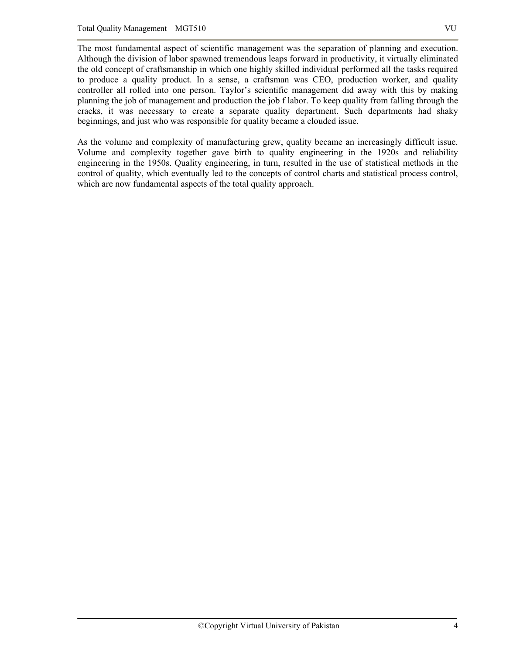The most fundamental aspect of scientific management was the separation of planning and execution. Although the division of labor spawned tremendous leaps forward in productivity, it virtually eliminated the old concept of craftsmanship in which one highly skilled individual performed all the tasks required to produce a quality product. In a sense, a craftsman was CEO, production worker, and quality controller all rolled into one person. Taylor's scientific management did away with this by making planning the job of management and production the job f labor. To keep quality from falling through the cracks, it was necessary to create a separate quality department. Such departments had shaky beginnings, and just who was responsible for quality became a clouded issue.

As the volume and complexity of manufacturing grew, quality became an increasingly difficult issue. Volume and complexity together gave birth to quality engineering in the 1920s and reliability engineering in the 1950s. Quality engineering, in turn, resulted in the use of statistical methods in the control of quality, which eventually led to the concepts of control charts and statistical process control, which are now fundamental aspects of the total quality approach.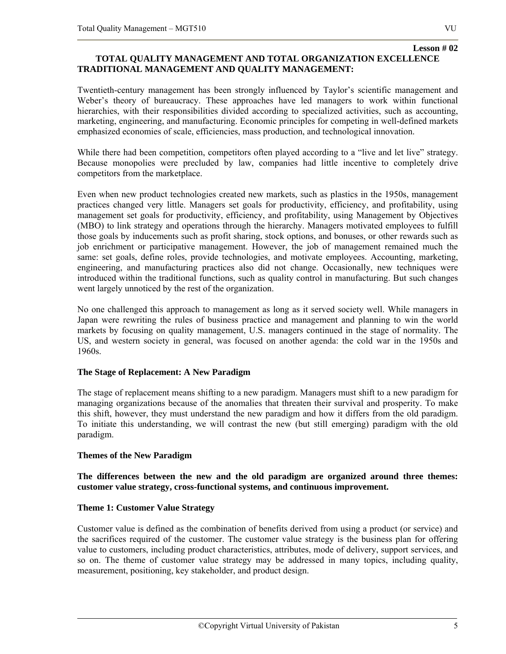#### **Lesson # 02 TOTAL QUALITY MANAGEMENT AND TOTAL ORGANIZATION EXCELLENCE TRADITIONAL MANAGEMENT AND QUALITY MANAGEMENT:**

Twentieth-century management has been strongly influenced by Taylor's scientific management and Weber's theory of bureaucracy. These approaches have led managers to work within functional hierarchies, with their responsibilities divided according to specialized activities, such as accounting, marketing, engineering, and manufacturing. Economic principles for competing in well-defined markets emphasized economies of scale, efficiencies, mass production, and technological innovation.

While there had been competition, competitors often played according to a "live and let live" strategy. Because monopolies were precluded by law, companies had little incentive to completely drive competitors from the marketplace.

Even when new product technologies created new markets, such as plastics in the 1950s, management practices changed very little. Managers set goals for productivity, efficiency, and profitability, using management set goals for productivity, efficiency, and profitability, using Management by Objectives (MBO) to link strategy and operations through the hierarchy. Managers motivated employees to fulfill those goals by inducements such as profit sharing, stock options, and bonuses, or other rewards such as job enrichment or participative management. However, the job of management remained much the same: set goals, define roles, provide technologies, and motivate employees. Accounting, marketing, engineering, and manufacturing practices also did not change. Occasionally, new techniques were introduced within the traditional functions, such as quality control in manufacturing. But such changes went largely unnoticed by the rest of the organization.

No one challenged this approach to management as long as it served society well. While managers in Japan were rewriting the rules of business practice and management and planning to win the world markets by focusing on quality management, U.S. managers continued in the stage of normality. The US, and western society in general, was focused on another agenda: the cold war in the 1950s and 1960s.

#### **The Stage of Replacement: A New Paradigm**

The stage of replacement means shifting to a new paradigm. Managers must shift to a new paradigm for managing organizations because of the anomalies that threaten their survival and prosperity. To make this shift, however, they must understand the new paradigm and how it differs from the old paradigm. To initiate this understanding, we will contrast the new (but still emerging) paradigm with the old paradigm.

#### **Themes of the New Paradigm**

**The differences between the new and the old paradigm are organized around three themes: customer value strategy, cross-functional systems, and continuous improvement.** 

#### **Theme 1: Customer Value Strategy**

Customer value is defined as the combination of benefits derived from using a product (or service) and the sacrifices required of the customer. The customer value strategy is the business plan for offering value to customers, including product characteristics, attributes, mode of delivery, support services, and so on. The theme of customer value strategy may be addressed in many topics, including quality, measurement, positioning, key stakeholder, and product design.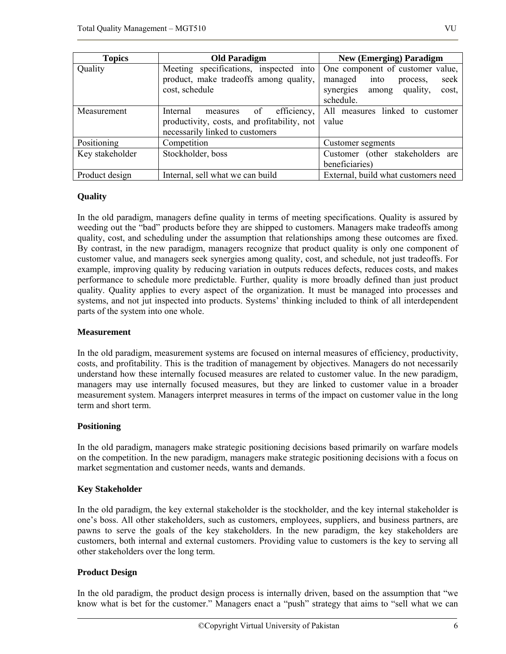| <b>Topics</b>   | <b>Old Paradigm</b>                         | <b>New (Emerging) Paradigm</b>          |
|-----------------|---------------------------------------------|-----------------------------------------|
| Quality         | Meeting specifications, inspected into      | One component of customer value,        |
|                 | product, make tradeoffs among quality,      | managed<br>seek<br>into<br>process.     |
|                 | cost, schedule                              | quality,<br>synergies<br>cost,<br>among |
|                 |                                             | schedule.                               |
| Measurement     | of efficiency,<br>Internal<br>measures      | All measures linked to customer         |
|                 | productivity, costs, and profitability, not | value                                   |
|                 | necessarily linked to customers             |                                         |
| Positioning     | Competition                                 | Customer segments                       |
| Key stakeholder | Stockholder, boss                           | Customer (other stakeholders are        |
|                 |                                             | beneficiaries)                          |
| Product design  | Internal, sell what we can build            | External, build what customers need     |

## **Quality**

In the old paradigm, managers define quality in terms of meeting specifications. Quality is assured by weeding out the "bad" products before they are shipped to customers. Managers make tradeoffs among quality, cost, and scheduling under the assumption that relationships among these outcomes are fixed. By contrast, in the new paradigm, managers recognize that product quality is only one component of customer value, and managers seek synergies among quality, cost, and schedule, not just tradeoffs. For example, improving quality by reducing variation in outputs reduces defects, reduces costs, and makes performance to schedule more predictable. Further, quality is more broadly defined than just product quality. Quality applies to every aspect of the organization. It must be managed into processes and systems, and not jut inspected into products. Systems' thinking included to think of all interdependent parts of the system into one whole.

#### **Measurement**

In the old paradigm, measurement systems are focused on internal measures of efficiency, productivity, costs, and profitability. This is the tradition of management by objectives. Managers do not necessarily understand how these internally focused measures are related to customer value. In the new paradigm, managers may use internally focused measures, but they are linked to customer value in a broader measurement system. Managers interpret measures in terms of the impact on customer value in the long term and short term.

#### **Positioning**

In the old paradigm, managers make strategic positioning decisions based primarily on warfare models on the competition. In the new paradigm, managers make strategic positioning decisions with a focus on market segmentation and customer needs, wants and demands.

## **Key Stakeholder**

In the old paradigm, the key external stakeholder is the stockholder, and the key internal stakeholder is one's boss. All other stakeholders, such as customers, employees, suppliers, and business partners, are pawns to serve the goals of the key stakeholders. In the new paradigm, the key stakeholders are customers, both internal and external customers. Providing value to customers is the key to serving all other stakeholders over the long term.

## **Product Design**

In the old paradigm, the product design process is internally driven, based on the assumption that "we know what is bet for the customer." Managers enact a "push" strategy that aims to "sell what we can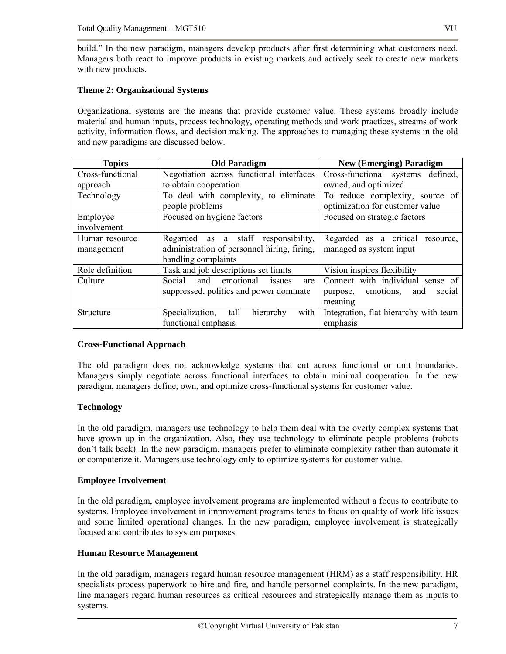build." In the new paradigm, managers develop products after first determining what customers need. Managers both react to improve products in existing markets and actively seek to create new markets with new products.

#### **Theme 2: Organizational Systems**

Organizational systems are the means that provide customer value. These systems broadly include material and human inputs, process technology, operating methods and work practices, streams of work activity, information flows, and decision making. The approaches to managing these systems in the old and new paradigms are discussed below.

| <b>Topics</b>    | <b>Old Paradigm</b>                          | <b>New (Emerging) Paradigm</b>         |
|------------------|----------------------------------------------|----------------------------------------|
| Cross-functional | Negotiation across functional interfaces     | Cross-functional systems defined,      |
| approach         | to obtain cooperation                        | owned, and optimized                   |
| Technology       | To deal with complexity, to eliminate        | To reduce complexity, source of        |
|                  | people problems                              | optimization for customer value        |
| Employee         | Focused on hygiene factors                   | Focused on strategic factors           |
| involvement      |                                              |                                        |
| Human resource   | responsibility,<br>Regarded as a staff       | Regarded as a critical<br>resource.    |
| management       | administration of personnel hiring, firing,  | managed as system input                |
|                  | handling complaints                          |                                        |
| Role definition  | Task and job descriptions set limits         | Vision inspires flexibility            |
| Culture          | emotional<br>Social<br>and<br>issues<br>are  | Connect with individual sense of       |
|                  | suppressed, politics and power dominate      | emotions,<br>and<br>social<br>purpose, |
|                  |                                              | meaning                                |
| Structure        | with<br>Specialization,<br>tall<br>hierarchy | Integration, flat hierarchy with team  |
|                  | functional emphasis                          | emphasis                               |

#### **Cross-Functional Approach**

The old paradigm does not acknowledge systems that cut across functional or unit boundaries. Managers simply negotiate across functional interfaces to obtain minimal cooperation. In the new paradigm, managers define, own, and optimize cross-functional systems for customer value.

#### **Technology**

In the old paradigm, managers use technology to help them deal with the overly complex systems that have grown up in the organization. Also, they use technology to eliminate people problems (robots don't talk back). In the new paradigm, managers prefer to eliminate complexity rather than automate it or computerize it. Managers use technology only to optimize systems for customer value.

#### **Employee Involvement**

In the old paradigm, employee involvement programs are implemented without a focus to contribute to systems. Employee involvement in improvement programs tends to focus on quality of work life issues and some limited operational changes. In the new paradigm, employee involvement is strategically focused and contributes to system purposes.

#### **Human Resource Management**

In the old paradigm, managers regard human resource management (HRM) as a staff responsibility. HR specialists process paperwork to hire and fire, and handle personnel complaints. In the new paradigm, line managers regard human resources as critical resources and strategically manage them as inputs to systems.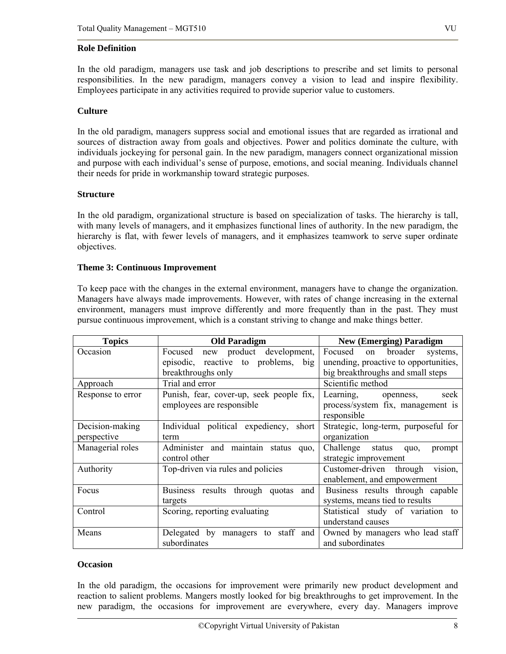#### **Role Definition**

In the old paradigm, managers use task and job descriptions to prescribe and set limits to personal responsibilities. In the new paradigm, managers convey a vision to lead and inspire flexibility. Employees participate in any activities required to provide superior value to customers.

#### **Culture**

In the old paradigm, managers suppress social and emotional issues that are regarded as irrational and sources of distraction away from goals and objectives. Power and politics dominate the culture, with individuals jockeying for personal gain. In the new paradigm, managers connect organizational mission and purpose with each individual's sense of purpose, emotions, and social meaning. Individuals channel their needs for pride in workmanship toward strategic purposes.

#### **Structure**

In the old paradigm, organizational structure is based on specialization of tasks. The hierarchy is tall, with many levels of managers, and it emphasizes functional lines of authority. In the new paradigm, the hierarchy is flat, with fewer levels of managers, and it emphasizes teamwork to serve super ordinate objectives.

#### **Theme 3: Continuous Improvement**

To keep pace with the changes in the external environment, managers have to change the organization. Managers have always made improvements. However, with rates of change increasing in the external environment, managers must improve differently and more frequently than in the past. They must pursue continuous improvement, which is a constant striving to change and make things better.

| <b>Topics</b>     | <b>Old Paradigm</b>                                                   | <b>New (Emerging) Paradigm</b>                                                  |
|-------------------|-----------------------------------------------------------------------|---------------------------------------------------------------------------------|
| Occasion          | product development,<br>Focused new                                   | Focused<br>on broader<br>systems,                                               |
|                   | episodic, reactive to problems, big                                   | unending, proactive to opportunities,                                           |
|                   | breakthroughs only                                                    | big breakthroughs and small steps                                               |
| Approach          | Trial and error                                                       | Scientific method                                                               |
| Response to error | Punish, fear, cover-up, seek people fix,<br>employees are responsible | Learning, openness,<br>seek<br>process/system fix, management is<br>responsible |
| Decision-making   | Individual political expediency,<br>short                             | Strategic, long-term, purposeful for                                            |
| perspective       | term                                                                  | organization                                                                    |
| Managerial roles  | Administer and maintain status quo,<br>control other                  | Challenge status<br>quo,<br>prompt<br>strategic improvement                     |
| Authority         | Top-driven via rules and policies                                     | Customer-driven through vision,                                                 |
|                   |                                                                       | enablement, and empowerment                                                     |
| Focus             | Business results through quotas and                                   | Business results through capable                                                |
|                   | targets                                                               | systems, means tied to results                                                  |
| Control           | Scoring, reporting evaluating                                         | Statistical study of variation to                                               |
|                   |                                                                       | understand causes                                                               |
| Means             | Delegated by<br>managers to staff and                                 | Owned by managers who lead staff                                                |
|                   | subordinates                                                          | and subordinates                                                                |

#### **Occasion**

In the old paradigm, the occasions for improvement were primarily new product development and reaction to salient problems. Mangers mostly looked for big breakthroughs to get improvement. In the new paradigm, the occasions for improvement are everywhere, every day. Managers improve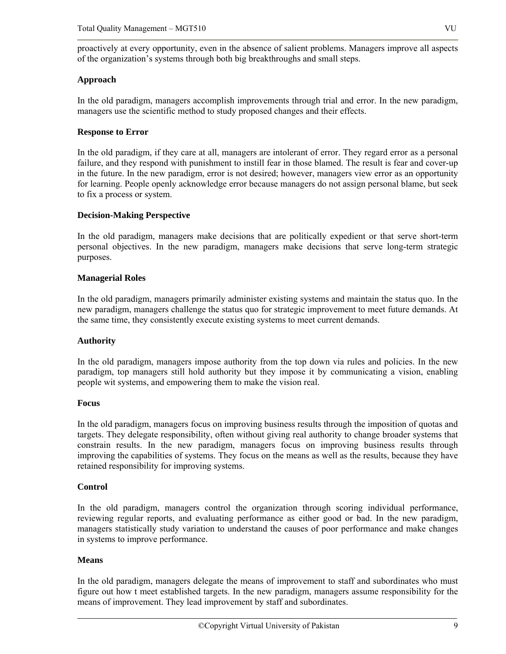proactively at every opportunity, even in the absence of salient problems. Managers improve all aspects of the organization's systems through both big breakthroughs and small steps.

## **Approach**

In the old paradigm, managers accomplish improvements through trial and error. In the new paradigm, managers use the scientific method to study proposed changes and their effects.

#### **Response to Error**

In the old paradigm, if they care at all, managers are intolerant of error. They regard error as a personal failure, and they respond with punishment to instill fear in those blamed. The result is fear and cover-up in the future. In the new paradigm, error is not desired; however, managers view error as an opportunity for learning. People openly acknowledge error because managers do not assign personal blame, but seek to fix a process or system.

#### **Decision-Making Perspective**

In the old paradigm, managers make decisions that are politically expedient or that serve short-term personal objectives. In the new paradigm, managers make decisions that serve long-term strategic purposes.

#### **Managerial Roles**

In the old paradigm, managers primarily administer existing systems and maintain the status quo. In the new paradigm, managers challenge the status quo for strategic improvement to meet future demands. At the same time, they consistently execute existing systems to meet current demands.

#### **Authority**

In the old paradigm, managers impose authority from the top down via rules and policies. In the new paradigm, top managers still hold authority but they impose it by communicating a vision, enabling people wit systems, and empowering them to make the vision real.

#### **Focus**

In the old paradigm, managers focus on improving business results through the imposition of quotas and targets. They delegate responsibility, often without giving real authority to change broader systems that constrain results. In the new paradigm, managers focus on improving business results through improving the capabilities of systems. They focus on the means as well as the results, because they have retained responsibility for improving systems.

#### **Control**

In the old paradigm, managers control the organization through scoring individual performance, reviewing regular reports, and evaluating performance as either good or bad. In the new paradigm, managers statistically study variation to understand the causes of poor performance and make changes in systems to improve performance.

#### **Means**

In the old paradigm, managers delegate the means of improvement to staff and subordinates who must figure out how t meet established targets. In the new paradigm, managers assume responsibility for the means of improvement. They lead improvement by staff and subordinates.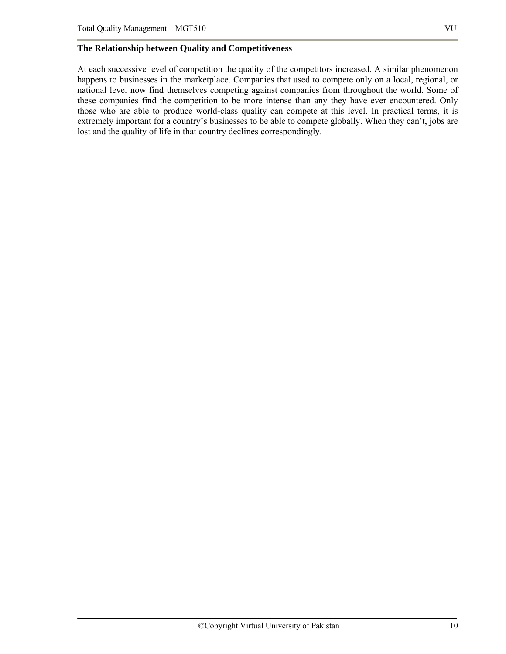## **The Relationship between Quality and Competitiveness**

At each successive level of competition the quality of the competitors increased. A similar phenomenon happens to businesses in the marketplace. Companies that used to compete only on a local, regional, or national level now find themselves competing against companies from throughout the world. Some of these companies find the competition to be more intense than any they have ever encountered. Only those who are able to produce world-class quality can compete at this level. In practical terms, it is extremely important for a country's businesses to be able to compete globally. When they can't, jobs are lost and the quality of life in that country declines correspondingly.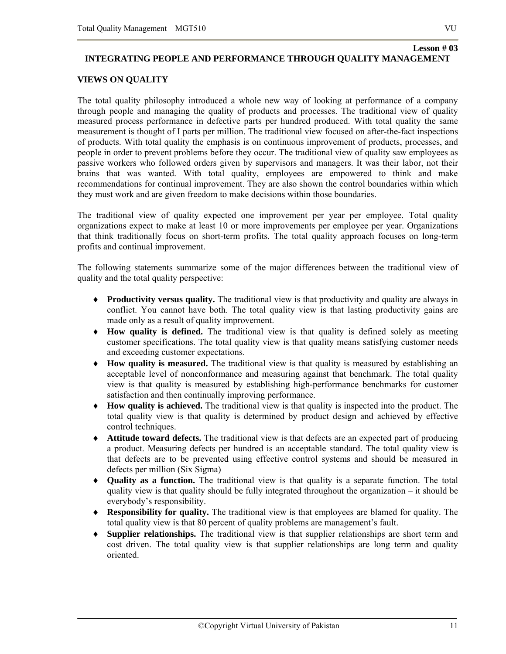**Lesson # 03** 

## **INTEGRATING PEOPLE AND PERFORMANCE THROUGH QUALITY MANAGEMENT**

#### **VIEWS ON QUALITY**

The total quality philosophy introduced a whole new way of looking at performance of a company through people and managing the quality of products and processes. The traditional view of quality measured process performance in defective parts per hundred produced. With total quality the same measurement is thought of I parts per million. The traditional view focused on after-the-fact inspections of products. With total quality the emphasis is on continuous improvement of products, processes, and people in order to prevent problems before they occur. The traditional view of quality saw employees as passive workers who followed orders given by supervisors and managers. It was their labor, not their brains that was wanted. With total quality, employees are empowered to think and make recommendations for continual improvement. They are also shown the control boundaries within which they must work and are given freedom to make decisions within those boundaries.

The traditional view of quality expected one improvement per year per employee. Total quality organizations expect to make at least 10 or more improvements per employee per year. Organizations that think traditionally focus on short-term profits. The total quality approach focuses on long-term profits and continual improvement.

The following statements summarize some of the major differences between the traditional view of quality and the total quality perspective:

- ♦ **Productivity versus quality.** The traditional view is that productivity and quality are always in conflict. You cannot have both. The total quality view is that lasting productivity gains are made only as a result of quality improvement.
- ♦ **How quality is defined.** The traditional view is that quality is defined solely as meeting customer specifications. The total quality view is that quality means satisfying customer needs and exceeding customer expectations.
- ♦ **How quality is measured.** The traditional view is that quality is measured by establishing an acceptable level of nonconformance and measuring against that benchmark. The total quality view is that quality is measured by establishing high-performance benchmarks for customer satisfaction and then continually improving performance.
- ♦ **How quality is achieved.** The traditional view is that quality is inspected into the product. The total quality view is that quality is determined by product design and achieved by effective control techniques.
- ♦ **Attitude toward defects.** The traditional view is that defects are an expected part of producing a product. Measuring defects per hundred is an acceptable standard. The total quality view is that defects are to be prevented using effective control systems and should be measured in defects per million (Six Sigma)
- ♦ **Quality as a function.** The traditional view is that quality is a separate function. The total quality view is that quality should be fully integrated throughout the organization – it should be everybody's responsibility.
- ♦ **Responsibility for quality.** The traditional view is that employees are blamed for quality. The total quality view is that 80 percent of quality problems are management's fault.
- ♦ **Supplier relationships.** The traditional view is that supplier relationships are short term and cost driven. The total quality view is that supplier relationships are long term and quality oriented.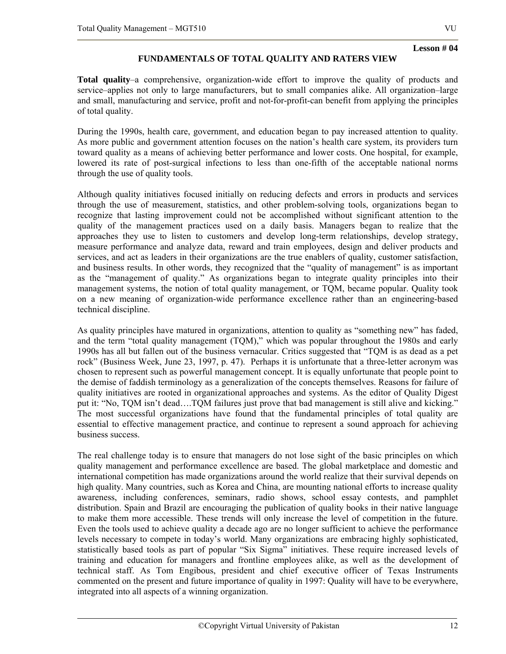#### **Lesson # 04**

## **FUNDAMENTALS OF TOTAL QUALITY AND RATERS VIEW**

**Total quality**–a comprehensive, organization-wide effort to improve the quality of products and service–applies not only to large manufacturers, but to small companies alike. All organization–large and small, manufacturing and service, profit and not-for-profit-can benefit from applying the principles of total quality.

During the 1990s, health care, government, and education began to pay increased attention to quality. As more public and government attention focuses on the nation's health care system, its providers turn toward quality as a means of achieving better performance and lower costs. One hospital, for example, lowered its rate of post-surgical infections to less than one-fifth of the acceptable national norms through the use of quality tools.

Although quality initiatives focused initially on reducing defects and errors in products and services through the use of measurement, statistics, and other problem-solving tools, organizations began to recognize that lasting improvement could not be accomplished without significant attention to the quality of the management practices used on a daily basis. Managers began to realize that the approaches they use to listen to customers and develop long-term relationships, develop strategy, measure performance and analyze data, reward and train employees, design and deliver products and services, and act as leaders in their organizations are the true enablers of quality, customer satisfaction, and business results. In other words, they recognized that the "quality of management" is as important as the "management of quality." As organizations began to integrate quality principles into their management systems, the notion of total quality management, or TQM, became popular. Quality took on a new meaning of organization-wide performance excellence rather than an engineering-based technical discipline.

As quality principles have matured in organizations, attention to quality as "something new" has faded, and the term "total quality management (TQM)," which was popular throughout the 1980s and early 1990s has all but fallen out of the business vernacular. Critics suggested that "TQM is as dead as a pet rock" (Business Week, June 23, 1997, p. 47). Perhaps it is unfortunate that a three-letter acronym was chosen to represent such as powerful management concept. It is equally unfortunate that people point to the demise of faddish terminology as a generalization of the concepts themselves. Reasons for failure of quality initiatives are rooted in organizational approaches and systems. As the editor of Quality Digest put it: "No, TQM isn't dead….TQM failures just prove that bad management is still alive and kicking." The most successful organizations have found that the fundamental principles of total quality are essential to effective management practice, and continue to represent a sound approach for achieving business success.

The real challenge today is to ensure that managers do not lose sight of the basic principles on which quality management and performance excellence are based. The global marketplace and domestic and international competition has made organizations around the world realize that their survival depends on high quality. Many countries, such as Korea and China, are mounting national efforts to increase quality awareness, including conferences, seminars, radio shows, school essay contests, and pamphlet distribution. Spain and Brazil are encouraging the publication of quality books in their native language to make them more accessible. These trends will only increase the level of competition in the future. Even the tools used to achieve quality a decade ago are no longer sufficient to achieve the performance levels necessary to compete in today's world. Many organizations are embracing highly sophisticated, statistically based tools as part of popular "Six Sigma" initiatives. These require increased levels of training and education for managers and frontline employees alike, as well as the development of technical staff. As Tom Engibous, president and chief executive officer of Texas Instruments commented on the present and future importance of quality in 1997: Quality will have to be everywhere, integrated into all aspects of a winning organization.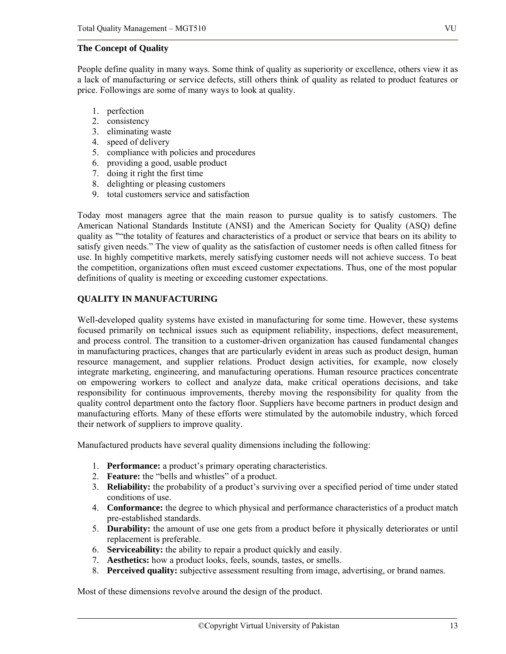## **The Concept of Quality**

People define quality in many ways. Some think of quality as superiority or excellence, others view it as a lack of manufacturing or service defects, still others think of quality as related to product features or price. Followings are some of many ways to look at quality.

- 1. perfection
- 2. consistency
- 3. eliminating waste
- 4. speed of delivery
- 5. compliance with policies and procedures
- 6. providing a good, usable product
- 7. doing it right the first time
- 8. delighting or pleasing customers
- 9. total customers service and satisfaction

Today most managers agree that the main reason to pursue quality is to satisfy customers. The American National Standards Institute (ANSI) and the American Society for Quality (ASQ) define quality as ""the totality of features and characteristics of a product or service that bears on its ability to satisfy given needs." The view of quality as the satisfaction of customer needs is often called fitness for use. In highly competitive markets, merely satisfying customer needs will not achieve success. To beat the competition, organizations often must exceed customer expectations. Thus, one of the most popular definitions of quality is meeting or exceeding customer expectations.

## **QUALITY IN MANUFACTURING**

Well-developed quality systems have existed in manufacturing for some time. However, these systems focused primarily on technical issues such as equipment reliability, inspections, defect measurement, and process control. The transition to a customer-driven organization has caused fundamental changes in manufacturing practices, changes that are particularly evident in areas such as product design, human resource management, and supplier relations. Product design activities, for example, now closely integrate marketing, engineering, and manufacturing operations. Human resource practices concentrate on empowering workers to collect and analyze data, make critical operations decisions, and take responsibility for continuous improvements, thereby moving the responsibility for quality from the quality control department onto the factory floor. Suppliers have become partners in product design and manufacturing efforts. Many of these efforts were stimulated by the automobile industry, which forced their network of suppliers to improve quality.

Manufactured products have several quality dimensions including the following:

- 1. **Performance:** a product's primary operating characteristics.
- 2. **Feature:** the "bells and whistles" of a product.
- 3. **Reliability:** the probability of a product's surviving over a specified period of time under stated conditions of use.
- 4. **Conformance:** the degree to which physical and performance characteristics of a product match pre-established standards.
- 5. **Durability:** the amount of use one gets from a product before it physically deteriorates or until replacement is preferable.
- 6. **Serviceability:** the ability to repair a product quickly and easily.
- 7. **Aesthetics:** how a product looks, feels, sounds, tastes, or smells.
- 8. **Perceived quality:** subjective assessment resulting from image, advertising, or brand names.

Most of these dimensions revolve around the design of the product.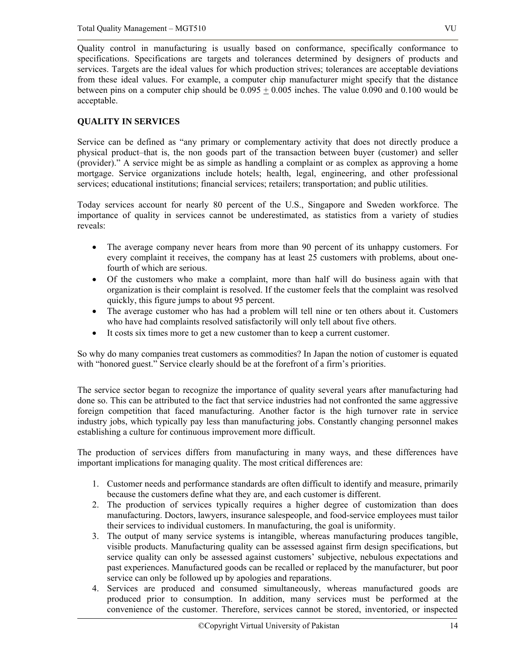Quality control in manufacturing is usually based on conformance, specifically conformance to specifications. Specifications are targets and tolerances determined by designers of products and services. Targets are the ideal values for which production strives; tolerances are acceptable deviations from these ideal values. For example, a computer chip manufacturer might specify that the distance between pins on a computer chip should be  $0.095 \pm 0.005$  inches. The value 0.090 and 0.100 would be acceptable.

## **QUALITY IN SERVICES**

Service can be defined as "any primary or complementary activity that does not directly produce a physical product–that is, the non goods part of the transaction between buyer (customer) and seller (provider)." A service might be as simple as handling a complaint or as complex as approving a home mortgage. Service organizations include hotels; health, legal, engineering, and other professional services; educational institutions; financial services; retailers; transportation; and public utilities.

Today services account for nearly 80 percent of the U.S., Singapore and Sweden workforce. The importance of quality in services cannot be underestimated, as statistics from a variety of studies reveals:

- The average company never hears from more than 90 percent of its unhappy customers. For every complaint it receives, the company has at least 25 customers with problems, about onefourth of which are serious.
- Of the customers who make a complaint, more than half will do business again with that organization is their complaint is resolved. If the customer feels that the complaint was resolved quickly, this figure jumps to about 95 percent.
- The average customer who has had a problem will tell nine or ten others about it. Customers who have had complaints resolved satisfactorily will only tell about five others.
- It costs six times more to get a new customer than to keep a current customer.

So why do many companies treat customers as commodities? In Japan the notion of customer is equated with "honored guest." Service clearly should be at the forefront of a firm's priorities.

The service sector began to recognize the importance of quality several years after manufacturing had done so. This can be attributed to the fact that service industries had not confronted the same aggressive foreign competition that faced manufacturing. Another factor is the high turnover rate in service industry jobs, which typically pay less than manufacturing jobs. Constantly changing personnel makes establishing a culture for continuous improvement more difficult.

The production of services differs from manufacturing in many ways, and these differences have important implications for managing quality. The most critical differences are:

- 1. Customer needs and performance standards are often difficult to identify and measure, primarily because the customers define what they are, and each customer is different.
- 2. The production of services typically requires a higher degree of customization than does manufacturing. Doctors, lawyers, insurance salespeople, and food-service employees must tailor their services to individual customers. In manufacturing, the goal is uniformity.
- 3. The output of many service systems is intangible, whereas manufacturing produces tangible, visible products. Manufacturing quality can be assessed against firm design specifications, but service quality can only be assessed against customers' subjective, nebulous expectations and past experiences. Manufactured goods can be recalled or replaced by the manufacturer, but poor service can only be followed up by apologies and reparations.
- 4. Services are produced and consumed simultaneously, whereas manufactured goods are produced prior to consumption. In addition, many services must be performed at the convenience of the customer. Therefore, services cannot be stored, inventoried, or inspected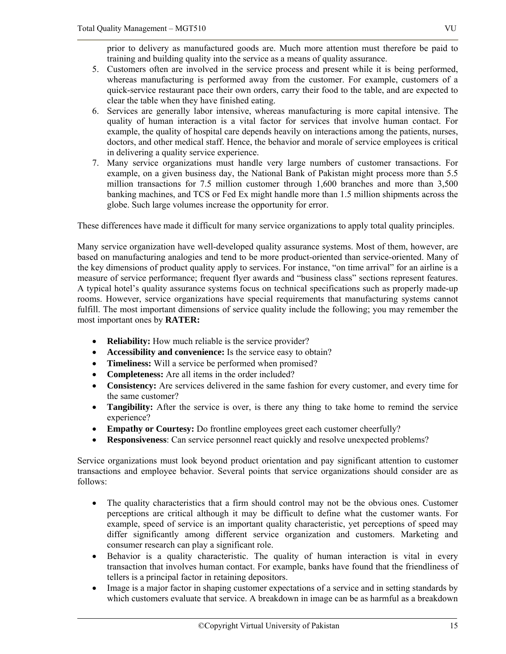prior to delivery as manufactured goods are. Much more attention must therefore be paid to training and building quality into the service as a means of quality assurance.

- 5. Customers often are involved in the service process and present while it is being performed, whereas manufacturing is performed away from the customer. For example, customers of a quick-service restaurant pace their own orders, carry their food to the table, and are expected to clear the table when they have finished eating.
- 6. Services are generally labor intensive, whereas manufacturing is more capital intensive. The quality of human interaction is a vital factor for services that involve human contact. For example, the quality of hospital care depends heavily on interactions among the patients, nurses, doctors, and other medical staff. Hence, the behavior and morale of service employees is critical in delivering a quality service experience.
- 7. Many service organizations must handle very large numbers of customer transactions. For example, on a given business day, the National Bank of Pakistan might process more than 5.5 million transactions for 7.5 million customer through 1,600 branches and more than 3,500 banking machines, and TCS or Fed Ex might handle more than 1.5 million shipments across the globe. Such large volumes increase the opportunity for error.

These differences have made it difficult for many service organizations to apply total quality principles.

Many service organization have well-developed quality assurance systems. Most of them, however, are based on manufacturing analogies and tend to be more product-oriented than service-oriented. Many of the key dimensions of product quality apply to services. For instance, "on time arrival" for an airline is a measure of service performance; frequent flyer awards and "business class" sections represent features. A typical hotel's quality assurance systems focus on technical specifications such as properly made-up rooms. However, service organizations have special requirements that manufacturing systems cannot fulfill. The most important dimensions of service quality include the following; you may remember the most important ones by **RATER:**

- **Reliability:** How much reliable is the service provider?
- **Accessibility and convenience:** Is the service easy to obtain?
- **Timeliness:** Will a service be performed when promised?
- **Completeness:** Are all items in the order included?
- **Consistency:** Are services delivered in the same fashion for every customer, and every time for the same customer?
- **Tangibility:** After the service is over, is there any thing to take home to remind the service experience?
- **Empathy or Courtesy:** Do frontline employees greet each customer cheerfully?
- **Responsiveness**: Can service personnel react quickly and resolve unexpected problems?

Service organizations must look beyond product orientation and pay significant attention to customer transactions and employee behavior. Several points that service organizations should consider are as follows:

- The quality characteristics that a firm should control may not be the obvious ones. Customer perceptions are critical although it may be difficult to define what the customer wants. For example, speed of service is an important quality characteristic, yet perceptions of speed may differ significantly among different service organization and customers. Marketing and consumer research can play a significant role.
- Behavior is a quality characteristic. The quality of human interaction is vital in every transaction that involves human contact. For example, banks have found that the friendliness of tellers is a principal factor in retaining depositors.
- Image is a major factor in shaping customer expectations of a service and in setting standards by which customers evaluate that service. A breakdown in image can be as harmful as a breakdown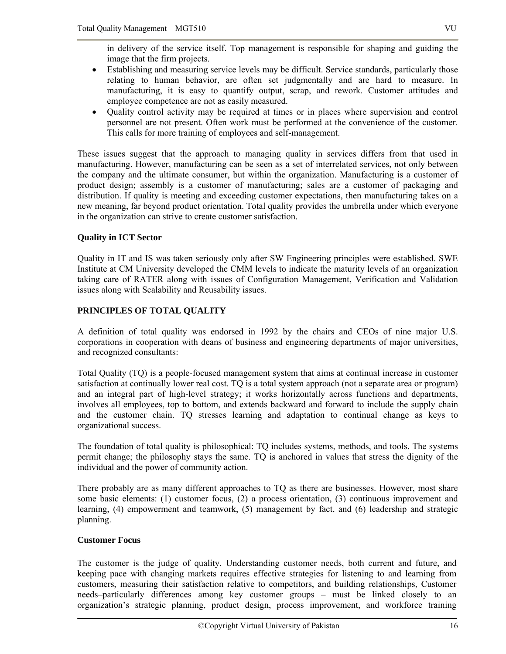in delivery of the service itself. Top management is responsible for shaping and guiding the image that the firm projects.

- Establishing and measuring service levels may be difficult. Service standards, particularly those relating to human behavior, are often set judgmentally and are hard to measure. In manufacturing, it is easy to quantify output, scrap, and rework. Customer attitudes and employee competence are not as easily measured.
- Quality control activity may be required at times or in places where supervision and control personnel are not present. Often work must be performed at the convenience of the customer. This calls for more training of employees and self-management.

These issues suggest that the approach to managing quality in services differs from that used in manufacturing. However, manufacturing can be seen as a set of interrelated services, not only between the company and the ultimate consumer, but within the organization. Manufacturing is a customer of product design; assembly is a customer of manufacturing; sales are a customer of packaging and distribution. If quality is meeting and exceeding customer expectations, then manufacturing takes on a new meaning, far beyond product orientation. Total quality provides the umbrella under which everyone in the organization can strive to create customer satisfaction.

#### **Quality in ICT Sector**

Quality in IT and IS was taken seriously only after SW Engineering principles were established. SWE Institute at CM University developed the CMM levels to indicate the maturity levels of an organization taking care of RATER along with issues of Configuration Management, Verification and Validation issues along with Scalability and Reusability issues.

## **PRINCIPLES OF TOTAL QUALITY**

A definition of total quality was endorsed in 1992 by the chairs and CEOs of nine major U.S. corporations in cooperation with deans of business and engineering departments of major universities, and recognized consultants:

Total Quality (TQ) is a people-focused management system that aims at continual increase in customer satisfaction at continually lower real cost. TQ is a total system approach (not a separate area or program) and an integral part of high-level strategy; it works horizontally across functions and departments, involves all employees, top to bottom, and extends backward and forward to include the supply chain and the customer chain. TQ stresses learning and adaptation to continual change as keys to organizational success.

The foundation of total quality is philosophical: TQ includes systems, methods, and tools. The systems permit change; the philosophy stays the same. TQ is anchored in values that stress the dignity of the individual and the power of community action.

There probably are as many different approaches to TQ as there are businesses. However, most share some basic elements: (1) customer focus, (2) a process orientation, (3) continuous improvement and learning, (4) empowerment and teamwork, (5) management by fact, and (6) leadership and strategic planning.

#### **Customer Focus**

The customer is the judge of quality. Understanding customer needs, both current and future, and keeping pace with changing markets requires effective strategies for listening to and learning from customers, measuring their satisfaction relative to competitors, and building relationships, Customer needs–particularly differences among key customer groups – must be linked closely to an organization's strategic planning, product design, process improvement, and workforce training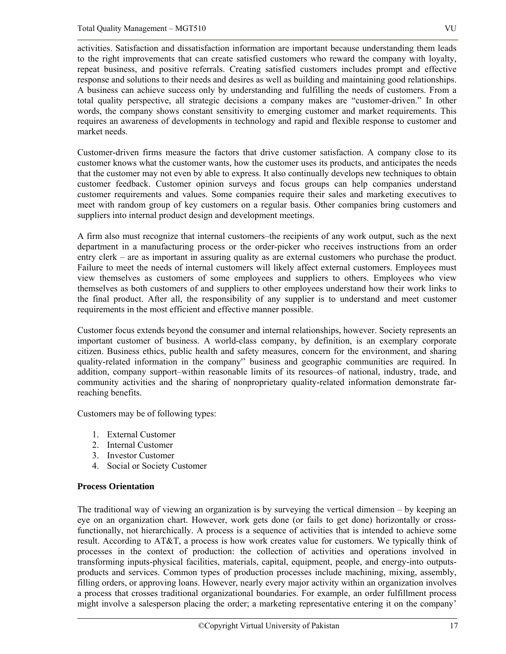activities. Satisfaction and dissatisfaction information are important because understanding them leads to the right improvements that can create satisfied customers who reward the company with loyalty, repeat business, and positive referrals. Creating satisfied customers includes prompt and effective response and solutions to their needs and desires as well as building and maintaining good relationships. A business can achieve success only by understanding and fulfilling the needs of customers. From a total quality perspective, all strategic decisions a company makes are "customer-driven." In other words, the company shows constant sensitivity to emerging customer and market requirements. This requires an awareness of developments in technology and rapid and flexible response to customer and market needs.

Customer-driven firms measure the factors that drive customer satisfaction. A company close to its customer knows what the customer wants, how the customer uses its products, and anticipates the needs that the customer may not even by able to express. It also continually develops new techniques to obtain customer feedback. Customer opinion surveys and focus groups can help companies understand customer requirements and values. Some companies require their sales and marketing executives to meet with random group of key customers on a regular basis. Other companies bring customers and suppliers into internal product design and development meetings.

A firm also must recognize that internal customers–the recipients of any work output, such as the next department in a manufacturing process or the order-picker who receives instructions from an order entry clerk – are as important in assuring quality as are external customers who purchase the product. Failure to meet the needs of internal customers will likely affect external customers. Employees must view themselves as customers of some employees and suppliers to others. Employees who view themselves as both customers of and suppliers to other employees understand how their work links to the final product. After all, the responsibility of any supplier is to understand and meet customer requirements in the most efficient and effective manner possible.

Customer focus extends beyond the consumer and internal relationships, however. Society represents an important customer of business. A world-class company, by definition, is an exemplary corporate citizen. Business ethics, public health and safety measures, concern for the environment, and sharing quality-related information in the company'' business and geographic communities are required. In addition, company support–within reasonable limits of its resources–of national, industry, trade, and community activities and the sharing of nonproprietary quality-related information demonstrate farreaching benefits.

Customers may be of following types:

- 1. External Customer
- 2. Internal Customer
- 3. Investor Customer
- 4. Social or Society Customer

## **Process Orientation**

The traditional way of viewing an organization is by surveying the vertical dimension – by keeping an eye on an organization chart. However, work gets done (or fails to get done) horizontally or crossfunctionally, not hierarchically. A process is a sequence of activities that is intended to achieve some result. According to AT&T, a process is how work creates value for customers. We typically think of processes in the context of production: the collection of activities and operations involved in transforming inputs-physical facilities, materials, capital, equipment, people, and energy-into outputsproducts and services. Common types of production processes include machining, mixing, assembly, filling orders, or approving loans. However, nearly every major activity within an organization involves a process that crosses traditional organizational boundaries. For example, an order fulfillment process might involve a salesperson placing the order; a marketing representative entering it on the company'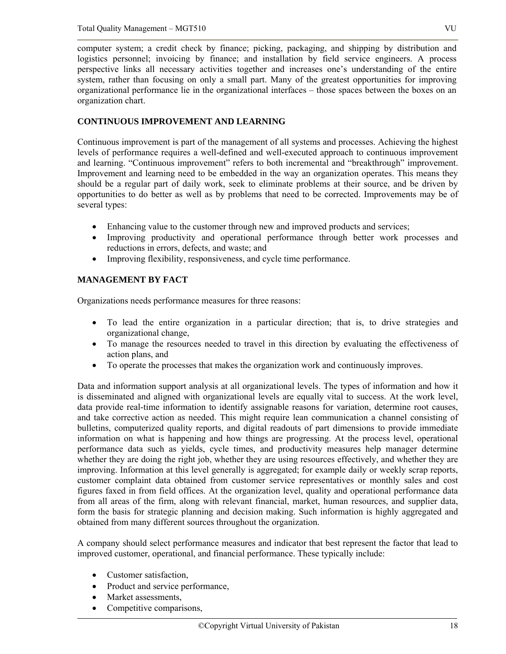computer system; a credit check by finance; picking, packaging, and shipping by distribution and logistics personnel; invoicing by finance; and installation by field service engineers. A process perspective links all necessary activities together and increases one's understanding of the entire system, rather than focusing on only a small part. Many of the greatest opportunities for improving organizational performance lie in the organizational interfaces – those spaces between the boxes on an organization chart.

## **CONTINUOUS IMPROVEMENT AND LEARNING**

Continuous improvement is part of the management of all systems and processes. Achieving the highest levels of performance requires a well-defined and well-executed approach to continuous improvement and learning. "Continuous improvement" refers to both incremental and "breakthrough" improvement. Improvement and learning need to be embedded in the way an organization operates. This means they should be a regular part of daily work, seek to eliminate problems at their source, and be driven by opportunities to do better as well as by problems that need to be corrected. Improvements may be of several types:

- Enhancing value to the customer through new and improved products and services;
- Improving productivity and operational performance through better work processes and reductions in errors, defects, and waste; and
- Improving flexibility, responsiveness, and cycle time performance.

## **MANAGEMENT BY FACT**

Organizations needs performance measures for three reasons:

- To lead the entire organization in a particular direction; that is, to drive strategies and organizational change,
- To manage the resources needed to travel in this direction by evaluating the effectiveness of action plans, and
- To operate the processes that makes the organization work and continuously improves.

Data and information support analysis at all organizational levels. The types of information and how it is disseminated and aligned with organizational levels are equally vital to success. At the work level, data provide real-time information to identify assignable reasons for variation, determine root causes, and take corrective action as needed. This might require lean communication a channel consisting of bulletins, computerized quality reports, and digital readouts of part dimensions to provide immediate information on what is happening and how things are progressing. At the process level, operational performance data such as yields, cycle times, and productivity measures help manager determine whether they are doing the right job, whether they are using resources effectively, and whether they are improving. Information at this level generally is aggregated; for example daily or weekly scrap reports, customer complaint data obtained from customer service representatives or monthly sales and cost figures faxed in from field offices. At the organization level, quality and operational performance data from all areas of the firm, along with relevant financial, market, human resources, and supplier data, form the basis for strategic planning and decision making. Such information is highly aggregated and obtained from many different sources throughout the organization.

A company should select performance measures and indicator that best represent the factor that lead to improved customer, operational, and financial performance. These typically include:

- Customer satisfaction,
- Product and service performance,
- Market assessments,
- Competitive comparisons,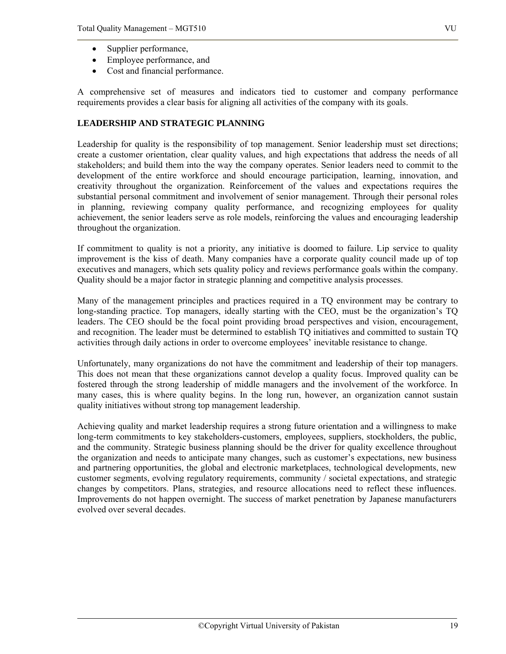- Supplier performance,
- Employee performance, and
- Cost and financial performance.

A comprehensive set of measures and indicators tied to customer and company performance requirements provides a clear basis for aligning all activities of the company with its goals.

## **LEADERSHIP AND STRATEGIC PLANNING**

Leadership for quality is the responsibility of top management. Senior leadership must set directions; create a customer orientation, clear quality values, and high expectations that address the needs of all stakeholders; and build them into the way the company operates. Senior leaders need to commit to the development of the entire workforce and should encourage participation, learning, innovation, and creativity throughout the organization. Reinforcement of the values and expectations requires the substantial personal commitment and involvement of senior management. Through their personal roles in planning, reviewing company quality performance, and recognizing employees for quality achievement, the senior leaders serve as role models, reinforcing the values and encouraging leadership throughout the organization.

If commitment to quality is not a priority, any initiative is doomed to failure. Lip service to quality improvement is the kiss of death. Many companies have a corporate quality council made up of top executives and managers, which sets quality policy and reviews performance goals within the company. Quality should be a major factor in strategic planning and competitive analysis processes.

Many of the management principles and practices required in a TQ environment may be contrary to long-standing practice. Top managers, ideally starting with the CEO, must be the organization's TQ leaders. The CEO should be the focal point providing broad perspectives and vision, encouragement, and recognition. The leader must be determined to establish TQ initiatives and committed to sustain TQ activities through daily actions in order to overcome employees' inevitable resistance to change.

Unfortunately, many organizations do not have the commitment and leadership of their top managers. This does not mean that these organizations cannot develop a quality focus. Improved quality can be fostered through the strong leadership of middle managers and the involvement of the workforce. In many cases, this is where quality begins. In the long run, however, an organization cannot sustain quality initiatives without strong top management leadership.

Achieving quality and market leadership requires a strong future orientation and a willingness to make long-term commitments to key stakeholders-customers, employees, suppliers, stockholders, the public, and the community. Strategic business planning should be the driver for quality excellence throughout the organization and needs to anticipate many changes, such as customer's expectations, new business and partnering opportunities, the global and electronic marketplaces, technological developments, new customer segments, evolving regulatory requirements, community / societal expectations, and strategic changes by competitors. Plans, strategies, and resource allocations need to reflect these influences. Improvements do not happen overnight. The success of market penetration by Japanese manufacturers evolved over several decades.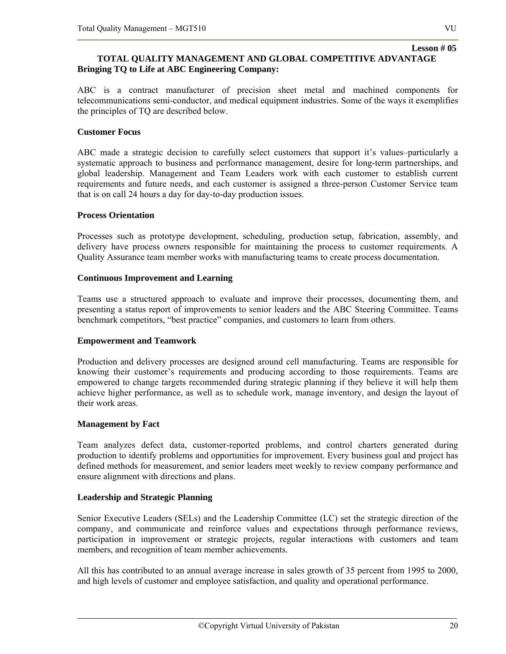## **TOTAL QUALITY MANAGEMENT AND GLOBAL COMPETITIVE ADVANTAGE Bringing TQ to Life at ABC Engineering Company:**

ABC is a contract manufacturer of precision sheet metal and machined components for telecommunications semi-conductor, and medical equipment industries. Some of the ways it exemplifies the principles of TQ are described below.

## **Customer Focus**

ABC made a strategic decision to carefully select customers that support it's values–particularly a systematic approach to business and performance management, desire for long-term partnerships, and global leadership. Management and Team Leaders work with each customer to establish current requirements and future needs, and each customer is assigned a three-person Customer Service team that is on call 24 hours a day for day-to-day production issues.

#### **Process Orientation**

Processes such as prototype development, scheduling, production setup, fabrication, assembly, and delivery have process owners responsible for maintaining the process to customer requirements. A Quality Assurance team member works with manufacturing teams to create process documentation.

## **Continuous Improvement and Learning**

Teams use a structured approach to evaluate and improve their processes, documenting them, and presenting a status report of improvements to senior leaders and the ABC Steering Committee. Teams benchmark competitors, "best practice" companies, and customers to learn from others.

## **Empowerment and Teamwork**

Production and delivery processes are designed around cell manufacturing. Teams are responsible for knowing their customer's requirements and producing according to those requirements. Teams are empowered to change targets recommended during strategic planning if they believe it will help them achieve higher performance, as well as to schedule work, manage inventory, and design the layout of their work areas.

#### **Management by Fact**

Team analyzes defect data, customer-reported problems, and control charters generated during production to identify problems and opportunities for improvement. Every business goal and project has defined methods for measurement, and senior leaders meet weekly to review company performance and ensure alignment with directions and plans.

## **Leadership and Strategic Planning**

Senior Executive Leaders (SELs) and the Leadership Committee (LC) set the strategic direction of the company, and communicate and reinforce values and expectations through performance reviews, participation in improvement or strategic projects, regular interactions with customers and team members, and recognition of team member achievements.

All this has contributed to an annual average increase in sales growth of 35 percent from 1995 to 2000, and high levels of customer and employee satisfaction, and quality and operational performance.

**Lesson # 05**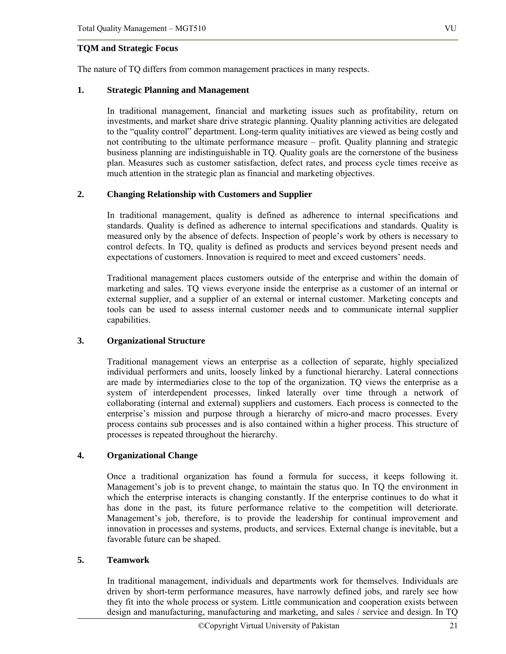## **TQM and Strategic Focus**

The nature of TQ differs from common management practices in many respects.

## **1. Strategic Planning and Management**

In traditional management, financial and marketing issues such as profitability, return on investments, and market share drive strategic planning. Quality planning activities are delegated to the "quality control" department. Long-term quality initiatives are viewed as being costly and not contributing to the ultimate performance measure – profit. Quality planning and strategic business planning are indistinguishable in TQ. Quality goals are the cornerstone of the business plan. Measures such as customer satisfaction, defect rates, and process cycle times receive as much attention in the strategic plan as financial and marketing objectives.

## **2. Changing Relationship with Customers and Supplier**

In traditional management, quality is defined as adherence to internal specifications and standards. Quality is defined as adherence to internal specifications and standards. Quality is measured only by the absence of defects. Inspection of people's work by others is necessary to control defects. In TQ, quality is defined as products and services beyond present needs and expectations of customers. Innovation is required to meet and exceed customers' needs.

Traditional management places customers outside of the enterprise and within the domain of marketing and sales. TQ views everyone inside the enterprise as a customer of an internal or external supplier, and a supplier of an external or internal customer. Marketing concepts and tools can be used to assess internal customer needs and to communicate internal supplier capabilities.

## **3. Organizational Structure**

Traditional management views an enterprise as a collection of separate, highly specialized individual performers and units, loosely linked by a functional hierarchy. Lateral connections are made by intermediaries close to the top of the organization. TQ views the enterprise as a system of interdependent processes, linked laterally over time through a network of collaborating (internal and external) suppliers and customers. Each process is connected to the enterprise's mission and purpose through a hierarchy of micro-and macro processes. Every process contains sub processes and is also contained within a higher process. This structure of processes is repeated throughout the hierarchy.

## **4. Organizational Change**

Once a traditional organization has found a formula for success, it keeps following it. Management's job is to prevent change, to maintain the status quo. In TQ the environment in which the enterprise interacts is changing constantly. If the enterprise continues to do what it has done in the past, its future performance relative to the competition will deteriorate. Management's job, therefore, is to provide the leadership for continual improvement and innovation in processes and systems, products, and services. External change is inevitable, but a favorable future can be shaped.

#### **5. Teamwork**

In traditional management, individuals and departments work for themselves. Individuals are driven by short-term performance measures, have narrowly defined jobs, and rarely see how they fit into the whole process or system. Little communication and cooperation exists between design and manufacturing, manufacturing and marketing, and sales / service and design. In TQ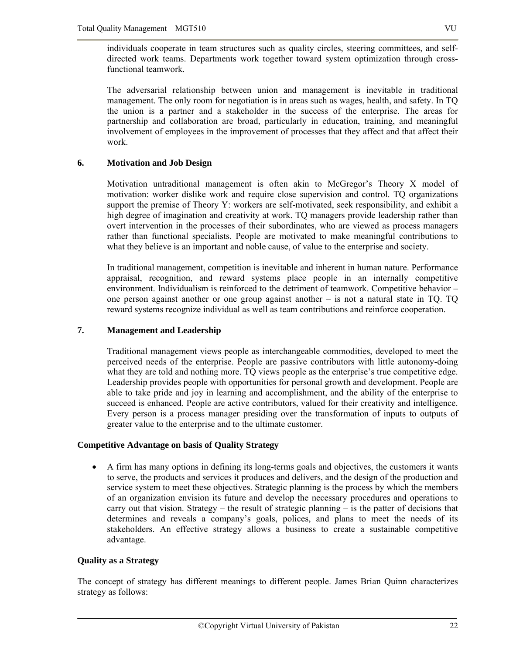individuals cooperate in team structures such as quality circles, steering committees, and selfdirected work teams. Departments work together toward system optimization through crossfunctional teamwork.

The adversarial relationship between union and management is inevitable in traditional management. The only room for negotiation is in areas such as wages, health, and safety. In TQ the union is a partner and a stakeholder in the success of the enterprise. The areas for partnership and collaboration are broad, particularly in education, training, and meaningful involvement of employees in the improvement of processes that they affect and that affect their work.

## **6. Motivation and Job Design**

Motivation untraditional management is often akin to McGregor's Theory X model of motivation: worker dislike work and require close supervision and control. TQ organizations support the premise of Theory Y: workers are self-motivated, seek responsibility, and exhibit a high degree of imagination and creativity at work. TO managers provide leadership rather than overt intervention in the processes of their subordinates, who are viewed as process managers rather than functional specialists. People are motivated to make meaningful contributions to what they believe is an important and noble cause, of value to the enterprise and society.

In traditional management, competition is inevitable and inherent in human nature. Performance appraisal, recognition, and reward systems place people in an internally competitive environment. Individualism is reinforced to the detriment of teamwork. Competitive behavior – one person against another or one group against another – is not a natural state in TQ. TQ reward systems recognize individual as well as team contributions and reinforce cooperation.

## **7. Management and Leadership**

Traditional management views people as interchangeable commodities, developed to meet the perceived needs of the enterprise. People are passive contributors with little autonomy-doing what they are told and nothing more. TQ views people as the enterprise's true competitive edge. Leadership provides people with opportunities for personal growth and development. People are able to take pride and joy in learning and accomplishment, and the ability of the enterprise to succeed is enhanced. People are active contributors, valued for their creativity and intelligence. Every person is a process manager presiding over the transformation of inputs to outputs of greater value to the enterprise and to the ultimate customer.

## **Competitive Advantage on basis of Quality Strategy**

• A firm has many options in defining its long-terms goals and objectives, the customers it wants to serve, the products and services it produces and delivers, and the design of the production and service system to meet these objectives. Strategic planning is the process by which the members of an organization envision its future and develop the necessary procedures and operations to carry out that vision. Strategy – the result of strategic planning – is the patter of decisions that determines and reveals a company's goals, polices, and plans to meet the needs of its stakeholders. An effective strategy allows a business to create a sustainable competitive advantage.

## **Quality as a Strategy**

The concept of strategy has different meanings to different people. James Brian Quinn characterizes strategy as follows: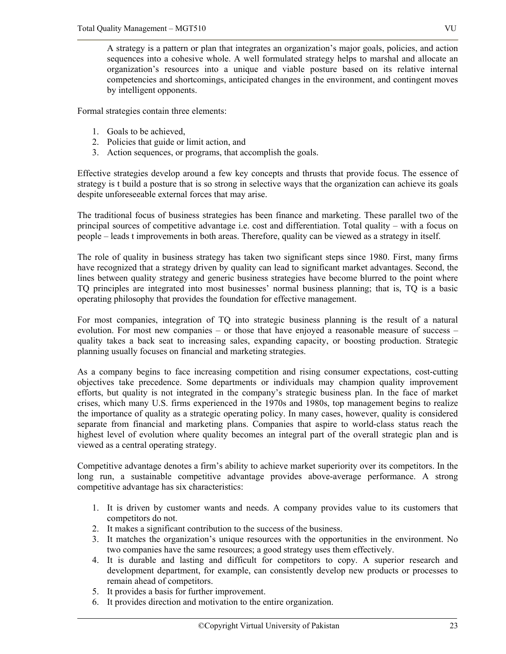A strategy is a pattern or plan that integrates an organization's major goals, policies, and action sequences into a cohesive whole. A well formulated strategy helps to marshal and allocate an organization's resources into a unique and viable posture based on its relative internal competencies and shortcomings, anticipated changes in the environment, and contingent moves by intelligent opponents.

Formal strategies contain three elements:

- 1. Goals to be achieved,
- 2. Policies that guide or limit action, and
- 3. Action sequences, or programs, that accomplish the goals.

Effective strategies develop around a few key concepts and thrusts that provide focus. The essence of strategy is t build a posture that is so strong in selective ways that the organization can achieve its goals despite unforeseeable external forces that may arise.

The traditional focus of business strategies has been finance and marketing. These parallel two of the principal sources of competitive advantage i.e. cost and differentiation. Total quality – with a focus on people – leads t improvements in both areas. Therefore, quality can be viewed as a strategy in itself.

The role of quality in business strategy has taken two significant steps since 1980. First, many firms have recognized that a strategy driven by quality can lead to significant market advantages. Second, the lines between quality strategy and generic business strategies have become blurred to the point where TQ principles are integrated into most businesses' normal business planning; that is, TQ is a basic operating philosophy that provides the foundation for effective management.

For most companies, integration of TQ into strategic business planning is the result of a natural evolution. For most new companies – or those that have enjoyed a reasonable measure of success – quality takes a back seat to increasing sales, expanding capacity, or boosting production. Strategic planning usually focuses on financial and marketing strategies.

As a company begins to face increasing competition and rising consumer expectations, cost-cutting objectives take precedence. Some departments or individuals may champion quality improvement efforts, but quality is not integrated in the company's strategic business plan. In the face of market crises, which many U.S. firms experienced in the 1970s and 1980s, top management begins to realize the importance of quality as a strategic operating policy. In many cases, however, quality is considered separate from financial and marketing plans. Companies that aspire to world-class status reach the highest level of evolution where quality becomes an integral part of the overall strategic plan and is viewed as a central operating strategy.

Competitive advantage denotes a firm's ability to achieve market superiority over its competitors. In the long run, a sustainable competitive advantage provides above-average performance. A strong competitive advantage has six characteristics:

- 1. It is driven by customer wants and needs. A company provides value to its customers that competitors do not.
- 2. It makes a significant contribution to the success of the business.
- 3. It matches the organization's unique resources with the opportunities in the environment. No two companies have the same resources; a good strategy uses them effectively.
- 4. It is durable and lasting and difficult for competitors to copy. A superior research and development department, for example, can consistently develop new products or processes to remain ahead of competitors.
- 5. It provides a basis for further improvement.
- 6. It provides direction and motivation to the entire organization.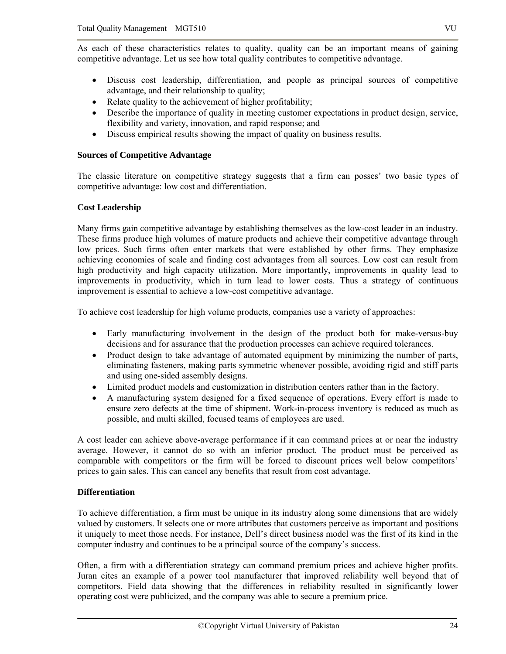As each of these characteristics relates to quality, quality can be an important means of gaining competitive advantage. Let us see how total quality contributes to competitive advantage.

- Discuss cost leadership, differentiation, and people as principal sources of competitive advantage, and their relationship to quality;
- Relate quality to the achievement of higher profitability;
- Describe the importance of quality in meeting customer expectations in product design, service, flexibility and variety, innovation, and rapid response; and
- Discuss empirical results showing the impact of quality on business results.

## **Sources of Competitive Advantage**

The classic literature on competitive strategy suggests that a firm can posses' two basic types of competitive advantage: low cost and differentiation.

## **Cost Leadership**

Many firms gain competitive advantage by establishing themselves as the low-cost leader in an industry. These firms produce high volumes of mature products and achieve their competitive advantage through low prices. Such firms often enter markets that were established by other firms. They emphasize achieving economies of scale and finding cost advantages from all sources. Low cost can result from high productivity and high capacity utilization. More importantly, improvements in quality lead to improvements in productivity, which in turn lead to lower costs. Thus a strategy of continuous improvement is essential to achieve a low-cost competitive advantage.

To achieve cost leadership for high volume products, companies use a variety of approaches:

- Early manufacturing involvement in the design of the product both for make-versus-buy decisions and for assurance that the production processes can achieve required tolerances.
- Product design to take advantage of automated equipment by minimizing the number of parts, eliminating fasteners, making parts symmetric whenever possible, avoiding rigid and stiff parts and using one-sided assembly designs.
- Limited product models and customization in distribution centers rather than in the factory.
- A manufacturing system designed for a fixed sequence of operations. Every effort is made to ensure zero defects at the time of shipment. Work-in-process inventory is reduced as much as possible, and multi skilled, focused teams of employees are used.

A cost leader can achieve above-average performance if it can command prices at or near the industry average. However, it cannot do so with an inferior product. The product must be perceived as comparable with competitors or the firm will be forced to discount prices well below competitors' prices to gain sales. This can cancel any benefits that result from cost advantage.

## **Differentiation**

To achieve differentiation, a firm must be unique in its industry along some dimensions that are widely valued by customers. It selects one or more attributes that customers perceive as important and positions it uniquely to meet those needs. For instance, Dell's direct business model was the first of its kind in the computer industry and continues to be a principal source of the company's success.

Often, a firm with a differentiation strategy can command premium prices and achieve higher profits. Juran cites an example of a power tool manufacturer that improved reliability well beyond that of competitors. Field data showing that the differences in reliability resulted in significantly lower operating cost were publicized, and the company was able to secure a premium price.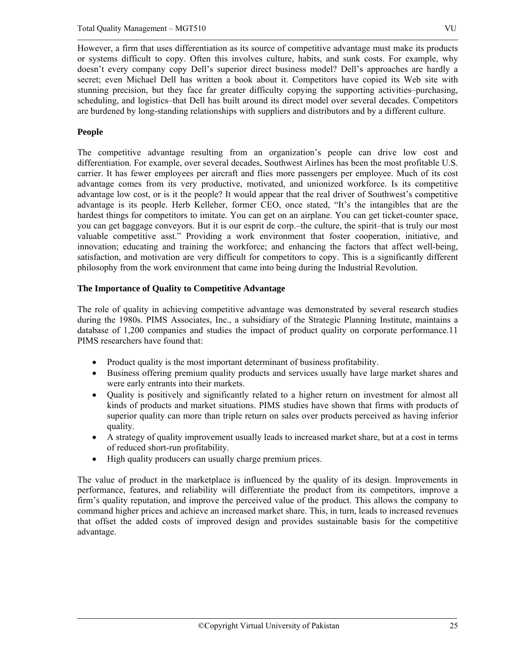However, a firm that uses differentiation as its source of competitive advantage must make its products or systems difficult to copy. Often this involves culture, habits, and sunk costs. For example, why doesn't every company copy Dell's superior direct business model? Dell's approaches are hardly a secret; even Michael Dell has written a book about it. Competitors have copied its Web site with stunning precision, but they face far greater difficulty copying the supporting activities–purchasing, scheduling, and logistics–that Dell has built around its direct model over several decades. Competitors are burdened by long-standing relationships with suppliers and distributors and by a different culture.

## **People**

The competitive advantage resulting from an organization's people can drive low cost and differentiation. For example, over several decades, Southwest Airlines has been the most profitable U.S. carrier. It has fewer employees per aircraft and flies more passengers per employee. Much of its cost advantage comes from its very productive, motivated, and unionized workforce. Is its competitive advantage low cost, or is it the people? It would appear that the real driver of Southwest's competitive advantage is its people. Herb Kelleher, former CEO, once stated, "It's the intangibles that are the hardest things for competitors to imitate. You can get on an airplane. You can get ticket-counter space, you can get baggage conveyors. But it is our esprit de corp.–the culture, the spirit–that is truly our most valuable competitive asst." Providing a work environment that foster cooperation, initiative, and innovation; educating and training the workforce; and enhancing the factors that affect well-being, satisfaction, and motivation are very difficult for competitors to copy. This is a significantly different philosophy from the work environment that came into being during the Industrial Revolution.

## **The Importance of Quality to Competitive Advantage**

The role of quality in achieving competitive advantage was demonstrated by several research studies during the 1980s. PIMS Associates, Inc., a subsidiary of the Strategic Planning Institute, maintains a database of 1,200 companies and studies the impact of product quality on corporate performance.11 PIMS researchers have found that:

- Product quality is the most important determinant of business profitability.
- Business offering premium quality products and services usually have large market shares and were early entrants into their markets.
- Quality is positively and significantly related to a higher return on investment for almost all kinds of products and market situations. PIMS studies have shown that firms with products of superior quality can more than triple return on sales over products perceived as having inferior quality.
- A strategy of quality improvement usually leads to increased market share, but at a cost in terms of reduced short-run profitability.
- High quality producers can usually charge premium prices.

The value of product in the marketplace is influenced by the quality of its design. Improvements in performance, features, and reliability will differentiate the product from its competitors, improve a firm's quality reputation, and improve the perceived value of the product. This allows the company to command higher prices and achieve an increased market share. This, in turn, leads to increased revenues that offset the added costs of improved design and provides sustainable basis for the competitive advantage.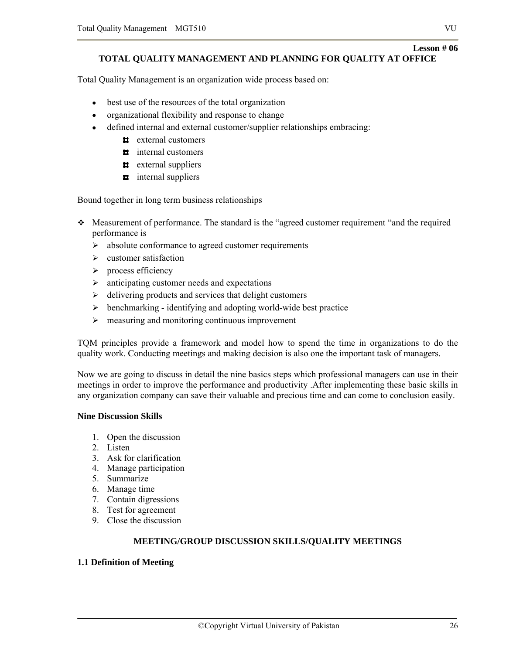**Lesson # 06** 

## **TOTAL QUALITY MANAGEMENT AND PLANNING FOR QUALITY AT OFFICE**

Total Quality Management is an organization wide process based on:

- best use of the resources of the total organization
- organizational flexibility and response to change
- defined internal and external customer/supplier relationships embracing:
	- $\blacksquare$  external customers
	- $\blacksquare$  internal customers
	- $\blacksquare$  external suppliers
	- $\blacksquare$  internal suppliers

Bound together in long term business relationships

- Measurement of performance. The standard is the "agreed customer requirement "and the required performance is
	- $\triangleright$  absolute conformance to agreed customer requirements
	- $\triangleright$  customer satisfaction
	- $\triangleright$  process efficiency
	- $\triangleright$  anticipating customer needs and expectations
	- $\triangleright$  delivering products and services that delight customers
	- $\triangleright$  benchmarking identifying and adopting world-wide best practice
	- $\triangleright$  measuring and monitoring continuous improvement

TQM principles provide a framework and model how to spend the time in organizations to do the quality work. Conducting meetings and making decision is also one the important task of managers.

Now we are going to discuss in detail the nine basics steps which professional managers can use in their meetings in order to improve the performance and productivity .After implementing these basic skills in any organization company can save their valuable and precious time and can come to conclusion easily.

#### **Nine Discussion Skills**

- 1. Open the discussion
- 2. Listen
- 3. Ask for clarification
- 4. Manage participation
- 5. Summarize
- 6. Manage time
- 7. Contain digressions
- 8. Test for agreement
- 9. Close the discussion

#### **MEETING/GROUP DISCUSSION SKILLS/QUALITY MEETINGS**

#### **1.1 Definition of Meeting**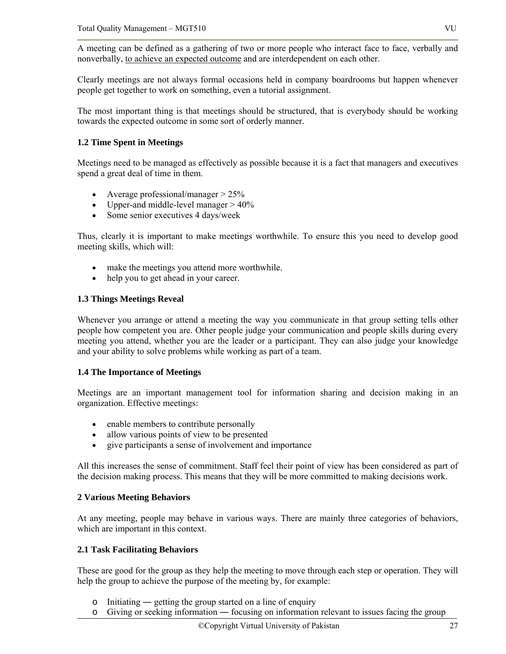A meeting can be defined as a gathering of two or more people who interact face to face, verbally and nonverbally, to achieve an expected outcome and are interdependent on each other.

Clearly meetings are not always formal occasions held in company boardrooms but happen whenever people get together to work on something, even a tutorial assignment.

The most important thing is that meetings should be structured, that is everybody should be working towards the expected outcome in some sort of orderly manner.

#### **1.2 Time Spent in Meetings**

Meetings need to be managed as effectively as possible because it is a fact that managers and executives spend a great deal of time in them.

- Average professional/manager > 25%
- Upper-and middle-level manager > 40%
- Some senior executives 4 days/week

Thus, clearly it is important to make meetings worthwhile. To ensure this you need to develop good meeting skills, which will:

- make the meetings you attend more worthwhile.
- help you to get ahead in your career.

#### **1.3 Things Meetings Reveal**

Whenever you arrange or attend a meeting the way you communicate in that group setting tells other people how competent you are. Other people judge your communication and people skills during every meeting you attend, whether you are the leader or a participant. They can also judge your knowledge and your ability to solve problems while working as part of a team.

#### **1.4 The Importance of Meetings**

Meetings are an important management tool for information sharing and decision making in an organization. Effective meetings:

- enable members to contribute personally
- allow various points of view to be presented
- give participants a sense of involvement and importance

All this increases the sense of commitment. Staff feel their point of view has been considered as part of the decision making process. This means that they will be more committed to making decisions work.

## **2 Various Meeting Behaviors**

At any meeting, people may behave in various ways. There are mainly three categories of behaviors, which are important in this context.

#### **2.1 Task Facilitating Behaviors**

These are good for the group as they help the meeting to move through each step or operation. They will help the group to achieve the purpose of the meeting by, for example:

- o Initiating ― getting the group started on a line of enquiry
- o Giving or seeking information ― focusing on information relevant to issues facing the group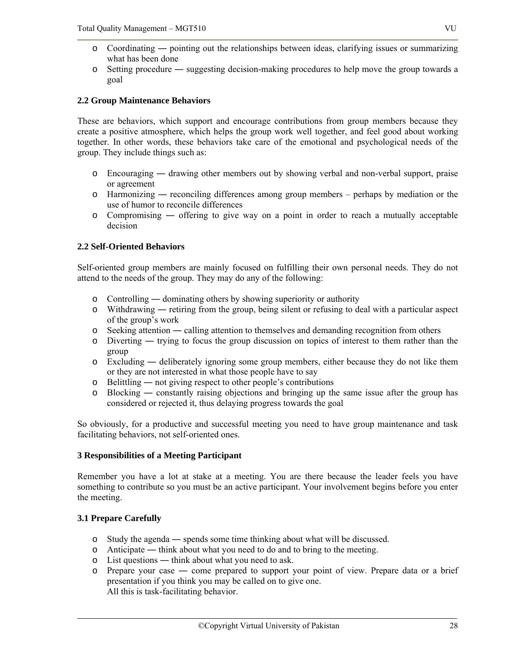- what has been done o Setting procedure ― suggesting decision-making procedures to help move the group towards a
- goal

## **2.2 Group Maintenance Behaviors**

These are behaviors, which support and encourage contributions from group members because they create a positive atmosphere, which helps the group work well together, and feel good about working together. In other words, these behaviors take care of the emotional and psychological needs of the group. They include things such as:

- o Encouraging ― drawing other members out by showing verbal and non-verbal support, praise or agreement
- o Harmonizing ― reconciling differences among group members perhaps by mediation or the use of humor to reconcile differences
- o Compromising ― offering to give way on a point in order to reach a mutually acceptable decision

## **2.2 Self-Oriented Behaviors**

Self-oriented group members are mainly focused on fulfilling their own personal needs. They do not attend to the needs of the group. They may do any of the following:

- o Controlling ― dominating others by showing superiority or authority
- o Withdrawing ― retiring from the group, being silent or refusing to deal with a particular aspect of the group's work
- o Seeking attention ― calling attention to themselves and demanding recognition from others
- o Diverting ― trying to focus the group discussion on topics of interest to them rather than the group
- o Excluding ― deliberately ignoring some group members, either because they do not like them or they are not interested in what those people have to say
- o Belittling ― not giving respect to other people's contributions
- o Blocking ― constantly raising objections and bringing up the same issue after the group has considered or rejected it, thus delaying progress towards the goal

So obviously, for a productive and successful meeting you need to have group maintenance and task facilitating behaviors, not self-oriented ones.

#### **3 Responsibilities of a Meeting Participant**

Remember you have a lot at stake at a meeting. You are there because the leader feels you have something to contribute so you must be an active participant. Your involvement begins before you enter the meeting.

## **3.1 Prepare Carefully**

- o Study the agenda ― spends some time thinking about what will be discussed.
- o Anticipate ― think about what you need to do and to bring to the meeting.
- o List questions ― think about what you need to ask.
- o Prepare your case ― come prepared to support your point of view. Prepare data or a brief presentation if you think you may be called on to give one. All this is task-facilitating behavior.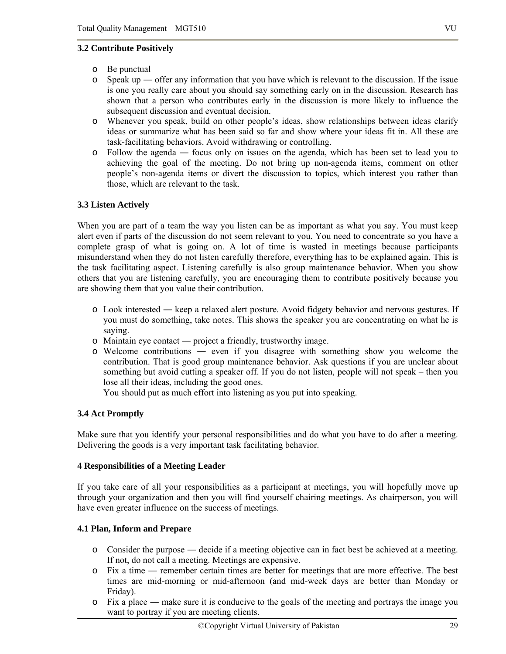## **3.2 Contribute Positively**

- o Be punctual
- o Speak up ― offer any information that you have which is relevant to the discussion. If the issue is one you really care about you should say something early on in the discussion. Research has shown that a person who contributes early in the discussion is more likely to influence the subsequent discussion and eventual decision.
- o Whenever you speak, build on other people's ideas, show relationships between ideas clarify ideas or summarize what has been said so far and show where your ideas fit in. All these are task-facilitating behaviors. Avoid withdrawing or controlling.
- o Follow the agenda ― focus only on issues on the agenda, which has been set to lead you to achieving the goal of the meeting. Do not bring up non-agenda items, comment on other people's non-agenda items or divert the discussion to topics, which interest you rather than those, which are relevant to the task.

## **3.3 Listen Actively**

When you are part of a team the way you listen can be as important as what you say. You must keep alert even if parts of the discussion do not seem relevant to you. You need to concentrate so you have a complete grasp of what is going on. A lot of time is wasted in meetings because participants misunderstand when they do not listen carefully therefore, everything has to be explained again. This is the task facilitating aspect. Listening carefully is also group maintenance behavior. When you show others that you are listening carefully, you are encouraging them to contribute positively because you are showing them that you value their contribution.

- o Look interested ― keep a relaxed alert posture. Avoid fidgety behavior and nervous gestures. If you must do something, take notes. This shows the speaker you are concentrating on what he is saying.
- o Maintain eye contact ― project a friendly, trustworthy image.
- o Welcome contributions ― even if you disagree with something show you welcome the contribution. That is good group maintenance behavior. Ask questions if you are unclear about something but avoid cutting a speaker off. If you do not listen, people will not speak – then you lose all their ideas, including the good ones.

You should put as much effort into listening as you put into speaking.

## **3.4 Act Promptly**

Make sure that you identify your personal responsibilities and do what you have to do after a meeting. Delivering the goods is a very important task facilitating behavior.

## **4 Responsibilities of a Meeting Leader**

If you take care of all your responsibilities as a participant at meetings, you will hopefully move up through your organization and then you will find yourself chairing meetings. As chairperson, you will have even greater influence on the success of meetings.

#### **4.1 Plan, Inform and Prepare**

- o Consider the purpose ― decide if a meeting objective can in fact best be achieved at a meeting. If not, do not call a meeting. Meetings are expensive.
- o Fix a time ― remember certain times are better for meetings that are more effective. The best times are mid-morning or mid-afternoon (and mid-week days are better than Monday or Friday).
- o Fix a place ― make sure it is conducive to the goals of the meeting and portrays the image you want to portray if you are meeting clients.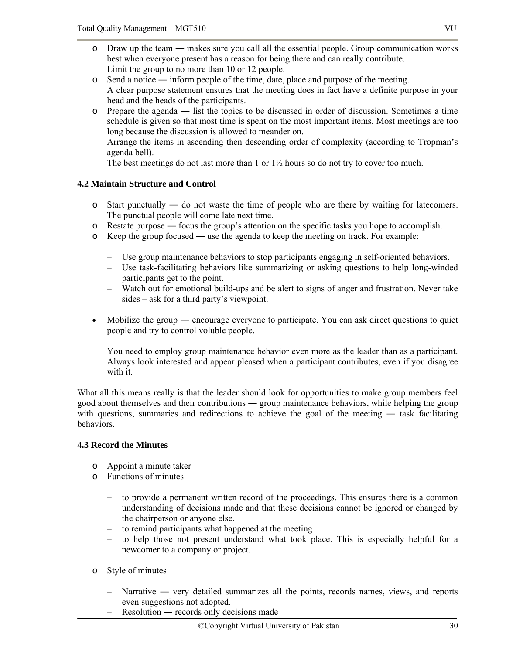- o Draw up the team ― makes sure you call all the essential people. Group communication works best when everyone present has a reason for being there and can really contribute. Limit the group to no more than 10 or 12 people.
- o Send a notice ― inform people of the time, date, place and purpose of the meeting. A clear purpose statement ensures that the meeting does in fact have a definite purpose in your head and the heads of the participants.
- o Prepare the agenda ― list the topics to be discussed in order of discussion. Sometimes a time schedule is given so that most time is spent on the most important items. Most meetings are too long because the discussion is allowed to meander on.

Arrange the items in ascending then descending order of complexity (according to Tropman's agenda bell).

The best meetings do not last more than 1 or  $1\frac{1}{2}$  hours so do not try to cover too much.

## **4.2 Maintain Structure and Control**

- o Start punctually ― do not waste the time of people who are there by waiting for latecomers. The punctual people will come late next time.
- o Restate purpose ― focus the group's attention on the specific tasks you hope to accomplish.
- o Keep the group focused ― use the agenda to keep the meeting on track. For example:
	- Use group maintenance behaviors to stop participants engaging in self-oriented behaviors.
	- Use task-facilitating behaviors like summarizing or asking questions to help long-winded participants get to the point.
	- Watch out for emotional build-ups and be alert to signs of anger and frustration. Never take sides – ask for a third party's viewpoint.
- Mobilize the group encourage everyone to participate. You can ask direct questions to quiet people and try to control voluble people.

You need to employ group maintenance behavior even more as the leader than as a participant. Always look interested and appear pleased when a participant contributes, even if you disagree with it.

What all this means really is that the leader should look for opportunities to make group members feel good about themselves and their contributions ― group maintenance behaviors, while helping the group with questions, summaries and redirections to achieve the goal of the meeting — task facilitating behaviors.

## **4.3 Record the Minutes**

- o Appoint a minute taker
- o Functions of minutes
	- to provide a permanent written record of the proceedings. This ensures there is a common understanding of decisions made and that these decisions cannot be ignored or changed by the chairperson or anyone else.
	- to remind participants what happened at the meeting
	- to help those not present understand what took place. This is especially helpful for a newcomer to a company or project.
- o Style of minutes
	- Narrative very detailed summarizes all the points, records names, views, and reports even suggestions not adopted.
	- Resolution ― records only decisions made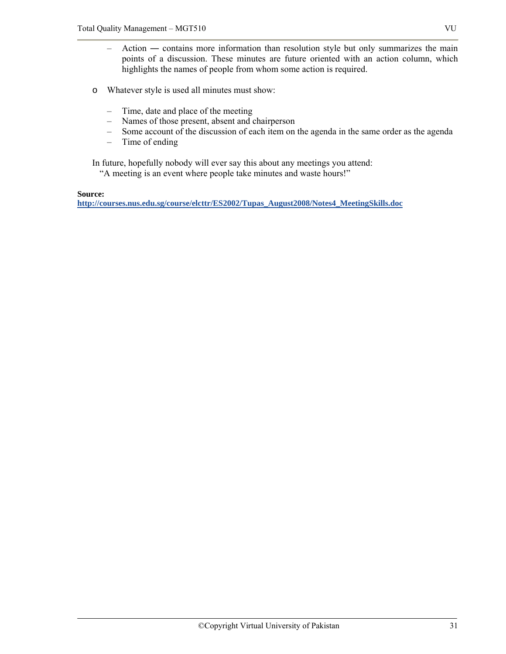- Action ― contains more information than resolution style but only summarizes the main points of a discussion. These minutes are future oriented with an action column, which highlights the names of people from whom some action is required.
- o Whatever style is used all minutes must show:
	- Time, date and place of the meeting
	- Names of those present, absent and chairperson
	- Some account of the discussion of each item on the agenda in the same order as the agenda
	- Time of ending

In future, hopefully nobody will ever say this about any meetings you attend:

- "A meeting is an event where people take minutes and waste hours!"
- **Source:**

**http://courses.nus.edu.sg/course/elcttr/ES2002/Tupas\_August2008/Notes4\_MeetingSkills.doc**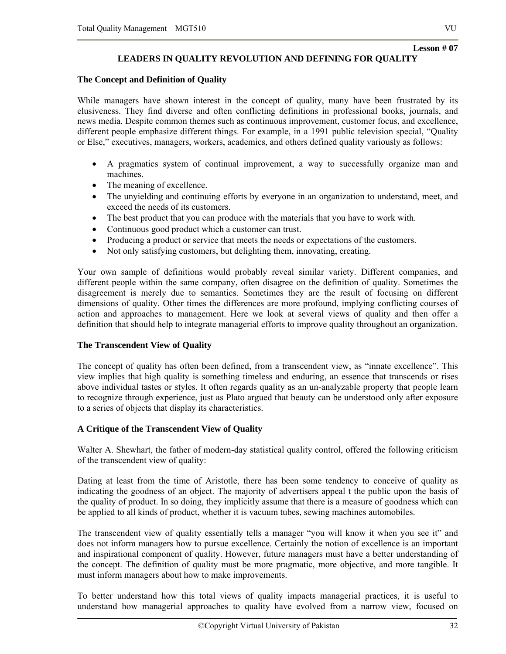# **Lesson # 07**

# **LEADERS IN QUALITY REVOLUTION AND DEFINING FOR QUALITY**

## **The Concept and Definition of Quality**

While managers have shown interest in the concept of quality, many have been frustrated by its elusiveness. They find diverse and often conflicting definitions in professional books, journals, and news media. Despite common themes such as continuous improvement, customer focus, and excellence, different people emphasize different things. For example, in a 1991 public television special, "Quality or Else," executives, managers, workers, academics, and others defined quality variously as follows:

- A pragmatics system of continual improvement, a way to successfully organize man and machines.
- The meaning of excellence.
- The unyielding and continuing efforts by everyone in an organization to understand, meet, and exceed the needs of its customers.
- The best product that you can produce with the materials that you have to work with.
- Continuous good product which a customer can trust.
- Producing a product or service that meets the needs or expectations of the customers.
- Not only satisfying customers, but delighting them, innovating, creating.

Your own sample of definitions would probably reveal similar variety. Different companies, and different people within the same company, often disagree on the definition of quality. Sometimes the disagreement is merely due to semantics. Sometimes they are the result of focusing on different dimensions of quality. Other times the differences are more profound, implying conflicting courses of action and approaches to management. Here we look at several views of quality and then offer a definition that should help to integrate managerial efforts to improve quality throughout an organization.

## **The Transcendent View of Quality**

The concept of quality has often been defined, from a transcendent view, as "innate excellence". This view implies that high quality is something timeless and enduring, an essence that transcends or rises above individual tastes or styles. It often regards quality as an un-analyzable property that people learn to recognize through experience, just as Plato argued that beauty can be understood only after exposure to a series of objects that display its characteristics.

## **A Critique of the Transcendent View of Quality**

Walter A. Shewhart, the father of modern-day statistical quality control, offered the following criticism of the transcendent view of quality:

Dating at least from the time of Aristotle, there has been some tendency to conceive of quality as indicating the goodness of an object. The majority of advertisers appeal t the public upon the basis of the quality of product. In so doing, they implicitly assume that there is a measure of goodness which can be applied to all kinds of product, whether it is vacuum tubes, sewing machines automobiles.

The transcendent view of quality essentially tells a manager "you will know it when you see it" and does not inform managers how to pursue excellence. Certainly the notion of excellence is an important and inspirational component of quality. However, future managers must have a better understanding of the concept. The definition of quality must be more pragmatic, more objective, and more tangible. It must inform managers about how to make improvements.

To better understand how this total views of quality impacts managerial practices, it is useful to understand how managerial approaches to quality have evolved from a narrow view, focused on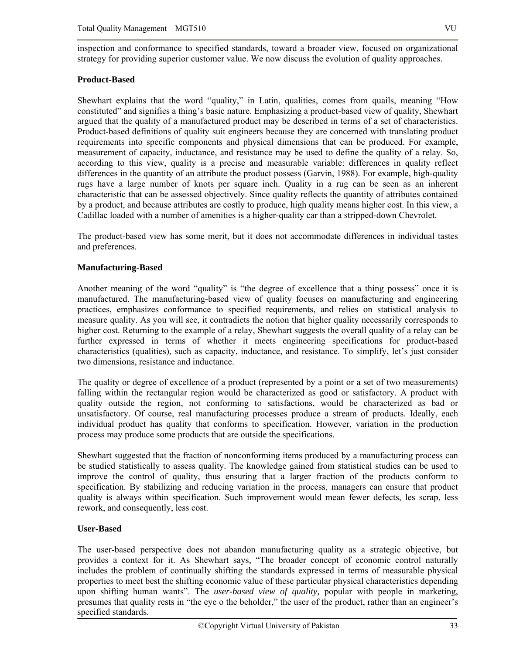## **Product-Based**

Shewhart explains that the word "quality," in Latin, qualities, comes from quails, meaning "How constituted" and signifies a thing's basic nature. Emphasizing a product-based view of quality, Shewhart argued that the quality of a manufactured product may be described in terms of a set of characteristics. Product-based definitions of quality suit engineers because they are concerned with translating product requirements into specific components and physical dimensions that can be produced. For example, measurement of capacity, inductance, and resistance may be used to define the quality of a relay. So, according to this view, quality is a precise and measurable variable: differences in quality reflect differences in the quantity of an attribute the product possess (Garvin, 1988). For example, high-quality rugs have a large number of knots per square inch. Quality in a rug can be seen as an inherent characteristic that can be assessed objectively. Since quality reflects the quantity of attributes contained by a product, and because attributes are costly to produce, high quality means higher cost. In this view, a Cadillac loaded with a number of amenities is a higher-quality car than a stripped-down Chevrolet.

The product-based view has some merit, but it does not accommodate differences in individual tastes and preferences.

## **Manufacturing-Based**

Another meaning of the word "quality" is "the degree of excellence that a thing possess" once it is manufactured. The manufacturing-based view of quality focuses on manufacturing and engineering practices, emphasizes conformance to specified requirements, and relies on statistical analysis to measure quality. As you will see, it contradicts the notion that higher quality necessarily corresponds to higher cost. Returning to the example of a relay, Shewhart suggests the overall quality of a relay can be further expressed in terms of whether it meets engineering specifications for product-based characteristics (qualities), such as capacity, inductance, and resistance. To simplify, let's just consider two dimensions, resistance and inductance.

The quality or degree of excellence of a product (represented by a point or a set of two measurements) falling within the rectangular region would be characterized as good or satisfactory. A product with quality outside the region, not conforming to satisfactions, would be characterized as bad or unsatisfactory. Of course, real manufacturing processes produce a stream of products. Ideally, each individual product has quality that conforms to specification. However, variation in the production process may produce some products that are outside the specifications.

Shewhart suggested that the fraction of nonconforming items produced by a manufacturing process can be studied statistically to assess quality. The knowledge gained from statistical studies can be used to improve the control of quality, thus ensuring that a larger fraction of the products conform to specification. By stabilizing and reducing variation in the process, managers can ensure that product quality is always within specification. Such improvement would mean fewer defects, les scrap, less rework, and consequently, less cost.

## **User-Based**

The user-based perspective does not abandon manufacturing quality as a strategic objective, but provides a context for it. As Shewhart says, "The broader concept of economic control naturally includes the problem of continually shifting the standards expressed in terms of measurable physical properties to meet best the shifting economic value of these particular physical characteristics depending upon shifting human wants". The *user-based view of quality,* popular with people in marketing, presumes that quality rests in "the eye o the beholder," the user of the product, rather than an engineer's specified standards.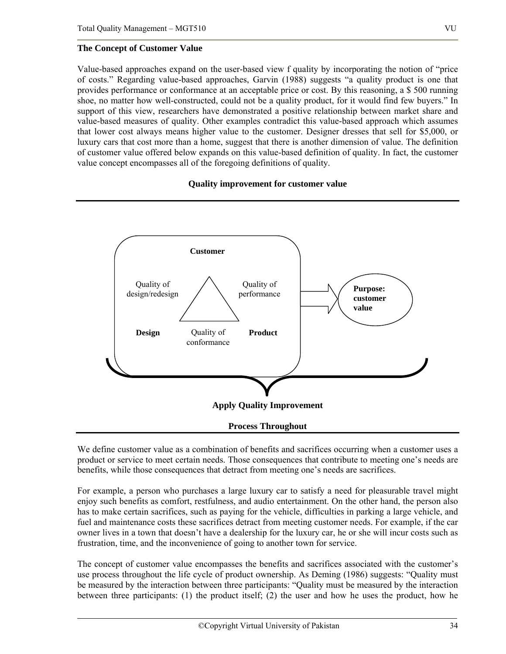## **The Concept of Customer Value**

Value-based approaches expand on the user-based view f quality by incorporating the notion of "price of costs." Regarding value-based approaches, Garvin (1988) suggests "a quality product is one that provides performance or conformance at an acceptable price or cost. By this reasoning, a \$ 500 running shoe, no matter how well-constructed, could not be a quality product, for it would find few buyers." In support of this view, researchers have demonstrated a positive relationship between market share and value-based measures of quality. Other examples contradict this value-based approach which assumes that lower cost always means higher value to the customer. Designer dresses that sell for \$5,000, or luxury cars that cost more than a home, suggest that there is another dimension of value. The definition of customer value offered below expands on this value-based definition of quality. In fact, the customer value concept encompasses all of the foregoing definitions of quality.

#### **Quality improvement for customer value**



We define customer value as a combination of benefits and sacrifices occurring when a customer uses a product or service to meet certain needs. Those consequences that contribute to meeting one's needs are benefits, while those consequences that detract from meeting one's needs are sacrifices.

For example, a person who purchases a large luxury car to satisfy a need for pleasurable travel might enjoy such benefits as comfort, restfulness, and audio entertainment. On the other hand, the person also has to make certain sacrifices, such as paying for the vehicle, difficulties in parking a large vehicle, and fuel and maintenance costs these sacrifices detract from meeting customer needs. For example, if the car owner lives in a town that doesn't have a dealership for the luxury car, he or she will incur costs such as frustration, time, and the inconvenience of going to another town for service.

The concept of customer value encompasses the benefits and sacrifices associated with the customer's use process throughout the life cycle of product ownership. As Deming (1986) suggests: "Quality must be measured by the interaction between three participants: "Quality must be measured by the interaction between three participants: (1) the product itself; (2) the user and how he uses the product, how he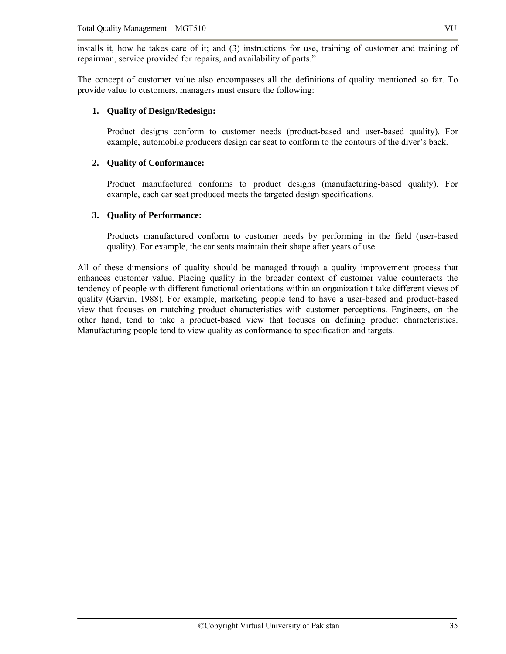installs it, how he takes care of it; and (3) instructions for use, training of customer and training of repairman, service provided for repairs, and availability of parts."

The concept of customer value also encompasses all the definitions of quality mentioned so far. To provide value to customers, managers must ensure the following:

## **1. Quality of Design/Redesign:**

Product designs conform to customer needs (product-based and user-based quality). For example, automobile producers design car seat to conform to the contours of the diver's back.

## **2. Quality of Conformance:**

Product manufactured conforms to product designs (manufacturing-based quality). For example, each car seat produced meets the targeted design specifications.

## **3. Quality of Performance:**

Products manufactured conform to customer needs by performing in the field (user-based quality). For example, the car seats maintain their shape after years of use.

All of these dimensions of quality should be managed through a quality improvement process that enhances customer value. Placing quality in the broader context of customer value counteracts the tendency of people with different functional orientations within an organization t take different views of quality (Garvin, 1988). For example, marketing people tend to have a user-based and product-based view that focuses on matching product characteristics with customer perceptions. Engineers, on the other hand, tend to take a product-based view that focuses on defining product characteristics. Manufacturing people tend to view quality as conformance to specification and targets.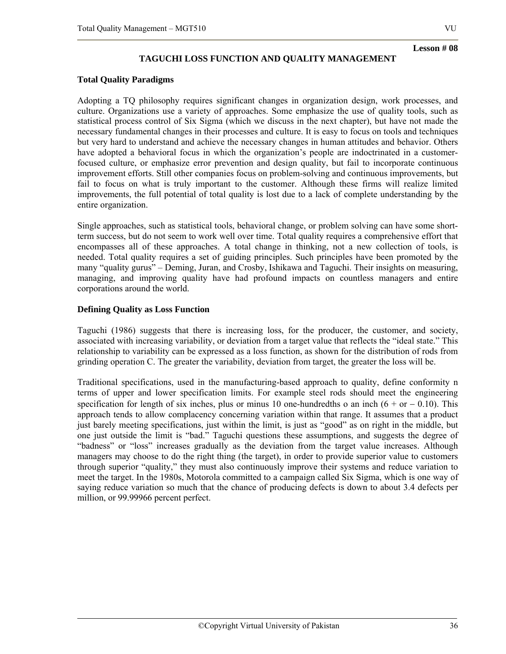## **Lesson # 08**

## **TAGUCHI LOSS FUNCTION AND QUALITY MANAGEMENT**

#### **Total Quality Paradigms**

Adopting a TQ philosophy requires significant changes in organization design, work processes, and culture. Organizations use a variety of approaches. Some emphasize the use of quality tools, such as statistical process control of Six Sigma (which we discuss in the next chapter), but have not made the necessary fundamental changes in their processes and culture. It is easy to focus on tools and techniques but very hard to understand and achieve the necessary changes in human attitudes and behavior. Others have adopted a behavioral focus in which the organization's people are indoctrinated in a customerfocused culture, or emphasize error prevention and design quality, but fail to incorporate continuous improvement efforts. Still other companies focus on problem-solving and continuous improvements, but fail to focus on what is truly important to the customer. Although these firms will realize limited improvements, the full potential of total quality is lost due to a lack of complete understanding by the entire organization.

Single approaches, such as statistical tools, behavioral change, or problem solving can have some shortterm success, but do not seem to work well over time. Total quality requires a comprehensive effort that encompasses all of these approaches. A total change in thinking, not a new collection of tools, is needed. Total quality requires a set of guiding principles. Such principles have been promoted by the many "quality gurus" – Deming, Juran, and Crosby, Ishikawa and Taguchi. Their insights on measuring, managing, and improving quality have had profound impacts on countless managers and entire corporations around the world.

#### **Defining Quality as Loss Function**

Taguchi (1986) suggests that there is increasing loss, for the producer, the customer, and society, associated with increasing variability, or deviation from a target value that reflects the "ideal state." This relationship to variability can be expressed as a loss function, as shown for the distribution of rods from grinding operation C. The greater the variability, deviation from target, the greater the loss will be.

Traditional specifications, used in the manufacturing-based approach to quality, define conformity n terms of upper and lower specification limits. For example steel rods should meet the engineering specification for length of six inches, plus or minus 10 one-hundredths o an inch  $(6 + or - 0.10)$ . This approach tends to allow complacency concerning variation within that range. It assumes that a product just barely meeting specifications, just within the limit, is just as "good" as on right in the middle, but one just outside the limit is "bad." Taguchi questions these assumptions, and suggests the degree of "badness" or "loss" increases gradually as the deviation from the target value increases. Although managers may choose to do the right thing (the target), in order to provide superior value to customers through superior "quality," they must also continuously improve their systems and reduce variation to meet the target. In the 1980s, Motorola committed to a campaign called Six Sigma, which is one way of saying reduce variation so much that the chance of producing defects is down to about 3.4 defects per million, or 99.99966 percent perfect.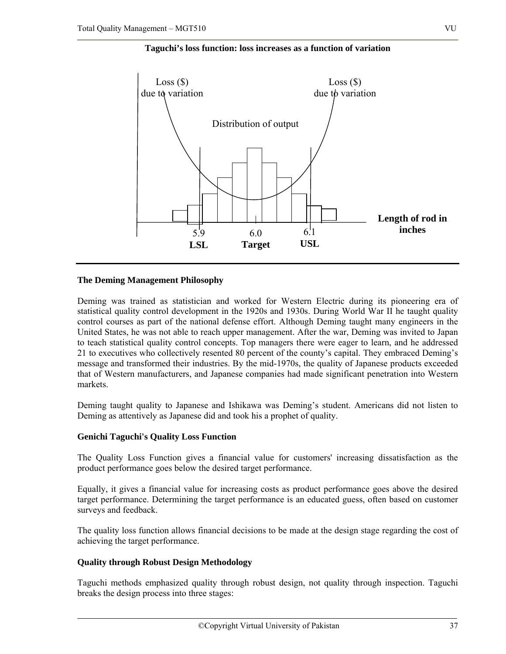

#### **Taguchi's loss function: loss increases as a function of variation**

## **The Deming Management Philosophy**

Deming was trained as statistician and worked for Western Electric during its pioneering era of statistical quality control development in the 1920s and 1930s. During World War II he taught quality control courses as part of the national defense effort. Although Deming taught many engineers in the United States, he was not able to reach upper management. After the war, Deming was invited to Japan to teach statistical quality control concepts. Top managers there were eager to learn, and he addressed 21 to executives who collectively resented 80 percent of the county's capital. They embraced Deming's message and transformed their industries. By the mid-1970s, the quality of Japanese products exceeded that of Western manufacturers, and Japanese companies had made significant penetration into Western markets.

Deming taught quality to Japanese and Ishikawa was Deming's student. Americans did not listen to Deming as attentively as Japanese did and took his a prophet of quality.

## **Genichi Taguchi's Quality Loss Function**

The Quality Loss Function gives a financial value for customers' increasing dissatisfaction as the product performance goes below the desired target performance.

Equally, it gives a financial value for increasing costs as product performance goes above the desired target performance. Determining the target performance is an educated guess, often based on customer surveys and feedback.

The quality loss function allows financial decisions to be made at the design stage regarding the cost of achieving the target performance.

#### **Quality through Robust Design Methodology**

Taguchi methods emphasized quality through robust design, not quality through inspection. Taguchi breaks the design process into three stages: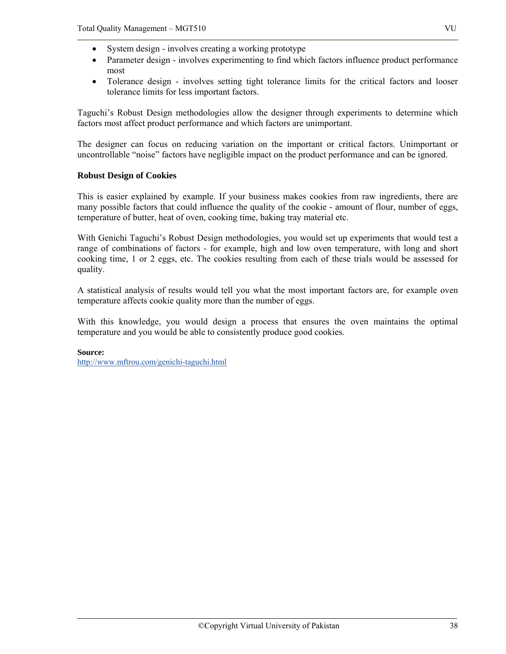- System design involves creating a working prototype
- Parameter design involves experimenting to find which factors influence product performance most
- Tolerance design involves setting tight tolerance limits for the critical factors and looser tolerance limits for less important factors.

Taguchi's Robust Design methodologies allow the designer through experiments to determine which factors most affect product performance and which factors are unimportant.

The designer can focus on reducing variation on the important or critical factors. Unimportant or uncontrollable "noise" factors have negligible impact on the product performance and can be ignored.

#### **Robust Design of Cookies**

This is easier explained by example. If your business makes cookies from raw ingredients, there are many possible factors that could influence the quality of the cookie - amount of flour, number of eggs, temperature of butter, heat of oven, cooking time, baking tray material etc.

With Genichi Taguchi's Robust Design methodologies, you would set up experiments that would test a range of combinations of factors - for example, high and low oven temperature, with long and short cooking time, 1 or 2 eggs, etc. The cookies resulting from each of these trials would be assessed for quality.

A statistical analysis of results would tell you what the most important factors are, for example oven temperature affects cookie quality more than the number of eggs.

With this knowledge, you would design a process that ensures the oven maintains the optimal temperature and you would be able to consistently produce good cookies.

#### **Source:**

http://www.mftrou.com/genichi-taguchi.html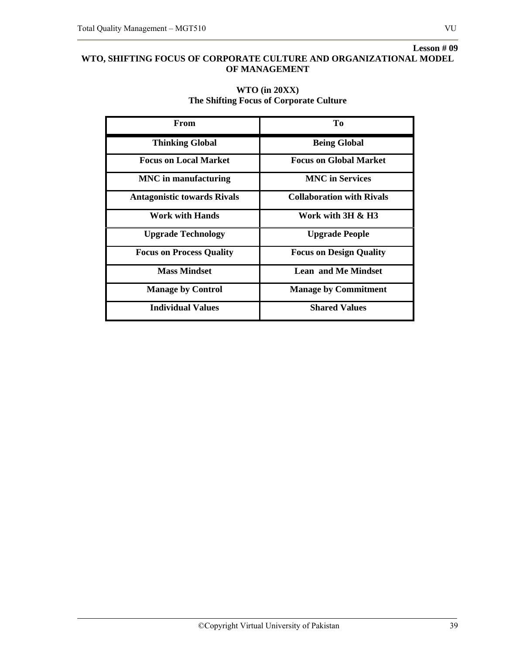## **Lesson # 09 WTO, SHIFTING FOCUS OF CORPORATE CULTURE AND ORGANIZATIONAL MODEL OF MANAGEMENT**

| From                               | To                               |  |
|------------------------------------|----------------------------------|--|
| <b>Thinking Global</b>             | <b>Being Global</b>              |  |
| <b>Focus on Local Market</b>       | <b>Focus on Global Market</b>    |  |
| <b>MNC</b> in manufacturing        | <b>MNC</b> in Services           |  |
| <b>Antagonistic towards Rivals</b> | <b>Collaboration with Rivals</b> |  |
| <b>Work with Hands</b>             | Work with 3H & H3                |  |
| <b>Upgrade Technology</b>          | <b>Upgrade People</b>            |  |
| <b>Focus on Process Quality</b>    | <b>Focus on Design Quality</b>   |  |
| <b>Mass Mindset</b>                | <b>Lean and Me Mindset</b>       |  |
| <b>Manage by Control</b>           | <b>Manage by Commitment</b>      |  |
| <b>Individual Values</b>           | <b>Shared Values</b>             |  |

## **WTO (in 20XX) The Shifting Focus of Corporate Culture**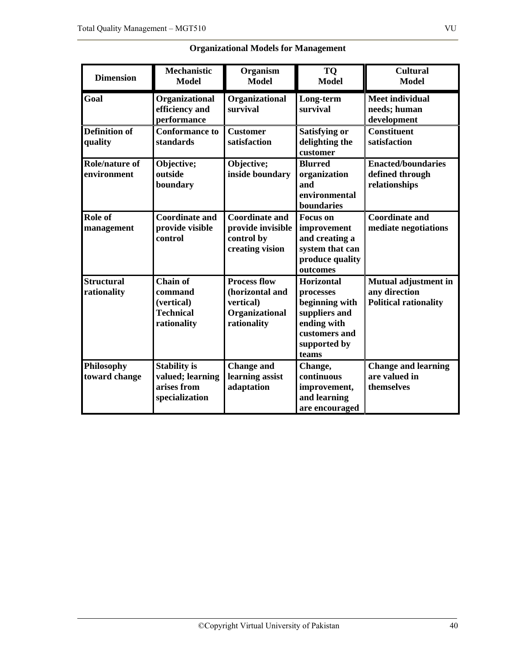| <b>Dimension</b>                     | <b>Mechanistic</b><br><b>Model</b>                                          | Organism<br><b>Model</b>                                                             | TQ<br><b>Model</b>                                                                                                         | <b>Cultural</b><br><b>Model</b>                                       |
|--------------------------------------|-----------------------------------------------------------------------------|--------------------------------------------------------------------------------------|----------------------------------------------------------------------------------------------------------------------------|-----------------------------------------------------------------------|
| Goal                                 | Organizational<br>efficiency and<br>performance                             | Organizational<br>survival                                                           | Long-term<br>survival                                                                                                      | <b>Meet individual</b><br>needs; human<br>development                 |
| <b>Definition of</b><br>quality      | <b>Conformance to</b><br>standards                                          | <b>Customer</b><br>satisfaction                                                      | Satisfying or<br>delighting the<br>customer                                                                                | <b>Constituent</b><br>satisfaction                                    |
| <b>Role/nature of</b><br>environment | Objective;<br>outside<br>boundary                                           | Objective;<br>inside boundary                                                        | <b>Blurred</b><br>organization<br>and<br>environmental<br>boundaries                                                       | <b>Enacted/boundaries</b><br>defined through<br>relationships         |
| Role of<br>management                | <b>Coordinate and</b><br>provide visible<br>control                         | <b>Coordinate and</b><br>provide invisible<br>control by<br>creating vision          | <b>Focus</b> on<br>improvement<br>and creating a<br>system that can<br>produce quality<br>outcomes                         | <b>Coordinate and</b><br>mediate negotiations                         |
| <b>Structural</b><br>rationality     | <b>Chain of</b><br>command<br>(vertical)<br><b>Technical</b><br>rationality | <b>Process flow</b><br>(horizontal and<br>vertical)<br>Organizational<br>rationality | <b>Horizontal</b><br>processes<br>beginning with<br>suppliers and<br>ending with<br>customers and<br>supported by<br>teams | Mutual adjustment in<br>any direction<br><b>Political rationality</b> |
| Philosophy<br>toward change          | <b>Stability is</b><br>valued; learning<br>arises from<br>specialization    | <b>Change and</b><br>learning assist<br>adaptation                                   | Change,<br>continuous<br>improvement,<br>and learning<br>are encouraged                                                    | <b>Change and learning</b><br>are valued in<br>themselves             |

## **Organizational Models for Management**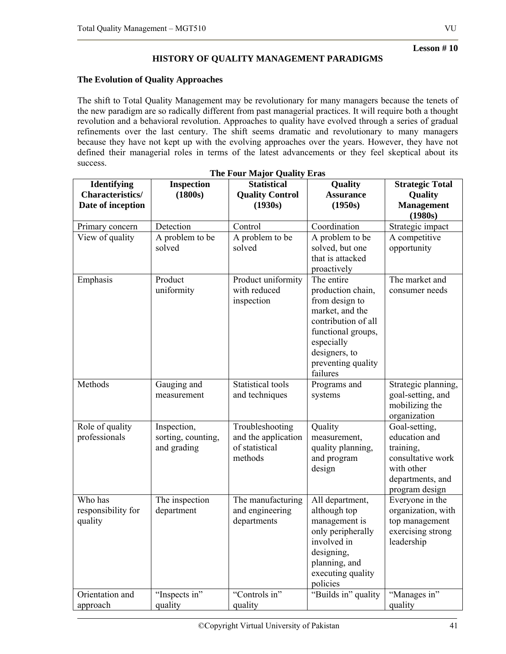**Lesson # 10** 

# **HISTORY OF QUALITY MANAGEMENT PARADIGMS**

## **The Evolution of Quality Approaches**

The shift to Total Quality Management may be revolutionary for many managers because the tenets of the new paradigm are so radically different from past managerial practices. It will require both a thought revolution and a behavioral revolution. Approaches to quality have evolved through a series of gradual refinements over the last century. The shift seems dramatic and revolutionary to many managers because they have not kept up with the evolving approaches over the years. However, they have not defined their managerial roles in terms of the latest advancements or they feel skeptical about its success.  $\mathbf{M} \cdot \mathbf{Q}$  **E** 

| The Four Major Quality Eras                                        |                                                  |                                                                     |                                                                                                                                                                                    |                                                                                                                      |  |  |  |
|--------------------------------------------------------------------|--------------------------------------------------|---------------------------------------------------------------------|------------------------------------------------------------------------------------------------------------------------------------------------------------------------------------|----------------------------------------------------------------------------------------------------------------------|--|--|--|
| <b>Identifying</b><br><b>Characteristics/</b><br>Date of inception | <b>Inspection</b><br>(1800s)                     | <b>Statistical</b><br><b>Quality Control</b><br>(1930s)             | Quality<br><b>Assurance</b><br>(1950s)                                                                                                                                             | <b>Strategic Total</b><br>Quality<br><b>Management</b><br>(1980s)                                                    |  |  |  |
| Primary concern                                                    | Detection                                        | Control                                                             | Coordination                                                                                                                                                                       | Strategic impact                                                                                                     |  |  |  |
| View of quality                                                    | A problem to be<br>solved                        | A problem to be<br>solved                                           | A problem to be<br>solved, but one<br>that is attacked<br>proactively                                                                                                              | A competitive<br>opportunity                                                                                         |  |  |  |
| Emphasis                                                           | Product<br>uniformity                            | Product uniformity<br>with reduced<br>inspection                    | The entire<br>production chain,<br>from design to<br>market, and the<br>contribution of all<br>functional groups,<br>especially<br>designers, to<br>preventing quality<br>failures | The market and<br>consumer needs                                                                                     |  |  |  |
| Methods                                                            | Gauging and<br>measurement                       | Statistical tools<br>and techniques                                 | Programs and<br>systems                                                                                                                                                            | Strategic planning,<br>goal-setting, and<br>mobilizing the<br>organization                                           |  |  |  |
| Role of quality<br>professionals                                   | Inspection,<br>sorting, counting,<br>and grading | Troubleshooting<br>and the application<br>of statistical<br>methods | Quality<br>measurement,<br>quality planning,<br>and program<br>design                                                                                                              | Goal-setting,<br>education and<br>training,<br>consultative work<br>with other<br>departments, and<br>program design |  |  |  |
| Who has<br>responsibility for<br>quality                           | The inspection<br>department                     | The manufacturing<br>and engineering<br>departments                 | All department,<br>although top<br>management is<br>only peripherally<br>involved in<br>designing,<br>planning, and<br>executing quality<br>policies                               | Everyone in the<br>organization, with<br>top management<br>exercising strong<br>leadership                           |  |  |  |
| Orientation and<br>approach                                        | "Inspects in"<br>quality                         | "Controls in"<br>quality                                            | "Builds in" quality                                                                                                                                                                | "Manages in"<br>quality                                                                                              |  |  |  |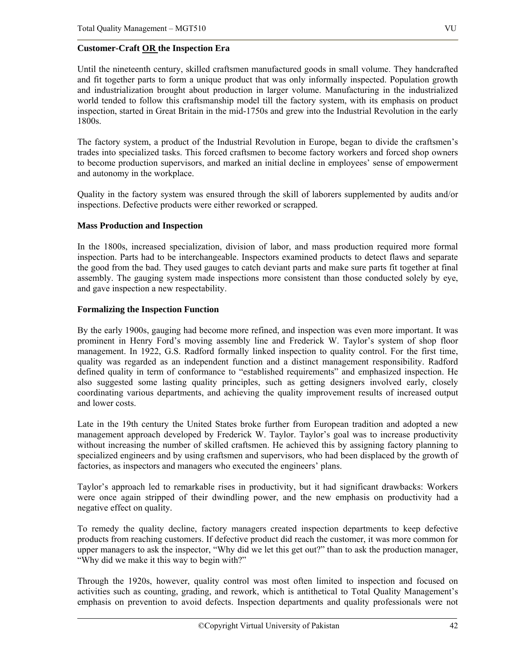## **Customer-Craft OR the Inspection Era**

Until the nineteenth century, skilled craftsmen manufactured goods in small volume. They handcrafted and fit together parts to form a unique product that was only informally inspected. Population growth and industrialization brought about production in larger volume. Manufacturing in the industrialized world tended to follow this craftsmanship model till the factory system, with its emphasis on product inspection, started in Great Britain in the mid-1750s and grew into the Industrial Revolution in the early 1800s.

The factory system, a product of the Industrial Revolution in Europe, began to divide the craftsmen's trades into specialized tasks. This forced craftsmen to become factory workers and forced shop owners to become production supervisors, and marked an initial decline in employees' sense of empowerment and autonomy in the workplace.

Quality in the factory system was ensured through the skill of laborers supplemented by audits and/or inspections. Defective products were either reworked or scrapped.

## **Mass Production and Inspection**

In the 1800s, increased specialization, division of labor, and mass production required more formal inspection. Parts had to be interchangeable. Inspectors examined products to detect flaws and separate the good from the bad. They used gauges to catch deviant parts and make sure parts fit together at final assembly. The gauging system made inspections more consistent than those conducted solely by eye, and gave inspection a new respectability.

#### **Formalizing the Inspection Function**

By the early 1900s, gauging had become more refined, and inspection was even more important. It was prominent in Henry Ford's moving assembly line and Frederick W. Taylor's system of shop floor management. In 1922, G.S. Radford formally linked inspection to quality control. For the first time, quality was regarded as an independent function and a distinct management responsibility. Radford defined quality in term of conformance to "established requirements" and emphasized inspection. He also suggested some lasting quality principles, such as getting designers involved early, closely coordinating various departments, and achieving the quality improvement results of increased output and lower costs.

Late in the 19th century the United States broke further from European tradition and adopted a new management approach developed by Frederick W. Taylor. Taylor's goal was to increase productivity without increasing the number of skilled craftsmen. He achieved this by assigning factory planning to specialized engineers and by using craftsmen and supervisors, who had been displaced by the growth of factories, as inspectors and managers who executed the engineers' plans.

Taylor's approach led to remarkable rises in productivity, but it had significant drawbacks: Workers were once again stripped of their dwindling power, and the new emphasis on productivity had a negative effect on quality.

To remedy the quality decline, factory managers created inspection departments to keep defective products from reaching customers. If defective product did reach the customer, it was more common for upper managers to ask the inspector, "Why did we let this get out?" than to ask the production manager, "Why did we make it this way to begin with?"

Through the 1920s, however, quality control was most often limited to inspection and focused on activities such as counting, grading, and rework, which is antithetical to Total Quality Management's emphasis on prevention to avoid defects. Inspection departments and quality professionals were not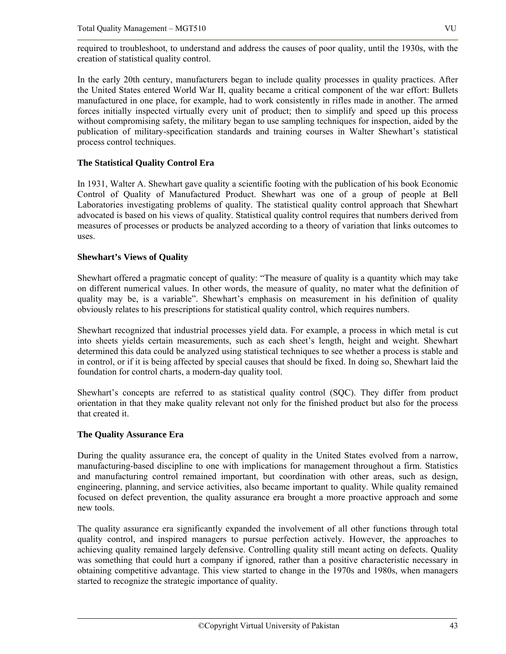required to troubleshoot, to understand and address the causes of poor quality, until the 1930s, with the creation of statistical quality control.

In the early 20th century, manufacturers began to include quality processes in quality practices. After the United States entered World War II, quality became a critical component of the war effort: Bullets manufactured in one place, for example, had to work consistently in rifles made in another. The armed forces initially inspected virtually every unit of product; then to simplify and speed up this process without compromising safety, the military began to use sampling techniques for inspection, aided by the publication of military-specification standards and training courses in Walter Shewhart's statistical process control techniques.

## **The Statistical Quality Control Era**

In 1931, Walter A. Shewhart gave quality a scientific footing with the publication of his book Economic Control of Quality of Manufactured Product. Shewhart was one of a group of people at Bell Laboratories investigating problems of quality. The statistical quality control approach that Shewhart advocated is based on his views of quality. Statistical quality control requires that numbers derived from measures of processes or products be analyzed according to a theory of variation that links outcomes to uses.

#### **Shewhart's Views of Quality**

Shewhart offered a pragmatic concept of quality: "The measure of quality is a quantity which may take on different numerical values. In other words, the measure of quality, no mater what the definition of quality may be, is a variable". Shewhart's emphasis on measurement in his definition of quality obviously relates to his prescriptions for statistical quality control, which requires numbers.

Shewhart recognized that industrial processes yield data. For example, a process in which metal is cut into sheets yields certain measurements, such as each sheet's length, height and weight. Shewhart determined this data could be analyzed using statistical techniques to see whether a process is stable and in control, or if it is being affected by special causes that should be fixed. In doing so, Shewhart laid the foundation for control charts, a modern-day quality tool.

Shewhart's concepts are referred to as statistical quality control (SQC). They differ from product orientation in that they make quality relevant not only for the finished product but also for the process that created it.

## **The Quality Assurance Era**

During the quality assurance era, the concept of quality in the United States evolved from a narrow, manufacturing-based discipline to one with implications for management throughout a firm. Statistics and manufacturing control remained important, but coordination with other areas, such as design, engineering, planning, and service activities, also became important to quality. While quality remained focused on defect prevention, the quality assurance era brought a more proactive approach and some new tools.

The quality assurance era significantly expanded the involvement of all other functions through total quality control, and inspired managers to pursue perfection actively. However, the approaches to achieving quality remained largely defensive. Controlling quality still meant acting on defects. Quality was something that could hurt a company if ignored, rather than a positive characteristic necessary in obtaining competitive advantage. This view started to change in the 1970s and 1980s, when managers started to recognize the strategic importance of quality.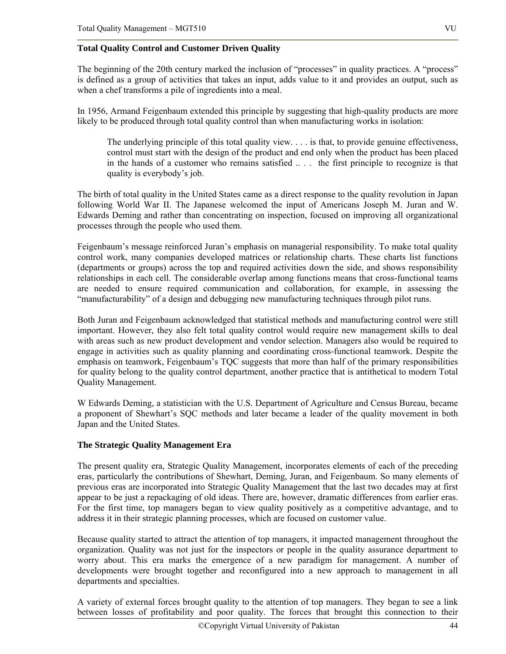## **Total Quality Control and Customer Driven Quality**

The beginning of the 20th century marked the inclusion of "processes" in quality practices. A "process" is defined as a group of activities that takes an input, adds value to it and provides an output, such as when a chef transforms a pile of ingredients into a meal.

In 1956, Armand Feigenbaum extended this principle by suggesting that high-quality products are more likely to be produced through total quality control than when manufacturing works in isolation:

 The underlying principle of this total quality view. . . . is that, to provide genuine effectiveness, control must start with the design of the product and end only when the product has been placed in the hands of a customer who remains satisfied .. . . the first principle to recognize is that quality is everybody's job.

The birth of total quality in the United States came as a direct response to the quality revolution in Japan following World War II. The Japanese welcomed the input of Americans Joseph M. Juran and W. Edwards Deming and rather than concentrating on inspection, focused on improving all organizational processes through the people who used them.

Feigenbaum's message reinforced Juran's emphasis on managerial responsibility. To make total quality control work, many companies developed matrices or relationship charts. These charts list functions (departments or groups) across the top and required activities down the side, and shows responsibility relationships in each cell. The considerable overlap among functions means that cross-functional teams are needed to ensure required communication and collaboration, for example, in assessing the "manufacturability" of a design and debugging new manufacturing techniques through pilot runs.

Both Juran and Feigenbaum acknowledged that statistical methods and manufacturing control were still important. However, they also felt total quality control would require new management skills to deal with areas such as new product development and vendor selection. Managers also would be required to engage in activities such as quality planning and coordinating cross-functional teamwork. Despite the emphasis on teamwork, Feigenbaum's TQC suggests that more than half of the primary responsibilities for quality belong to the quality control department, another practice that is antithetical to modern Total Quality Management.

W Edwards Deming, a statistician with the U.S. Department of Agriculture and Census Bureau, became a proponent of Shewhart's SQC methods and later became a leader of the quality movement in both Japan and the United States.

## **The Strategic Quality Management Era**

The present quality era, Strategic Quality Management, incorporates elements of each of the preceding eras, particularly the contributions of Shewhart, Deming, Juran, and Feigenbaum. So many elements of previous eras are incorporated into Strategic Quality Management that the last two decades may at first appear to be just a repackaging of old ideas. There are, however, dramatic differences from earlier eras. For the first time, top managers began to view quality positively as a competitive advantage, and to address it in their strategic planning processes, which are focused on customer value.

Because quality started to attract the attention of top managers, it impacted management throughout the organization. Quality was not just for the inspectors or people in the quality assurance department to worry about. This era marks the emergence of a new paradigm for management. A number of developments were brought together and reconfigured into a new approach to management in all departments and specialties.

A variety of external forces brought quality to the attention of top managers. They began to see a link between losses of profitability and poor quality. The forces that brought this connection to their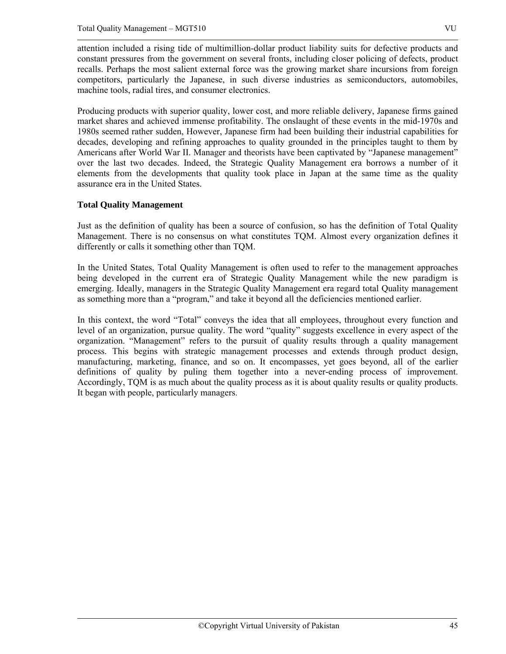attention included a rising tide of multimillion-dollar product liability suits for defective products and constant pressures from the government on several fronts, including closer policing of defects, product recalls. Perhaps the most salient external force was the growing market share incursions from foreign competitors, particularly the Japanese, in such diverse industries as semiconductors, automobiles, machine tools, radial tires, and consumer electronics.

Producing products with superior quality, lower cost, and more reliable delivery, Japanese firms gained market shares and achieved immense profitability. The onslaught of these events in the mid-1970s and 1980s seemed rather sudden, However, Japanese firm had been building their industrial capabilities for decades, developing and refining approaches to quality grounded in the principles taught to them by Americans after World War II. Manager and theorists have been captivated by "Japanese management" over the last two decades. Indeed, the Strategic Quality Management era borrows a number of it elements from the developments that quality took place in Japan at the same time as the quality assurance era in the United States.

## **Total Quality Management**

Just as the definition of quality has been a source of confusion, so has the definition of Total Quality Management. There is no consensus on what constitutes TQM. Almost every organization defines it differently or calls it something other than TQM.

In the United States, Total Quality Management is often used to refer to the management approaches being developed in the current era of Strategic Quality Management while the new paradigm is emerging. Ideally, managers in the Strategic Quality Management era regard total Quality management as something more than a "program," and take it beyond all the deficiencies mentioned earlier.

In this context, the word "Total" conveys the idea that all employees, throughout every function and level of an organization, pursue quality. The word "quality" suggests excellence in every aspect of the organization. "Management" refers to the pursuit of quality results through a quality management process. This begins with strategic management processes and extends through product design, manufacturing, marketing, finance, and so on. It encompasses, yet goes beyond, all of the earlier definitions of quality by puling them together into a never-ending process of improvement. Accordingly, TQM is as much about the quality process as it is about quality results or quality products. It began with people, particularly managers.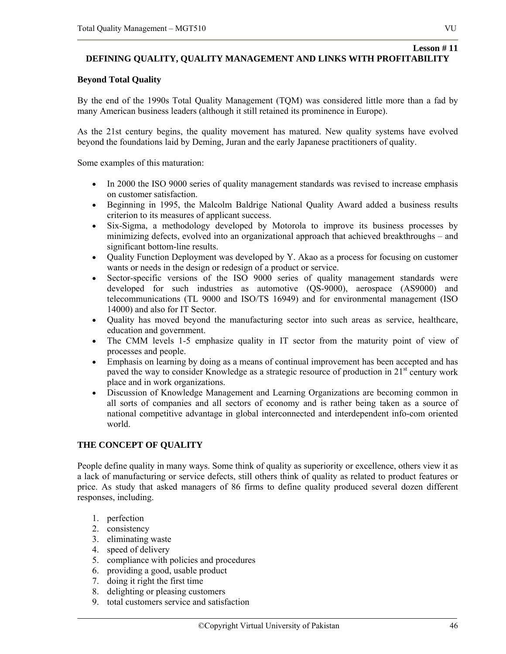# **DEFINING QUALITY, QUALITY MANAGEMENT AND LINKS WITH PROFITABILITY**

#### **Beyond Total Quality**

By the end of the 1990s Total Quality Management (TQM) was considered little more than a fad by many American business leaders (although it still retained its prominence in Europe).

As the 21st century begins, the quality movement has matured. New quality systems have evolved beyond the foundations laid by Deming, Juran and the early Japanese practitioners of quality.

Some examples of this maturation:

- In 2000 the ISO 9000 series of quality management standards was revised to increase emphasis on customer satisfaction.
- Beginning in 1995, the Malcolm Baldrige National Quality Award added a business results criterion to its measures of applicant success.
- Six-Sigma, a methodology developed by Motorola to improve its business processes by minimizing defects, evolved into an organizational approach that achieved breakthroughs – and significant bottom-line results.
- Quality Function Deployment was developed by Y. Akao as a process for focusing on customer wants or needs in the design or redesign of a product or service.
- Sector-specific versions of the ISO 9000 series of quality management standards were developed for such industries as automotive (QS-9000), aerospace (AS9000) and telecommunications (TL 9000 and ISO/TS 16949) and for environmental management (ISO 14000) and also for IT Sector.
- Quality has moved beyond the manufacturing sector into such areas as service, healthcare, education and government.
- The CMM levels 1-5 emphasize quality in IT sector from the maturity point of view of processes and people.
- Emphasis on learning by doing as a means of continual improvement has been accepted and has paved the way to consider Knowledge as a strategic resource of production in 21<sup>st</sup> century work place and in work organizations.
- Discussion of Knowledge Management and Learning Organizations are becoming common in all sorts of companies and all sectors of economy and is rather being taken as a source of national competitive advantage in global interconnected and interdependent info-com oriented world.

## **THE CONCEPT OF QUALITY**

People define quality in many ways. Some think of quality as superiority or excellence, others view it as a lack of manufacturing or service defects, still others think of quality as related to product features or price. As study that asked managers of 86 firms to define quality produced several dozen different responses, including.

- 1. perfection
- 2. consistency
- 3. eliminating waste
- 4. speed of delivery
- 5. compliance with policies and procedures
- 6. providing a good, usable product
- 7. doing it right the first time
- 8. delighting or pleasing customers
- 9. total customers service and satisfaction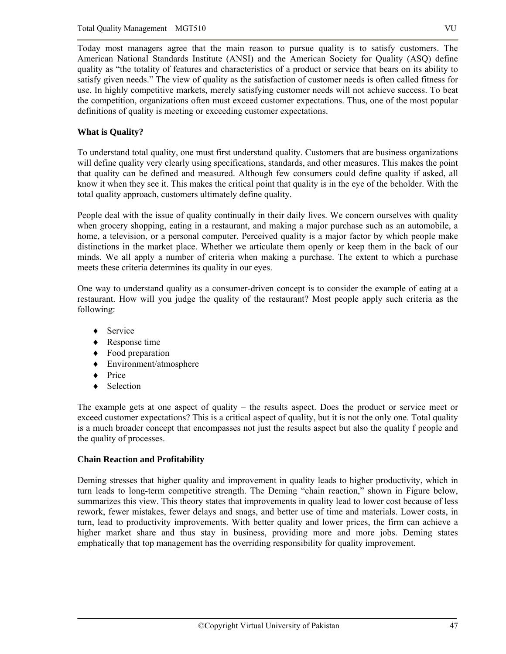Today most managers agree that the main reason to pursue quality is to satisfy customers. The American National Standards Institute (ANSI) and the American Society for Quality (ASQ) define quality as "the totality of features and characteristics of a product or service that bears on its ability to satisfy given needs." The view of quality as the satisfaction of customer needs is often called fitness for use. In highly competitive markets, merely satisfying customer needs will not achieve success. To beat the competition, organizations often must exceed customer expectations. Thus, one of the most popular definitions of quality is meeting or exceeding customer expectations.

## **What is Quality?**

To understand total quality, one must first understand quality. Customers that are business organizations will define quality very clearly using specifications, standards, and other measures. This makes the point that quality can be defined and measured. Although few consumers could define quality if asked, all know it when they see it. This makes the critical point that quality is in the eye of the beholder. With the total quality approach, customers ultimately define quality.

People deal with the issue of quality continually in their daily lives. We concern ourselves with quality when grocery shopping, eating in a restaurant, and making a major purchase such as an automobile, a home, a television, or a personal computer. Perceived quality is a major factor by which people make distinctions in the market place. Whether we articulate them openly or keep them in the back of our minds. We all apply a number of criteria when making a purchase. The extent to which a purchase meets these criteria determines its quality in our eyes.

One way to understand quality as a consumer-driven concept is to consider the example of eating at a restaurant. How will you judge the quality of the restaurant? Most people apply such criteria as the following:

- ♦ Service
- ♦ Response time
- ♦ Food preparation
- ♦ Environment/atmosphere
- ♦ Price
- ♦ Selection

The example gets at one aspect of quality – the results aspect. Does the product or service meet or exceed customer expectations? This is a critical aspect of quality, but it is not the only one. Total quality is a much broader concept that encompasses not just the results aspect but also the quality f people and the quality of processes.

## **Chain Reaction and Profitability**

Deming stresses that higher quality and improvement in quality leads to higher productivity, which in turn leads to long-term competitive strength. The Deming "chain reaction," shown in Figure below, summarizes this view. This theory states that improvements in quality lead to lower cost because of less rework, fewer mistakes, fewer delays and snags, and better use of time and materials. Lower costs, in turn, lead to productivity improvements. With better quality and lower prices, the firm can achieve a higher market share and thus stay in business, providing more and more jobs. Deming states emphatically that top management has the overriding responsibility for quality improvement.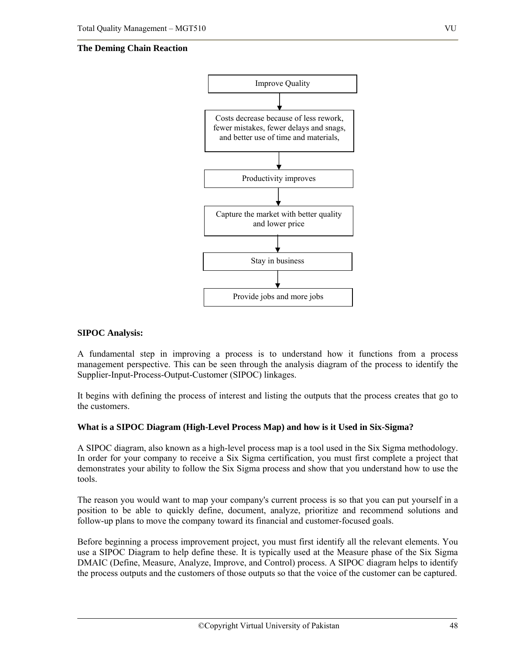## **The Deming Chain Reaction**



## **SIPOC Analysis:**

A fundamental step in improving a process is to understand how it functions from a process management perspective. This can be seen through the analysis diagram of the process to identify the Supplier-Input-Process-Output-Customer (SIPOC) linkages.

It begins with defining the process of interest and listing the outputs that the process creates that go to the customers.

#### **What is a SIPOC Diagram (High-Level Process Map) and how is it Used in Six-Sigma?**

A SIPOC diagram, also known as a high-level process map is a tool used in the Six Sigma methodology. In order for your company to receive a Six Sigma certification, you must first complete a project that demonstrates your ability to follow the Six Sigma process and show that you understand how to use the tools.

The reason you would want to map your company's current process is so that you can put yourself in a position to be able to quickly define, document, analyze, prioritize and recommend solutions and follow-up plans to move the company toward its financial and customer-focused goals.

Before beginning a process improvement project, you must first identify all the relevant elements. You use a SIPOC Diagram to help define these. It is typically used at the Measure phase of the Six Sigma DMAIC (Define, Measure, Analyze, Improve, and Control) process. A SIPOC diagram helps to identify the process outputs and the customers of those outputs so that the voice of the customer can be captured.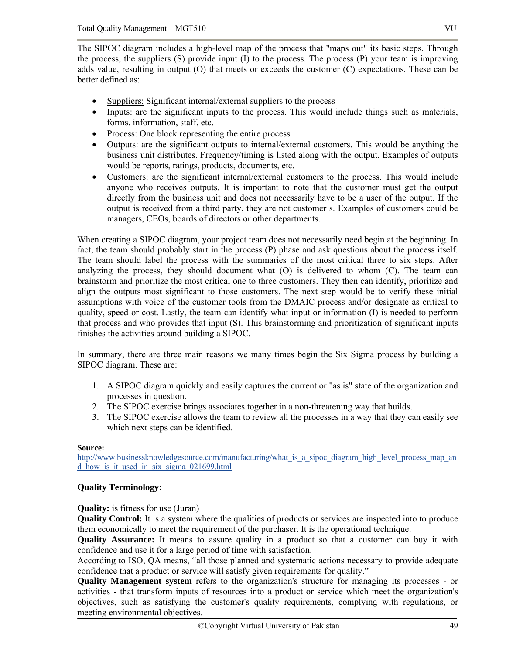The SIPOC diagram includes a high-level map of the process that "maps out" its basic steps. Through the process, the suppliers (S) provide input (I) to the process. The process (P) your team is improving adds value, resulting in output (O) that meets or exceeds the customer (C) expectations. These can be better defined as:

- Suppliers: Significant internal/external suppliers to the process
- Inputs: are the significant inputs to the process. This would include things such as materials, forms, information, staff, etc.
- Process: One block representing the entire process
- Outputs: are the significant outputs to internal/external customers. This would be anything the business unit distributes. Frequency/timing is listed along with the output. Examples of outputs would be reports, ratings, products, documents, etc.
- Customers: are the significant internal/external customers to the process. This would include anyone who receives outputs. It is important to note that the customer must get the output directly from the business unit and does not necessarily have to be a user of the output. If the output is received from a third party, they are not customer s. Examples of customers could be managers, CEOs, boards of directors or other departments.

When creating a SIPOC diagram, your project team does not necessarily need begin at the beginning. In fact, the team should probably start in the process (P) phase and ask questions about the process itself. The team should label the process with the summaries of the most critical three to six steps. After analyzing the process, they should document what (O) is delivered to whom (C). The team can brainstorm and prioritize the most critical one to three customers. They then can identify, prioritize and align the outputs most significant to those customers. The next step would be to verify these initial assumptions with voice of the customer tools from the DMAIC process and/or designate as critical to quality, speed or cost. Lastly, the team can identify what input or information (I) is needed to perform that process and who provides that input (S). This brainstorming and prioritization of significant inputs finishes the activities around building a SIPOC.

In summary, there are three main reasons we many times begin the Six Sigma process by building a SIPOC diagram. These are:

- 1. A SIPOC diagram quickly and easily captures the current or "as is" state of the organization and processes in question.
- 2. The SIPOC exercise brings associates together in a non-threatening way that builds.
- 3. The SIPOC exercise allows the team to review all the processes in a way that they can easily see which next steps can be identified.

#### **Source:**

http://www.businessknowledgesource.com/manufacturing/what is a sipoc diagram high level process map an d how is it used in six sigma 021699.html

#### **Quality Terminology:**

#### **Quality:** is fitness for use (Juran)

**Quality Control:** It is a system where the qualities of products or services are inspected into to produce them economically to meet the requirement of the purchaser. It is the operational technique.

**Quality Assurance:** It means to assure quality in a product so that a customer can buy it with confidence and use it for a large period of time with satisfaction.

According to ISO, QA means, "all those planned and systematic actions necessary to provide adequate confidence that a product or service will satisfy given requirements for quality."

**Quality Management system** refers to the organization's structure for managing its processes - or activities - that transform inputs of resources into a product or service which meet the organization's objectives, such as satisfying the customer's quality requirements, complying with regulations, or meeting environmental objectives.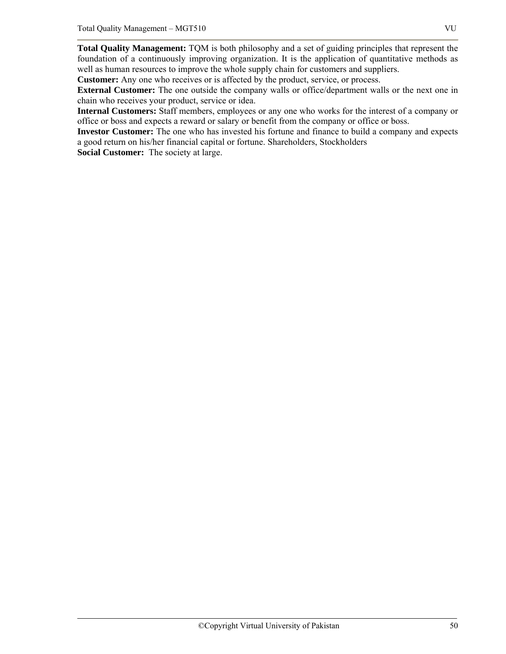**Total Quality Management:** TQM is both philosophy and a set of guiding principles that represent the foundation of a continuously improving organization. It is the application of quantitative methods as well as human resources to improve the whole supply chain for customers and suppliers.

**Customer:** Any one who receives or is affected by the product, service, or process.

**External Customer:** The one outside the company walls or office/department walls or the next one in chain who receives your product, service or idea.

**Internal Customers:** Staff members, employees or any one who works for the interest of a company or office or boss and expects a reward or salary or benefit from the company or office or boss.

**Investor Customer:** The one who has invested his fortune and finance to build a company and expects a good return on his/her financial capital or fortune. Shareholders, Stockholders

**Social Customer:** The society at large.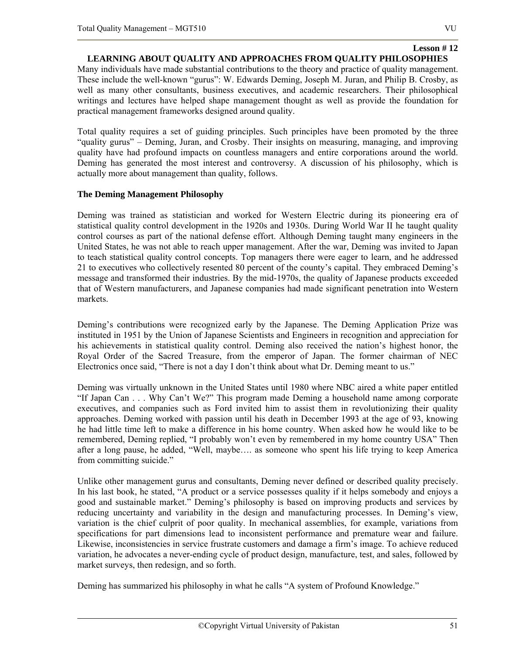# **Lesson # 12**

**LEARNING ABOUT QUALITY AND APPROACHES FROM QUALITY PHILOSOPHIES**

Many individuals have made substantial contributions to the theory and practice of quality management. These include the well-known "gurus": W. Edwards Deming, Joseph M. Juran, and Philip B. Crosby, as well as many other consultants, business executives, and academic researchers. Their philosophical writings and lectures have helped shape management thought as well as provide the foundation for practical management frameworks designed around quality.

Total quality requires a set of guiding principles. Such principles have been promoted by the three "quality gurus" – Deming, Juran, and Crosby. Their insights on measuring, managing, and improving quality have had profound impacts on countless managers and entire corporations around the world. Deming has generated the most interest and controversy. A discussion of his philosophy, which is actually more about management than quality, follows.

#### **The Deming Management Philosophy**

Deming was trained as statistician and worked for Western Electric during its pioneering era of statistical quality control development in the 1920s and 1930s. During World War II he taught quality control courses as part of the national defense effort. Although Deming taught many engineers in the United States, he was not able to reach upper management. After the war, Deming was invited to Japan to teach statistical quality control concepts. Top managers there were eager to learn, and he addressed 21 to executives who collectively resented 80 percent of the county's capital. They embraced Deming's message and transformed their industries. By the mid-1970s, the quality of Japanese products exceeded that of Western manufacturers, and Japanese companies had made significant penetration into Western markets.

Deming's contributions were recognized early by the Japanese. The Deming Application Prize was instituted in 1951 by the Union of Japanese Scientists and Engineers in recognition and appreciation for his achievements in statistical quality control. Deming also received the nation's highest honor, the Royal Order of the Sacred Treasure, from the emperor of Japan. The former chairman of NEC Electronics once said, "There is not a day I don't think about what Dr. Deming meant to us."

Deming was virtually unknown in the United States until 1980 where NBC aired a white paper entitled "If Japan Can . . . Why Can't We?" This program made Deming a household name among corporate executives, and companies such as Ford invited him to assist them in revolutionizing their quality approaches. Deming worked with passion until his death in December 1993 at the age of 93, knowing he had little time left to make a difference in his home country. When asked how he would like to be remembered, Deming replied, "I probably won't even by remembered in my home country USA" Then after a long pause, he added, "Well, maybe…. as someone who spent his life trying to keep America from committing suicide."

Unlike other management gurus and consultants, Deming never defined or described quality precisely. In his last book, he stated, "A product or a service possesses quality if it helps somebody and enjoys a good and sustainable market." Deming's philosophy is based on improving products and services by reducing uncertainty and variability in the design and manufacturing processes. In Deming's view, variation is the chief culprit of poor quality. In mechanical assemblies, for example, variations from specifications for part dimensions lead to inconsistent performance and premature wear and failure. Likewise, inconsistencies in service frustrate customers and damage a firm's image. To achieve reduced variation, he advocates a never-ending cycle of product design, manufacture, test, and sales, followed by market surveys, then redesign, and so forth.

Deming has summarized his philosophy in what he calls "A system of Profound Knowledge."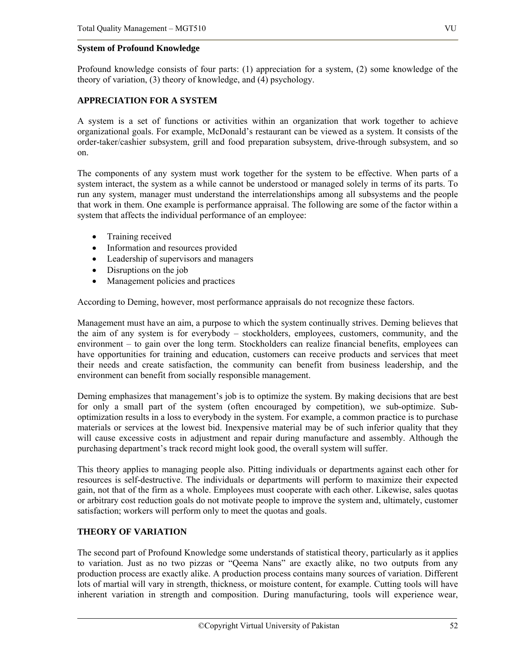#### **System of Profound Knowledge**

Profound knowledge consists of four parts: (1) appreciation for a system, (2) some knowledge of the theory of variation, (3) theory of knowledge, and (4) psychology.

## **APPRECIATION FOR A SYSTEM**

A system is a set of functions or activities within an organization that work together to achieve organizational goals. For example, McDonald's restaurant can be viewed as a system. It consists of the order-taker/cashier subsystem, grill and food preparation subsystem, drive-through subsystem, and so on.

The components of any system must work together for the system to be effective. When parts of a system interact, the system as a while cannot be understood or managed solely in terms of its parts. To run any system, manager must understand the interrelationships among all subsystems and the people that work in them. One example is performance appraisal. The following are some of the factor within a system that affects the individual performance of an employee:

- Training received
- Information and resources provided
- Leadership of supervisors and managers
- Disruptions on the job
- Management policies and practices

According to Deming, however, most performance appraisals do not recognize these factors.

Management must have an aim, a purpose to which the system continually strives. Deming believes that the aim of any system is for everybody – stockholders, employees, customers, community, and the environment – to gain over the long term. Stockholders can realize financial benefits, employees can have opportunities for training and education, customers can receive products and services that meet their needs and create satisfaction, the community can benefit from business leadership, and the environment can benefit from socially responsible management.

Deming emphasizes that management's job is to optimize the system. By making decisions that are best for only a small part of the system (often encouraged by competition), we sub-optimize. Suboptimization results in a loss to everybody in the system. For example, a common practice is to purchase materials or services at the lowest bid. Inexpensive material may be of such inferior quality that they will cause excessive costs in adjustment and repair during manufacture and assembly. Although the purchasing department's track record might look good, the overall system will suffer.

This theory applies to managing people also. Pitting individuals or departments against each other for resources is self-destructive. The individuals or departments will perform to maximize their expected gain, not that of the firm as a whole. Employees must cooperate with each other. Likewise, sales quotas or arbitrary cost reduction goals do not motivate people to improve the system and, ultimately, customer satisfaction; workers will perform only to meet the quotas and goals.

## **THEORY OF VARIATION**

The second part of Profound Knowledge some understands of statistical theory, particularly as it applies to variation. Just as no two pizzas or "Qeema Nans" are exactly alike, no two outputs from any production process are exactly alike. A production process contains many sources of variation. Different lots of martial will vary in strength, thickness, or moisture content, for example. Cutting tools will have inherent variation in strength and composition. During manufacturing, tools will experience wear,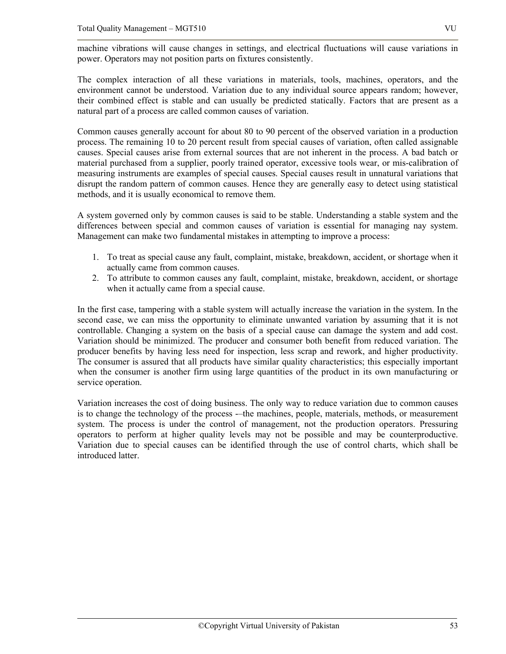The complex interaction of all these variations in materials, tools, machines, operators, and the environment cannot be understood. Variation due to any individual source appears random; however, their combined effect is stable and can usually be predicted statically. Factors that are present as a natural part of a process are called common causes of variation.

Common causes generally account for about 80 to 90 percent of the observed variation in a production process. The remaining 10 to 20 percent result from special causes of variation, often called assignable causes. Special causes arise from external sources that are not inherent in the process. A bad batch or material purchased from a supplier, poorly trained operator, excessive tools wear, or mis-calibration of measuring instruments are examples of special causes. Special causes result in unnatural variations that disrupt the random pattern of common causes. Hence they are generally easy to detect using statistical methods, and it is usually economical to remove them.

A system governed only by common causes is said to be stable. Understanding a stable system and the differences between special and common causes of variation is essential for managing nay system. Management can make two fundamental mistakes in attempting to improve a process:

- 1. To treat as special cause any fault, complaint, mistake, breakdown, accident, or shortage when it actually came from common causes.
- 2. To attribute to common causes any fault, complaint, mistake, breakdown, accident, or shortage when it actually came from a special cause.

In the first case, tampering with a stable system will actually increase the variation in the system. In the second case, we can miss the opportunity to eliminate unwanted variation by assuming that it is not controllable. Changing a system on the basis of a special cause can damage the system and add cost. Variation should be minimized. The producer and consumer both benefit from reduced variation. The producer benefits by having less need for inspection, less scrap and rework, and higher productivity. The consumer is assured that all products have similar quality characteristics; this especially important when the consumer is another firm using large quantities of the product in its own manufacturing or service operation.

Variation increases the cost of doing business. The only way to reduce variation due to common causes is to change the technology of the process ----the machines, people, materials, methods, or measurement system. The process is under the control of management, not the production operators. Pressuring operators to perform at higher quality levels may not be possible and may be counterproductive. Variation due to special causes can be identified through the use of control charts, which shall be introduced latter.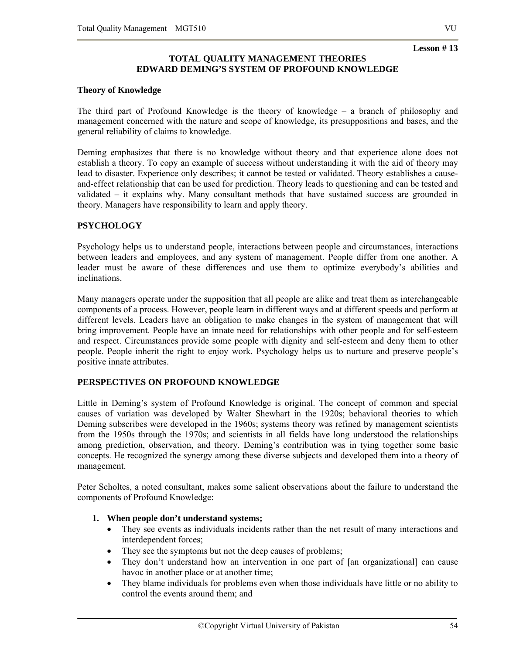#### **TOTAL QUALITY MANAGEMENT THEORIES EDWARD DEMING'S SYSTEM OF PROFOUND KNOWLEDGE**

#### **Theory of Knowledge**

The third part of Profound Knowledge is the theory of knowledge – a branch of philosophy and management concerned with the nature and scope of knowledge, its presuppositions and bases, and the general reliability of claims to knowledge.

Deming emphasizes that there is no knowledge without theory and that experience alone does not establish a theory. To copy an example of success without understanding it with the aid of theory may lead to disaster. Experience only describes; it cannot be tested or validated. Theory establishes a causeand-effect relationship that can be used for prediction. Theory leads to questioning and can be tested and validated – it explains why. Many consultant methods that have sustained success are grounded in theory. Managers have responsibility to learn and apply theory.

## **PSYCHOLOGY**

Psychology helps us to understand people, interactions between people and circumstances, interactions between leaders and employees, and any system of management. People differ from one another. A leader must be aware of these differences and use them to optimize everybody's abilities and inclinations.

Many managers operate under the supposition that all people are alike and treat them as interchangeable components of a process. However, people learn in different ways and at different speeds and perform at different levels. Leaders have an obligation to make changes in the system of management that will bring improvement. People have an innate need for relationships with other people and for self-esteem and respect. Circumstances provide some people with dignity and self-esteem and deny them to other people. People inherit the right to enjoy work. Psychology helps us to nurture and preserve people's positive innate attributes.

## **PERSPECTIVES ON PROFOUND KNOWLEDGE**

Little in Deming's system of Profound Knowledge is original. The concept of common and special causes of variation was developed by Walter Shewhart in the 1920s; behavioral theories to which Deming subscribes were developed in the 1960s; systems theory was refined by management scientists from the 1950s through the 1970s; and scientists in all fields have long understood the relationships among prediction, observation, and theory. Deming's contribution was in tying together some basic concepts. He recognized the synergy among these diverse subjects and developed them into a theory of management.

Peter Scholtes, a noted consultant, makes some salient observations about the failure to understand the components of Profound Knowledge:

## **1. When people don't understand systems;**

- They see events as individuals incidents rather than the net result of many interactions and interdependent forces;
- They see the symptoms but not the deep causes of problems;
- They don't understand how an intervention in one part of [an organizational] can cause havoc in another place or at another time;
- They blame individuals for problems even when those individuals have little or no ability to control the events around them; and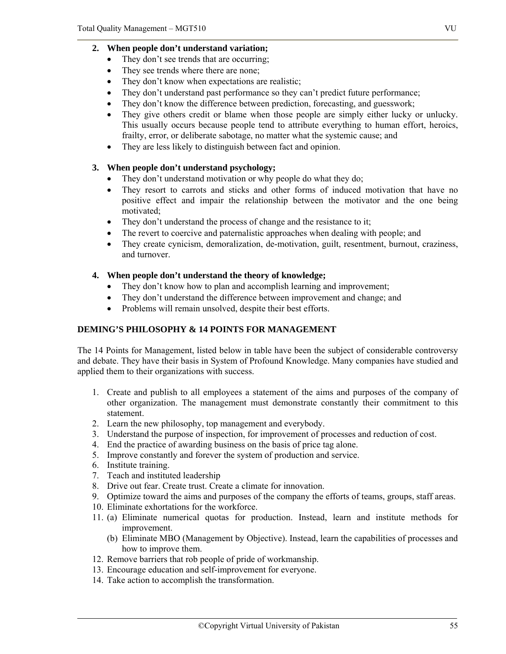#### **2. When people don't understand variation;**

- They don't see trends that are occurring;
- They see trends where there are none:
- They don't know when expectations are realistic;
- They don't understand past performance so they can't predict future performance;
- They don't know the difference between prediction, forecasting, and guesswork;
- They give others credit or blame when those people are simply either lucky or unlucky. This usually occurs because people tend to attribute everything to human effort, heroics, frailty, error, or deliberate sabotage, no matter what the systemic cause; and
- They are less likely to distinguish between fact and opinion.

## **3. When people don't understand psychology;**

- They don't understand motivation or why people do what they do;
- They resort to carrots and sticks and other forms of induced motivation that have no positive effect and impair the relationship between the motivator and the one being motivated;
- They don't understand the process of change and the resistance to it;
- The revert to coercive and paternalistic approaches when dealing with people; and
- They create cynicism, demoralization, de-motivation, guilt, resentment, burnout, craziness, and turnover.

#### **4. When people don't understand the theory of knowledge;**

- They don't know how to plan and accomplish learning and improvement;
- They don't understand the difference between improvement and change; and
- Problems will remain unsolved, despite their best efforts.

## **DEMING'S PHILOSOPHY & 14 POINTS FOR MANAGEMENT**

The 14 Points for Management, listed below in table have been the subject of considerable controversy and debate. They have their basis in System of Profound Knowledge. Many companies have studied and applied them to their organizations with success.

- 1. Create and publish to all employees a statement of the aims and purposes of the company of other organization. The management must demonstrate constantly their commitment to this statement.
- 2. Learn the new philosophy, top management and everybody.
- 3. Understand the purpose of inspection, for improvement of processes and reduction of cost.
- 4. End the practice of awarding business on the basis of price tag alone.
- 5. Improve constantly and forever the system of production and service.
- 6. Institute training.
- 7. Teach and instituted leadership
- 8. Drive out fear. Create trust. Create a climate for innovation.
- 9. Optimize toward the aims and purposes of the company the efforts of teams, groups, staff areas.
- 10. Eliminate exhortations for the workforce.
- 11. (a) Eliminate numerical quotas for production. Instead, learn and institute methods for improvement.
	- (b) Eliminate MBO (Management by Objective). Instead, learn the capabilities of processes and how to improve them.
- 12. Remove barriers that rob people of pride of workmanship.
- 13. Encourage education and self-improvement for everyone.
- 14. Take action to accomplish the transformation.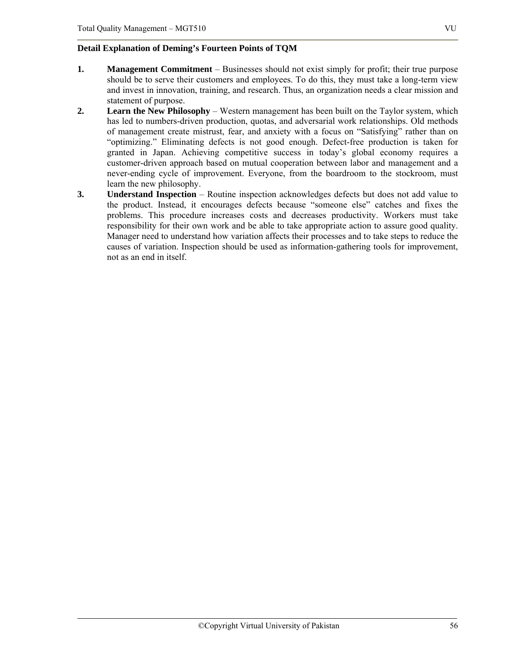- **1. Management Commitment**  Businesses should not exist simply for profit; their true purpose should be to serve their customers and employees. To do this, they must take a long-term view and invest in innovation, training, and research. Thus, an organization needs a clear mission and statement of purpose.
- **2. Learn the New Philosophy**  Western management has been built on the Taylor system, which has led to numbers-driven production, quotas, and adversarial work relationships. Old methods of management create mistrust, fear, and anxiety with a focus on "Satisfying" rather than on "optimizing." Eliminating defects is not good enough. Defect-free production is taken for granted in Japan. Achieving competitive success in today's global economy requires a customer-driven approach based on mutual cooperation between labor and management and a never-ending cycle of improvement. Everyone, from the boardroom to the stockroom, must learn the new philosophy.
- **3. Understand Inspection**  Routine inspection acknowledges defects but does not add value to the product. Instead, it encourages defects because "someone else" catches and fixes the problems. This procedure increases costs and decreases productivity. Workers must take responsibility for their own work and be able to take appropriate action to assure good quality. Manager need to understand how variation affects their processes and to take steps to reduce the causes of variation. Inspection should be used as information-gathering tools for improvement, not as an end in itself.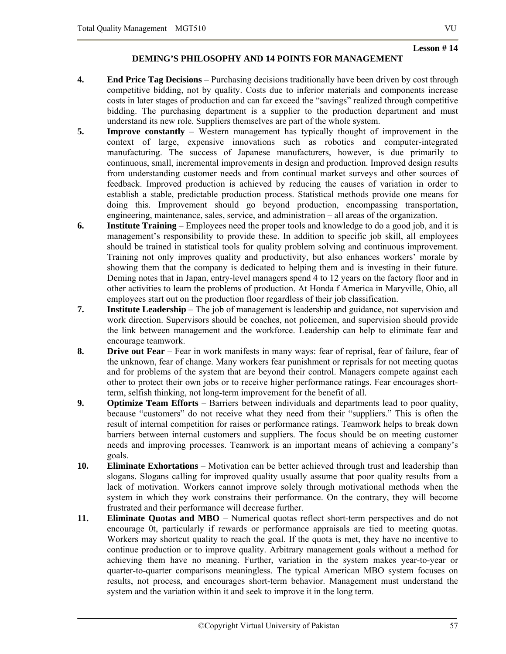#### **Lesson # 14**

#### **DEMING'S PHILOSOPHY AND 14 POINTS FOR MANAGEMENT**

- **4. End Price Tag Decisions** Purchasing decisions traditionally have been driven by cost through competitive bidding, not by quality. Costs due to inferior materials and components increase costs in later stages of production and can far exceed the "savings" realized through competitive bidding. The purchasing department is a supplier to the production department and must understand its new role. Suppliers themselves are part of the whole system.
- **5. Improve constantly**  Western management has typically thought of improvement in the context of large, expensive innovations such as robotics and computer-integrated manufacturing. The success of Japanese manufacturers, however, is due primarily to continuous, small, incremental improvements in design and production. Improved design results from understanding customer needs and from continual market surveys and other sources of feedback. Improved production is achieved by reducing the causes of variation in order to establish a stable, predictable production process. Statistical methods provide one means for doing this. Improvement should go beyond production, encompassing transportation, engineering, maintenance, sales, service, and administration – all areas of the organization.
- **6. Institute Training**  Employees need the proper tools and knowledge to do a good job, and it is management's responsibility to provide these. In addition to specific job skill, all employees should be trained in statistical tools for quality problem solving and continuous improvement. Training not only improves quality and productivity, but also enhances workers' morale by showing them that the company is dedicated to helping them and is investing in their future. Deming notes that in Japan, entry-level managers spend 4 to 12 years on the factory floor and in other activities to learn the problems of production. At Honda f America in Maryville, Ohio, all employees start out on the production floor regardless of their job classification.
- **7. Institute Leadership** The job of management is leadership and guidance, not supervision and work direction. Supervisors should be coaches, not policemen, and supervision should provide the link between management and the workforce. Leadership can help to eliminate fear and encourage teamwork.
- **8. Drive out Fear** Fear in work manifests in many ways: fear of reprisal, fear of failure, fear of the unknown, fear of change. Many workers fear punishment or reprisals for not meeting quotas and for problems of the system that are beyond their control. Managers compete against each other to protect their own jobs or to receive higher performance ratings. Fear encourages shortterm, selfish thinking, not long-term improvement for the benefit of all.
- **9. Optimize Team Efforts**  Barriers between individuals and departments lead to poor quality, because "customers" do not receive what they need from their "suppliers." This is often the result of internal competition for raises or performance ratings. Teamwork helps to break down barriers between internal customers and suppliers. The focus should be on meeting customer needs and improving processes. Teamwork is an important means of achieving a company's goals.
- **10. Eliminate Exhortations** Motivation can be better achieved through trust and leadership than slogans. Slogans calling for improved quality usually assume that poor quality results from a lack of motivation. Workers cannot improve solely through motivational methods when the system in which they work constrains their performance. On the contrary, they will become frustrated and their performance will decrease further.
- **11. Eliminate Quotas and MBO**  Numerical quotas reflect short-term perspectives and do not encourage 0t, particularly if rewards or performance appraisals are tied to meeting quotas. Workers may shortcut quality to reach the goal. If the quota is met, they have no incentive to continue production or to improve quality. Arbitrary management goals without a method for achieving them have no meaning. Further, variation in the system makes year-to-year or quarter-to-quarter comparisons meaningless. The typical American MBO system focuses on results, not process, and encourages short-term behavior. Management must understand the system and the variation within it and seek to improve it in the long term.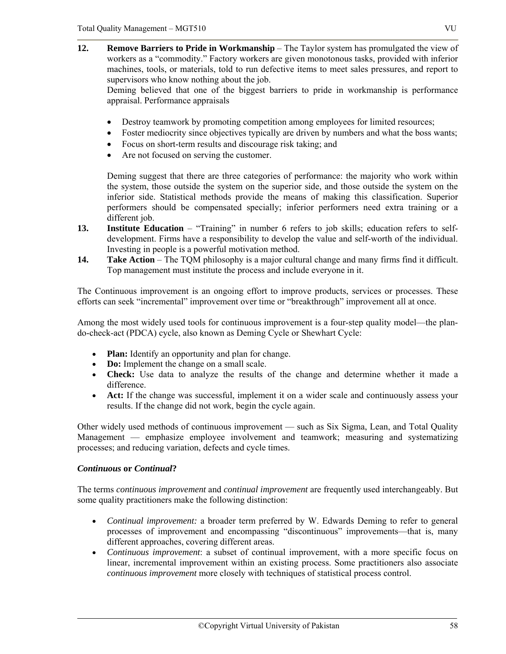**12. Remove Barriers to Pride in Workmanship** – The Taylor system has promulgated the view of workers as a "commodity." Factory workers are given monotonous tasks, provided with inferior machines, tools, or materials, told to run defective items to meet sales pressures, and report to supervisors who know nothing about the job.

Deming believed that one of the biggest barriers to pride in workmanship is performance appraisal. Performance appraisals

- Destroy teamwork by promoting competition among employees for limited resources;
- Foster mediocrity since objectives typically are driven by numbers and what the boss wants;
- Focus on short-term results and discourage risk taking; and
- Are not focused on serving the customer.

Deming suggest that there are three categories of performance: the majority who work within the system, those outside the system on the superior side, and those outside the system on the inferior side. Statistical methods provide the means of making this classification. Superior performers should be compensated specially; inferior performers need extra training or a different job.

- **13. Institute Education**  "Training" in number 6 refers to job skills; education refers to selfdevelopment. Firms have a responsibility to develop the value and self-worth of the individual. Investing in people is a powerful motivation method.
- **14. Take Action** The TQM philosophy is a major cultural change and many firms find it difficult. Top management must institute the process and include everyone in it.

The Continuous improvement is an ongoing effort to improve products, services or processes. These efforts can seek "incremental" improvement over time or "breakthrough" improvement all at once.

Among the most widely used tools for continuous improvement is a four-step quality model—the plando-check-act (PDCA) cycle, also known as Deming Cycle or Shewhart Cycle:

- **Plan:** Identify an opportunity and plan for change.
- **Do:** Implement the change on a small scale.
- **Check:** Use data to analyze the results of the change and determine whether it made a difference.
- Act: If the change was successful, implement it on a wider scale and continuously assess your results. If the change did not work, begin the cycle again.

Other widely used methods of continuous improvement — such as Six Sigma, Lean, and Total Quality Management — emphasize employee involvement and teamwork; measuring and systematizing processes; and reducing variation, defects and cycle times.

#### *Continuous* **or** *Continual***?**

The terms *continuous improvement* and *continual improvement* are frequently used interchangeably. But some quality practitioners make the following distinction:

- *Continual improvement:* a broader term preferred by W. Edwards Deming to refer to general processes of improvement and encompassing "discontinuous" improvements—that is, many different approaches, covering different areas.
- *Continuous improvement*: a subset of continual improvement, with a more specific focus on linear, incremental improvement within an existing process. Some practitioners also associate *continuous improvement* more closely with techniques of statistical process control.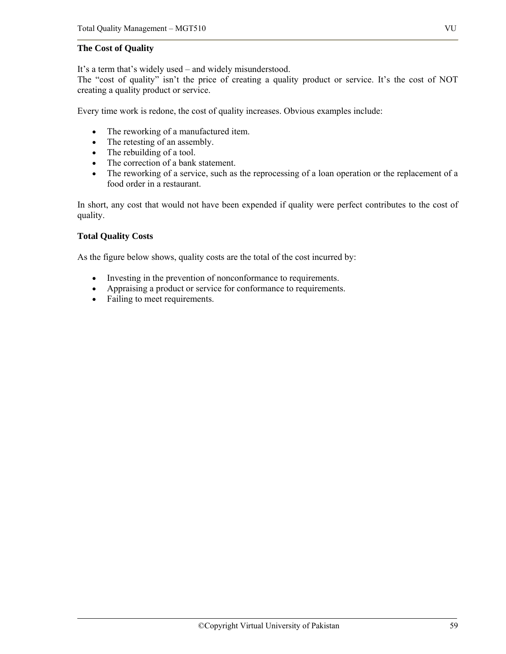## **The Cost of Quality**

It's a term that's widely used – and widely misunderstood.

The "cost of quality" isn't the price of creating a quality product or service. It's the cost of NOT creating a quality product or service.

Every time work is redone, the cost of quality increases. Obvious examples include:

- The reworking of a manufactured item.
- The retesting of an assembly.
- The rebuilding of a tool.
- The correction of a bank statement.
- The reworking of a service, such as the reprocessing of a loan operation or the replacement of a food order in a restaurant.

In short, any cost that would not have been expended if quality were perfect contributes to the cost of quality.

#### **Total Quality Costs**

As the figure below shows, quality costs are the total of the cost incurred by:

- Investing in the prevention of nonconformance to requirements.
- Appraising a product or service for conformance to requirements.
- Failing to meet requirements.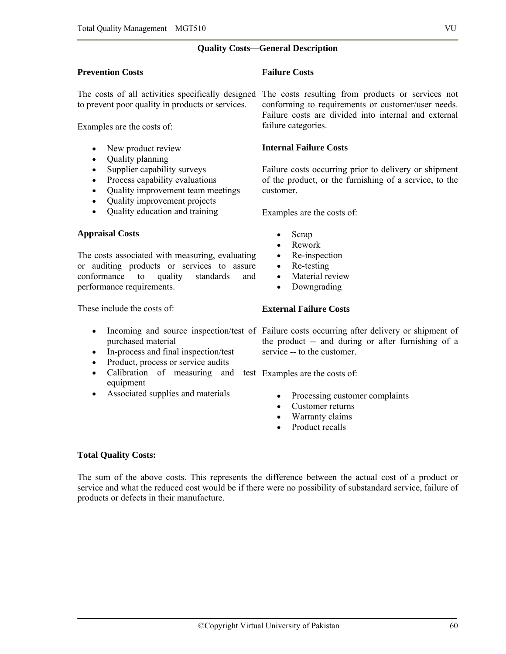## **Quality Costs—General Description**

## **Prevention Costs**

to prevent poor quality in products or services.

Examples are the costs of:

- New product review
- Quality planning
- Supplier capability surveys
- Process capability evaluations
- Quality improvement team meetings
- Quality improvement projects
- Quality education and training

#### **Appraisal Costs**

The costs associated with measuring, evaluating or auditing products or services to assure conformance to quality standards and performance requirements.

These include the costs of:

- purchased material
- In-process and final inspection/test
- Product, process or service audits
- Calibration of measuring and equipment
- Associated supplies and materials

## **Failure Costs**

The costs of all activities specifically designed The costs resulting from products or services not conforming to requirements or customer/user needs. Failure costs are divided into internal and external failure categories.

## **Internal Failure Costs**

Failure costs occurring prior to delivery or shipment of the product, or the furnishing of a service, to the customer.

Examples are the costs of:

- Scrap
- Rework
- Re-inspection
- Re-testing
- Material review
- Downgrading

## **External Failure Costs**

• Incoming and source inspection/test of Failure costs occurring after delivery or shipment of the product -- and during or after furnishing of a service -- to the customer.

Examples are the costs of:

- Processing customer complaints
- Customer returns
- Warranty claims
- Product recalls

## **Total Quality Costs:**

The sum of the above costs. This represents the difference between the actual cost of a product or service and what the reduced cost would be if there were no possibility of substandard service, failure of products or defects in their manufacture.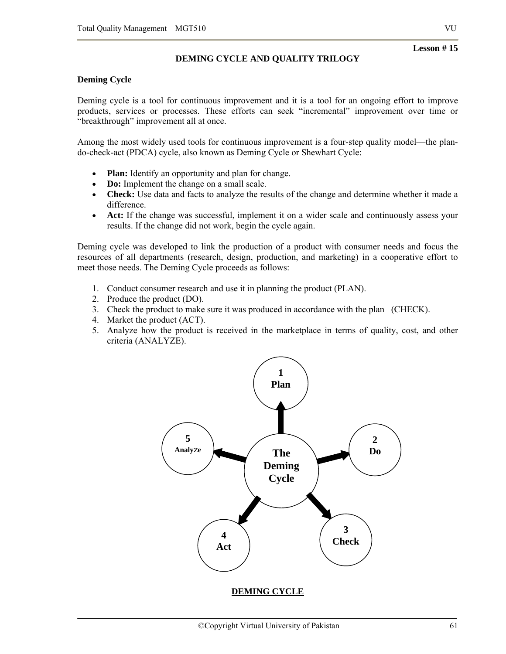# **DEMING CYCLE AND QUALITY TRILOGY**

## **Deming Cycle**

Deming cycle is a tool for continuous improvement and it is a tool for an ongoing effort to improve products, services or processes. These efforts can seek "incremental" improvement over time or "breakthrough" improvement all at once.

Among the most widely used tools for continuous improvement is a four-step quality model—the plando-check-act (PDCA) cycle, also known as Deming Cycle or Shewhart Cycle:

- **Plan:** Identify an opportunity and plan for change.
- **Do:** Implement the change on a small scale.
- **Check:** Use data and facts to analyze the results of the change and determine whether it made a difference.
- Act: If the change was successful, implement it on a wider scale and continuously assess your results. If the change did not work, begin the cycle again.

Deming cycle was developed to link the production of a product with consumer needs and focus the resources of all departments (research, design, production, and marketing) in a cooperative effort to meet those needs. The Deming Cycle proceeds as follows:

- 1. Conduct consumer research and use it in planning the product (PLAN).
- 2. Produce the product (DO).
- 3. Check the product to make sure it was produced in accordance with the plan (CHECK).
- 4. Market the product (ACT).
- 5. Analyze how the product is received in the marketplace in terms of quality, cost, and other criteria (ANALYZE).



## **DEMING CYCLE**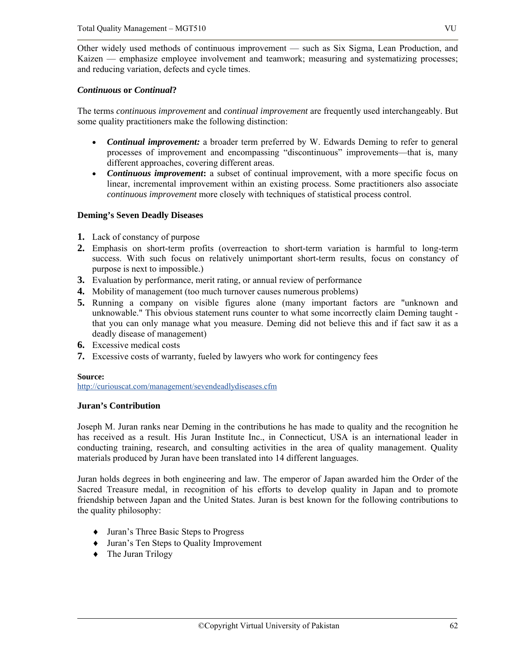Other widely used methods of continuous improvement — such as Six Sigma, Lean Production, and Kaizen — emphasize employee involvement and teamwork; measuring and systematizing processes; and reducing variation, defects and cycle times.

#### *Continuous* **or** *Continual***?**

The terms *continuous improvement* and *continual improvement* are frequently used interchangeably. But some quality practitioners make the following distinction:

- *Continual improvement:* a broader term preferred by W. Edwards Deming to refer to general processes of improvement and encompassing "discontinuous" improvements—that is, many different approaches, covering different areas.
- *Continuous improvement*: a subset of continual improvement, with a more specific focus on linear, incremental improvement within an existing process. Some practitioners also associate *continuous improvement* more closely with techniques of statistical process control.

#### **Deming's Seven Deadly Diseases**

- **1.** Lack of constancy of purpose
- **2.** Emphasis on short-term profits (overreaction to short-term variation is harmful to long-term success. With such focus on relatively unimportant short-term results, focus on constancy of purpose is next to impossible.)
- **3.** Evaluation by performance, merit rating, or annual review of performance
- **4.** Mobility of management (too much turnover causes numerous problems)
- **5.** Running a company on visible figures alone (many important factors are "unknown and unknowable." This obvious statement runs counter to what some incorrectly claim Deming taught that you can only manage what you measure. Deming did not believe this and if fact saw it as a deadly disease of management)
- **6.** Excessive medical costs
- **7.** Excessive costs of warranty, fueled by lawyers who work for contingency fees

#### **Source:**

http://curiouscat.com/management/sevendeadlydiseases.cfm

#### **Juran's Contribution**

Joseph M. Juran ranks near Deming in the contributions he has made to quality and the recognition he has received as a result. His Juran Institute Inc., in Connecticut, USA is an international leader in conducting training, research, and consulting activities in the area of quality management. Quality materials produced by Juran have been translated into 14 different languages.

Juran holds degrees in both engineering and law. The emperor of Japan awarded him the Order of the Sacred Treasure medal, in recognition of his efforts to develop quality in Japan and to promote friendship between Japan and the United States. Juran is best known for the following contributions to the quality philosophy:

- ♦ Juran's Three Basic Steps to Progress
- ♦ Juran's Ten Steps to Quality Improvement
- ♦ The Juran Trilogy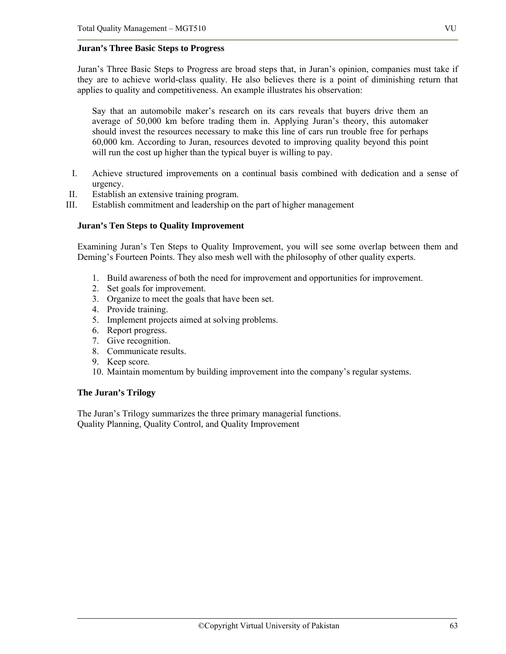#### **Juran's Three Basic Steps to Progress**

Juran's Three Basic Steps to Progress are broad steps that, in Juran's opinion, companies must take if they are to achieve world-class quality. He also believes there is a point of diminishing return that applies to quality and competitiveness. An example illustrates his observation:

Say that an automobile maker's research on its cars reveals that buyers drive them an average of 50,000 km before trading them in. Applying Juran's theory, this automaker should invest the resources necessary to make this line of cars run trouble free for perhaps 60,000 km. According to Juran, resources devoted to improving quality beyond this point will run the cost up higher than the typical buyer is willing to pay.

- I. Achieve structured improvements on a continual basis combined with dedication and a sense of urgency.
- II. Establish an extensive training program.
- III. Establish commitment and leadership on the part of higher management

#### **Juran's Ten Steps to Quality Improvement**

Examining Juran's Ten Steps to Quality Improvement, you will see some overlap between them and Deming's Fourteen Points. They also mesh well with the philosophy of other quality experts.

- 1. Build awareness of both the need for improvement and opportunities for improvement.
- 2. Set goals for improvement.
- 3. Organize to meet the goals that have been set.
- 4. Provide training.
- 5. Implement projects aimed at solving problems.
- 6. Report progress.
- 7. Give recognition.
- 8. Communicate results.
- 9. Keep score.
- 10. Maintain momentum by building improvement into the company's regular systems.

#### **The Juran's Trilogy**

The Juran's Trilogy summarizes the three primary managerial functions. Quality Planning, Quality Control, and Quality Improvement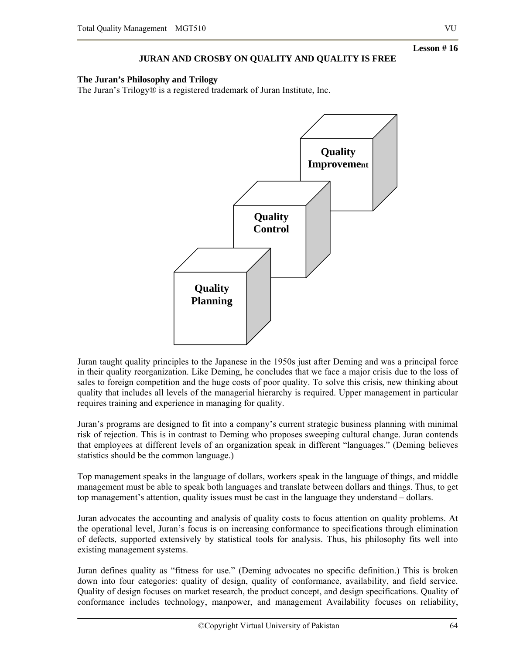## **JURAN AND CROSBY ON QUALITY AND QUALITY IS FREE**

## **The Juran's Philosophy and Trilogy**

The Juran's Trilogy® is a registered trademark of Juran Institute, Inc.



Juran taught quality principles to the Japanese in the 1950s just after Deming and was a principal force in their quality reorganization. Like Deming, he concludes that we face a major crisis due to the loss of sales to foreign competition and the huge costs of poor quality. To solve this crisis, new thinking about quality that includes all levels of the managerial hierarchy is required. Upper management in particular requires training and experience in managing for quality.

Juran's programs are designed to fit into a company's current strategic business planning with minimal risk of rejection. This is in contrast to Deming who proposes sweeping cultural change. Juran contends that employees at different levels of an organization speak in different "languages." (Deming believes statistics should be the common language.)

Top management speaks in the language of dollars, workers speak in the language of things, and middle management must be able to speak both languages and translate between dollars and things. Thus, to get top management's attention, quality issues must be cast in the language they understand – dollars.

Juran advocates the accounting and analysis of quality costs to focus attention on quality problems. At the operational level, Juran's focus is on increasing conformance to specifications through elimination of defects, supported extensively by statistical tools for analysis. Thus, his philosophy fits well into existing management systems.

Juran defines quality as "fitness for use." (Deming advocates no specific definition.) This is broken down into four categories: quality of design, quality of conformance, availability, and field service. Quality of design focuses on market research, the product concept, and design specifications. Quality of conformance includes technology, manpower, and management Availability focuses on reliability,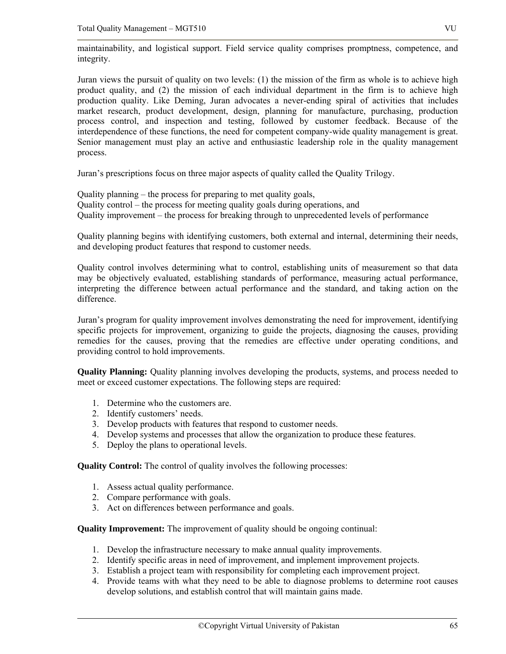maintainability, and logistical support. Field service quality comprises promptness, competence, and integrity.

Juran views the pursuit of quality on two levels: (1) the mission of the firm as whole is to achieve high product quality, and (2) the mission of each individual department in the firm is to achieve high production quality. Like Deming, Juran advocates a never-ending spiral of activities that includes market research, product development, design, planning for manufacture, purchasing, production process control, and inspection and testing, followed by customer feedback. Because of the interdependence of these functions, the need for competent company-wide quality management is great. Senior management must play an active and enthusiastic leadership role in the quality management process.

Juran's prescriptions focus on three major aspects of quality called the Quality Trilogy.

Quality planning – the process for preparing to met quality goals, Quality control – the process for meeting quality goals during operations, and Quality improvement – the process for breaking through to unprecedented levels of performance

Quality planning begins with identifying customers, both external and internal, determining their needs, and developing product features that respond to customer needs.

Quality control involves determining what to control, establishing units of measurement so that data may be objectively evaluated, establishing standards of performance, measuring actual performance, interpreting the difference between actual performance and the standard, and taking action on the difference.

Juran's program for quality improvement involves demonstrating the need for improvement, identifying specific projects for improvement, organizing to guide the projects, diagnosing the causes, providing remedies for the causes, proving that the remedies are effective under operating conditions, and providing control to hold improvements.

**Quality Planning:** Quality planning involves developing the products, systems, and process needed to meet or exceed customer expectations. The following steps are required:

- 1. Determine who the customers are.
- 2. Identify customers' needs.
- 3. Develop products with features that respond to customer needs.
- 4. Develop systems and processes that allow the organization to produce these features.
- 5. Deploy the plans to operational levels.

**Quality Control:** The control of quality involves the following processes:

- 1. Assess actual quality performance.
- 2. Compare performance with goals.
- 3. Act on differences between performance and goals.

**Quality Improvement:** The improvement of quality should be ongoing continual:

- 1. Develop the infrastructure necessary to make annual quality improvements.
- 2. Identify specific areas in need of improvement, and implement improvement projects.
- 3. Establish a project team with responsibility for completing each improvement project.
- 4. Provide teams with what they need to be able to diagnose problems to determine root causes develop solutions, and establish control that will maintain gains made.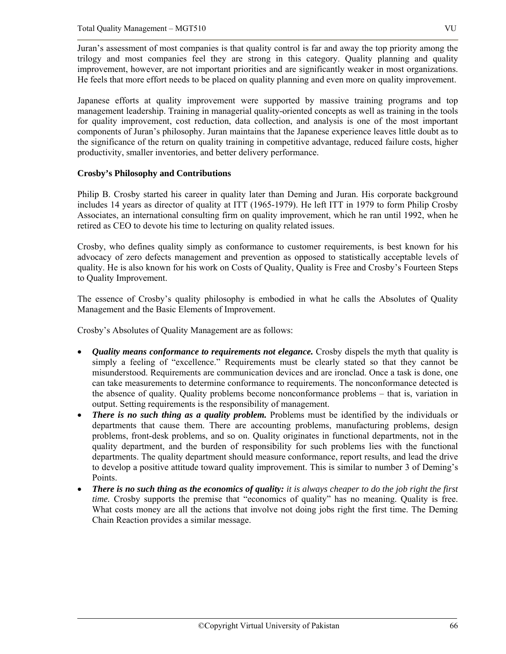Juran's assessment of most companies is that quality control is far and away the top priority among the trilogy and most companies feel they are strong in this category. Quality planning and quality improvement, however, are not important priorities and are significantly weaker in most organizations. He feels that more effort needs to be placed on quality planning and even more on quality improvement.

Japanese efforts at quality improvement were supported by massive training programs and top management leadership. Training in managerial quality-oriented concepts as well as training in the tools for quality improvement, cost reduction, data collection, and analysis is one of the most important components of Juran's philosophy. Juran maintains that the Japanese experience leaves little doubt as to the significance of the return on quality training in competitive advantage, reduced failure costs, higher productivity, smaller inventories, and better delivery performance.

#### **Crosby's Philosophy and Contributions**

Philip B. Crosby started his career in quality later than Deming and Juran. His corporate background includes 14 years as director of quality at ITT (1965-1979). He left ITT in 1979 to form Philip Crosby Associates, an international consulting firm on quality improvement, which he ran until 1992, when he retired as CEO to devote his time to lecturing on quality related issues.

Crosby, who defines quality simply as conformance to customer requirements, is best known for his advocacy of zero defects management and prevention as opposed to statistically acceptable levels of quality. He is also known for his work on Costs of Quality, Quality is Free and Crosby's Fourteen Steps to Quality Improvement.

The essence of Crosby's quality philosophy is embodied in what he calls the Absolutes of Quality Management and the Basic Elements of Improvement.

Crosby's Absolutes of Quality Management are as follows:

- *Quality means conformance to requirements not elegance.* Crosby dispels the myth that quality is simply a feeling of "excellence." Requirements must be clearly stated so that they cannot be misunderstood. Requirements are communication devices and are ironclad. Once a task is done, one can take measurements to determine conformance to requirements. The nonconformance detected is the absence of quality. Quality problems become nonconformance problems – that is, variation in output. Setting requirements is the responsibility of management.
- *There is no such thing as a quality problem.* Problems must be identified by the individuals or departments that cause them. There are accounting problems, manufacturing problems, design problems, front-desk problems, and so on. Quality originates in functional departments, not in the quality department, and the burden of responsibility for such problems lies with the functional departments. The quality department should measure conformance, report results, and lead the drive to develop a positive attitude toward quality improvement. This is similar to number 3 of Deming's Points.
- *There is no such thing as the economics of quality: it is always cheaper to do the job right the first time.* Crosby supports the premise that "economics of quality" has no meaning. Quality is free. What costs money are all the actions that involve not doing jobs right the first time. The Deming Chain Reaction provides a similar message.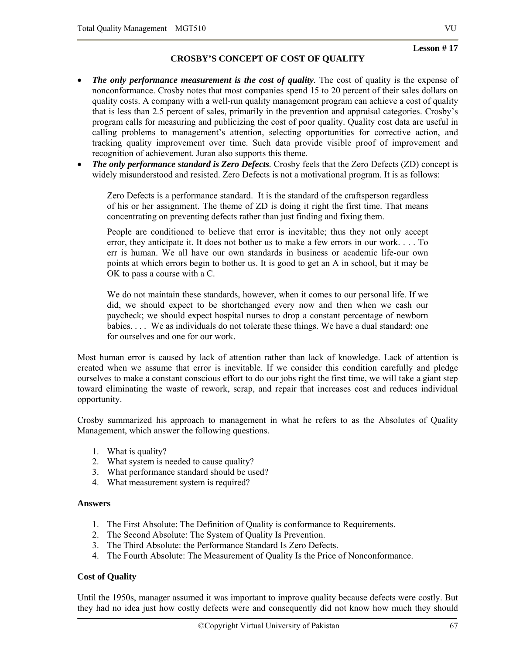#### **Lesson # 17**

## **CROSBY'S CONCEPT OF COST OF QUALITY**

- *The only performance measurement is the cost of quality*. The cost of quality is the expense of nonconformance. Crosby notes that most companies spend 15 to 20 percent of their sales dollars on quality costs. A company with a well-run quality management program can achieve a cost of quality that is less than 2.5 percent of sales, primarily in the prevention and appraisal categories. Crosby's program calls for measuring and publicizing the cost of poor quality. Quality cost data are useful in calling problems to management's attention, selecting opportunities for corrective action, and tracking quality improvement over time. Such data provide visible proof of improvement and recognition of achievement. Juran also supports this theme.
- *The only performance standard is Zero Defects.* Crosby feels that the Zero Defects (ZD) concept is widely misunderstood and resisted. Zero Defects is not a motivational program. It is as follows:

Zero Defects is a performance standard. It is the standard of the craftsperson regardless of his or her assignment. The theme of ZD is doing it right the first time. That means concentrating on preventing defects rather than just finding and fixing them.

People are conditioned to believe that error is inevitable; thus they not only accept error, they anticipate it. It does not bother us to make a few errors in our work. . . . To err is human. We all have our own standards in business or academic life-our own points at which errors begin to bother us. It is good to get an A in school, but it may be OK to pass a course with a C.

We do not maintain these standards, however, when it comes to our personal life. If we did, we should expect to be shortchanged every now and then when we cash our paycheck; we should expect hospital nurses to drop a constant percentage of newborn babies. . . . We as individuals do not tolerate these things. We have a dual standard: one for ourselves and one for our work.

Most human error is caused by lack of attention rather than lack of knowledge. Lack of attention is created when we assume that error is inevitable. If we consider this condition carefully and pledge ourselves to make a constant conscious effort to do our jobs right the first time, we will take a giant step toward eliminating the waste of rework, scrap, and repair that increases cost and reduces individual opportunity.

Crosby summarized his approach to management in what he refers to as the Absolutes of Quality Management, which answer the following questions.

- 1. What is quality?
- 2. What system is needed to cause quality?
- 3. What performance standard should be used?
- 4. What measurement system is required?

#### **Answers**

- 1. The First Absolute: The Definition of Quality is conformance to Requirements.
- 2. The Second Absolute: The System of Quality Is Prevention.
- 3. The Third Absolute: the Performance Standard Is Zero Defects.
- 4. The Fourth Absolute: The Measurement of Quality Is the Price of Nonconformance.

## **Cost of Quality**

Until the 1950s, manager assumed it was important to improve quality because defects were costly. But they had no idea just how costly defects were and consequently did not know how much they should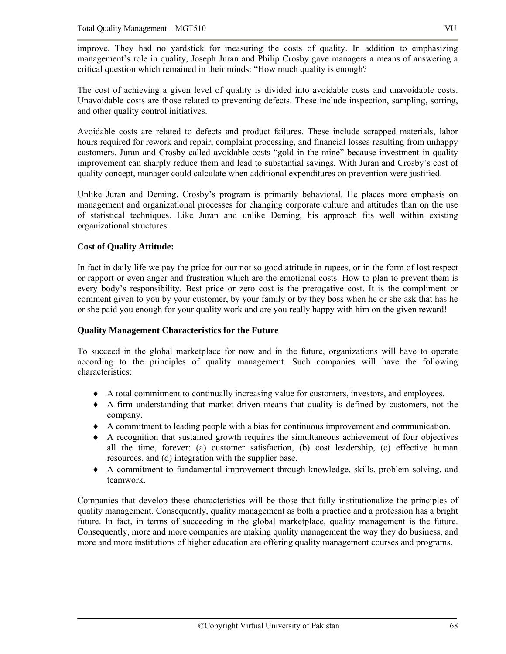improve. They had no yardstick for measuring the costs of quality. In addition to emphasizing management's role in quality, Joseph Juran and Philip Crosby gave managers a means of answering a critical question which remained in their minds: "How much quality is enough?

The cost of achieving a given level of quality is divided into avoidable costs and unavoidable costs. Unavoidable costs are those related to preventing defects. These include inspection, sampling, sorting, and other quality control initiatives.

Avoidable costs are related to defects and product failures. These include scrapped materials, labor hours required for rework and repair, complaint processing, and financial losses resulting from unhappy customers. Juran and Crosby called avoidable costs "gold in the mine" because investment in quality improvement can sharply reduce them and lead to substantial savings. With Juran and Crosby's cost of quality concept, manager could calculate when additional expenditures on prevention were justified.

Unlike Juran and Deming, Crosby's program is primarily behavioral. He places more emphasis on management and organizational processes for changing corporate culture and attitudes than on the use of statistical techniques. Like Juran and unlike Deming, his approach fits well within existing organizational structures.

#### **Cost of Quality Attitude:**

In fact in daily life we pay the price for our not so good attitude in rupees, or in the form of lost respect or rapport or even anger and frustration which are the emotional costs. How to plan to prevent them is every body's responsibility. Best price or zero cost is the prerogative cost. It is the compliment or comment given to you by your customer, by your family or by they boss when he or she ask that has he or she paid you enough for your quality work and are you really happy with him on the given reward!

#### **Quality Management Characteristics for the Future**

To succeed in the global marketplace for now and in the future, organizations will have to operate according to the principles of quality management. Such companies will have the following characteristics:

- ♦ A total commitment to continually increasing value for customers, investors, and employees.
- ♦ A firm understanding that market driven means that quality is defined by customers, not the company.
- ♦ A commitment to leading people with a bias for continuous improvement and communication.
- ♦ A recognition that sustained growth requires the simultaneous achievement of four objectives all the time, forever: (a) customer satisfaction, (b) cost leadership, (c) effective human resources, and (d) integration with the supplier base.
- ♦ A commitment to fundamental improvement through knowledge, skills, problem solving, and teamwork.

Companies that develop these characteristics will be those that fully institutionalize the principles of quality management. Consequently, quality management as both a practice and a profession has a bright future. In fact, in terms of succeeding in the global marketplace, quality management is the future. Consequently, more and more companies are making quality management the way they do business, and more and more institutions of higher education are offering quality management courses and programs.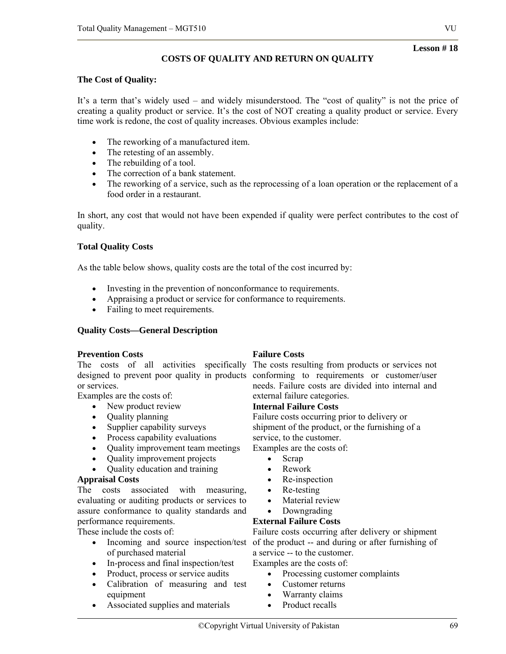## **Lesson # 18**

# **COSTS OF QUALITY AND RETURN ON QUALITY**

## **The Cost of Quality:**

It's a term that's widely used – and widely misunderstood. The "cost of quality" is not the price of creating a quality product or service. It's the cost of NOT creating a quality product or service. Every time work is redone, the cost of quality increases. Obvious examples include:

- The reworking of a manufactured item.
- The retesting of an assembly.
- The rebuilding of a tool.
- The correction of a bank statement.
- The reworking of a service, such as the reprocessing of a loan operation or the replacement of a food order in a restaurant.

In short, any cost that would not have been expended if quality were perfect contributes to the cost of quality.

#### **Total Quality Costs**

As the table below shows, quality costs are the total of the cost incurred by:

- Investing in the prevention of nonconformance to requirements.
- Appraising a product or service for conformance to requirements.
- Failing to meet requirements.

#### **Quality Costs—General Description**

#### **Prevention Costs**

or services.

Examples are the costs of:

- New product review
- Quality planning
- Supplier capability surveys
- Process capability evaluations
- Quality improvement team meetings
- Quality improvement projects
- Quality education and training

#### **Appraisal Costs**

The costs associated with measuring, evaluating or auditing products or services to assure conformance to quality standards and performance requirements.

These include the costs of:

- of purchased material
- In-process and final inspection/test
- Product, process or service audits
- Calibration of measuring and test equipment
- Associated supplies and materials

## **Failure Costs**

The costs of all activities specifically The costs resulting from products or services not designed to prevent poor quality in products conforming to requirements or customer/user needs. Failure costs are divided into internal and external failure categories.

#### **Internal Failure Costs**

Failure costs occurring prior to delivery or shipment of the product, or the furnishing of a service, to the customer.

Examples are the costs of:

- Scrap
- Rework
- Re-inspection
- Re-testing
- Material review
- Downgrading

## **External Failure Costs**

• Incoming and source inspection/test of the product -- and during or after furnishing of Failure costs occurring after delivery or shipment a service -- to the customer.

Examples are the costs of:

- Processing customer complaints
- Customer returns
- Warranty claims
- Product recalls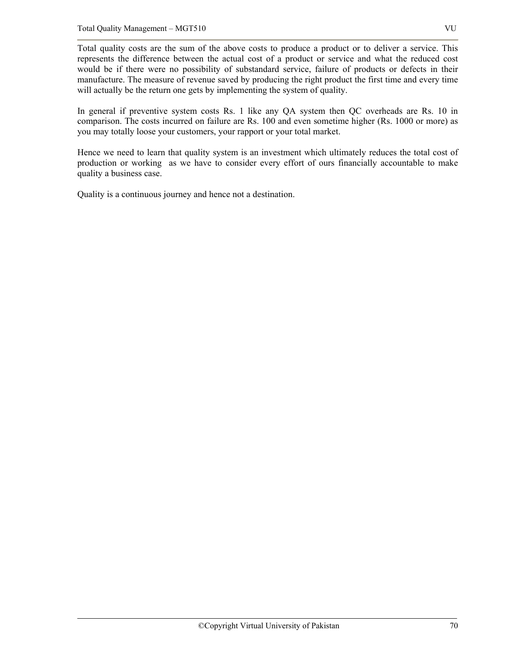Total quality costs are the sum of the above costs to produce a product or to deliver a service. This represents the difference between the actual cost of a product or service and what the reduced cost would be if there were no possibility of substandard service, failure of products or defects in their manufacture. The measure of revenue saved by producing the right product the first time and every time will actually be the return one gets by implementing the system of quality.

In general if preventive system costs Rs. 1 like any QA system then QC overheads are Rs. 10 in comparison. The costs incurred on failure are Rs. 100 and even sometime higher (Rs. 1000 or more) as you may totally loose your customers, your rapport or your total market.

Hence we need to learn that quality system is an investment which ultimately reduces the total cost of production or working as we have to consider every effort of ours financially accountable to make quality a business case.

Quality is a continuous journey and hence not a destination.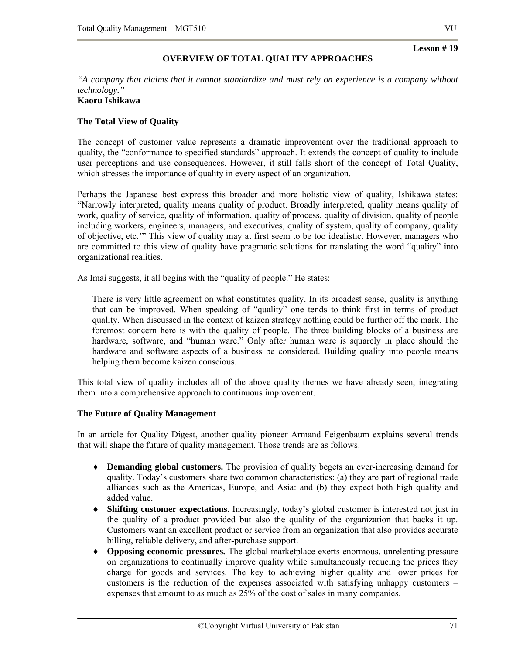# **OVERVIEW OF TOTAL QUALITY APPROACHES**

*"A company that claims that it cannot standardize and must rely on experience is a company without technology."* 

## **Kaoru Ishikawa**

## **The Total View of Quality**

The concept of customer value represents a dramatic improvement over the traditional approach to quality, the "conformance to specified standards" approach. It extends the concept of quality to include user perceptions and use consequences. However, it still falls short of the concept of Total Quality, which stresses the importance of quality in every aspect of an organization.

Perhaps the Japanese best express this broader and more holistic view of quality, Ishikawa states: "Narrowly interpreted, quality means quality of product. Broadly interpreted, quality means quality of work, quality of service, quality of information, quality of process, quality of division, quality of people including workers, engineers, managers, and executives, quality of system, quality of company, quality of objective, etc.'" This view of quality may at first seem to be too idealistic. However, managers who are committed to this view of quality have pragmatic solutions for translating the word "quality" into organizational realities.

As Imai suggests, it all begins with the "quality of people." He states:

 There is very little agreement on what constitutes quality. In its broadest sense, quality is anything that can be improved. When speaking of "quality" one tends to think first in terms of product quality. When discussed in the context of kaizen strategy nothing could be further off the mark. The foremost concern here is with the quality of people. The three building blocks of a business are hardware, software, and "human ware." Only after human ware is squarely in place should the hardware and software aspects of a business be considered. Building quality into people means helping them become kaizen conscious.

This total view of quality includes all of the above quality themes we have already seen, integrating them into a comprehensive approach to continuous improvement.

## **The Future of Quality Management**

In an article for Quality Digest, another quality pioneer Armand Feigenbaum explains several trends that will shape the future of quality management. Those trends are as follows:

- ♦ **Demanding global customers.** The provision of quality begets an ever-increasing demand for quality. Today's customers share two common characteristics: (a) they are part of regional trade alliances such as the Americas, Europe, and Asia: and (b) they expect both high quality and added value.
- ♦ **Shifting customer expectations.** Increasingly, today's global customer is interested not just in the quality of a product provided but also the quality of the organization that backs it up. Customers want an excellent product or service from an organization that also provides accurate billing, reliable delivery, and after-purchase support.
- ♦ **Opposing economic pressures.** The global marketplace exerts enormous, unrelenting pressure on organizations to continually improve quality while simultaneously reducing the prices they charge for goods and services. The key to achieving higher quality and lower prices for customers is the reduction of the expenses associated with satisfying unhappy customers – expenses that amount to as much as 25% of the cost of sales in many companies.

**Lesson # 19**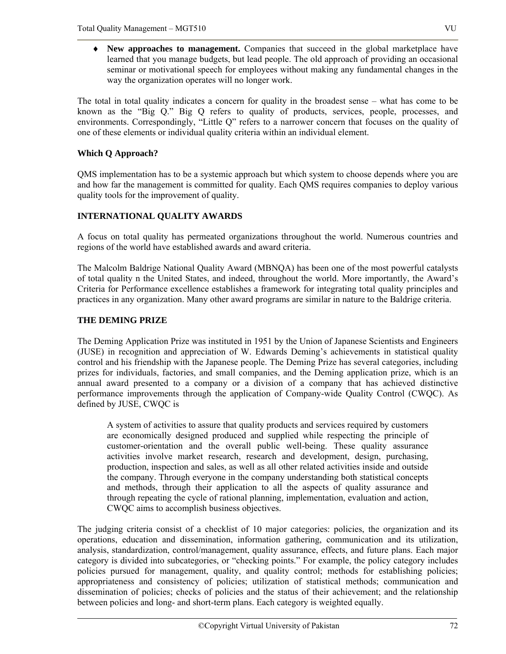♦ **New approaches to management.** Companies that succeed in the global marketplace have learned that you manage budgets, but lead people. The old approach of providing an occasional seminar or motivational speech for employees without making any fundamental changes in the way the organization operates will no longer work.

The total in total quality indicates a concern for quality in the broadest sense – what has come to be known as the "Big Q." Big Q refers to quality of products, services, people, processes, and environments. Correspondingly, "Little Q" refers to a narrower concern that focuses on the quality of one of these elements or individual quality criteria within an individual element.

# **Which Q Approach?**

QMS implementation has to be a systemic approach but which system to choose depends where you are and how far the management is committed for quality. Each QMS requires companies to deploy various quality tools for the improvement of quality.

# **INTERNATIONAL QUALITY AWARDS**

A focus on total quality has permeated organizations throughout the world. Numerous countries and regions of the world have established awards and award criteria.

The Malcolm Baldrige National Quality Award (MBNQA) has been one of the most powerful catalysts of total quality n the United States, and indeed, throughout the world. More importantly, the Award's Criteria for Performance excellence establishes a framework for integrating total quality principles and practices in any organization. Many other award programs are similar in nature to the Baldrige criteria.

# **THE DEMING PRIZE**

The Deming Application Prize was instituted in 1951 by the Union of Japanese Scientists and Engineers (JUSE) in recognition and appreciation of W. Edwards Deming's achievements in statistical quality control and his friendship with the Japanese people. The Deming Prize has several categories, including prizes for individuals, factories, and small companies, and the Deming application prize, which is an annual award presented to a company or a division of a company that has achieved distinctive performance improvements through the application of Company-wide Quality Control (CWQC). As defined by JUSE, CWQC is

 A system of activities to assure that quality products and services required by customers are economically designed produced and supplied while respecting the principle of customer-orientation and the overall public well-being. These quality assurance activities involve market research, research and development, design, purchasing, production, inspection and sales, as well as all other related activities inside and outside the company. Through everyone in the company understanding both statistical concepts and methods, through their application to all the aspects of quality assurance and through repeating the cycle of rational planning, implementation, evaluation and action, CWQC aims to accomplish business objectives.

The judging criteria consist of a checklist of 10 major categories: policies, the organization and its operations, education and dissemination, information gathering, communication and its utilization, analysis, standardization, control/management, quality assurance, effects, and future plans. Each major category is divided into subcategories, or "checking points." For example, the policy category includes policies pursued for management, quality, and quality control; methods for establishing policies; appropriateness and consistency of policies; utilization of statistical methods; communication and dissemination of policies; checks of policies and the status of their achievement; and the relationship between policies and long- and short-term plans. Each category is weighted equally.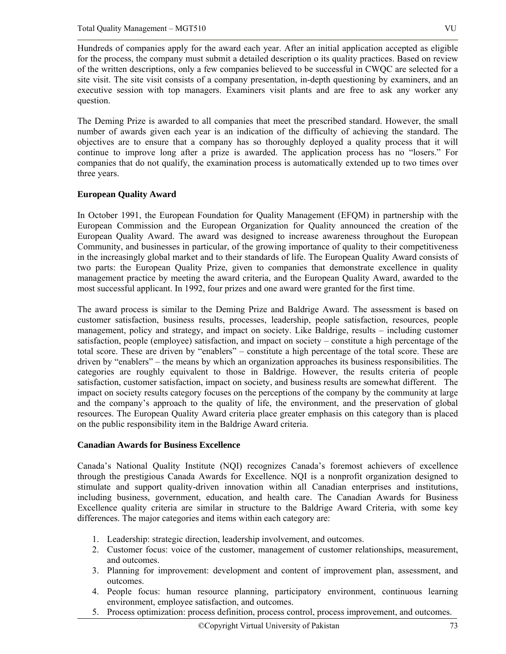Hundreds of companies apply for the award each year. After an initial application accepted as eligible for the process, the company must submit a detailed description o its quality practices. Based on review of the written descriptions, only a few companies believed to be successful in CWQC are selected for a site visit. The site visit consists of a company presentation, in-depth questioning by examiners, and an executive session with top managers. Examiners visit plants and are free to ask any worker any question.

The Deming Prize is awarded to all companies that meet the prescribed standard. However, the small number of awards given each year is an indication of the difficulty of achieving the standard. The objectives are to ensure that a company has so thoroughly deployed a quality process that it will continue to improve long after a prize is awarded. The application process has no "losers." For companies that do not qualify, the examination process is automatically extended up to two times over three years.

# **European Quality Award**

In October 1991, the European Foundation for Quality Management (EFQM) in partnership with the European Commission and the European Organization for Quality announced the creation of the European Quality Award. The award was designed to increase awareness throughout the European Community, and businesses in particular, of the growing importance of quality to their competitiveness in the increasingly global market and to their standards of life. The European Quality Award consists of two parts: the European Quality Prize, given to companies that demonstrate excellence in quality management practice by meeting the award criteria, and the European Quality Award, awarded to the most successful applicant. In 1992, four prizes and one award were granted for the first time.

The award process is similar to the Deming Prize and Baldrige Award. The assessment is based on customer satisfaction, business results, processes, leadership, people satisfaction, resources, people management, policy and strategy, and impact on society. Like Baldrige, results – including customer satisfaction, people (employee) satisfaction, and impact on society – constitute a high percentage of the total score. These are driven by "enablers" – constitute a high percentage of the total score. These are driven by "enablers" – the means by which an organization approaches its business responsibilities. The categories are roughly equivalent to those in Baldrige. However, the results criteria of people satisfaction, customer satisfaction, impact on society, and business results are somewhat different. The impact on society results category focuses on the perceptions of the company by the community at large and the company's approach to the quality of life, the environment, and the preservation of global resources. The European Quality Award criteria place greater emphasis on this category than is placed on the public responsibility item in the Baldrige Award criteria.

# **Canadian Awards for Business Excellence**

Canada's National Quality Institute (NQI) recognizes Canada's foremost achievers of excellence through the prestigious Canada Awards for Excellence. NQI is a nonprofit organization designed to stimulate and support quality-driven innovation within all Canadian enterprises and institutions, including business, government, education, and health care. The Canadian Awards for Business Excellence quality criteria are similar in structure to the Baldrige Award Criteria, with some key differences. The major categories and items within each category are:

- 1. Leadership: strategic direction, leadership involvement, and outcomes.
- 2. Customer focus: voice of the customer, management of customer relationships, measurement, and outcomes.
- 3. Planning for improvement: development and content of improvement plan, assessment, and outcomes.
- 4. People focus: human resource planning, participatory environment, continuous learning environment, employee satisfaction, and outcomes.
- 5. Process optimization: process definition, process control, process improvement, and outcomes.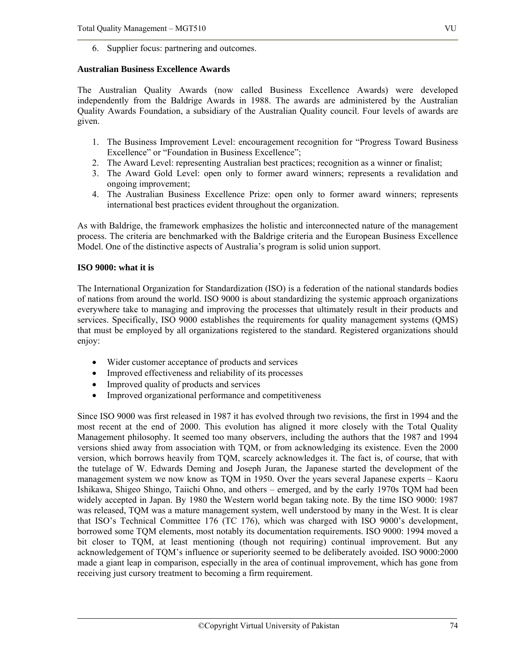#### **Australian Business Excellence Awards**

The Australian Quality Awards (now called Business Excellence Awards) were developed independently from the Baldrige Awards in 1988. The awards are administered by the Australian Quality Awards Foundation, a subsidiary of the Australian Quality council. Four levels of awards are given.

- 1. The Business Improvement Level: encouragement recognition for "Progress Toward Business Excellence" or "Foundation in Business Excellence";
- 2. The Award Level: representing Australian best practices; recognition as a winner or finalist;
- 3. The Award Gold Level: open only to former award winners; represents a revalidation and ongoing improvement;
- 4. The Australian Business Excellence Prize: open only to former award winners; represents international best practices evident throughout the organization.

As with Baldrige, the framework emphasizes the holistic and interconnected nature of the management process. The criteria are benchmarked with the Baldrige criteria and the European Business Excellence Model. One of the distinctive aspects of Australia's program is solid union support.

#### **ISO 9000: what it is**

The International Organization for Standardization (ISO) is a federation of the national standards bodies of nations from around the world. ISO 9000 is about standardizing the systemic approach organizations everywhere take to managing and improving the processes that ultimately result in their products and services. Specifically, ISO 9000 establishes the requirements for quality management systems (QMS) that must be employed by all organizations registered to the standard. Registered organizations should enjoy:

- Wider customer acceptance of products and services
- Improved effectiveness and reliability of its processes
- Improved quality of products and services
- Improved organizational performance and competitiveness

Since ISO 9000 was first released in 1987 it has evolved through two revisions, the first in 1994 and the most recent at the end of 2000. This evolution has aligned it more closely with the Total Quality Management philosophy. It seemed too many observers, including the authors that the 1987 and 1994 versions shied away from association with TQM, or from acknowledging its existence. Even the 2000 version, which borrows heavily from TQM, scarcely acknowledges it. The fact is, of course, that with the tutelage of W. Edwards Deming and Joseph Juran, the Japanese started the development of the management system we now know as TQM in 1950. Over the years several Japanese experts – Kaoru Ishikawa, Shigeo Shingo, Taiichi Ohno, and others – emerged, and by the early 1970s TQM had been widely accepted in Japan. By 1980 the Western world began taking note. By the time ISO 9000: 1987 was released, TQM was a mature management system, well understood by many in the West. It is clear that ISO's Technical Committee 176 (TC 176), which was charged with ISO 9000's development, borrowed some TQM elements, most notably its documentation requirements. ISO 9000: 1994 moved a bit closer to TQM, at least mentioning (though not requiring) continual improvement. But any acknowledgement of TQM's influence or superiority seemed to be deliberately avoided. ISO 9000:2000 made a giant leap in comparison, especially in the area of continual improvement, which has gone from receiving just cursory treatment to becoming a firm requirement.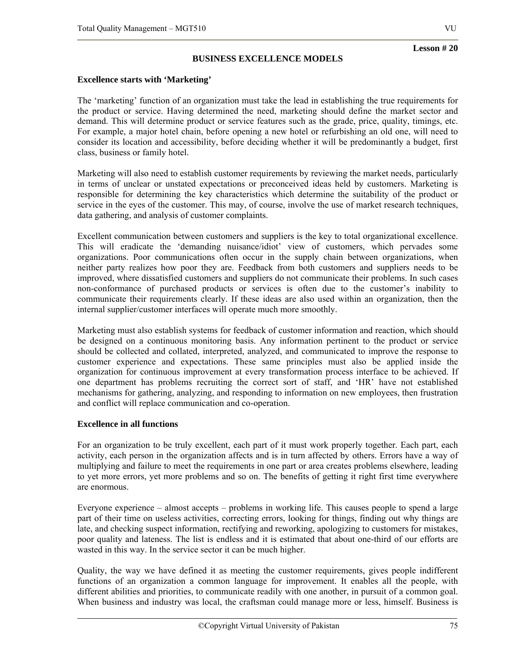**Lesson # 20** 

# **BUSINESS EXCELLENCE MODELS**

## **Excellence starts with 'Marketing'**

The 'marketing' function of an organization must take the lead in establishing the true requirements for the product or service. Having determined the need, marketing should define the market sector and demand. This will determine product or service features such as the grade, price, quality, timings, etc. For example, a major hotel chain, before opening a new hotel or refurbishing an old one, will need to consider its location and accessibility, before deciding whether it will be predominantly a budget, first class, business or family hotel.

Marketing will also need to establish customer requirements by reviewing the market needs, particularly in terms of unclear or unstated expectations or preconceived ideas held by customers. Marketing is responsible for determining the key characteristics which determine the suitability of the product or service in the eyes of the customer. This may, of course, involve the use of market research techniques, data gathering, and analysis of customer complaints.

Excellent communication between customers and suppliers is the key to total organizational excellence. This will eradicate the 'demanding nuisance/idiot' view of customers, which pervades some organizations. Poor communications often occur in the supply chain between organizations, when neither party realizes how poor they are. Feedback from both customers and suppliers needs to be improved, where dissatisfied customers and suppliers do not communicate their problems. In such cases non-conformance of purchased products or services is often due to the customer's inability to communicate their requirements clearly. If these ideas are also used within an organization, then the internal supplier/customer interfaces will operate much more smoothly.

Marketing must also establish systems for feedback of customer information and reaction, which should be designed on a continuous monitoring basis. Any information pertinent to the product or service should be collected and collated, interpreted, analyzed, and communicated to improve the response to customer experience and expectations. These same principles must also be applied inside the organization for continuous improvement at every transformation process interface to be achieved. If one department has problems recruiting the correct sort of staff, and 'HR' have not established mechanisms for gathering, analyzing, and responding to information on new employees, then frustration and conflict will replace communication and co-operation.

#### **Excellence in all functions**

For an organization to be truly excellent, each part of it must work properly together. Each part, each activity, each person in the organization affects and is in turn affected by others. Errors have a way of multiplying and failure to meet the requirements in one part or area creates problems elsewhere, leading to yet more errors, yet more problems and so on. The benefits of getting it right first time everywhere are enormous.

Everyone experience – almost accepts – problems in working life. This causes people to spend a large part of their time on useless activities, correcting errors, looking for things, finding out why things are late, and checking suspect information, rectifying and reworking, apologizing to customers for mistakes, poor quality and lateness. The list is endless and it is estimated that about one-third of our efforts are wasted in this way. In the service sector it can be much higher.

Quality, the way we have defined it as meeting the customer requirements, gives people indifferent functions of an organization a common language for improvement. It enables all the people, with different abilities and priorities, to communicate readily with one another, in pursuit of a common goal. When business and industry was local, the craftsman could manage more or less, himself. Business is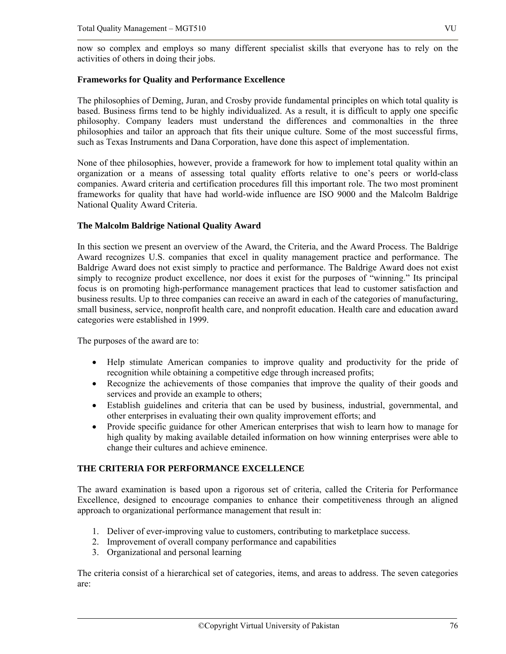now so complex and employs so many different specialist skills that everyone has to rely on the activities of others in doing their jobs.

## **Frameworks for Quality and Performance Excellence**

The philosophies of Deming, Juran, and Crosby provide fundamental principles on which total quality is based. Business firms tend to be highly individualized. As a result, it is difficult to apply one specific philosophy. Company leaders must understand the differences and commonalties in the three philosophies and tailor an approach that fits their unique culture. Some of the most successful firms, such as Texas Instruments and Dana Corporation, have done this aspect of implementation.

None of thee philosophies, however, provide a framework for how to implement total quality within an organization or a means of assessing total quality efforts relative to one's peers or world-class companies. Award criteria and certification procedures fill this important role. The two most prominent frameworks for quality that have had world-wide influence are ISO 9000 and the Malcolm Baldrige National Quality Award Criteria.

#### **The Malcolm Baldrige National Quality Award**

In this section we present an overview of the Award, the Criteria, and the Award Process. The Baldrige Award recognizes U.S. companies that excel in quality management practice and performance. The Baldrige Award does not exist simply to practice and performance. The Baldrige Award does not exist simply to recognize product excellence, nor does it exist for the purposes of "winning." Its principal focus is on promoting high-performance management practices that lead to customer satisfaction and business results. Up to three companies can receive an award in each of the categories of manufacturing, small business, service, nonprofit health care, and nonprofit education. Health care and education award categories were established in 1999.

The purposes of the award are to:

- Help stimulate American companies to improve quality and productivity for the pride of recognition while obtaining a competitive edge through increased profits;
- Recognize the achievements of those companies that improve the quality of their goods and services and provide an example to others;
- Establish guidelines and criteria that can be used by business, industrial, governmental, and other enterprises in evaluating their own quality improvement efforts; and
- Provide specific guidance for other American enterprises that wish to learn how to manage for high quality by making available detailed information on how winning enterprises were able to change their cultures and achieve eminence.

#### **THE CRITERIA FOR PERFORMANCE EXCELLENCE**

The award examination is based upon a rigorous set of criteria, called the Criteria for Performance Excellence, designed to encourage companies to enhance their competitiveness through an aligned approach to organizational performance management that result in:

- 1. Deliver of ever-improving value to customers, contributing to marketplace success.
- 2. Improvement of overall company performance and capabilities
- 3. Organizational and personal learning

The criteria consist of a hierarchical set of categories, items, and areas to address. The seven categories are: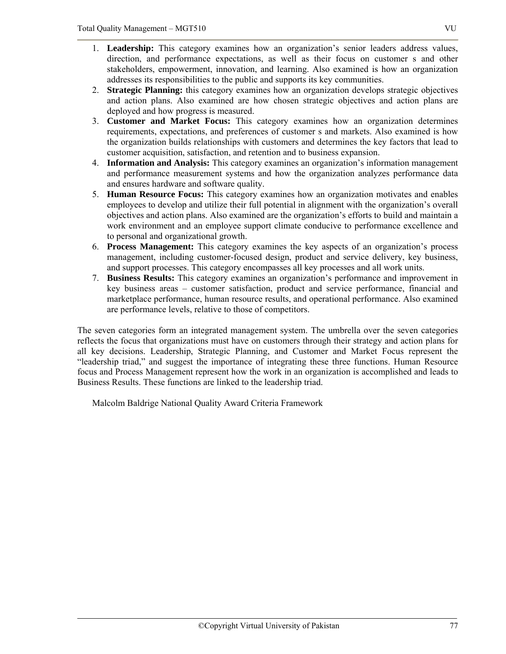- 1. **Leadership:** This category examines how an organization's senior leaders address values, direction, and performance expectations, as well as their focus on customer s and other stakeholders, empowerment, innovation, and learning. Also examined is how an organization addresses its responsibilities to the public and supports its key communities.
- 2. **Strategic Planning:** this category examines how an organization develops strategic objectives and action plans. Also examined are how chosen strategic objectives and action plans are deployed and how progress is measured.
- 3. **Customer and Market Focus:** This category examines how an organization determines requirements, expectations, and preferences of customer s and markets. Also examined is how the organization builds relationships with customers and determines the key factors that lead to customer acquisition, satisfaction, and retention and to business expansion.
- 4. **Information and Analysis:** This category examines an organization's information management and performance measurement systems and how the organization analyzes performance data and ensures hardware and software quality.
- 5. **Human Resource Focus:** This category examines how an organization motivates and enables employees to develop and utilize their full potential in alignment with the organization's overall objectives and action plans. Also examined are the organization's efforts to build and maintain a work environment and an employee support climate conducive to performance excellence and to personal and organizational growth.
- 6. **Process Management:** This category examines the key aspects of an organization's process management, including customer-focused design, product and service delivery, key business, and support processes. This category encompasses all key processes and all work units.
- 7. **Business Results:** This category examines an organization's performance and improvement in key business areas – customer satisfaction, product and service performance, financial and marketplace performance, human resource results, and operational performance. Also examined are performance levels, relative to those of competitors.

The seven categories form an integrated management system. The umbrella over the seven categories reflects the focus that organizations must have on customers through their strategy and action plans for all key decisions. Leadership, Strategic Planning, and Customer and Market Focus represent the "leadership triad," and suggest the importance of integrating these three functions. Human Resource focus and Process Management represent how the work in an organization is accomplished and leads to Business Results. These functions are linked to the leadership triad.

Malcolm Baldrige National Quality Award Criteria Framework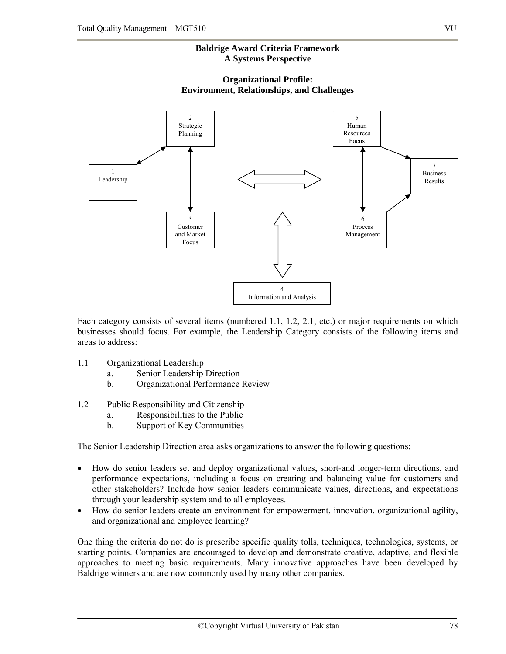# **Baldrige Award Criteria Framework A Systems Perspective**

#### **Organizational Profile: Environment, Relationships, and Challenges**



Each category consists of several items (numbered 1.1, 1.2, 2.1, etc.) or major requirements on which businesses should focus. For example, the Leadership Category consists of the following items and areas to address:

- 1.1 Organizational Leadership
	- a. Senior Leadership Direction
	- b. Organizational Performance Review
- 1.2 Public Responsibility and Citizenship
	- a. Responsibilities to the Public
	- b. Support of Key Communities

The Senior Leadership Direction area asks organizations to answer the following questions:

- How do senior leaders set and deploy organizational values, short-and longer-term directions, and performance expectations, including a focus on creating and balancing value for customers and other stakeholders? Include how senior leaders communicate values, directions, and expectations through your leadership system and to all employees.
- How do senior leaders create an environment for empowerment, innovation, organizational agility, and organizational and employee learning?

One thing the criteria do not do is prescribe specific quality tolls, techniques, technologies, systems, or starting points. Companies are encouraged to develop and demonstrate creative, adaptive, and flexible approaches to meeting basic requirements. Many innovative approaches have been developed by Baldrige winners and are now commonly used by many other companies.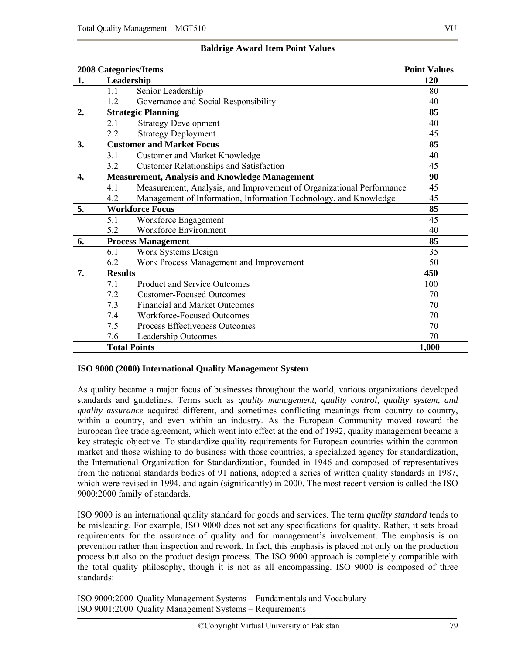| <b>2008 Categories/Items</b> |                        |                                                                      | <b>Point Values</b> |
|------------------------------|------------------------|----------------------------------------------------------------------|---------------------|
| 1.                           | Leadership             |                                                                      |                     |
|                              | 1.1                    | Senior Leadership                                                    | 80                  |
|                              | 1.2                    | Governance and Social Responsibility                                 | 40                  |
| 2.                           |                        | <b>Strategic Planning</b>                                            | 85                  |
|                              | 2.1                    | <b>Strategy Development</b>                                          | 40                  |
|                              | 2.2                    | <b>Strategy Deployment</b>                                           | 45                  |
| 3.                           |                        | <b>Customer and Market Focus</b>                                     | 85                  |
|                              | 3.1                    | <b>Customer and Market Knowledge</b>                                 | 40                  |
|                              | 3.2                    | <b>Customer Relationships and Satisfaction</b>                       | 45                  |
| 4.                           |                        | <b>Measurement, Analysis and Knowledge Management</b>                | 90                  |
|                              | 4.1                    | Measurement, Analysis, and Improvement of Organizational Performance | 45                  |
|                              | 4.2                    | Management of Information, Information Technology, and Knowledge     | 45                  |
| 5.                           | <b>Workforce Focus</b> |                                                                      | 85                  |
|                              | 5.1                    | Workforce Engagement                                                 | 45                  |
|                              | 5.2                    | <b>Workforce Environment</b>                                         | 40                  |
| 6.                           |                        | <b>Process Management</b>                                            |                     |
|                              | 6.1                    | Work Systems Design                                                  | 35                  |
|                              | 6.2                    | Work Process Management and Improvement                              | 50                  |
| 7.                           | <b>Results</b>         |                                                                      | 450                 |
|                              | 7.1                    | <b>Product and Service Outcomes</b>                                  | 100                 |
|                              | 7.2                    | <b>Customer-Focused Outcomes</b>                                     | 70                  |
|                              | 7.3                    | <b>Financial and Market Outcomes</b>                                 | 70                  |
|                              | 7.4                    | Workforce-Focused Outcomes                                           | 70                  |
|                              | 7.5                    | <b>Process Effectiveness Outcomes</b>                                | 70                  |
|                              | 7.6                    | Leadership Outcomes                                                  | 70                  |
| <b>Total Points</b>          |                        | 1,000                                                                |                     |

# **Baldrige Award Item Point Values**

# **ISO 9000 (2000) International Quality Management System**

As quality became a major focus of businesses throughout the world, various organizations developed standards and guidelines. Terms such as *quality management, quality control, quality system, and quality assurance* acquired different, and sometimes conflicting meanings from country to country, within a country, and even within an industry. As the European Community moved toward the European free trade agreement, which went into effect at the end of 1992, quality management became a key strategic objective. To standardize quality requirements for European countries within the common market and those wishing to do business with those countries, a specialized agency for standardization, the International Organization for Standardization, founded in 1946 and composed of representatives from the national standards bodies of 91 nations, adopted a series of written quality standards in 1987, which were revised in 1994, and again (significantly) in 2000. The most recent version is called the ISO 9000:2000 family of standards.

ISO 9000 is an international quality standard for goods and services. The term *quality standard* tends to be misleading. For example, ISO 9000 does not set any specifications for quality. Rather, it sets broad requirements for the assurance of quality and for management's involvement. The emphasis is on prevention rather than inspection and rework. In fact, this emphasis is placed not only on the production process but also on the product design process. The ISO 9000 approach is completely compatible with the total quality philosophy, though it is not as all encompassing. ISO 9000 is composed of three standards:

ISO 9000:2000 Quality Management Systems – Fundamentals and Vocabulary ISO 9001:2000 Quality Management Systems – Requirements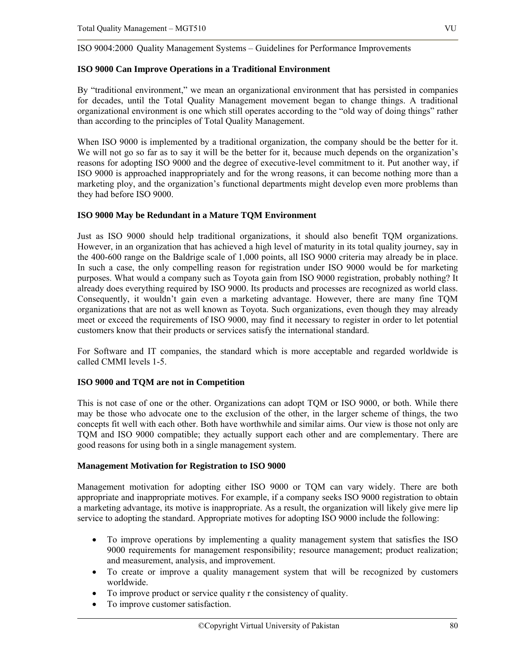# **ISO 9000 Can Improve Operations in a Traditional Environment**

By "traditional environment," we mean an organizational environment that has persisted in companies for decades, until the Total Quality Management movement began to change things. A traditional organizational environment is one which still operates according to the "old way of doing things" rather than according to the principles of Total Quality Management.

When ISO 9000 is implemented by a traditional organization, the company should be the better for it. We will not go so far as to say it will be the better for it, because much depends on the organization's reasons for adopting ISO 9000 and the degree of executive-level commitment to it. Put another way, if ISO 9000 is approached inappropriately and for the wrong reasons, it can become nothing more than a marketing ploy, and the organization's functional departments might develop even more problems than they had before ISO 9000.

# **ISO 9000 May be Redundant in a Mature TQM Environment**

Just as ISO 9000 should help traditional organizations, it should also benefit TQM organizations. However, in an organization that has achieved a high level of maturity in its total quality journey, say in the 400-600 range on the Baldrige scale of 1,000 points, all ISO 9000 criteria may already be in place. In such a case, the only compelling reason for registration under ISO 9000 would be for marketing purposes. What would a company such as Toyota gain from ISO 9000 registration, probably nothing? It already does everything required by ISO 9000. Its products and processes are recognized as world class. Consequently, it wouldn't gain even a marketing advantage. However, there are many fine TQM organizations that are not as well known as Toyota. Such organizations, even though they may already meet or exceed the requirements of ISO 9000, may find it necessary to register in order to let potential customers know that their products or services satisfy the international standard.

For Software and IT companies, the standard which is more acceptable and regarded worldwide is called CMMI levels 1-5.

# **ISO 9000 and TQM are not in Competition**

This is not case of one or the other. Organizations can adopt TQM or ISO 9000, or both. While there may be those who advocate one to the exclusion of the other, in the larger scheme of things, the two concepts fit well with each other. Both have worthwhile and similar aims. Our view is those not only are TQM and ISO 9000 compatible; they actually support each other and are complementary. There are good reasons for using both in a single management system.

#### **Management Motivation for Registration to ISO 9000**

Management motivation for adopting either ISO 9000 or TQM can vary widely. There are both appropriate and inappropriate motives. For example, if a company seeks ISO 9000 registration to obtain a marketing advantage, its motive is inappropriate. As a result, the organization will likely give mere lip service to adopting the standard. Appropriate motives for adopting ISO 9000 include the following:

- To improve operations by implementing a quality management system that satisfies the ISO 9000 requirements for management responsibility; resource management; product realization; and measurement, analysis, and improvement.
- To create or improve a quality management system that will be recognized by customers worldwide.
- To improve product or service quality r the consistency of quality.
- To improve customer satisfaction.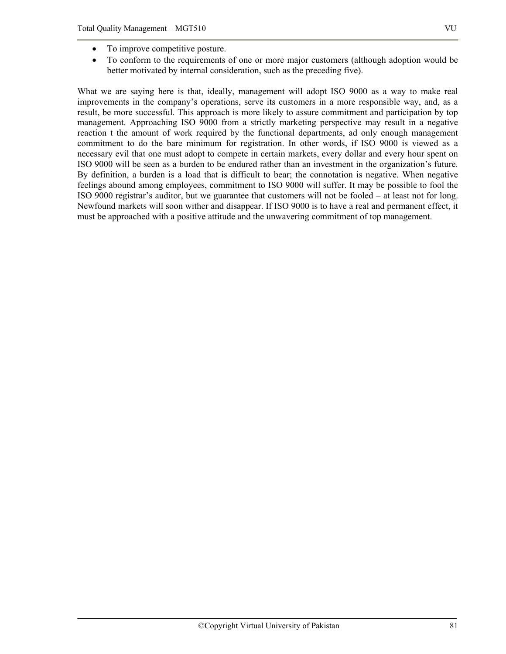- To improve competitive posture.
- To conform to the requirements of one or more major customers (although adoption would be better motivated by internal consideration, such as the preceding five).

What we are saying here is that, ideally, management will adopt ISO 9000 as a way to make real improvements in the company's operations, serve its customers in a more responsible way, and, as a result, be more successful. This approach is more likely to assure commitment and participation by top management. Approaching ISO 9000 from a strictly marketing perspective may result in a negative reaction t the amount of work required by the functional departments, ad only enough management commitment to do the bare minimum for registration. In other words, if ISO 9000 is viewed as a necessary evil that one must adopt to compete in certain markets, every dollar and every hour spent on ISO 9000 will be seen as a burden to be endured rather than an investment in the organization's future. By definition, a burden is a load that is difficult to bear; the connotation is negative. When negative feelings abound among employees, commitment to ISO 9000 will suffer. It may be possible to fool the ISO 9000 registrar's auditor, but we guarantee that customers will not be fooled – at least not for long. Newfound markets will soon wither and disappear. If ISO 9000 is to have a real and permanent effect, it must be approached with a positive attitude and the unwavering commitment of top management.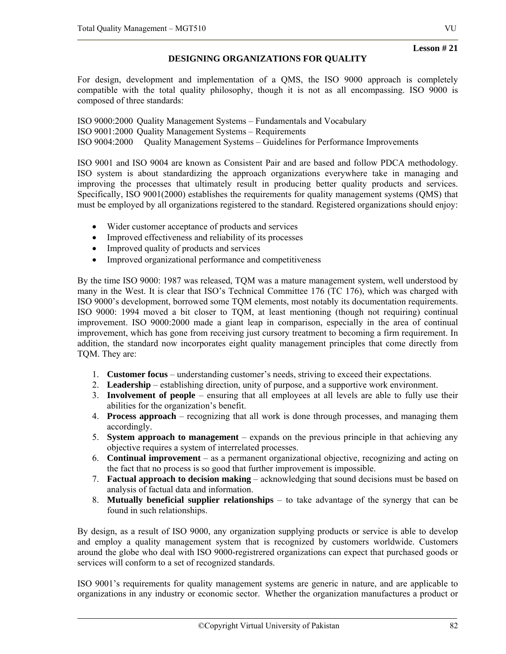## **DESIGNING ORGANIZATIONS FOR QUALITY**

For design, development and implementation of a QMS, the ISO 9000 approach is completely compatible with the total quality philosophy, though it is not as all encompassing. ISO 9000 is composed of three standards:

ISO 9000:2000 Quality Management Systems – Fundamentals and Vocabulary ISO 9001:2000 Quality Management Systems – Requirements ISO 9004:2000 Quality Management Systems – Guidelines for Performance Improvements

ISO 9001 and ISO 9004 are known as Consistent Pair and are based and follow PDCA methodology. ISO system is about standardizing the approach organizations everywhere take in managing and improving the processes that ultimately result in producing better quality products and services. Specifically, ISO 9001(2000) establishes the requirements for quality management systems (QMS) that must be employed by all organizations registered to the standard. Registered organizations should enjoy:

- Wider customer acceptance of products and services
- Improved effectiveness and reliability of its processes
- Improved quality of products and services
- Improved organizational performance and competitiveness

By the time ISO 9000: 1987 was released, TQM was a mature management system, well understood by many in the West. It is clear that ISO's Technical Committee 176 (TC 176), which was charged with ISO 9000's development, borrowed some TQM elements, most notably its documentation requirements. ISO 9000: 1994 moved a bit closer to TQM, at least mentioning (though not requiring) continual improvement. ISO 9000:2000 made a giant leap in comparison, especially in the area of continual improvement, which has gone from receiving just cursory treatment to becoming a firm requirement. In addition, the standard now incorporates eight quality management principles that come directly from TQM. They are:

- 1. **Customer focus**  understanding customer's needs, striving to exceed their expectations.
- 2. **Leadership**  establishing direction, unity of purpose, and a supportive work environment.
- 3. **Involvement of people**  ensuring that all employees at all levels are able to fully use their abilities for the organization's benefit.
- 4. **Process approach**  recognizing that all work is done through processes, and managing them accordingly.
- 5. **System approach to management**  expands on the previous principle in that achieving any objective requires a system of interrelated processes.
- 6. **Continual improvement**  as a permanent organizational objective, recognizing and acting on the fact that no process is so good that further improvement is impossible.
- 7. **Factual approach to decision making** acknowledging that sound decisions must be based on analysis of factual data and information.
- 8. **Mutually beneficial supplier relationships**  to take advantage of the synergy that can be found in such relationships.

By design, as a result of ISO 9000, any organization supplying products or service is able to develop and employ a quality management system that is recognized by customers worldwide. Customers around the globe who deal with ISO 9000-registrered organizations can expect that purchased goods or services will conform to a set of recognized standards.

ISO 9001's requirements for quality management systems are generic in nature, and are applicable to organizations in any industry or economic sector. Whether the organization manufactures a product or

**Lesson # 21**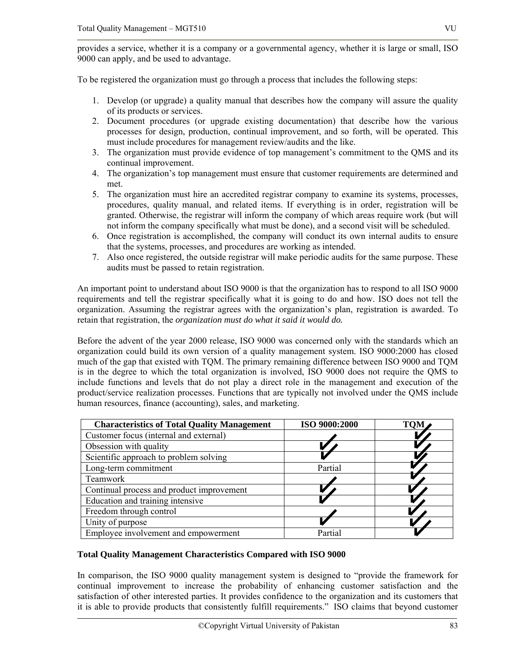provides a service, whether it is a company or a governmental agency, whether it is large or small, ISO 9000 can apply, and be used to advantage.

To be registered the organization must go through a process that includes the following steps:

- 1. Develop (or upgrade) a quality manual that describes how the company will assure the quality of its products or services.
- 2. Document procedures (or upgrade existing documentation) that describe how the various processes for design, production, continual improvement, and so forth, will be operated. This must include procedures for management review/audits and the like.
- 3. The organization must provide evidence of top management's commitment to the QMS and its continual improvement.
- 4. The organization's top management must ensure that customer requirements are determined and met.
- 5. The organization must hire an accredited registrar company to examine its systems, processes, procedures, quality manual, and related items. If everything is in order, registration will be granted. Otherwise, the registrar will inform the company of which areas require work (but will not inform the company specifically what must be done), and a second visit will be scheduled.
- 6. Once registration is accomplished, the company will conduct its own internal audits to ensure that the systems, processes, and procedures are working as intended.
- 7. Also once registered, the outside registrar will make periodic audits for the same purpose. These audits must be passed to retain registration.

An important point to understand about ISO 9000 is that the organization has to respond to all ISO 9000 requirements and tell the registrar specifically what it is going to do and how. ISO does not tell the organization. Assuming the registrar agrees with the organization's plan, registration is awarded. To retain that registration, the *organization must do what it said it would do.* 

Before the advent of the year 2000 release, ISO 9000 was concerned only with the standards which an organization could build its own version of a quality management system. ISO 9000:2000 has closed much of the gap that existed with TQM. The primary remaining difference between ISO 9000 and TQM is in the degree to which the total organization is involved, ISO 9000 does not require the QMS to include functions and levels that do not play a direct role in the management and execution of the product/service realization processes. Functions that are typically not involved under the QMS include human resources, finance (accounting), sales, and marketing.

| <b>Characteristics of Total Quality Management</b> | ISO 9000:2000 |  |
|----------------------------------------------------|---------------|--|
| Customer focus (internal and external)             |               |  |
| Obsession with quality                             |               |  |
| Scientific approach to problem solving             |               |  |
| Long-term commitment                               | Partial       |  |
| Teamwork                                           |               |  |
| Continual process and product improvement          |               |  |
| Education and training intensive                   |               |  |
| Freedom through control                            |               |  |
| Unity of purpose                                   |               |  |
| Employee involvement and empowerment               | Partial       |  |

#### **Total Quality Management Characteristics Compared with ISO 9000**

In comparison, the ISO 9000 quality management system is designed to "provide the framework for continual improvement to increase the probability of enhancing customer satisfaction and the satisfaction of other interested parties. It provides confidence to the organization and its customers that it is able to provide products that consistently fulfill requirements." ISO claims that beyond customer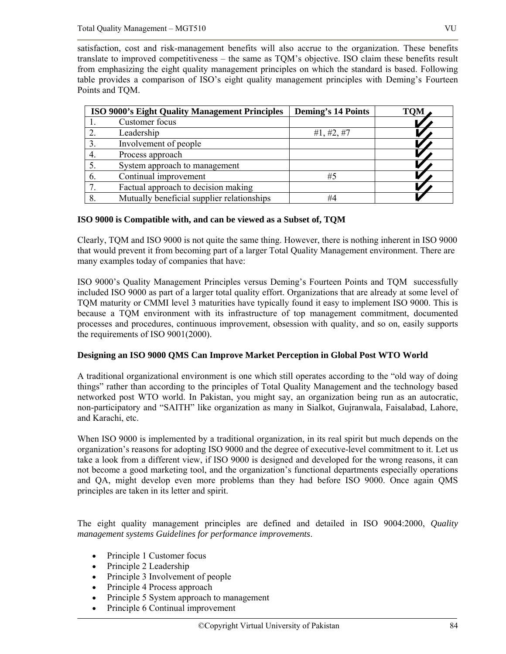satisfaction, cost and risk-management benefits will also accrue to the organization. These benefits translate to improved competitiveness – the same as TQM's objective. ISO claim these benefits result from emphasizing the eight quality management principles on which the standard is based. Following table provides a comparison of ISO's eight quality management principles with Deming's Fourteen Points and TQM.

| <b>ISO 9000's Eight Quality Management Principles</b> |                                            | <b>Deming's 14 Points</b> | <b>TQM</b> |  |
|-------------------------------------------------------|--------------------------------------------|---------------------------|------------|--|
|                                                       | Customer focus                             |                           |            |  |
|                                                       | Leadership                                 | #1, #2, #7                |            |  |
|                                                       | Involvement of people                      |                           |            |  |
|                                                       | Process approach                           |                           |            |  |
|                                                       | System approach to management              |                           |            |  |
| $\mathfrak b$                                         | Continual improvement                      | #5                        |            |  |
|                                                       | Factual approach to decision making        |                           |            |  |
|                                                       | Mutually beneficial supplier relationships | #4                        |            |  |

# **ISO 9000 is Compatible with, and can be viewed as a Subset of, TQM**

Clearly, TQM and ISO 9000 is not quite the same thing. However, there is nothing inherent in ISO 9000 that would prevent it from becoming part of a larger Total Quality Management environment. There are many examples today of companies that have:

ISO 9000's Quality Management Principles versus Deming's Fourteen Points and TQM successfully included ISO 9000 as part of a larger total quality effort. Organizations that are already at some level of TQM maturity or CMMI level 3 maturities have typically found it easy to implement ISO 9000. This is because a TQM environment with its infrastructure of top management commitment, documented processes and procedures, continuous improvement, obsession with quality, and so on, easily supports the requirements of ISO 9001(2000).

# **Designing an ISO 9000 QMS Can Improve Market Perception in Global Post WTO World**

A traditional organizational environment is one which still operates according to the "old way of doing things" rather than according to the principles of Total Quality Management and the technology based networked post WTO world. In Pakistan, you might say, an organization being run as an autocratic, non-participatory and "SAITH" like organization as many in Sialkot, Gujranwala, Faisalabad, Lahore, and Karachi, etc.

When ISO 9000 is implemented by a traditional organization, in its real spirit but much depends on the organization's reasons for adopting ISO 9000 and the degree of executive-level commitment to it. Let us take a look from a different view, if ISO 9000 is designed and developed for the wrong reasons, it can not become a good marketing tool, and the organization's functional departments especially operations and QA, might develop even more problems than they had before ISO 9000. Once again QMS principles are taken in its letter and spirit.

The eight quality management principles are defined and detailed in ISO 9004:2000, *Quality management systems Guidelines for performance improvements*.

- Principle 1 Customer focus
- Principle 2 Leadership
- Principle 3 Involvement of people
- Principle 4 Process approach
- Principle 5 System approach to management
- Principle 6 Continual improvement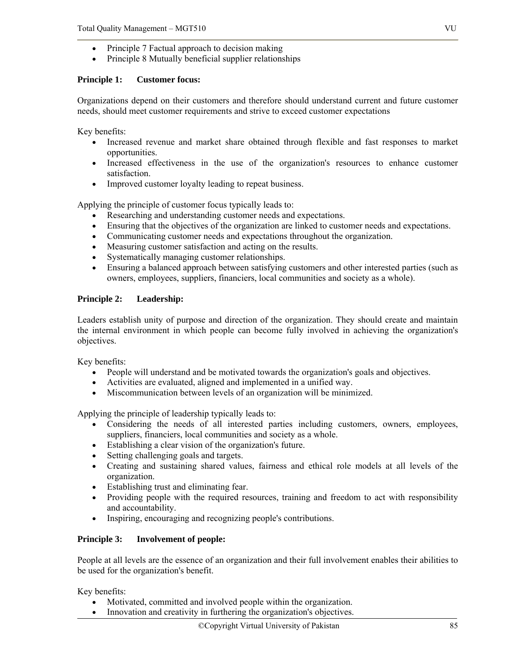- Principle 7 Factual approach to decision making
- Principle 8 Mutually beneficial supplier relationships

## **Principle 1: Customer focus:**

Organizations depend on their customers and therefore should understand current and future customer needs, should meet customer requirements and strive to exceed customer expectations

Key benefits:

- Increased revenue and market share obtained through flexible and fast responses to market opportunities.
- Increased effectiveness in the use of the organization's resources to enhance customer satisfaction.
- Improved customer loyalty leading to repeat business.

Applying the principle of customer focus typically leads to:

- Researching and understanding customer needs and expectations.
- Ensuring that the objectives of the organization are linked to customer needs and expectations.
- Communicating customer needs and expectations throughout the organization.
- Measuring customer satisfaction and acting on the results.
- Systematically managing customer relationships.
- Ensuring a balanced approach between satisfying customers and other interested parties (such as owners, employees, suppliers, financiers, local communities and society as a whole).

#### **Principle 2: Leadership:**

Leaders establish unity of purpose and direction of the organization. They should create and maintain the internal environment in which people can become fully involved in achieving the organization's objectives.

Key benefits:

- People will understand and be motivated towards the organization's goals and objectives.
- Activities are evaluated, aligned and implemented in a unified way.
- Miscommunication between levels of an organization will be minimized.

Applying the principle of leadership typically leads to:

- Considering the needs of all interested parties including customers, owners, employees, suppliers, financiers, local communities and society as a whole.
- Establishing a clear vision of the organization's future.
- Setting challenging goals and targets.
- Creating and sustaining shared values, fairness and ethical role models at all levels of the organization.
- Establishing trust and eliminating fear.
- Providing people with the required resources, training and freedom to act with responsibility and accountability.
- Inspiring, encouraging and recognizing people's contributions.

# **Principle 3: Involvement of people:**

People at all levels are the essence of an organization and their full involvement enables their abilities to be used for the organization's benefit.

Key benefits:

- Motivated, committed and involved people within the organization.
	- Innovation and creativity in furthering the organization's objectives.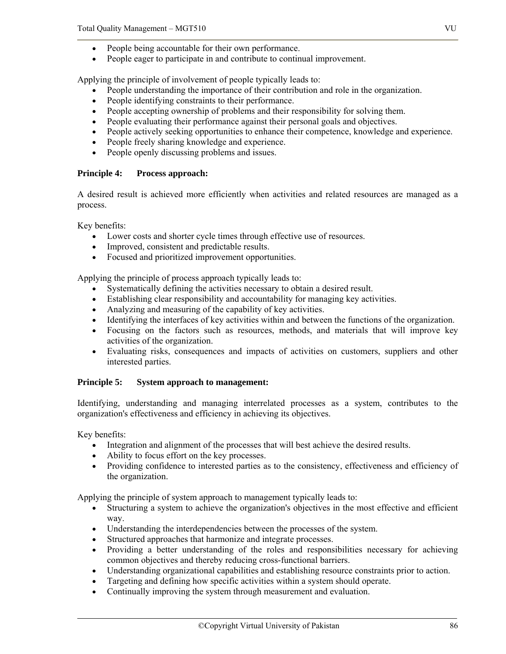- People being accountable for their own performance.
- People eager to participate in and contribute to continual improvement.

Applying the principle of involvement of people typically leads to:

- People understanding the importance of their contribution and role in the organization.
- People identifying constraints to their performance.
- People accepting ownership of problems and their responsibility for solving them.
- People evaluating their performance against their personal goals and objectives.
- People actively seeking opportunities to enhance their competence, knowledge and experience.
- People freely sharing knowledge and experience.
- People openly discussing problems and issues.

## **Principle 4: Process approach:**

A desired result is achieved more efficiently when activities and related resources are managed as a process.

Key benefits:

- Lower costs and shorter cycle times through effective use of resources.
- Improved, consistent and predictable results.
- Focused and prioritized improvement opportunities.

Applying the principle of process approach typically leads to:

- Systematically defining the activities necessary to obtain a desired result.
- Establishing clear responsibility and accountability for managing key activities.
- Analyzing and measuring of the capability of key activities.
- Identifying the interfaces of key activities within and between the functions of the organization.
- Focusing on the factors such as resources, methods, and materials that will improve key activities of the organization.
- Evaluating risks, consequences and impacts of activities on customers, suppliers and other interested parties.

#### **Principle 5: System approach to management:**

Identifying, understanding and managing interrelated processes as a system, contributes to the organization's effectiveness and efficiency in achieving its objectives.

Key benefits:

- Integration and alignment of the processes that will best achieve the desired results.
- Ability to focus effort on the key processes.
- Providing confidence to interested parties as to the consistency, effectiveness and efficiency of the organization.

Applying the principle of system approach to management typically leads to:

- Structuring a system to achieve the organization's objectives in the most effective and efficient way.
- Understanding the interdependencies between the processes of the system.
- Structured approaches that harmonize and integrate processes.
- Providing a better understanding of the roles and responsibilities necessary for achieving common objectives and thereby reducing cross-functional barriers.
- Understanding organizational capabilities and establishing resource constraints prior to action.
- Targeting and defining how specific activities within a system should operate.
- Continually improving the system through measurement and evaluation.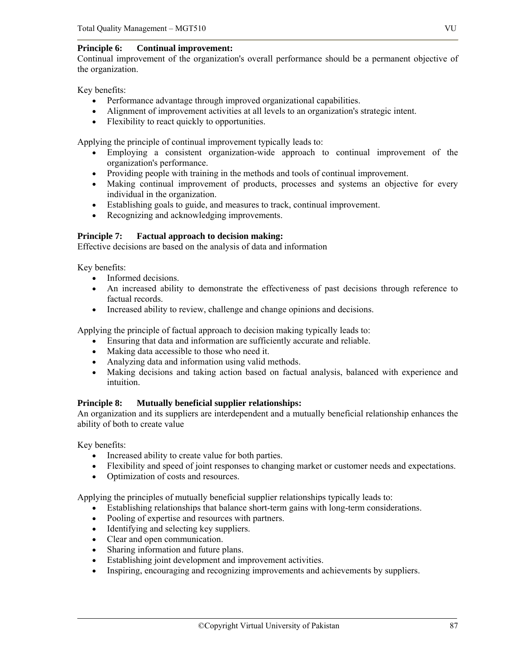#### **Principle 6: Continual improvement:**

Continual improvement of the organization's overall performance should be a permanent objective of the organization.

Key benefits:

- Performance advantage through improved organizational capabilities.
- Alignment of improvement activities at all levels to an organization's strategic intent.
- Flexibility to react quickly to opportunities.

Applying the principle of continual improvement typically leads to:

- Employing a consistent organization-wide approach to continual improvement of the organization's performance.
- Providing people with training in the methods and tools of continual improvement.
- Making continual improvement of products, processes and systems an objective for every individual in the organization.
- Establishing goals to guide, and measures to track, continual improvement.
- Recognizing and acknowledging improvements.

#### **Principle 7: Factual approach to decision making:**

Effective decisions are based on the analysis of data and information

Key benefits:

- Informed decisions.
- An increased ability to demonstrate the effectiveness of past decisions through reference to factual records.
- Increased ability to review, challenge and change opinions and decisions.

Applying the principle of factual approach to decision making typically leads to:

- Ensuring that data and information are sufficiently accurate and reliable.
- Making data accessible to those who need it.
- Analyzing data and information using valid methods.
- Making decisions and taking action based on factual analysis, balanced with experience and intuition.

#### **Principle 8: Mutually beneficial supplier relationships:**

An organization and its suppliers are interdependent and a mutually beneficial relationship enhances the ability of both to create value

Key benefits:

- Increased ability to create value for both parties.
- Flexibility and speed of joint responses to changing market or customer needs and expectations.
- Optimization of costs and resources.

Applying the principles of mutually beneficial supplier relationships typically leads to:

- Establishing relationships that balance short-term gains with long-term considerations.
- Pooling of expertise and resources with partners.
- Identifying and selecting key suppliers.
- Clear and open communication.
- Sharing information and future plans.
- Establishing joint development and improvement activities.
- Inspiring, encouraging and recognizing improvements and achievements by suppliers.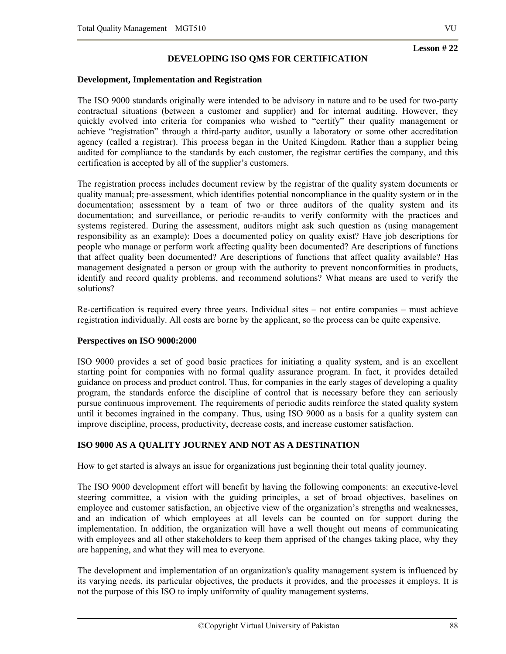## **Lesson # 22**

## **DEVELOPING ISO QMS FOR CERTIFICATION**

#### **Development, Implementation and Registration**

The ISO 9000 standards originally were intended to be advisory in nature and to be used for two-party contractual situations (between a customer and supplier) and for internal auditing. However, they quickly evolved into criteria for companies who wished to "certify" their quality management or achieve "registration" through a third-party auditor, usually a laboratory or some other accreditation agency (called a registrar). This process began in the United Kingdom. Rather than a supplier being audited for compliance to the standards by each customer, the registrar certifies the company, and this certification is accepted by all of the supplier's customers.

The registration process includes document review by the registrar of the quality system documents or quality manual; pre-assessment, which identifies potential noncompliance in the quality system or in the documentation; assessment by a team of two or three auditors of the quality system and its documentation; and surveillance, or periodic re-audits to verify conformity with the practices and systems registered. During the assessment, auditors might ask such question as (using management responsibility as an example): Does a documented policy on quality exist? Have job descriptions for people who manage or perform work affecting quality been documented? Are descriptions of functions that affect quality been documented? Are descriptions of functions that affect quality available? Has management designated a person or group with the authority to prevent nonconformities in products, identify and record quality problems, and recommend solutions? What means are used to verify the solutions?

Re-certification is required every three years. Individual sites – not entire companies – must achieve registration individually. All costs are borne by the applicant, so the process can be quite expensive.

#### **Perspectives on ISO 9000:2000**

ISO 9000 provides a set of good basic practices for initiating a quality system, and is an excellent starting point for companies with no formal quality assurance program. In fact, it provides detailed guidance on process and product control. Thus, for companies in the early stages of developing a quality program, the standards enforce the discipline of control that is necessary before they can seriously pursue continuous improvement. The requirements of periodic audits reinforce the stated quality system until it becomes ingrained in the company. Thus, using ISO 9000 as a basis for a quality system can improve discipline, process, productivity, decrease costs, and increase customer satisfaction.

# **ISO 9000 AS A QUALITY JOURNEY AND NOT AS A DESTINATION**

How to get started is always an issue for organizations just beginning their total quality journey.

The ISO 9000 development effort will benefit by having the following components: an executive-level steering committee, a vision with the guiding principles, a set of broad objectives, baselines on employee and customer satisfaction, an objective view of the organization's strengths and weaknesses, and an indication of which employees at all levels can be counted on for support during the implementation. In addition, the organization will have a well thought out means of communicating with employees and all other stakeholders to keep them apprised of the changes taking place, why they are happening, and what they will mea to everyone.

The development and implementation of an organization's quality management system is influenced by its varying needs, its particular objectives, the products it provides, and the processes it employs. It is not the purpose of this ISO to imply uniformity of quality management systems.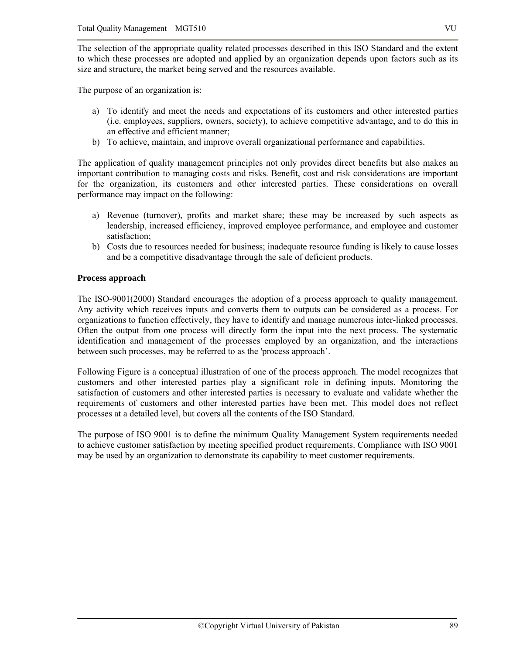The selection of the appropriate quality related processes described in this ISO Standard and the extent to which these processes are adopted and applied by an organization depends upon factors such as its size and structure, the market being served and the resources available.

The purpose of an organization is:

- a) To identify and meet the needs and expectations of its customers and other interested parties (i.e. employees, suppliers, owners, society), to achieve competitive advantage, and to do this in an effective and efficient manner;
- b) To achieve, maintain, and improve overall organizational performance and capabilities.

The application of quality management principles not only provides direct benefits but also makes an important contribution to managing costs and risks. Benefit, cost and risk considerations are important for the organization, its customers and other interested parties. These considerations on overall performance may impact on the following:

- a) Revenue (turnover), profits and market share; these may be increased by such aspects as leadership, increased efficiency, improved employee performance, and employee and customer satisfaction;
- b) Costs due to resources needed for business; inadequate resource funding is likely to cause losses and be a competitive disadvantage through the sale of deficient products.

#### **Process approach**

The ISO-9001(2000) Standard encourages the adoption of a process approach to quality management. Any activity which receives inputs and converts them to outputs can be considered as a process. For organizations to function effectively, they have to identify and manage numerous inter-linked processes. Often the output from one process will directly form the input into the next process. The systematic identification and management of the processes employed by an organization, and the interactions between such processes, may be referred to as the 'process approach'.

Following Figure is a conceptual illustration of one of the process approach. The model recognizes that customers and other interested parties play a significant role in defining inputs. Monitoring the satisfaction of customers and other interested parties is necessary to evaluate and validate whether the requirements of customers and other interested parties have been met. This model does not reflect processes at a detailed level, but covers all the contents of the ISO Standard.

The purpose of ISO 9001 is to define the minimum Quality Management System requirements needed to achieve customer satisfaction by meeting specified product requirements. Compliance with ISO 9001 may be used by an organization to demonstrate its capability to meet customer requirements.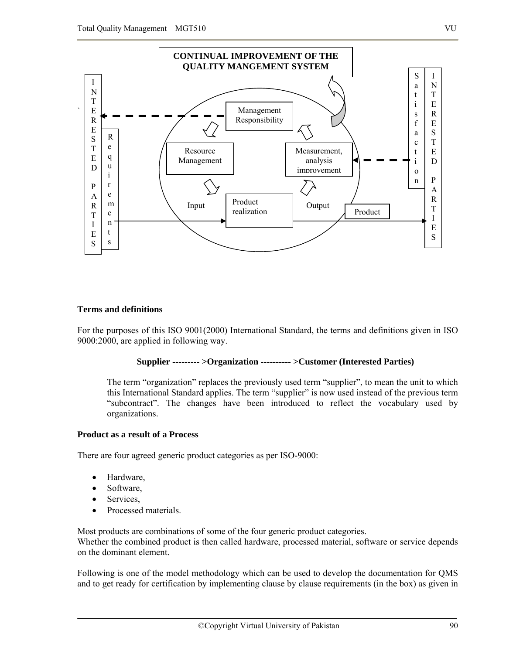

# **Terms and definitions**

For the purposes of this ISO 9001(2000) International Standard, the terms and definitions given in ISO 9000:2000, are applied in following way.

# **Supplier --------- >Organization ---------- >Customer (Interested Parties)**

The term "organization" replaces the previously used term "supplier", to mean the unit to which this International Standard applies. The term "supplier" is now used instead of the previous term "subcontract". The changes have been introduced to reflect the vocabulary used by organizations.

#### **Product as a result of a Process**

There are four agreed generic product categories as per ISO-9000:

- Hardware,
- Software,
- Services.
- Processed materials

Most products are combinations of some of the four generic product categories. Whether the combined product is then called hardware, processed material, software or service depends on the dominant element.

Following is one of the model methodology which can be used to develop the documentation for QMS and to get ready for certification by implementing clause by clause requirements (in the box) as given in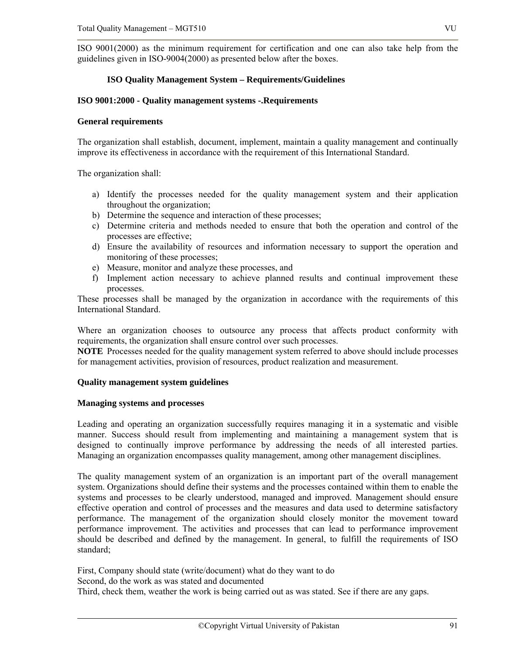ISO 9001(2000) as the minimum requirement for certification and one can also take help from the guidelines given in ISO-9004(2000) as presented below after the boxes.

# **ISO Quality Management System – Requirements/Guidelines**

## **ISO 9001:2000 - Quality management systems -.Requirements**

#### **General requirements**

The organization shall establish, document, implement, maintain a quality management and continually improve its effectiveness in accordance with the requirement of this International Standard.

The organization shall:

- a) Identify the processes needed for the quality management system and their application throughout the organization;
- b) Determine the sequence and interaction of these processes;
- c) Determine criteria and methods needed to ensure that both the operation and control of the processes are effective;
- d) Ensure the availability of resources and information necessary to support the operation and monitoring of these processes;
- e) Measure, monitor and analyze these processes, and
- f) Implement action necessary to achieve planned results and continual improvement these processes.

These processes shall be managed by the organization in accordance with the requirements of this International Standard.

Where an organization chooses to outsource any process that affects product conformity with requirements, the organization shall ensure control over such processes.

**NOTE** Processes needed for the quality management system referred to above should include processes for management activities, provision of resources, product realization and measurement.

#### **Quality management system guidelines**

#### **Managing systems and processes**

Leading and operating an organization successfully requires managing it in a systematic and visible manner. Success should result from implementing and maintaining a management system that is designed to continually improve performance by addressing the needs of all interested parties. Managing an organization encompasses quality management, among other management disciplines.

The quality management system of an organization is an important part of the overall management system. Organizations should define their systems and the processes contained within them to enable the systems and processes to be clearly understood, managed and improved. Management should ensure effective operation and control of processes and the measures and data used to determine satisfactory performance. The management of the organization should closely monitor the movement toward performance improvement. The activities and processes that can lead to performance improvement should be described and defined by the management. In general, to fulfill the requirements of ISO standard;

First, Company should state (write/document) what do they want to do Second, do the work as was stated and documented Third, check them, weather the work is being carried out as was stated. See if there are any gaps.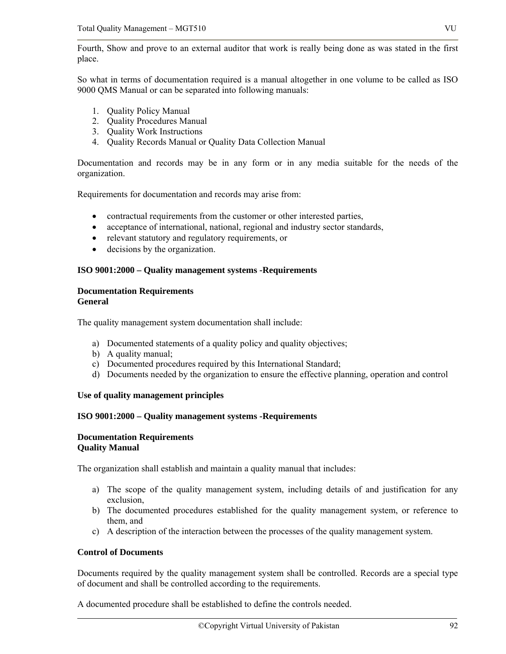Fourth, Show and prove to an external auditor that work is really being done as was stated in the first place.

So what in terms of documentation required is a manual altogether in one volume to be called as ISO 9000 QMS Manual or can be separated into following manuals:

- 1. Quality Policy Manual
- 2. Quality Procedures Manual
- 3. Quality Work Instructions
- 4. Quality Records Manual or Quality Data Collection Manual

Documentation and records may be in any form or in any media suitable for the needs of the organization.

Requirements for documentation and records may arise from:

- contractual requirements from the customer or other interested parties,
- acceptance of international, national, regional and industry sector standards,
- relevant statutory and regulatory requirements, or
- decisions by the organization.

## **ISO 9001:2000 – Quality management systems -Requirements**

#### **Documentation Requirements General**

The quality management system documentation shall include:

- a) Documented statements of a quality policy and quality objectives;
- b) A quality manual;
- c) Documented procedures required by this International Standard;
- d) Documents needed by the organization to ensure the effective planning, operation and control

#### **Use of quality management principles**

#### **ISO 9001:2000 – Quality management systems -Requirements**

#### **Documentation Requirements Quality Manual**

The organization shall establish and maintain a quality manual that includes:

- a) The scope of the quality management system, including details of and justification for any exclusion,
- b) The documented procedures established for the quality management system, or reference to them, and
- c) A description of the interaction between the processes of the quality management system.

#### **Control of Documents**

Documents required by the quality management system shall be controlled. Records are a special type of document and shall be controlled according to the requirements.

A documented procedure shall be established to define the controls needed.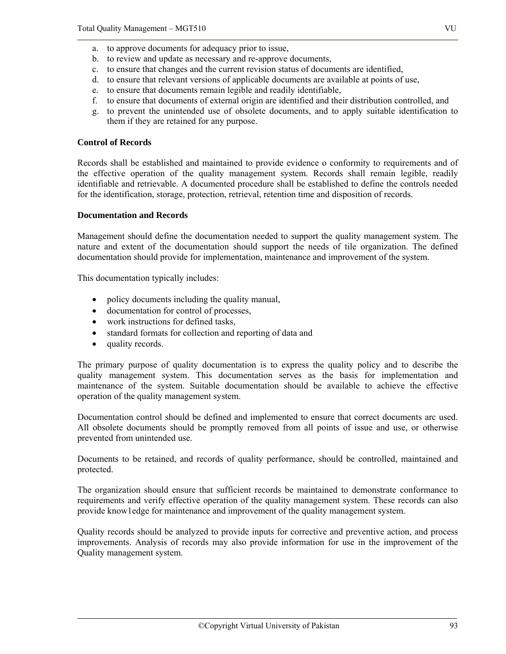- a. to approve documents for adequacy prior to issue,
- b. to review and update as necessary and re-approve documents,
- c. to ensure that changes and the current revision status of documents are identified,
- d. to ensure that relevant versions of applicable documents are available at points of use,
- e. to ensure that documents remain legible and readily identifiable,
- f. to ensure that documents of external origin are identified and their distribution controlled, and
- g. to prevent the unintended use of obsolete documents, and to apply suitable identification to them if they are retained for any purpose.

#### **Control of Records**

Records shall be established and maintained to provide evidence o conformity to requirements and of the effective operation of the quality management system. Records shall remain legible, readily identifiable and retrievable. A documented procedure shall be established to define the controls needed for the identification, storage, protection, retrieval, retention time and disposition of records.

#### **Documentation and Records**

Management should define the documentation needed to support the quality management system. The nature and extent of the documentation should support the needs of tile organization. The defined documentation should provide for implementation, maintenance and improvement of the system.

This documentation typically includes:

- policy documents including the quality manual,
- documentation for control of processes,
- work instructions for defined tasks,
- standard formats for collection and reporting of data and
- quality records.

The primary purpose of quality documentation is to express the quality policy and to describe the quality management system. This documentation serves as the basis for implementation and maintenance of the system. Suitable documentation should be available to achieve the effective operation of the quality management system.

Documentation control should be defined and implemented to ensure that correct documents arc used. All obsolete documents should be promptly removed from all points of issue and use, or otherwise prevented from unintended use.

Documents to be retained, and records of quality performance, should be controlled, maintained and protected.

The organization should ensure that sufficient records be maintained to demonstrate conformance to requirements and verify effective operation of the quality management system. These records can also provide know1edge for maintenance and improvement of the quality management system.

Quality records should be analyzed to provide inputs for corrective and preventive action, and process improvements. Analysis of records may also provide information for use in the improvement of the Quality management system.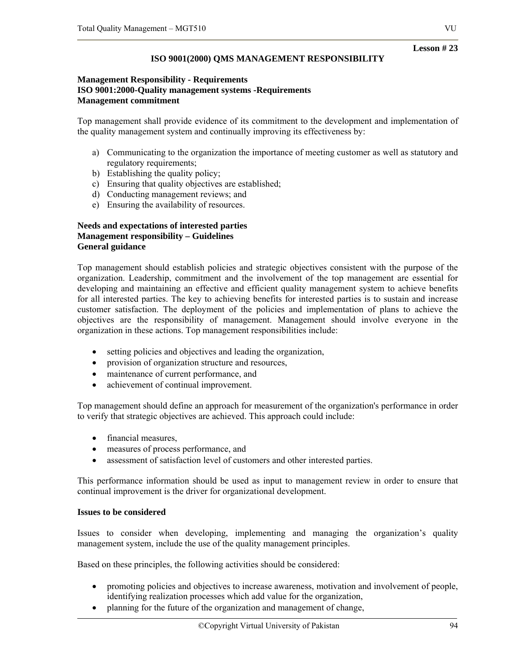# **Lesson # 23**

## **ISO 9001(2000) QMS MANAGEMENT RESPONSIBILITY**

#### **Management Responsibility - Requirements ISO 9001:2000-Quality management systems -Requirements Management commitment**

Top management shall provide evidence of its commitment to the development and implementation of the quality management system and continually improving its effectiveness by:

- a) Communicating to the organization the importance of meeting customer as well as statutory and regulatory requirements;
- b) Establishing the quality policy;
- c) Ensuring that quality objectives are established;
- d) Conducting management reviews; and
- e) Ensuring the availability of resources.

## **Needs and expectations of interested parties Management responsibility – Guidelines General guidance**

Top management should establish policies and strategic objectives consistent with the purpose of the organization. Leadership, commitment and the involvement of the top management are essential for developing and maintaining an effective and efficient quality management system to achieve benefits for all interested parties. The key to achieving benefits for interested parties is to sustain and increase customer satisfaction. The deployment of the policies and implementation of plans to achieve the objectives are the responsibility of management. Management should involve everyone in the organization in these actions. Top management responsibilities include:

- setting policies and objectives and leading the organization,
- provision of organization structure and resources,
- maintenance of current performance, and
- achievement of continual improvement.

Top management should define an approach for measurement of the organization's performance in order to verify that strategic objectives are achieved. This approach could include:

- financial measures.
- measures of process performance, and
- assessment of satisfaction level of customers and other interested parties.

This performance information should be used as input to management review in order to ensure that continual improvement is the driver for organizational development.

#### **Issues to be considered**

Issues to consider when developing, implementing and managing the organization's quality management system, include the use of the quality management principles.

Based on these principles, the following activities should be considered:

- promoting policies and objectives to increase awareness, motivation and involvement of people, identifying realization processes which add value for the organization,
- planning for the future of the organization and management of change,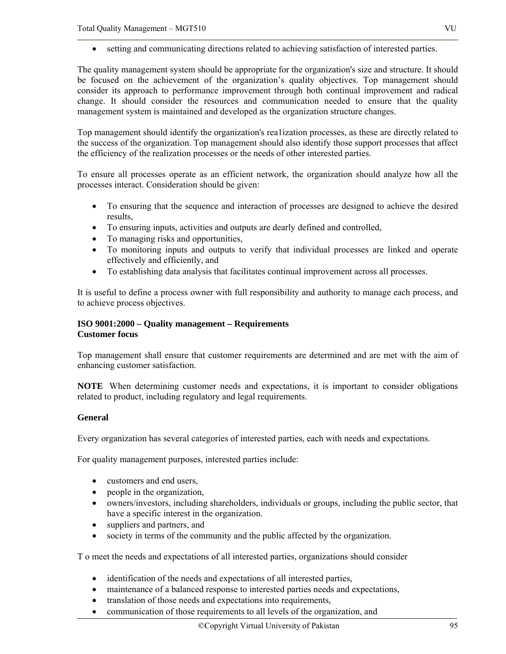• setting and communicating directions related to achieving satisfaction of interested parties.

The quality management system should be appropriate for the organization's size and structure. It should be focused on the achievement of the organization's quality objectives. Top management should consider its approach to performance improvement through both continual improvement and radical change. It should consider the resources and communication needed to ensure that the quality management system is maintained and developed as the organization structure changes.

Top management should identify the organization's rea1ization processes, as these are directly related to the success of the organization. Top management should also identify those support processes that affect the efficiency of the realization processes or the needs of other interested parties.

To ensure all processes operate as an efficient network, the organization should analyze how all the processes interact. Consideration should be given:

- To ensuring that the sequence and interaction of processes are designed to achieve the desired results,
- To ensuring inputs, activities and outputs are dearly defined and controlled,
- To managing risks and opportunities,
- To monitoring inputs and outputs to verify that individual processes are linked and operate effectively and efficiently, and
- To establishing data analysis that facilitates continual improvement across all processes.

It is useful to define a process owner with full responsibility and authority to manage each process, and to achieve process objectives.

## **ISO 9001:2000 – Quality management – Requirements Customer focus**

Top management shall ensure that customer requirements are determined and are met with the aim of enhancing customer satisfaction.

**NOTE** When determining customer needs and expectations, it is important to consider obligations related to product, including regulatory and legal requirements.

#### **General**

Every organization has several categories of interested parties, each with needs and expectations.

For quality management purposes, interested parties include:

- customers and end users,
- people in the organization,
- owners/investors, including shareholders, individuals or groups, including the public sector, that have a specific interest in the organization.
- suppliers and partners, and
- society in terms of the community and the public affected by the organization.

T o meet the needs and expectations of all interested parties, organizations should consider

- identification of the needs and expectations of all interested parties,
- maintenance of a balanced response to interested parties needs and expectations,
- translation of those needs and expectations into requirements,
- communication of those requirements to all levels of the organization, and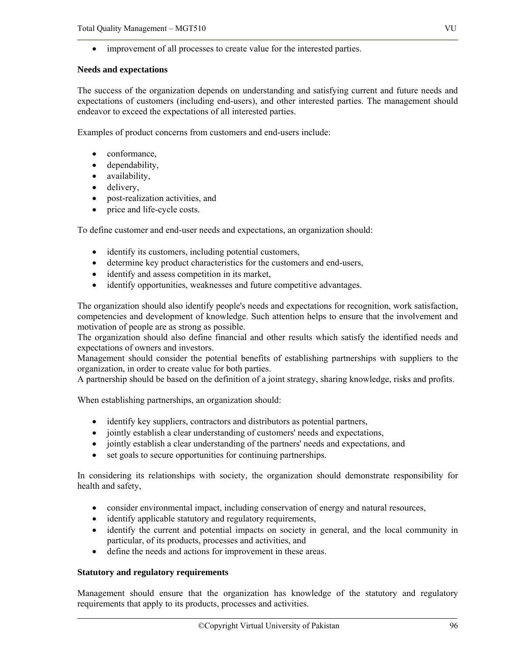#### **Needs and expectations**

The success of the organization depends on understanding and satisfying current and future needs and expectations of customers (including end-users), and other interested parties. The management should endeavor to exceed the expectations of all interested parties.

Examples of product concerns from customers and end-users include:

- conformance,
- dependability,
- availability,
- delivery,
- post-realization activities, and
- price and life-cycle costs.

To define customer and end-user needs and expectations, an organization should:

- identify its customers, including potential customers,
- determine key product characteristics for the customers and end-users,
- identify and assess competition in its market,
- identify opportunities, weaknesses and future competitive advantages.

The organization should also identify people's needs and expectations for recognition, work satisfaction, competencies and development of knowledge. Such attention helps to ensure that the involvement and motivation of people are as strong as possible.

The organization should also define financial and other results which satisfy the identified needs and expectations of owners and investors.

Management should consider the potential benefits of establishing partnerships with suppliers to the organization, in order to create value for both parties.

A partnership should be based on the definition of a joint strategy, sharing knowledge, risks and profits.

When establishing partnerships, an organization should:

- identify key suppliers, contractors and distributors as potential partners,
- jointly establish a clear understanding of customers' needs and expectations,
- jointly establish a clear understanding of the partners' needs and expectations, and
- set goals to secure opportunities for continuing partnerships.

In considering its relationships with society, the organization should demonstrate responsibility for health and safety,

- consider environmental impact, including conservation of energy and natural resources,
- identify applicable statutory and regulatory requirements,
- identify the current and potential impacts on society in general, and the local community in particular, of its products, processes and activities, and
- define the needs and actions for improvement in these areas.

# **Statutory and regulatory requirements**

Management should ensure that the organization has knowledge of the statutory and regulatory requirements that apply to its products, processes and activities.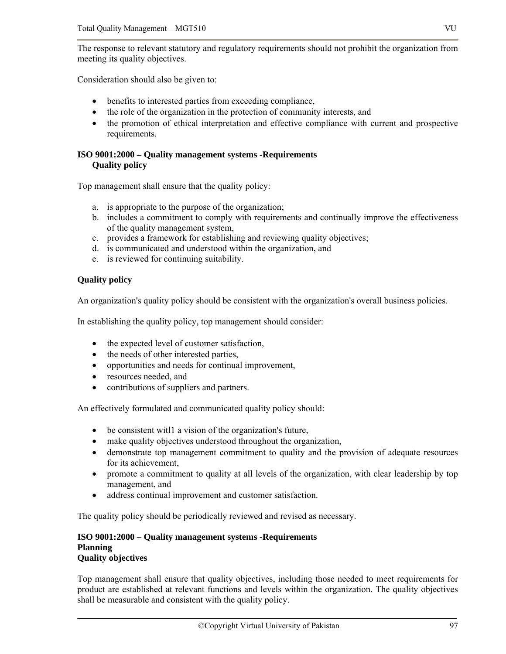Consideration should also be given to:

- benefits to interested parties from exceeding compliance,
- the role of the organization in the protection of community interests, and
- the promotion of ethical interpretation and effective compliance with current and prospective requirements.

# **ISO 9001:2000 – Quality management systems -Requirements Quality policy**

Top management shall ensure that the quality policy:

- a. is appropriate to the purpose of the organization;
- b. includes a commitment to comply with requirements and continually improve the effectiveness of the quality management system,
- c. provides a framework for establishing and reviewing quality objectives;
- d. is communicated and understood within the organization, and
- e. is reviewed for continuing suitability.

# **Quality policy**

An organization's quality policy should be consistent with the organization's overall business policies.

In establishing the quality policy, top management should consider:

- the expected level of customer satisfaction,
- the needs of other interested parties,
- opportunities and needs for continual improvement,
- resources needed, and
- contributions of suppliers and partners.

An effectively formulated and communicated quality policy should:

- be consistent witll a vision of the organization's future,
- make quality objectives understood throughout the organization,
- demonstrate top management commitment to quality and the provision of adequate resources for its achievement,
- promote a commitment to quality at all levels of the organization, with clear leadership by top management, and
- address continual improvement and customer satisfaction.

The quality policy should be periodically reviewed and revised as necessary.

#### **ISO 9001:2000 – Quality management systems -Requirements Planning Quality objectives**

Top management shall ensure that quality objectives, including those needed to meet requirements for product are established at relevant functions and levels within the organization. The quality objectives shall be measurable and consistent with the quality policy.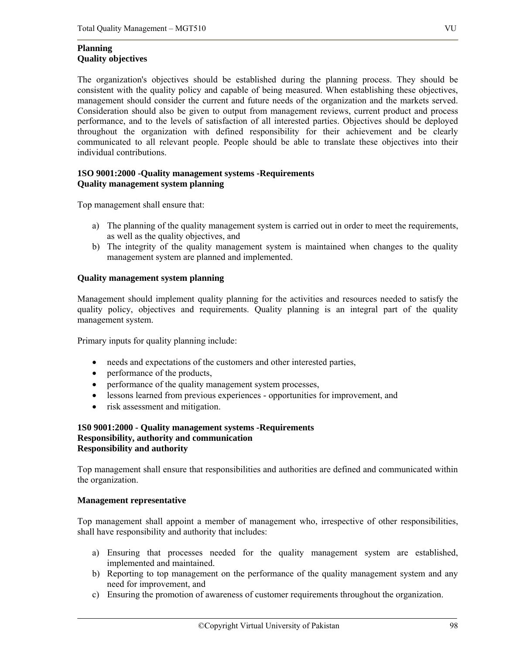# **Planning Quality objectives**

The organization's objectives should be established during the planning process. They should be consistent with the quality policy and capable of being measured. When establishing these objectives, management should consider the current and future needs of the organization and the markets served. Consideration should also be given to output from management reviews, current product and process performance, and to the levels of satisfaction of all interested parties. Objectives should be deployed throughout the organization with defined responsibility for their achievement and be clearly communicated to all relevant people. People should be able to translate these objectives into their individual contributions.

# **1SO 9001:2000 -Quality management systems -Requirements Quality management system planning**

Top management shall ensure that:

- a) The planning of the quality management system is carried out in order to meet the requirements, as well as the quality objectives, and
- b) The integrity of the quality management system is maintained when changes to the quality management system are planned and implemented.

# **Quality management system planning**

Management should implement quality planning for the activities and resources needed to satisfy the quality policy, objectives and requirements. Quality planning is an integral part of the quality management system.

Primary inputs for quality planning include:

- needs and expectations of the customers and other interested parties,
- performance of the products,
- performance of the quality management system processes,
- lessons learned from previous experiences opportunities for improvement, and
- risk assessment and mitigation.

#### **1S0 9001:2000 - Quality management systems -Requirements Responsibility, authority and communication Responsibility and authority**

Top management shall ensure that responsibilities and authorities are defined and communicated within the organization.

# **Management representative**

Top management shall appoint a member of management who, irrespective of other responsibilities, shall have responsibility and authority that includes:

- a) Ensuring that processes needed for the quality management system are established, implemented and maintained.
- b) Reporting to top management on the performance of the quality management system and any need for improvement, and
- c) Ensuring the promotion of awareness of customer requirements throughout the organization.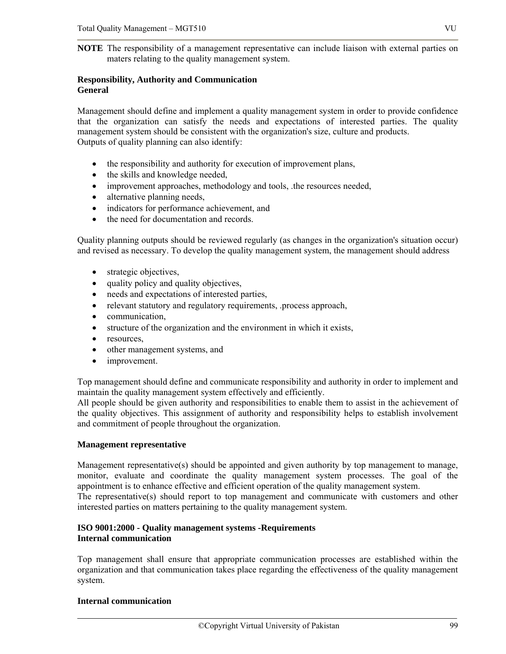# **Responsibility, Authority and Communication General**

Management should define and implement a quality management system in order to provide confidence that the organization can satisfy the needs and expectations of interested parties. The quality management system should be consistent with the organization's size, culture and products. Outputs of quality planning can also identify:

- the responsibility and authority for execution of improvement plans,
- the skills and knowledge needed,
- improvement approaches, methodology and tools, .the resources needed,
- alternative planning needs,
- indicators for performance achievement, and
- the need for documentation and records.

Quality planning outputs should be reviewed regularly (as changes in the organization's situation occur) and revised as necessary. To develop the quality management system, the management should address

- strategic objectives,
- quality policy and quality objectives,
- needs and expectations of interested parties,
- relevant statutory and regulatory requirements, .process approach,
- communication.
- structure of the organization and the environment in which it exists,
- resources,
- other management systems, and
- improvement.

Top management should define and communicate responsibility and authority in order to implement and maintain the quality management system effectively and efficiently.

All people should be given authority and responsibilities to enable them to assist in the achievement of the quality objectives. This assignment of authority and responsibility helps to establish involvement and commitment of people throughout the organization.

# **Management representative**

Management representative(s) should be appointed and given authority by top management to manage, monitor, evaluate and coordinate the quality management system processes. The goal of the appointment is to enhance effective and efficient operation of the quality management system. The representative(s) should report to top management and communicate with customers and other interested parties on matters pertaining to the quality management system.

## **ISO 9001:2000 - Quality management systems -Requirements Internal communication**

Top management shall ensure that appropriate communication processes are established within the organization and that communication takes place regarding the effectiveness of the quality management system.

# **Internal communication**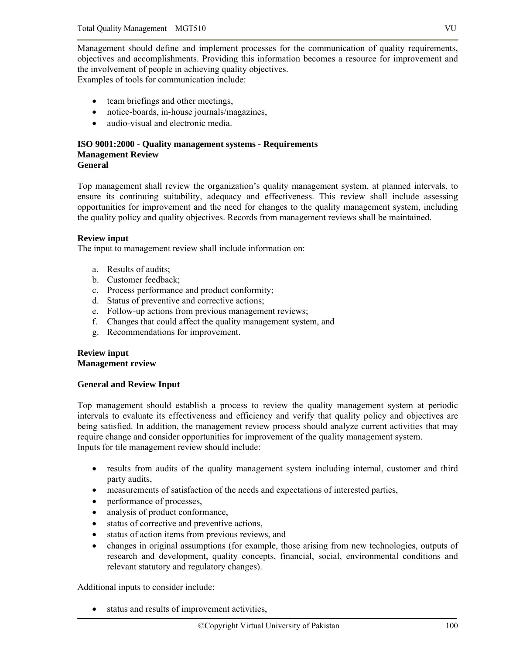Management should define and implement processes for the communication of quality requirements, objectives and accomplishments. Providing this information becomes a resource for improvement and the involvement of people in achieving quality objectives.

Examples of tools for communication include:

- team briefings and other meetings,
- notice-boards, in-house journals/magazines,
- audio-visual and electronic media.

#### **ISO 9001:2000 - Quality management systems - Requirements Management Review General**

Top management shall review the organization's quality management system, at planned intervals, to ensure its continuing suitability, adequacy and effectiveness. This review shall include assessing opportunities for improvement and the need for changes to the quality management system, including the quality policy and quality objectives. Records from management reviews shall be maintained.

#### **Review input**

The input to management review shall include information on:

- a. Results of audits;
- b. Customer feedback;
- c. Process performance and product conformity;
- d. Status of preventive and corrective actions;
- e. Follow-up actions from previous management reviews;
- f. Changes that could affect the quality management system, and
- g. Recommendations for improvement.

#### **Review input Management review**

#### **General and Review Input**

Top management should establish a process to review the quality management system at periodic intervals to evaluate its effectiveness and efficiency and verify that quality policy and objectives are being satisfied. In addition, the management review process should analyze current activities that may require change and consider opportunities for improvement of the quality management system. Inputs for tile management review should include:

- results from audits of the quality management system including internal, customer and third party audits,
- measurements of satisfaction of the needs and expectations of interested parties,
- performance of processes,
- analysis of product conformance,
- status of corrective and preventive actions,
- status of action items from previous reviews, and
- changes in original assumptions (for example, those arising from new technologies, outputs of research and development, quality concepts, financial, social, environmental conditions and relevant statutory and regulatory changes).

Additional inputs to consider include:

• status and results of improvement activities,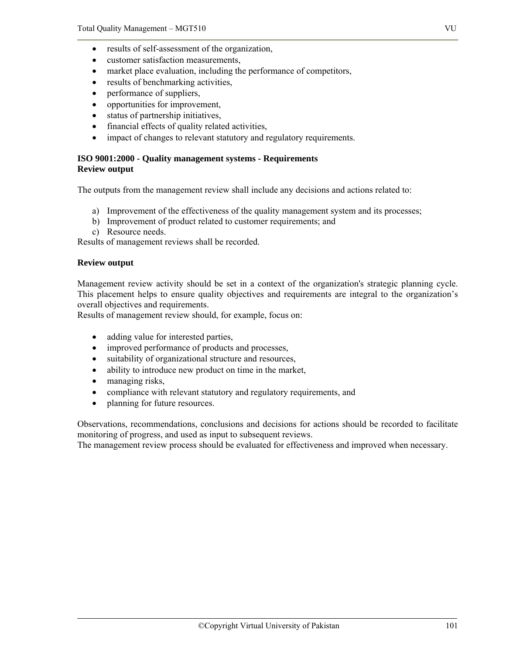- results of self-assessment of the organization,
- customer satisfaction measurements,
- market place evaluation, including the performance of competitors,
- results of benchmarking activities,
- performance of suppliers,
- opportunities for improvement,
- status of partnership initiatives,
- financial effects of quality related activities,
- impact of changes to relevant statutory and regulatory requirements.

## **ISO 9001:2000 - Quality management systems - Requirements Review output**

The outputs from the management review shall include any decisions and actions related to:

- a) Improvement of the effectiveness of the quality management system and its processes;
- b) Improvement of product related to customer requirements; and
- c) Resource needs.

Results of management reviews shall be recorded.

# **Review output**

Management review activity should be set in a context of the organization's strategic planning cycle. This placement helps to ensure quality objectives and requirements are integral to the organization's overall objectives and requirements.

Results of management review should, for example, focus on:

- adding value for interested parties,
- improved performance of products and processes,
- suitability of organizational structure and resources,
- ability to introduce new product on time in the market,
- managing risks,
- compliance with relevant statutory and regulatory requirements, and
- planning for future resources.

Observations, recommendations, conclusions and decisions for actions should be recorded to facilitate monitoring of progress, and used as input to subsequent reviews.

The management review process should be evaluated for effectiveness and improved when necessary.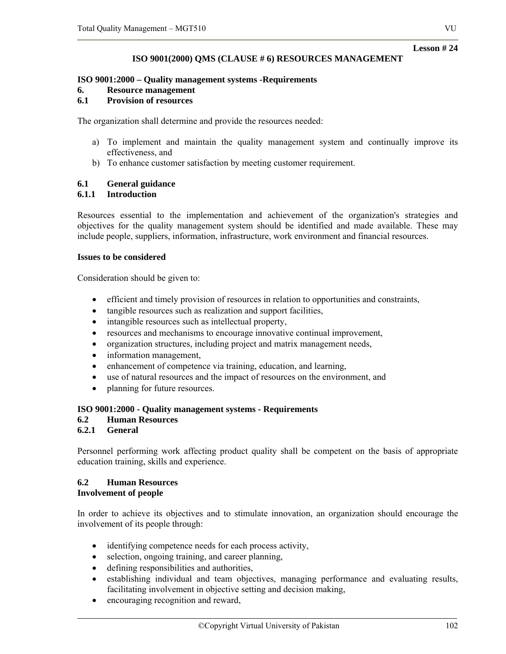# **Lesson # 24**

#### **ISO 9001(2000) QMS (CLAUSE # 6) RESOURCES MANAGEMENT**

#### **ISO 9001:2000 – Quality management systems -Requirements**

**6. Resource management** 

# **6.1 Provision of resources**

The organization shall determine and provide the resources needed:

- a) To implement and maintain the quality management system and continually improve its effectiveness, and
- b) To enhance customer satisfaction by meeting customer requirement.

#### **6.1 General guidance**

#### **6.1.1 Introduction**

Resources essential to the implementation and achievement of the organization's strategies and objectives for the quality management system should be identified and made available. These may include people, suppliers, information, infrastructure, work environment and financial resources.

#### **Issues to be considered**

Consideration should be given to:

- efficient and timely provision of resources in relation to opportunities and constraints,
- tangible resources such as realization and support facilities,
- intangible resources such as intellectual property,
- resources and mechanisms to encourage innovative continual improvement,
- organization structures, including project and matrix management needs,
- information management,
- enhancement of competence via training, education, and learning,
- use of natural resources and the impact of resources on the environment, and
- planning for future resources.

#### **ISO 9001:2000 - Quality management systems - Requirements**

# **6.2 Human Resources**

#### **6.2.1 General**

Personnel performing work affecting product quality shall be competent on the basis of appropriate education training, skills and experience.

#### **6.2 Human Resources Involvement of people**

In order to achieve its objectives and to stimulate innovation, an organization should encourage the involvement of its people through:

- identifying competence needs for each process activity,
- selection, ongoing training, and career planning,
- defining responsibilities and authorities,
- establishing individual and team objectives, managing performance and evaluating results, facilitating involvement in objective setting and decision making,
- encouraging recognition and reward,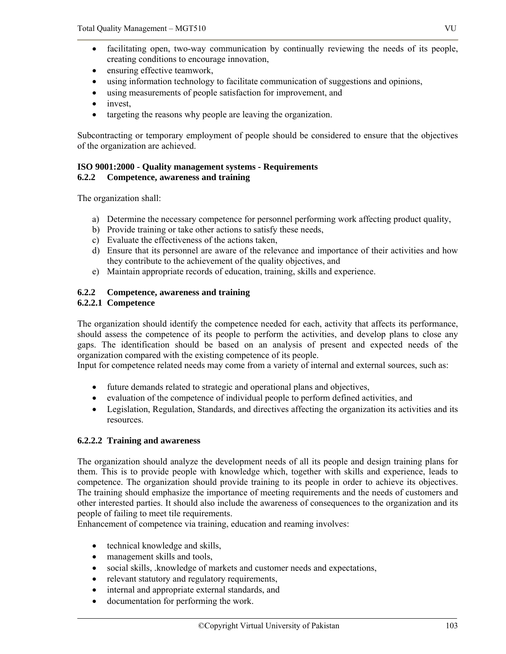- facilitating open, two-way communication by continually reviewing the needs of its people, creating conditions to encourage innovation,
- ensuring effective teamwork,
- using information technology to facilitate communication of suggestions and opinions,
- using measurements of people satisfaction for improvement, and
- invest.
- targeting the reasons why people are leaving the organization.

Subcontracting or temporary employment of people should be considered to ensure that the objectives of the organization are achieved.

# **ISO 9001:2000 - Quality management systems - Requirements**

# **6.2.2 Competence, awareness and training**

The organization shall:

- a) Determine the necessary competence for personnel performing work affecting product quality,
- b) Provide training or take other actions to satisfy these needs,
- c) Evaluate the effectiveness of the actions taken,
- d) Ensure that its personnel are aware of the relevance and importance of their activities and how they contribute to the achievement of the quality objectives, and
- e) Maintain appropriate records of education, training, skills and experience.

## **6.2.2 Competence, awareness and training**

## **6.2.2.1 Competence**

The organization should identify the competence needed for each, activity that affects its performance, should assess the competence of its people to perform the activities, and develop plans to close any gaps. The identification should be based on an analysis of present and expected needs of the organization compared with the existing competence of its people.

Input for competence related needs may come from a variety of internal and external sources, such as:

- future demands related to strategic and operational plans and objectives,
- evaluation of the competence of individual people to perform defined activities, and
- Legislation, Regulation, Standards, and directives affecting the organization its activities and its resources.

# **6.2.2.2 Training and awareness**

The organization should analyze the development needs of all its people and design training plans for them. This is to provide people with knowledge which, together with skills and experience, leads to competence. The organization should provide training to its people in order to achieve its objectives. The training should emphasize the importance of meeting requirements and the needs of customers and other interested parties. It should also include the awareness of consequences to the organization and its people of failing to meet tile requirements.

Enhancement of competence via training, education and reaming involves:

- technical knowledge and skills,
- management skills and tools,
- social skills, .knowledge of markets and customer needs and expectations,
- relevant statutory and regulatory requirements,
- internal and appropriate external standards, and
- documentation for performing the work.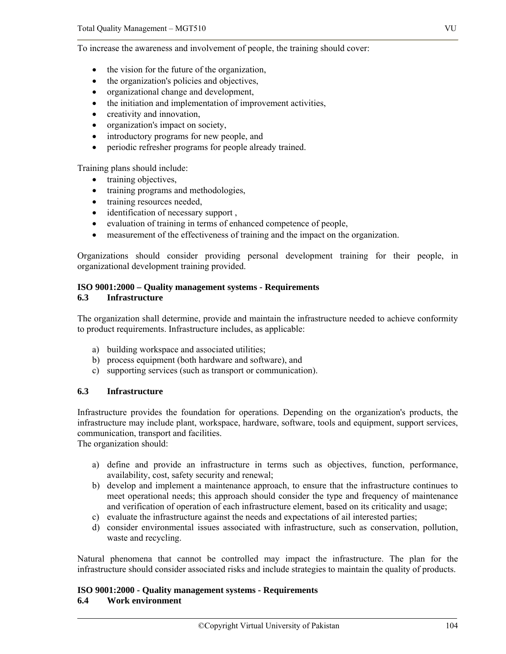- the vision for the future of the organization,
- the organization's policies and objectives,
- organizational change and development,
- the initiation and implementation of improvement activities,
- creativity and innovation,
- organization's impact on society,
- introductory programs for new people, and
- periodic refresher programs for people already trained.

Training plans should include:

- training objectives,
- training programs and methodologies,
- training resources needed,
- identification of necessary support,
- evaluation of training in terms of enhanced competence of people,
- measurement of the effectiveness of training and the impact on the organization.

Organizations should consider providing personal development training for their people, in organizational development training provided.

# **ISO 9001:2000 – Quality management systems - Requirements**

#### **6.3 Infrastructure**

The organization shall determine, provide and maintain the infrastructure needed to achieve conformity to product requirements. Infrastructure includes, as applicable:

- a) building workspace and associated utilities;
- b) process equipment (both hardware and software), and
- c) supporting services (such as transport or communication).

#### **6.3 Infrastructure**

Infrastructure provides the foundation for operations. Depending on the organization's products, the infrastructure may include plant, workspace, hardware, software, tools and equipment, support services, communication, transport and facilities.

The organization should:

- a) define and provide an infrastructure in terms such as objectives, function, performance, availability, cost, safety security and renewal;
- b) develop and implement a maintenance approach, to ensure that the infrastructure continues to meet operational needs; this approach should consider the type and frequency of maintenance and verification of operation of each infrastructure element, based on its criticality and usage;
- c) evaluate the infrastructure against the needs and expectations of ail interested parties;
- d) consider environmental issues associated with infrastructure, such as conservation, pollution, waste and recycling.

Natural phenomena that cannot be controlled may impact the infrastructure. The plan for the infrastructure should consider associated risks and include strategies to maintain the quality of products.

#### **ISO 9001:2000 - Quality management systems - Requirements 6.4 Work environment**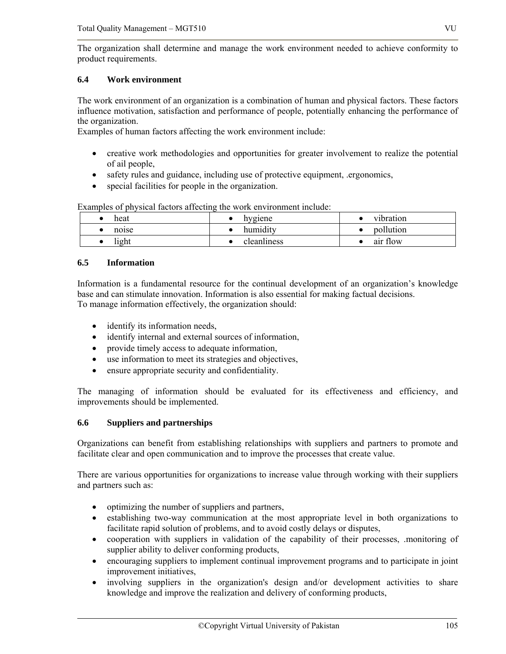The organization shall determine and manage the work environment needed to achieve conformity to product requirements.

## **6.4 Work environment**

The work environment of an organization is a combination of human and physical factors. These factors influence motivation, satisfaction and performance of people, potentially enhancing the performance of the organization.

Examples of human factors affecting the work environment include:

- creative work methodologies and opportunities for greater involvement to realize the potential of ail people,
- safety rules and guidance, including use of protective equipment, .ergonomics,
- special facilities for people in the organization.

Examples of physical factors affecting the work environment include:

| heat  | hygiene     | vibration |
|-------|-------------|-----------|
| noise | humidity    | pollution |
| light | cleanliness | air flow  |

## **6.5 Information**

Information is a fundamental resource for the continual development of an organization's knowledge base and can stimulate innovation. Information is also essential for making factual decisions. To manage information effectively, the organization should:

- identify its information needs,
- identify internal and external sources of information,
- provide timely access to adequate information,
- use information to meet its strategies and objectives,
- ensure appropriate security and confidentiality.

The managing of information should be evaluated for its effectiveness and efficiency, and improvements should be implemented.

#### **6.6 Suppliers and partnerships**

Organizations can benefit from establishing relationships with suppliers and partners to promote and facilitate clear and open communication and to improve the processes that create value.

There are various opportunities for organizations to increase value through working with their suppliers and partners such as:

- optimizing the number of suppliers and partners,
- establishing two-way communication at the most appropriate level in both organizations to facilitate rapid solution of problems, and to avoid costly delays or disputes,
- cooperation with suppliers in validation of the capability of their processes, .monitoring of supplier ability to deliver conforming products,
- encouraging suppliers to implement continual improvement programs and to participate in joint improvement initiatives,
- involving suppliers in the organization's design and/or development activities to share knowledge and improve the realization and delivery of conforming products,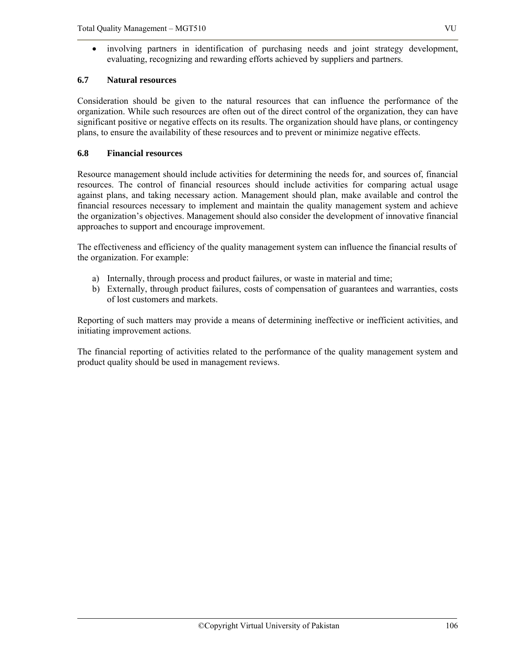• involving partners in identification of purchasing needs and joint strategy development, evaluating, recognizing and rewarding efforts achieved by suppliers and partners.

## **6.7 Natural resources**

Consideration should be given to the natural resources that can influence the performance of the organization. While such resources are often out of the direct control of the organization, they can have significant positive or negative effects on its results. The organization should have plans, or contingency plans, to ensure the availability of these resources and to prevent or minimize negative effects.

## **6.8 Financial resources**

Resource management should include activities for determining the needs for, and sources of, financial resources. The control of financial resources should include activities for comparing actual usage against plans, and taking necessary action. Management should plan, make available and control the financial resources necessary to implement and maintain the quality management system and achieve the organization's objectives. Management should also consider the development of innovative financial approaches to support and encourage improvement.

The effectiveness and efficiency of the quality management system can influence the financial results of the organization. For example:

- a) Internally, through process and product failures, or waste in material and time;
- b) Externally, through product failures, costs of compensation of guarantees and warranties, costs of lost customers and markets.

Reporting of such matters may provide a means of determining ineffective or inefficient activities, and initiating improvement actions.

The financial reporting of activities related to the performance of the quality management system and product quality should be used in management reviews.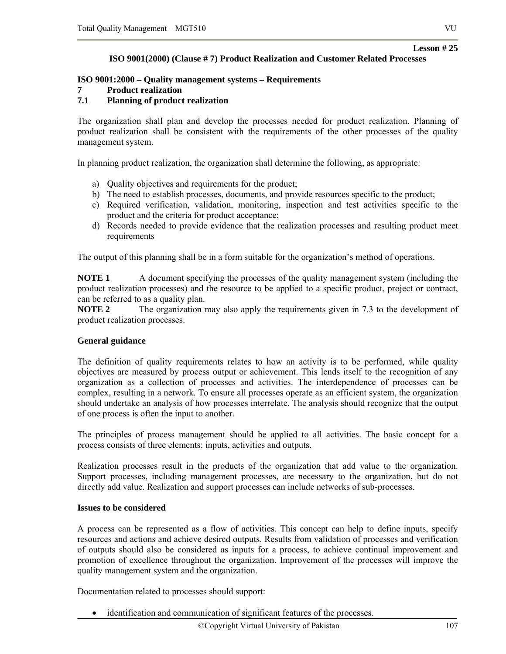#### **Lesson # 25**

## **ISO 9001(2000) (Clause # 7) Product Realization and Customer Related Processes**

## **ISO 9001:2000 – Quality management systems – Requirements**

# **7 Product realization**

## **7.1 Planning of product realization**

The organization shall plan and develop the processes needed for product realization. Planning of product realization shall be consistent with the requirements of the other processes of the quality management system.

In planning product realization, the organization shall determine the following, as appropriate:

- a) Quality objectives and requirements for the product;
- b) The need to establish processes, documents, and provide resources specific to the product;
- c) Required verification, validation, monitoring, inspection and test activities specific to the product and the criteria for product acceptance;
- d) Records needed to provide evidence that the realization processes and resulting product meet requirements

The output of this planning shall be in a form suitable for the organization's method of operations.

**NOTE 1** A document specifying the processes of the quality management system (including the product realization processes) and the resource to be applied to a specific product, project or contract, can be referred to as a quality plan.

**NOTE 2** The organization may also apply the requirements given in 7.3 to the development of product realization processes.

#### **General guidance**

The definition of quality requirements relates to how an activity is to be performed, while quality objectives are measured by process output or achievement. This lends itself to the recognition of any organization as a collection of processes and activities. The interdependence of processes can be complex, resulting in a network. To ensure all processes operate as an efficient system, the organization should undertake an analysis of how processes interrelate. The analysis should recognize that the output of one process is often the input to another.

The principles of process management should be applied to all activities. The basic concept for a process consists of three elements: inputs, activities and outputs.

Realization processes result in the products of the organization that add value to the organization. Support processes, including management processes, are necessary to the organization, but do not directly add value. Realization and support processes can include networks of sub-processes.

#### **Issues to be considered**

A process can be represented as a flow of activities. This concept can help to define inputs, specify resources and actions and achieve desired outputs. Results from validation of processes and verification of outputs should also be considered as inputs for a process, to achieve continual improvement and promotion of excellence throughout the organization. Improvement of the processes will improve the quality management system and the organization.

Documentation related to processes should support:

• identification and communication of significant features of the processes.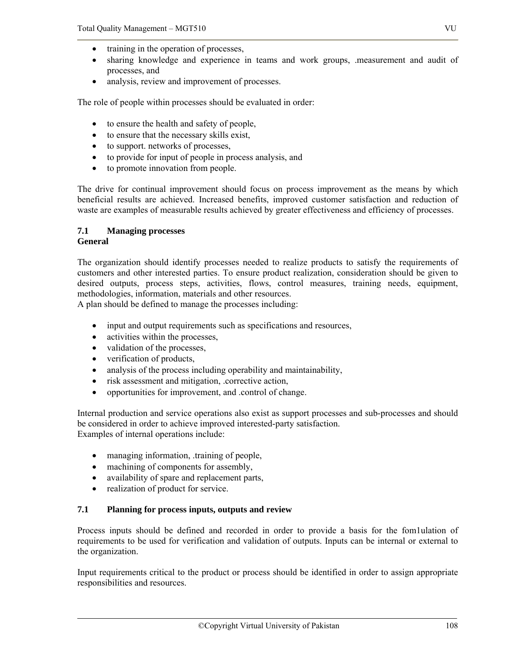- sharing knowledge and experience in teams and work groups, .measurement and audit of processes, and
- analysis, review and improvement of processes.

The role of people within processes should be evaluated in order:

- to ensure the health and safety of people,
- to ensure that the necessary skills exist,
- to support. networks of processes,
- to provide for input of people in process analysis, and
- to promote innovation from people.

The drive for continual improvement should focus on process improvement as the means by which beneficial results are achieved. Increased benefits, improved customer satisfaction and reduction of waste are examples of measurable results achieved by greater effectiveness and efficiency of processes.

#### **7.1 Managing processes General**

The organization should identify processes needed to realize products to satisfy the requirements of customers and other interested parties. To ensure product realization, consideration should be given to desired outputs, process steps, activities, flows, control measures, training needs, equipment, methodologies, information, materials and other resources.

A plan should be defined to manage the processes including:

- input and output requirements such as specifications and resources,
- activities within the processes,
- validation of the processes,
- verification of products,
- analysis of the process including operability and maintainability,
- risk assessment and mitigation, .corrective action,
- opportunities for improvement, and .control of change.

Internal production and service operations also exist as support processes and sub-processes and should be considered in order to achieve improved interested-party satisfaction. Examples of internal operations include:

- managing information, training of people,
- machining of components for assembly,
- availability of spare and replacement parts,
- realization of product for service.

#### **7.1 Planning for process inputs, outputs and review**

Process inputs should be defined and recorded in order to provide a basis for the fom1ulation of requirements to be used for verification and validation of outputs. Inputs can be internal or external to the organization.

Input requirements critical to the product or process should be identified in order to assign appropriate responsibilities and resources.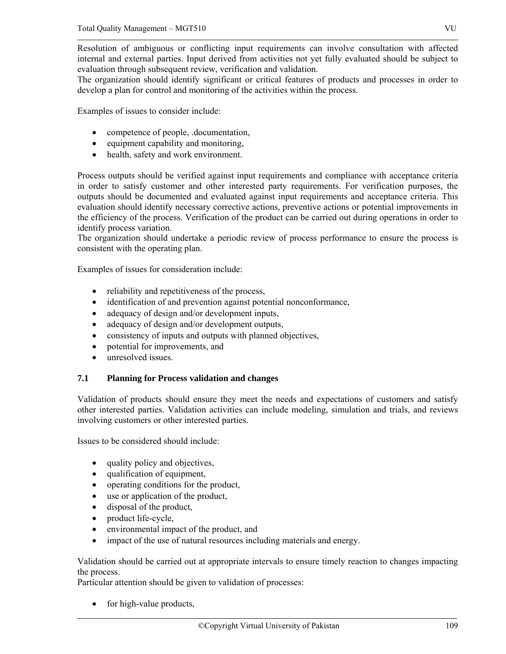Resolution of ambiguous or conflicting input requirements can involve consultation with affected internal and external parties. Input derived from activities not yet fully evaluated should be subject to evaluation through subsequent review, verification and validation.

The organization should identify significant or critical features of products and processes in order to develop a plan for control and monitoring of the activities within the process.

Examples of issues to consider include:

- competence of people, .documentation,
- equipment capability and monitoring,
- health, safety and work environment.

Process outputs should be verified against input requirements and compliance with acceptance criteria in order to satisfy customer and other interested party requirements. For verification purposes, the outputs should be documented and evaluated against input requirements and acceptance criteria. This evaluation should identify necessary corrective actions, preventive actions or potential improvements in the efficiency of the process. Verification of the product can be carried out during operations in order to identify process variation.

The organization should undertake a periodic review of process performance to ensure the process is consistent with the operating plan.

Examples of issues for consideration include:

- reliability and repetitiveness of the process,
- identification of and prevention against potential nonconformance,
- adequacy of design and/or development inputs,
- adequacy of design and/or development outputs,
- consistency of inputs and outputs with planned objectives,
- potential for improvements, and
- unresolved issues.

#### **7.1 Planning for Process validation and changes**

Validation of products should ensure they meet the needs and expectations of customers and satisfy other interested parties. Validation activities can include modeling, simulation and trials, and reviews involving customers or other interested parties.

Issues to be considered should include:

- quality policy and objectives,
- qualification of equipment,
- operating conditions for the product,
- use or application of the product,
- disposal of the product,
- product life-cycle,
- environmental impact of the product, and
- impact of the use of natural resources including materials and energy.

Validation should be carried out at appropriate intervals to ensure timely reaction to changes impacting the process.

Particular attention should be given to validation of processes:

• for high-value products,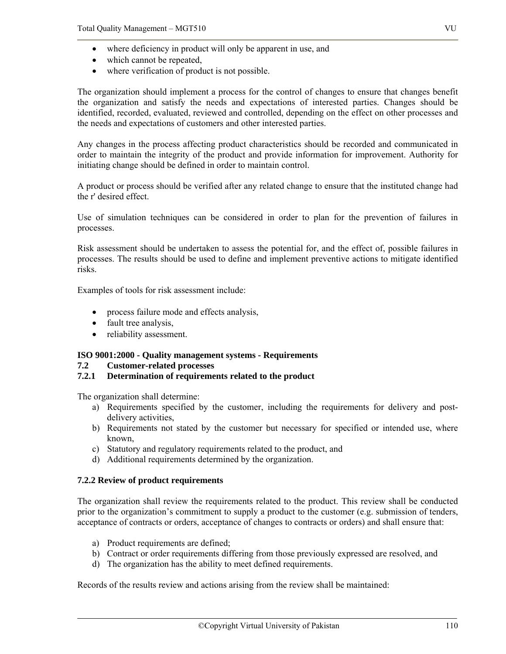- where deficiency in product will only be apparent in use, and
- which cannot be repeated,
- where verification of product is not possible.

The organization should implement a process for the control of changes to ensure that changes benefit the organization and satisfy the needs and expectations of interested parties. Changes should be identified, recorded, evaluated, reviewed and controlled, depending on the effect on other processes and the needs and expectations of customers and other interested parties.

Any changes in the process affecting product characteristics should be recorded and communicated in order to maintain the integrity of the product and provide information for improvement. Authority for initiating change should be defined in order to maintain control.

A product or process should be verified after any related change to ensure that the instituted change had the r' desired effect.

Use of simulation techniques can be considered in order to plan for the prevention of failures in processes.

Risk assessment should be undertaken to assess the potential for, and the effect of, possible failures in processes. The results should be used to define and implement preventive actions to mitigate identified risks.

Examples of tools for risk assessment include:

- process failure mode and effects analysis,
- fault tree analysis,
- reliability assessment.

#### **ISO 9001:2000 - Quality management systems - Requirements**

#### **7.2 Customer-related processes**

#### **7.2.1 Determination of requirements related to the product**

The organization shall determine:

- a) Requirements specified by the customer, including the requirements for delivery and postdelivery activities,
- b) Requirements not stated by the customer but necessary for specified or intended use, where known,
- c) Statutory and regulatory requirements related to the product, and
- d) Additional requirements determined by the organization.

#### **7.2.2 Review of product requirements**

The organization shall review the requirements related to the product. This review shall be conducted prior to the organization's commitment to supply a product to the customer (e.g. submission of tenders, acceptance of contracts or orders, acceptance of changes to contracts or orders) and shall ensure that:

- a) Product requirements are defined;
- b) Contract or order requirements differing from those previously expressed are resolved, and
- d) The organization has the ability to meet defined requirements.

Records of the results review and actions arising from the review shall be maintained: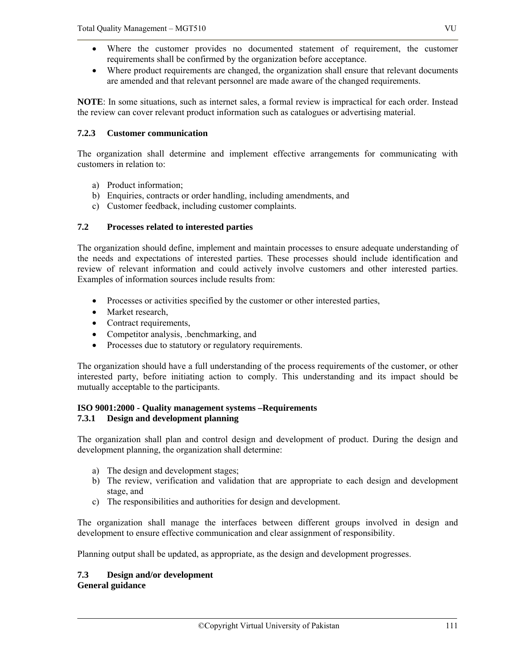- Where the customer provides no documented statement of requirement, the customer requirements shall be confirmed by the organization before acceptance.
- Where product requirements are changed, the organization shall ensure that relevant documents are amended and that relevant personnel are made aware of the changed requirements.

**NOTE**: In some situations, such as internet sales, a formal review is impractical for each order. Instead the review can cover relevant product information such as catalogues or advertising material.

#### **7.2.3 Customer communication**

The organization shall determine and implement effective arrangements for communicating with customers in relation to:

- a) Product information;
- b) Enquiries, contracts or order handling, including amendments, and
- c) Customer feedback, including customer complaints.

#### **7.2 Processes related to interested parties**

The organization should define, implement and maintain processes to ensure adequate understanding of the needs and expectations of interested parties. These processes should include identification and review of relevant information and could actively involve customers and other interested parties. Examples of information sources include results from:

- Processes or activities specified by the customer or other interested parties,
- Market research,
- Contract requirements,
- Competitor analysis, benchmarking, and
- Processes due to statutory or regulatory requirements.

The organization should have a full understanding of the process requirements of the customer, or other interested party, before initiating action to comply. This understanding and its impact should be mutually acceptable to the participants.

### **ISO 9001:2000 - Quality management systems –Requirements**

### **7.3.1 Design and development planning**

The organization shall plan and control design and development of product. During the design and development planning, the organization shall determine:

- a) The design and development stages;
- b) The review, verification and validation that are appropriate to each design and development stage, and
- c) The responsibilities and authorities for design and development.

The organization shall manage the interfaces between different groups involved in design and development to ensure effective communication and clear assignment of responsibility.

Planning output shall be updated, as appropriate, as the design and development progresses.

#### **7.3 Design and/or development General guidance**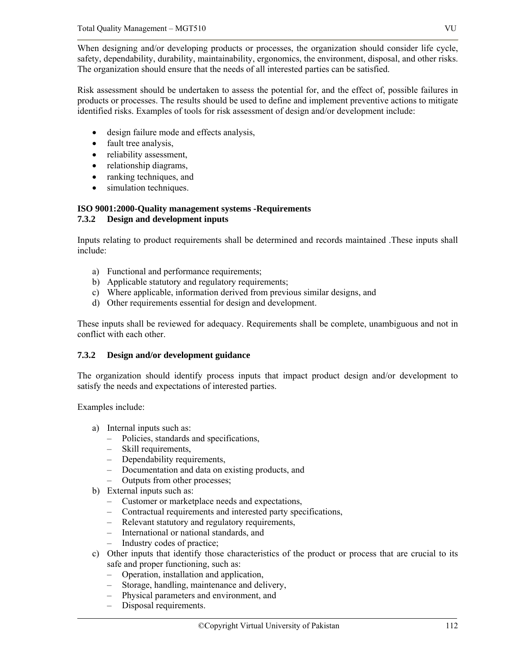When designing and/or developing products or processes, the organization should consider life cycle, safety, dependability, durability, maintainability, ergonomics, the environment, disposal, and other risks. The organization should ensure that the needs of all interested parties can be satisfied.

Risk assessment should be undertaken to assess the potential for, and the effect of, possible failures in products or processes. The results should be used to define and implement preventive actions to mitigate identified risks. Examples of tools for risk assessment of design and/or development include:

- design failure mode and effects analysis,
- fault tree analysis,
- reliability assessment,
- relationship diagrams,
- ranking techniques, and
- simulation techniques.

## **ISO 9001:2000-Quality management systems -Requirements**

#### **7.3.2 Design and development inputs**

Inputs relating to product requirements shall be determined and records maintained .These inputs shall include:

- a) Functional and performance requirements;
- b) Applicable statutory and regulatory requirements;
- c) Where applicable, information derived from previous similar designs, and
- d) Other requirements essential for design and development.

These inputs shall be reviewed for adequacy. Requirements shall be complete, unambiguous and not in conflict with each other.

#### **7.3.2 Design and/or development guidance**

The organization should identify process inputs that impact product design and/or development to satisfy the needs and expectations of interested parties.

Examples include:

- a) Internal inputs such as:
	- Policies, standards and specifications,
	- Skill requirements,
	- Dependability requirements,
	- Documentation and data on existing products, and
	- Outputs from other processes;
- b) External inputs such as:
	- Customer or marketplace needs and expectations,
	- Contractual requirements and interested party specifications,
	- Relevant statutory and regulatory requirements,
	- International or national standards, and
	- Industry codes of practice;
- c) Other inputs that identify those characteristics of the product or process that are crucial to its safe and proper functioning, such as:
	- Operation, installation and application,
	- Storage, handling, maintenance and delivery,
	- Physical parameters and environment, and
	- Disposal requirements.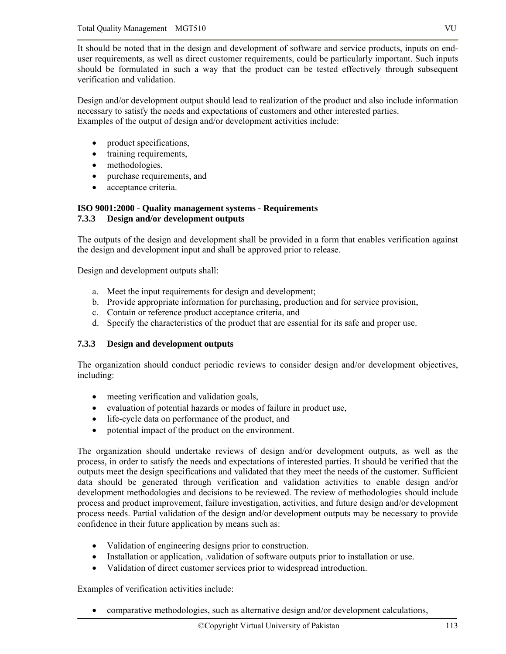It should be noted that in the design and development of software and service products, inputs on enduser requirements, as well as direct customer requirements, could be particularly important. Such inputs should be formulated in such a way that the product can be tested effectively through subsequent verification and validation.

Design and/or development output should lead to realization of the product and also include information necessary to satisfy the needs and expectations of customers and other interested parties. Examples of the output of design and/or development activities include:

- product specifications,
- training requirements,
- methodologies,
- purchase requirements, and
- acceptance criteria.

#### **ISO 9001:2000 - Quality management systems - Requirements 7.3.3 Design and/or development outputs**

The outputs of the design and development shall be provided in a form that enables verification against the design and development input and shall be approved prior to release.

Design and development outputs shall:

- a. Meet the input requirements for design and development;
- b. Provide appropriate information for purchasing, production and for service provision,
- c. Contain or reference product acceptance criteria, and
- d. Specify the characteristics of the product that are essential for its safe and proper use.

### **7.3.3 Design and development outputs**

The organization should conduct periodic reviews to consider design and/or development objectives, including:

- meeting verification and validation goals,
- evaluation of potential hazards or modes of failure in product use,
- life-cycle data on performance of the product, and
- potential impact of the product on the environment.

The organization should undertake reviews of design and/or development outputs, as well as the process, in order to satisfy the needs and expectations of interested parties. It should be verified that the outputs meet the design specifications and validated that they meet the needs of the customer. Sufficient data should be generated through verification and validation activities to enable design and/or development methodologies and decisions to be reviewed. The review of methodologies should include process and product improvement, failure investigation, activities, and future design and/or development process needs. Partial validation of the design and/or development outputs may be necessary to provide confidence in their future application by means such as:

- Validation of engineering designs prior to construction.
- Installation or application, validation of software outputs prior to installation or use.
- Validation of direct customer services prior to widespread introduction.

Examples of verification activities include:

• comparative methodologies, such as alternative design and/or development calculations,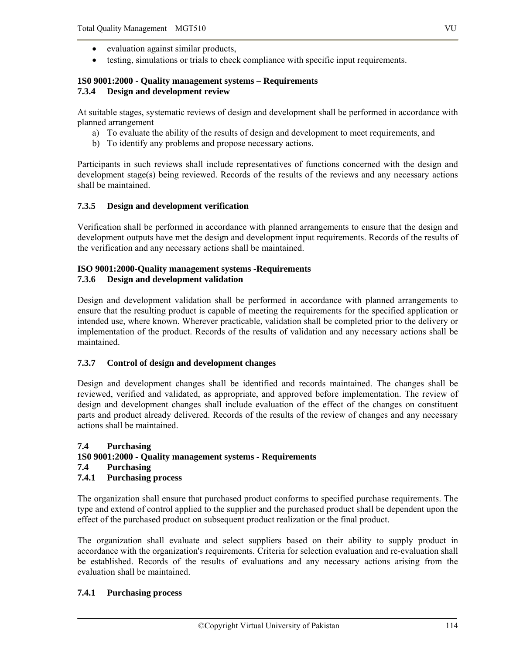- evaluation against similar products,
- testing, simulations or trials to check compliance with specific input requirements.

# **1S0 9001:2000 - Quality management systems – Requirements**

# **7.3.4 Design and development review**

At suitable stages, systematic reviews of design and development shall be performed in accordance with planned arrangement

- a) To evaluate the ability of the results of design and development to meet requirements, and
- b) To identify any problems and propose necessary actions.

Participants in such reviews shall include representatives of functions concerned with the design and development stage(s) being reviewed. Records of the results of the reviews and any necessary actions shall be maintained.

#### **7.3.5 Design and development verification**

Verification shall be performed in accordance with planned arrangements to ensure that the design and development outputs have met the design and development input requirements. Records of the results of the verification and any necessary actions shall be maintained.

### **ISO 9001:2000-Quality management systems -Requirements**

#### **7.3.6 Design and development validation**

Design and development validation shall be performed in accordance with planned arrangements to ensure that the resulting product is capable of meeting the requirements for the specified application or intended use, where known. Wherever practicable, validation shall be completed prior to the delivery or implementation of the product. Records of the results of validation and any necessary actions shall be maintained.

#### **7.3.7 Control of design and development changes**

Design and development changes shall be identified and records maintained. The changes shall be reviewed, verified and validated, as appropriate, and approved before implementation. The review of design and development changes shall include evaluation of the effect of the changes on constituent parts and product already delivered. Records of the results of the review of changes and any necessary actions shall be maintained.

#### **7.4 Purchasing**

### **1S0 9001:2000 - Quality management systems - Requirements**

- **7.4 Purchasing**
- **7.4.1 Purchasing process**

The organization shall ensure that purchased product conforms to specified purchase requirements. The type and extend of control applied to the supplier and the purchased product shall be dependent upon the effect of the purchased product on subsequent product realization or the final product.

The organization shall evaluate and select suppliers based on their ability to supply product in accordance with the organization's requirements. Criteria for selection evaluation and re-evaluation shall be established. Records of the results of evaluations and any necessary actions arising from the evaluation shall be maintained.

#### **7.4.1 Purchasing process**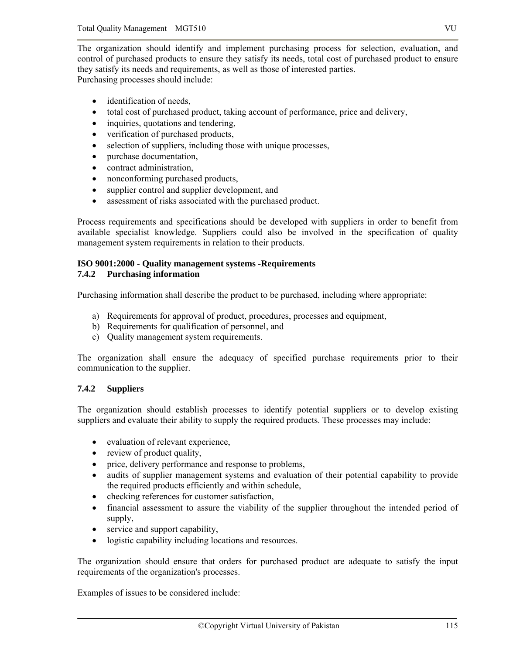The organization should identify and implement purchasing process for selection, evaluation, and control of purchased products to ensure they satisfy its needs, total cost of purchased product to ensure they satisfy its needs and requirements, as well as those of interested parties. Purchasing processes should include:

- identification of needs,
- total cost of purchased product, taking account of performance, price and delivery,
- inquiries, quotations and tendering,
- verification of purchased products,
- selection of suppliers, including those with unique processes,
- purchase documentation,
- contract administration,
- nonconforming purchased products,
- supplier control and supplier development, and
- assessment of risks associated with the purchased product.

Process requirements and specifications should be developed with suppliers in order to benefit from available specialist knowledge. Suppliers could also be involved in the specification of quality management system requirements in relation to their products.

# **ISO 9001:2000 - Quality management systems -Requirements**

#### **7.4.2 Purchasing information**

Purchasing information shall describe the product to be purchased, including where appropriate:

- a) Requirements for approval of product, procedures, processes and equipment,
- b) Requirements for qualification of personnel, and
- c) Quality management system requirements.

The organization shall ensure the adequacy of specified purchase requirements prior to their communication to the supplier.

### **7.4.2 Suppliers**

The organization should establish processes to identify potential suppliers or to develop existing suppliers and evaluate their ability to supply the required products. These processes may include:

- evaluation of relevant experience,
- review of product quality,
- price, delivery performance and response to problems,
- audits of supplier management systems and evaluation of their potential capability to provide the required products efficiently and within schedule,
- checking references for customer satisfaction,
- financial assessment to assure the viability of the supplier throughout the intended period of supply,
- service and support capability,
- logistic capability including locations and resources.

The organization should ensure that orders for purchased product are adequate to satisfy the input requirements of the organization's processes.

Examples of issues to be considered include: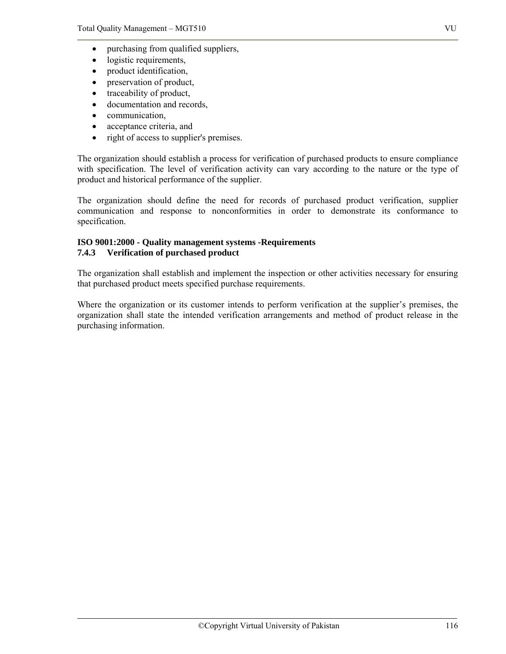- purchasing from qualified suppliers,
- logistic requirements,
- product identification,
- preservation of product,
- traceability of product,
- documentation and records,
- communication,
- acceptance criteria, and
- right of access to supplier's premises.

The organization should establish a process for verification of purchased products to ensure compliance with specification. The level of verification activity can vary according to the nature or the type of product and historical performance of the supplier.

The organization should define the need for records of purchased product verification, supplier communication and response to nonconformities in order to demonstrate its conformance to specification.

#### **ISO 9001:2000 - Quality management systems -Requirements 7.4.3 Verification of purchased product**

The organization shall establish and implement the inspection or other activities necessary for ensuring that purchased product meets specified purchase requirements.

Where the organization or its customer intends to perform verification at the supplier's premises, the organization shall state the intended verification arrangements and method of product release in the purchasing information.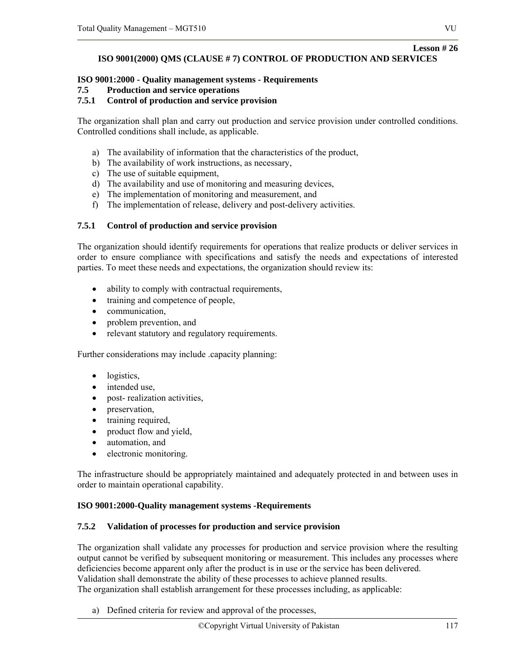# **Lesson # 26**

#### **ISO 9001(2000) QMS (CLAUSE # 7) CONTROL OF PRODUCTION AND SERVICES**

### **ISO 9001:2000 - Quality management systems - Requirements**

### **7.5 Production and service operations**

### **7.5.1 Control of production and service provision**

The organization shall plan and carry out production and service provision under controlled conditions. Controlled conditions shall include, as applicable.

- a) The availability of information that the characteristics of the product,
- b) The availability of work instructions, as necessary,
- c) The use of suitable equipment,
- d) The availability and use of monitoring and measuring devices,
- e) The implementation of monitoring and measurement, and
- f) The implementation of release, delivery and post-delivery activities.

### **7.5.1 Control of production and service provision**

The organization should identify requirements for operations that realize products or deliver services in order to ensure compliance with specifications and satisfy the needs and expectations of interested parties. To meet these needs and expectations, the organization should review its:

- ability to comply with contractual requirements,
- training and competence of people,
- communication,
- problem prevention, and
- relevant statutory and regulatory requirements.

Further considerations may include .capacity planning:

- logistics,
- intended use,
- post-realization activities,
- preservation,
- training required,
- product flow and yield,
- automation, and
- electronic monitoring.

The infrastructure should be appropriately maintained and adequately protected in and between uses in order to maintain operational capability.

#### **ISO 9001:2000-Quality management systems -Requirements**

#### **7.5.2 Validation of processes for production and service provision**

The organization shall validate any processes for production and service provision where the resulting output cannot be verified by subsequent monitoring or measurement. This includes any processes where deficiencies become apparent only after the product is in use or the service has been delivered. Validation shall demonstrate the ability of these processes to achieve planned results. The organization shall establish arrangement for these processes including, as applicable:

a) Defined criteria for review and approval of the processes,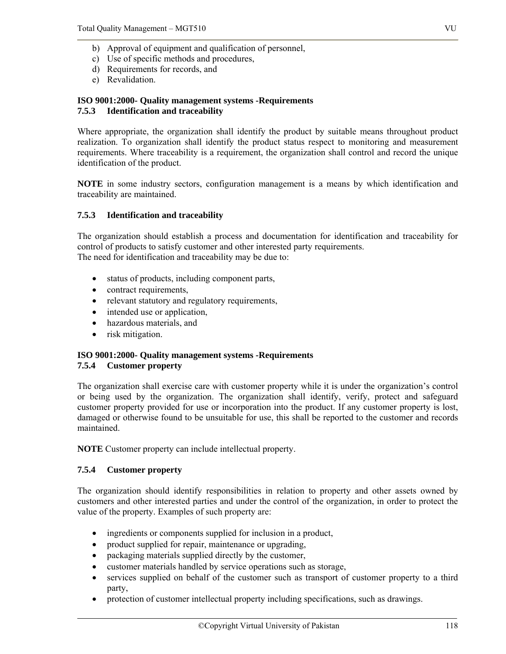- b) Approval of equipment and qualification of personnel,
- c) Use of specific methods and procedures,
- d) Requirements for records, and
- e) Revalidation.

#### **ISO 9001:2000- Quality management systems -Requirements 7.5.3 Identification and traceability**

Where appropriate, the organization shall identify the product by suitable means throughout product realization. To organization shall identify the product status respect to monitoring and measurement requirements. Where traceability is a requirement, the organization shall control and record the unique identification of the product.

**NOTE** in some industry sectors, configuration management is a means by which identification and traceability are maintained.

#### **7.5.3 Identification and traceability**

The organization should establish a process and documentation for identification and traceability for control of products to satisfy customer and other interested party requirements. The need for identification and traceability may be due to:

- status of products, including component parts,
- contract requirements,
- relevant statutory and regulatory requirements,
- intended use or application,
- hazardous materials, and
- risk mitigation.

### **ISO 9001:2000- Quality management systems -Requirements**

#### **7.5.4 Customer property**

The organization shall exercise care with customer property while it is under the organization's control or being used by the organization. The organization shall identify, verify, protect and safeguard customer property provided for use or incorporation into the product. If any customer property is lost, damaged or otherwise found to be unsuitable for use, this shall be reported to the customer and records maintained.

**NOTE** Customer property can include intellectual property.

#### **7.5.4 Customer property**

The organization should identify responsibilities in relation to property and other assets owned by customers and other interested parties and under the control of the organization, in order to protect the value of the property. Examples of such property are:

- ingredients or components supplied for inclusion in a product,
- product supplied for repair, maintenance or upgrading,
- packaging materials supplied directly by the customer,
- customer materials handled by service operations such as storage,
- services supplied on behalf of the customer such as transport of customer property to a third party,
- protection of customer intellectual property including specifications, such as drawings.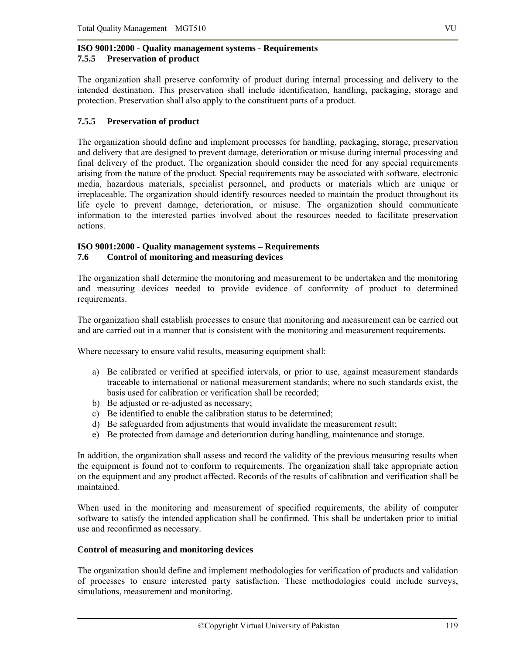### **ISO 9001:2000 - Quality management systems - Requirements 7.5.5 Preservation of product**

The organization shall preserve conformity of product during internal processing and delivery to the intended destination. This preservation shall include identification, handling, packaging, storage and protection. Preservation shall also apply to the constituent parts of a product.

### **7.5.5 Preservation of product**

The organization should define and implement processes for handling, packaging, storage, preservation and delivery that are designed to prevent damage, deterioration or misuse during internal processing and final delivery of the product. The organization should consider the need for any special requirements arising from the nature of the product. Special requirements may be associated with software, electronic media, hazardous materials, specialist personnel, and products or materials which are unique or irreplaceable. The organization should identify resources needed to maintain the product throughout its life cycle to prevent damage, deterioration, or misuse. The organization should communicate information to the interested parties involved about the resources needed to facilitate preservation actions.

#### **ISO 9001:2000 - Quality management systems – Requirements 7.6 Control of monitoring and measuring devices**

The organization shall determine the monitoring and measurement to be undertaken and the monitoring and measuring devices needed to provide evidence of conformity of product to determined requirements.

The organization shall establish processes to ensure that monitoring and measurement can be carried out and are carried out in a manner that is consistent with the monitoring and measurement requirements.

Where necessary to ensure valid results, measuring equipment shall:

- a) Be calibrated or verified at specified intervals, or prior to use, against measurement standards traceable to international or national measurement standards; where no such standards exist, the basis used for calibration or verification shall be recorded;
- b) Be adjusted or re-adjusted as necessary;
- c) Be identified to enable the calibration status to be determined;
- d) Be safeguarded from adjustments that would invalidate the measurement result;
- e) Be protected from damage and deterioration during handling, maintenance and storage.

In addition, the organization shall assess and record the validity of the previous measuring results when the equipment is found not to conform to requirements. The organization shall take appropriate action on the equipment and any product affected. Records of the results of calibration and verification shall be maintained.

When used in the monitoring and measurement of specified requirements, the ability of computer software to satisfy the intended application shall be confirmed. This shall be undertaken prior to initial use and reconfirmed as necessary.

#### **Control of measuring and monitoring devices**

The organization should define and implement methodologies for verification of products and validation of processes to ensure interested party satisfaction. These methodologies could include surveys, simulations, measurement and monitoring.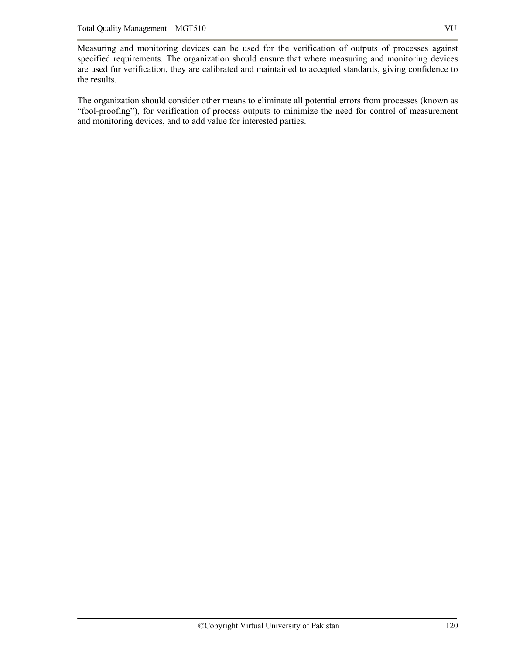Measuring and monitoring devices can be used for the verification of outputs of processes against specified requirements. The organization should ensure that where measuring and monitoring devices are used fur verification, they are calibrated and maintained to accepted standards, giving confidence to the results.

The organization should consider other means to eliminate all potential errors from processes (known as "fool-proofing"), for verification of process outputs to minimize the need for control of measurement and monitoring devices, and to add value for interested parties.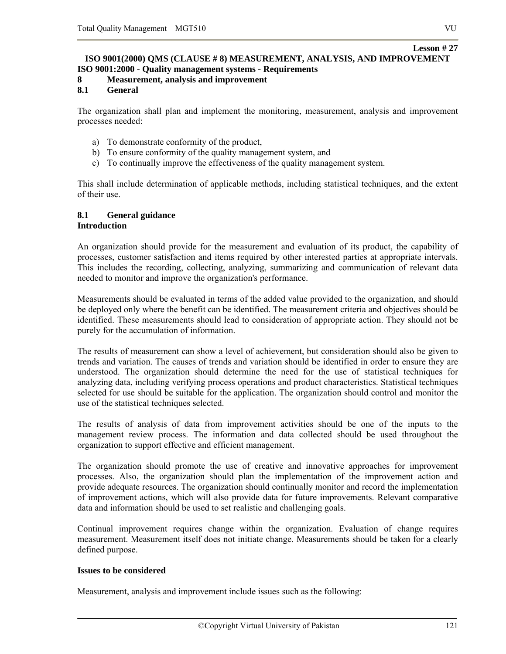### **ISO 9001(2000) QMS (CLAUSE # 8) MEASUREMENT, ANALYSIS, AND IMPROVEMENT ISO 9001:2000 - Quality management systems - Requirements**

**8 Measurement, analysis and improvement** 

#### **8.1 General**

The organization shall plan and implement the monitoring, measurement, analysis and improvement processes needed:

- a) To demonstrate conformity of the product,
- b) To ensure conformity of the quality management system, and
- c) To continually improve the effectiveness of the quality management system.

This shall include determination of applicable methods, including statistical techniques, and the extent of their use.

#### **8.1 General guidance Introduction**

An organization should provide for the measurement and evaluation of its product, the capability of processes, customer satisfaction and items required by other interested parties at appropriate intervals. This includes the recording, collecting, analyzing, summarizing and communication of relevant data needed to monitor and improve the organization's performance.

Measurements should be evaluated in terms of the added value provided to the organization, and should be deployed only where the benefit can be identified. The measurement criteria and objectives should be identified. These measurements should lead to consideration of appropriate action. They should not be purely for the accumulation of information.

The results of measurement can show a level of achievement, but consideration should also be given to trends and variation. The causes of trends and variation should be identified in order to ensure they are understood. The organization should determine the need for the use of statistical techniques for analyzing data, including verifying process operations and product characteristics. Statistical techniques selected for use should be suitable for the application. The organization should control and monitor the use of the statistical techniques selected.

The results of analysis of data from improvement activities should be one of the inputs to the management review process. The information and data collected should be used throughout the organization to support effective and efficient management.

The organization should promote the use of creative and innovative approaches for improvement processes. Also, the organization should plan the implementation of the improvement action and provide adequate resources. The organization should continually monitor and record the implementation of improvement actions, which will also provide data for future improvements. Relevant comparative data and information should be used to set realistic and challenging goals.

Continual improvement requires change within the organization. Evaluation of change requires measurement. Measurement itself does not initiate change. Measurements should be taken for a clearly defined purpose.

#### **Issues to be considered**

Measurement, analysis and improvement include issues such as the following:

**Lesson # 27**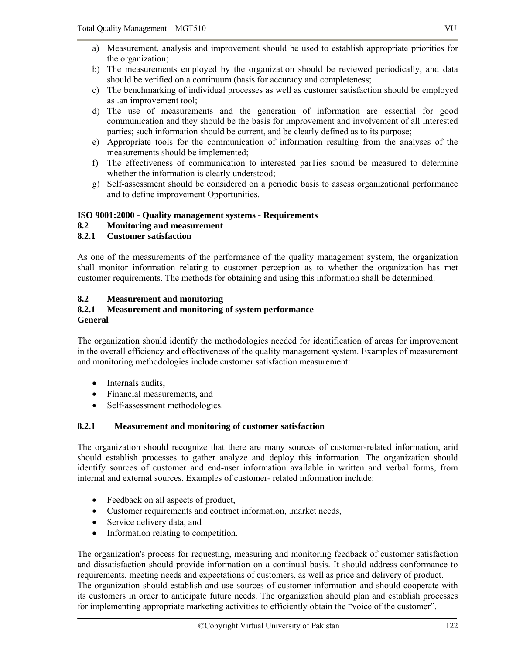- a) Measurement, analysis and improvement should be used to establish appropriate priorities for the organization;
- b) The measurements employed by the organization should be reviewed periodically, and data should be verified on a continuum (basis for accuracy and completeness;
- c) The benchmarking of individual processes as well as customer satisfaction should be employed as .an improvement tool;
- d) The use of measurements and the generation of information are essential for good communication and they should be the basis for improvement and involvement of all interested parties; such information should be current, and be clearly defined as to its purpose;
- e) Appropriate tools for the communication of information resulting from the analyses of the measurements should be implemented;
- f) The effectiveness of communication to interested par1ies should be measured to determine whether the information is clearly understood;
- g) Self-assessment should be considered on a periodic basis to assess organizational performance and to define improvement Opportunities.

### **ISO 9001:2000 - Quality management systems - Requirements**

### **8.2 Monitoring and measurement**

### **8.2.1 Customer satisfaction**

As one of the measurements of the performance of the quality management system, the organization shall monitor information relating to customer perception as to whether the organization has met customer requirements. The methods for obtaining and using this information shall be determined.

### **8.2 Measurement and monitoring**

### **8.2.1 Measurement and monitoring of system performance**

#### **General**

The organization should identify the methodologies needed for identification of areas for improvement in the overall efficiency and effectiveness of the quality management system. Examples of measurement and monitoring methodologies include customer satisfaction measurement:

- Internals audits.
- Financial measurements, and
- Self-assessment methodologies.

#### **8.2.1 Measurement and monitoring of customer satisfaction**

The organization should recognize that there are many sources of customer-related information, arid should establish processes to gather analyze and deploy this information. The organization should identify sources of customer and end-user information available in written and verbal forms, from internal and external sources. Examples of customer- related information include:

- Feedback on all aspects of product,
- Customer requirements and contract information, .market needs,
- Service delivery data, and
- Information relating to competition.

The organization's process for requesting, measuring and monitoring feedback of customer satisfaction and dissatisfaction should provide information on a continual basis. It should address conformance to requirements, meeting needs and expectations of customers, as well as price and delivery of product. The organization should establish and use sources of customer information and should cooperate with its customers in order to anticipate future needs. The organization should plan and establish processes for implementing appropriate marketing activities to efficiently obtain the "voice of the customer".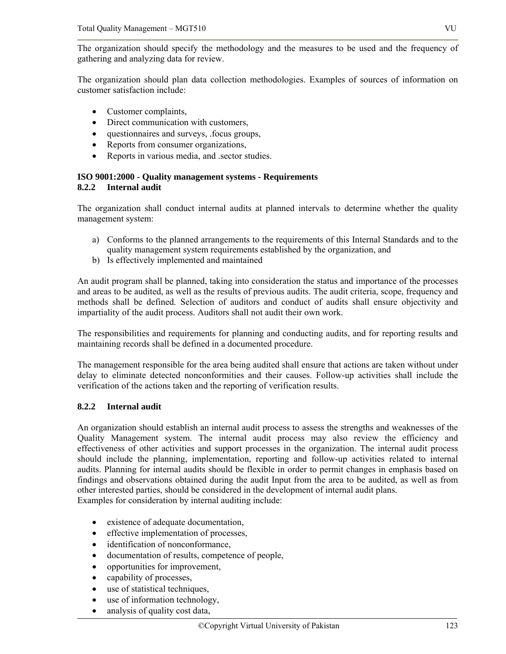The organization should plan data collection methodologies. Examples of sources of information on customer satisfaction include:

- Customer complaints,
- Direct communication with customers,
- questionnaires and surveys, .focus groups,
- Reports from consumer organizations,
- Reports in various media, and sector studies.

#### **ISO 9001:2000 - Quality management systems - Requirements 8.2.2 Internal audit**

The organization shall conduct internal audits at planned intervals to determine whether the quality management system:

- a) Conforms to the planned arrangements to the requirements of this Internal Standards and to the quality management system requirements established by the organization, and
- b) Is effectively implemented and maintained

An audit program shall be planned, taking into consideration the status and importance of the processes and areas to be audited, as well as the results of previous audits. The audit criteria, scope, frequency and methods shall be defined. Selection of auditors and conduct of audits shall ensure objectivity and impartiality of the audit process. Auditors shall not audit their own work.

The responsibilities and requirements for planning and conducting audits, and for reporting results and maintaining records shall be defined in a documented procedure.

The management responsible for the area being audited shall ensure that actions are taken without under delay to eliminate detected nonconformities and their causes. Follow-up activities shall include the verification of the actions taken and the reporting of verification results.

### **8.2.2 Internal audit**

An organization should establish an internal audit process to assess the strengths and weaknesses of the Quality Management system. The internal audit process may also review the efficiency and effectiveness of other activities and support processes in the organization. The internal audit process should include the planning, implementation, reporting and follow-up activities related to internal audits. Planning for internal audits should be flexible in order to permit changes in emphasis based on findings and observations obtained during the audit Input from the area to be audited, as well as from other interested parties, should be considered in the development of internal audit plans. Examples for consideration by internal auditing include:

- existence of adequate documentation,
- effective implementation of processes,
- identification of nonconformance,
- documentation of results, competence of people,
- opportunities for improvement,
- capability of processes,
- use of statistical techniques,
- use of information technology,
- analysis of quality cost data,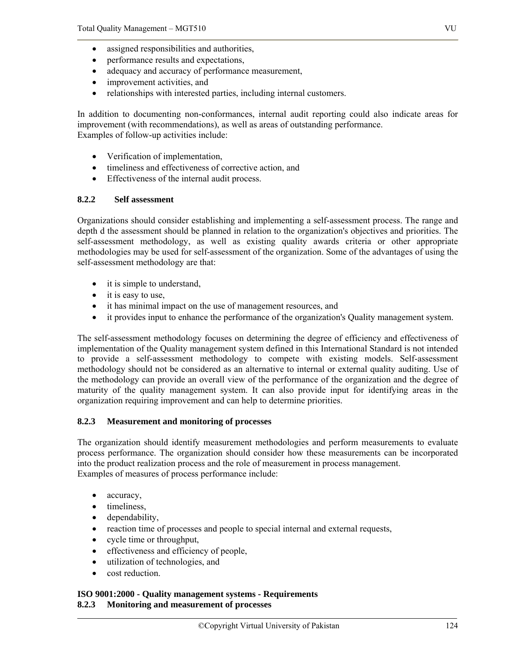- performance results and expectations,
- adequacy and accuracy of performance measurement,
- improvement activities, and
- relationships with interested parties, including internal customers.

In addition to documenting non-conformances, internal audit reporting could also indicate areas for improvement (with recommendations), as well as areas of outstanding performance. Examples of follow-up activities include:

- Verification of implementation,
- timeliness and effectiveness of corrective action, and
- Effectiveness of the internal audit process.

#### **8.2.2 Self assessment**

Organizations should consider establishing and implementing a self-assessment process. The range and depth d the assessment should be planned in relation to the organization's objectives and priorities. The self-assessment methodology, as well as existing quality awards criteria or other appropriate methodologies may be used for self-assessment of the organization. Some of the advantages of using the self-assessment methodology are that:

- it is simple to understand,
- it is easy to use,
- it has minimal impact on the use of management resources, and
- it provides input to enhance the performance of the organization's Quality management system.

The self-assessment methodology focuses on determining the degree of efficiency and effectiveness of implementation of the Quality management system defined in this International Standard is not intended to provide a self-assessment methodology to compete with existing models. Self-assessment methodology should not be considered as an alternative to internal or external quality auditing. Use of the methodology can provide an overall view of the performance of the organization and the degree of maturity of the quality management system. It can also provide input for identifying areas in the organization requiring improvement and can help to determine priorities.

#### **8.2.3 Measurement and monitoring of processes**

The organization should identify measurement methodologies and perform measurements to evaluate process performance. The organization should consider how these measurements can be incorporated into the product realization process and the role of measurement in process management. Examples of measures of process performance include:

- accuracy,
- timeliness,
- dependability,
- reaction time of processes and people to special internal and external requests,
- cycle time or throughput,
- effectiveness and efficiency of people,
- utilization of technologies, and
- cost reduction.

#### **ISO 9001:2000 - Quality management systems - Requirements**

#### **8.2.3 Monitoring and measurement of processes**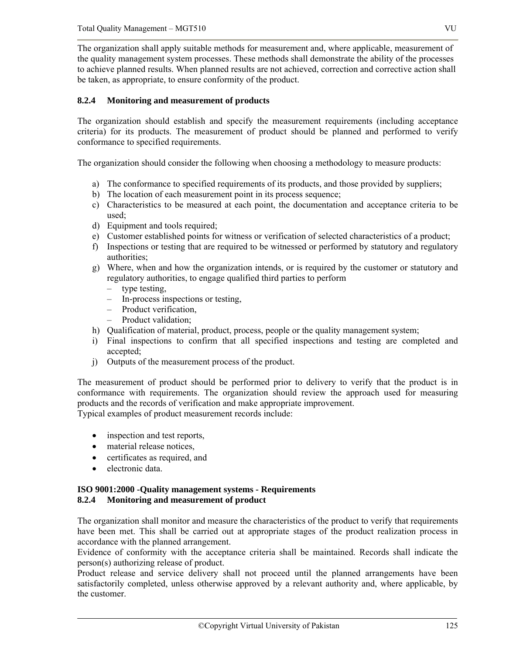The organization shall apply suitable methods for measurement and, where applicable, measurement of the quality management system processes. These methods shall demonstrate the ability of the processes to achieve planned results. When planned results are not achieved, correction and corrective action shall be taken, as appropriate, to ensure conformity of the product.

### **8.2.4 Monitoring and measurement of products**

The organization should establish and specify the measurement requirements (including acceptance criteria) for its products. The measurement of product should be planned and performed to verify conformance to specified requirements.

The organization should consider the following when choosing a methodology to measure products:

- a) The conformance to specified requirements of its products, and those provided by suppliers;
- b) The location of each measurement point in its process sequence;
- c) Characteristics to be measured at each point, the documentation and acceptance criteria to be used;
- d) Equipment and tools required;
- e) Customer established points for witness or verification of selected characteristics of a product;
- f) Inspections or testing that are required to be witnessed or performed by statutory and regulatory authorities;
- g) Where, when and how the organization intends, or is required by the customer or statutory and regulatory authorities, to engage qualified third parties to perform
	- type testing,
	- In-process inspections or testing,
	- Product verification,
	- Product validation;
- h) Qualification of material, product, process, people or the quality management system;
- i) Final inspections to confirm that all specified inspections and testing are completed and accepted;
- j) Outputs of the measurement process of the product.

The measurement of product should be performed prior to delivery to verify that the product is in conformance with requirements. The organization should review the approach used for measuring products and the records of verification and make appropriate improvement.

Typical examples of product measurement records include:

- inspection and test reports,
- material release notices,
- certificates as required, and
- electronic data.

# **ISO 9001:2000 -Quality management systems - Requirements**

# **8.2.4 Monitoring and measurement of product**

The organization shall monitor and measure the characteristics of the product to verify that requirements have been met. This shall be carried out at appropriate stages of the product realization process in accordance with the planned arrangement.

Evidence of conformity with the acceptance criteria shall be maintained. Records shall indicate the person(s) authorizing release of product.

Product release and service delivery shall not proceed until the planned arrangements have been satisfactorily completed, unless otherwise approved by a relevant authority and, where applicable, by the customer.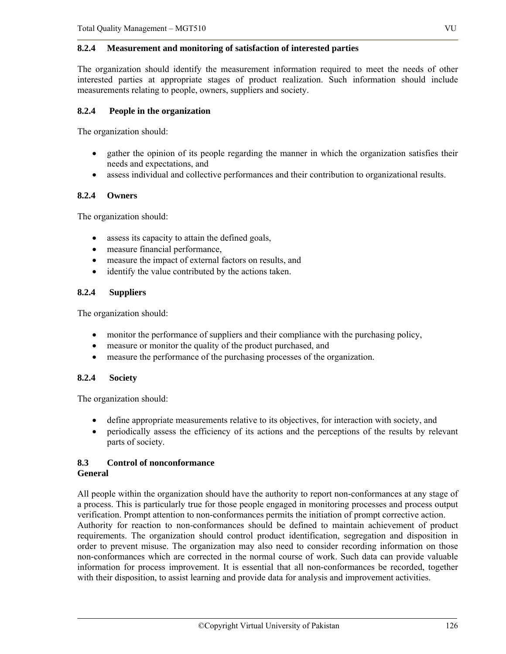#### **8.2.4 Measurement and monitoring of satisfaction of interested parties**

The organization should identify the measurement information required to meet the needs of other interested parties at appropriate stages of product realization. Such information should include measurements relating to people, owners, suppliers and society.

#### **8.2.4 People in the organization**

The organization should:

- gather the opinion of its people regarding the manner in which the organization satisfies their needs and expectations, and
- assess individual and collective performances and their contribution to organizational results.

#### **8.2.4 Owners**

The organization should:

- assess its capacity to attain the defined goals,
- measure financial performance,
- measure the impact of external factors on results, and
- identify the value contributed by the actions taken.

#### **8.2.4 Suppliers**

The organization should:

- monitor the performance of suppliers and their compliance with the purchasing policy,
- measure or monitor the quality of the product purchased, and
- measure the performance of the purchasing processes of the organization.

#### **8.2.4 Society**

The organization should:

- define appropriate measurements relative to its objectives, for interaction with society, and
- periodically assess the efficiency of its actions and the perceptions of the results by relevant parts of society.

#### **8.3 Control of nonconformance General**

All people within the organization should have the authority to report non-conformances at any stage of a process. This is particularly true for those people engaged in monitoring processes and process output verification. Prompt attention to non-conformances permits the initiation of prompt corrective action. Authority for reaction to non-conformances should be defined to maintain achievement of product requirements. The organization should control product identification, segregation and disposition in order to prevent misuse. The organization may also need to consider recording information on those non-conformances which are corrected in the normal course of work. Such data can provide valuable information for process improvement. It is essential that all non-conformances be recorded, together with their disposition, to assist learning and provide data for analysis and improvement activities.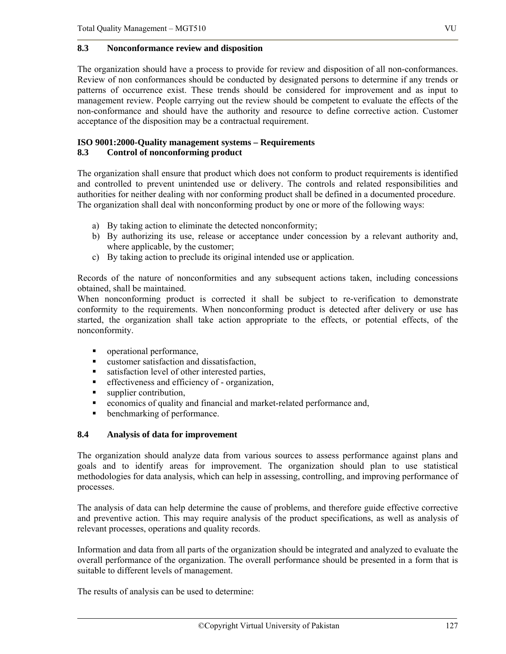#### **8.3 Nonconformance review and disposition**

The organization should have a process to provide for review and disposition of all non-conformances. Review of non conformances should be conducted by designated persons to determine if any trends or patterns of occurrence exist. These trends should be considered for improvement and as input to management review. People carrying out the review should be competent to evaluate the effects of the non-conformance and should have the authority and resource to define corrective action. Customer acceptance of the disposition may be a contractual requirement.

## **ISO 9001:2000-Quality management systems – Requirements**

#### **8.3 Control of nonconforming product**

The organization shall ensure that product which does not conform to product requirements is identified and controlled to prevent unintended use or delivery. The controls and related responsibilities and authorities for neither dealing with nor conforming product shall be defined in a documented procedure. The organization shall deal with nonconforming product by one or more of the following ways:

- a) By taking action to eliminate the detected nonconformity;
- b) By authorizing its use, release or acceptance under concession by a relevant authority and, where applicable, by the customer;
- c) By taking action to preclude its original intended use or application.

Records of the nature of nonconformities and any subsequent actions taken, including concessions obtained, shall be maintained.

When nonconforming product is corrected it shall be subject to re-verification to demonstrate conformity to the requirements. When nonconforming product is detected after delivery or use has started, the organization shall take action appropriate to the effects, or potential effects, of the nonconformity.

- operational performance,
- customer satisfaction and dissatisfaction,
- satisfaction level of other interested parties,
- effectiveness and efficiency of organization,
- supplier contribution,
- economics of quality and financial and market-related performance and,
- benchmarking of performance.

#### **8.4 Analysis of data for improvement**

The organization should analyze data from various sources to assess performance against plans and goals and to identify areas for improvement. The organization should plan to use statistical methodologies for data analysis, which can help in assessing, controlling, and improving performance of processes.

The analysis of data can help determine the cause of problems, and therefore guide effective corrective and preventive action. This may require analysis of the product specifications, as well as analysis of relevant processes, operations and quality records.

Information and data from all parts of the organization should be integrated and analyzed to evaluate the overall performance of the organization. The overall performance should be presented in a form that is suitable to different levels of management.

The results of analysis can be used to determine: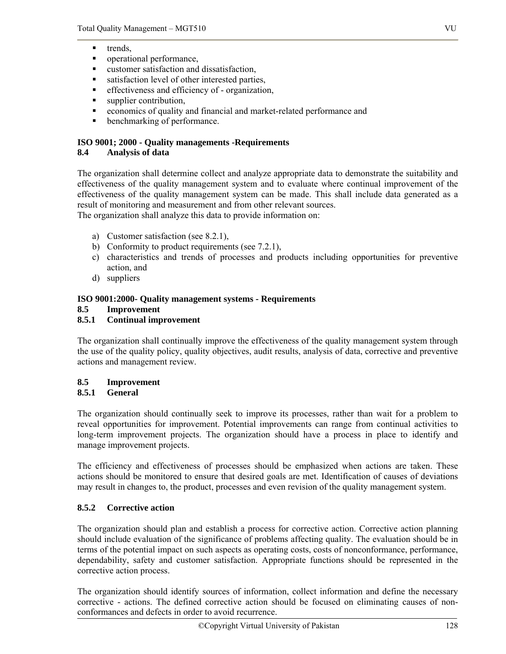- trends,
- **•** operational performance,
- customer satisfaction and dissatisfaction,
- satisfaction level of other interested parties,
- effectiveness and efficiency of organization,
- supplier contribution,
- economics of quality and financial and market-related performance and
- **•** benchmarking of performance.

### **ISO 9001; 2000 - Quality managements -Requirements**

### **8.4 Analysis of data**

The organization shall determine collect and analyze appropriate data to demonstrate the suitability and effectiveness of the quality management system and to evaluate where continual improvement of the effectiveness of the quality management system can be made. This shall include data generated as a result of monitoring and measurement and from other relevant sources. The organization shall analyze this data to provide information on:

- a) Customer satisfaction (see 8.2.1),
- b) Conformity to product requirements (see 7.2.1),
- c) characteristics and trends of processes and products including opportunities for preventive action, and
- d) suppliers

### **ISO 9001:2000- Quality management systems - Requirements**

### **8.5 Improvement**

### **8.5.1 Continual improvement**

The organization shall continually improve the effectiveness of the quality management system through the use of the quality policy, quality objectives, audit results, analysis of data, corrective and preventive actions and management review.

### **8.5 Improvement**

#### **8.5.1 General**

The organization should continually seek to improve its processes, rather than wait for a problem to reveal opportunities for improvement. Potential improvements can range from continual activities to long-term improvement projects. The organization should have a process in place to identify and manage improvement projects.

The efficiency and effectiveness of processes should be emphasized when actions are taken. These actions should be monitored to ensure that desired goals are met. Identification of causes of deviations may result in changes to, the product, processes and even revision of the quality management system.

### **8.5.2 Corrective action**

The organization should plan and establish a process for corrective action. Corrective action planning should include evaluation of the significance of problems affecting quality. The evaluation should be in terms of the potential impact on such aspects as operating costs, costs of nonconformance, performance, dependability, safety and customer satisfaction. Appropriate functions should be represented in the corrective action process.

The organization should identify sources of information, collect information and define the necessary corrective - actions. The defined corrective action should be focused on eliminating causes of nonconformances and defects in order to avoid recurrence.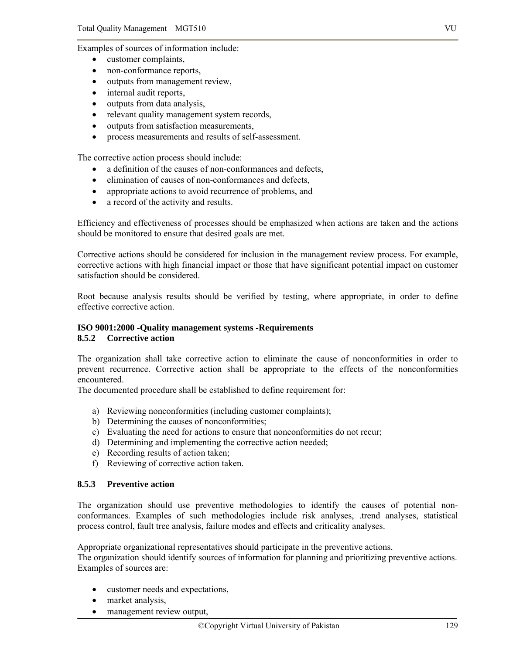Examples of sources of information include:

- customer complaints,
- non-conformance reports,
- outputs from management review,
- internal audit reports,
- outputs from data analysis,
- relevant quality management system records,
- outputs from satisfaction measurements,
- process measurements and results of self-assessment.

The corrective action process should include:

- a definition of the causes of non-conformances and defects,
- elimination of causes of non-conformances and defects,
- appropriate actions to avoid recurrence of problems, and
- a record of the activity and results.

Efficiency and effectiveness of processes should be emphasized when actions are taken and the actions should be monitored to ensure that desired goals are met.

Corrective actions should be considered for inclusion in the management review process. For example, corrective actions with high financial impact or those that have significant potential impact on customer satisfaction should be considered.

Root because analysis results should be verified by testing, where appropriate, in order to define effective corrective action.

### **ISO 9001:2000 -Quality management systems -Requirements**

#### **8.5.2 Corrective action**

The organization shall take corrective action to eliminate the cause of nonconformities in order to prevent recurrence. Corrective action shall be appropriate to the effects of the nonconformities encountered.

The documented procedure shall be established to define requirement for:

- a) Reviewing nonconformities (including customer complaints);
- b) Determining the causes of nonconformities;
- c) Evaluating the need for actions to ensure that nonconformities do not recur;
- d) Determining and implementing the corrective action needed;
- e) Recording results of action taken;
- f) Reviewing of corrective action taken.

#### **8.5.3 Preventive action**

The organization should use preventive methodologies to identify the causes of potential nonconformances. Examples of such methodologies include risk analyses, .trend analyses, statistical process control, fault tree analysis, failure modes and effects and criticality analyses.

Appropriate organizational representatives should participate in the preventive actions.

The organization should identify sources of information for planning and prioritizing preventive actions. Examples of sources are:

- customer needs and expectations,
- market analysis,
- management review output,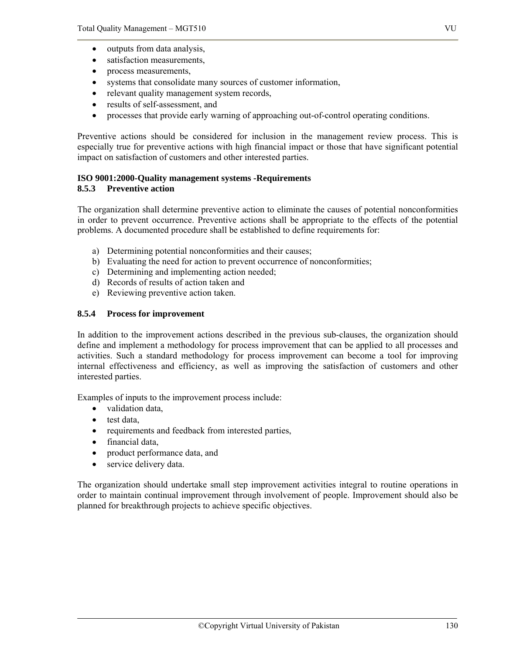- outputs from data analysis,
- satisfaction measurements,
- process measurements,
- systems that consolidate many sources of customer information,
- relevant quality management system records,
- results of self-assessment, and
- processes that provide early warning of approaching out-of-control operating conditions.

Preventive actions should be considered for inclusion in the management review process. This is especially true for preventive actions with high financial impact or those that have significant potential impact on satisfaction of customers and other interested parties.

#### **ISO 9001:2000-Quality management systems -Requirements 8.5.3 Preventive action**

The organization shall determine preventive action to eliminate the causes of potential nonconformities in order to prevent occurrence. Preventive actions shall be appropriate to the effects of the potential problems. A documented procedure shall be established to define requirements for:

- a) Determining potential nonconformities and their causes;
- b) Evaluating the need for action to prevent occurrence of nonconformities;
- c) Determining and implementing action needed;
- d) Records of results of action taken and
- e) Reviewing preventive action taken.

#### **8.5.4 Process for improvement**

In addition to the improvement actions described in the previous sub-clauses, the organization should define and implement a methodology for process improvement that can be applied to all processes and activities. Such a standard methodology for process improvement can become a tool for improving internal effectiveness and efficiency, as well as improving the satisfaction of customers and other interested parties.

Examples of inputs to the improvement process include:

- validation data,
- test data,
- requirements and feedback from interested parties,
- financial data,
- product performance data, and
- service delivery data.

The organization should undertake small step improvement activities integral to routine operations in order to maintain continual improvement through involvement of people. Improvement should also be planned for breakthrough projects to achieve specific objectives.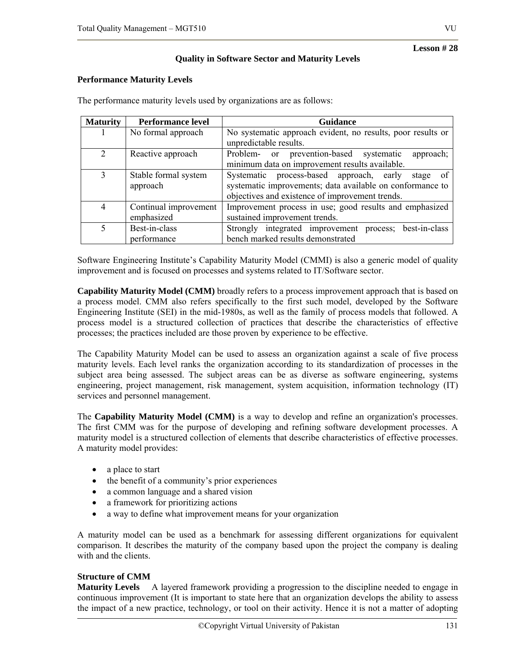### **Performance Maturity Levels**

| <b>Maturity</b>          | <b>Performance level</b> | <b>Guidance</b>                                             |
|--------------------------|--------------------------|-------------------------------------------------------------|
|                          | No formal approach       | No systematic approach evident, no results, poor results or |
|                          |                          | unpredictable results.                                      |
| 2                        | Reactive approach        | Problem- or prevention-based systematic<br>approach;        |
|                          |                          | minimum data on improvement results available.              |
| 3                        | Stable formal system     | Systematic process-based approach, early<br>stage of        |
|                          | approach                 | systematic improvements; data available on conformance to   |
|                          |                          | objectives and existence of improvement trends.             |
| 4                        | Continual improvement    | Improvement process in use; good results and emphasized     |
|                          | emphasized               | sustained improvement trends.                               |
| $\overline{\mathcal{L}}$ | Best-in-class            | Strongly integrated improvement process; best-in-class      |
|                          | performance              | bench marked results demonstrated                           |

The performance maturity levels used by organizations are as follows:

Software Engineering Institute's Capability Maturity Model (CMMI) is also a generic model of quality improvement and is focused on processes and systems related to IT/Software sector.

**Capability Maturity Model (CMM)** broadly refers to a process improvement approach that is based on a process model. CMM also refers specifically to the first such model, developed by the Software Engineering Institute (SEI) in the mid-1980s, as well as the family of process models that followed. A process model is a structured collection of practices that describe the characteristics of effective processes; the practices included are those proven by experience to be effective.

The Capability Maturity Model can be used to assess an organization against a scale of five process maturity levels. Each level ranks the organization according to its standardization of processes in the subject area being assessed. The subject areas can be as diverse as software engineering, systems engineering, project management, risk management, system acquisition, information technology (IT) services and personnel management.

The **Capability Maturity Model (CMM)** is a way to develop and refine an organization's processes. The first CMM was for the purpose of developing and refining software development processes. A maturity model is a structured collection of elements that describe characteristics of effective processes. A maturity model provides:

- a place to start
- the benefit of a community's prior experiences
- a common language and a shared vision
- a framework for prioritizing actions
- a way to define what improvement means for your organization

A maturity model can be used as a benchmark for assessing different organizations for equivalent comparison. It describes the maturity of the company based upon the project the company is dealing with and the clients.

#### **Structure of CMM**

**Maturity Levels** A layered framework providing a progression to the discipline needed to engage in continuous improvement (It is important to state here that an organization develops the ability to assess the impact of a new practice, technology, or tool on their activity. Hence it is not a matter of adopting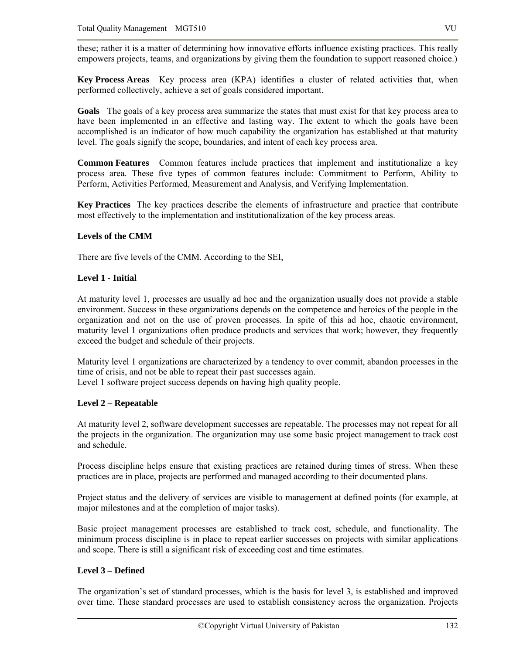these; rather it is a matter of determining how innovative efforts influence existing practices. This really empowers projects, teams, and organizations by giving them the foundation to support reasoned choice.)

**Key Process Areas** Key process area (KPA) identifies a cluster of related activities that, when performed collectively, achieve a set of goals considered important.

**Goals** The goals of a key process area summarize the states that must exist for that key process area to have been implemented in an effective and lasting way. The extent to which the goals have been accomplished is an indicator of how much capability the organization has established at that maturity level. The goals signify the scope, boundaries, and intent of each key process area.

**Common Features** Common features include practices that implement and institutionalize a key process area. These five types of common features include: Commitment to Perform, Ability to Perform, Activities Performed, Measurement and Analysis, and Verifying Implementation.

**Key Practices** The key practices describe the elements of infrastructure and practice that contribute most effectively to the implementation and institutionalization of the key process areas.

#### **Levels of the CMM**

There are five levels of the CMM. According to the SEI,

#### **Level 1 - Initial**

At maturity level 1, processes are usually ad hoc and the organization usually does not provide a stable environment. Success in these organizations depends on the competence and heroics of the people in the organization and not on the use of proven processes. In spite of this ad hoc, chaotic environment, maturity level 1 organizations often produce products and services that work; however, they frequently exceed the budget and schedule of their projects.

Maturity level 1 organizations are characterized by a tendency to over commit, abandon processes in the time of crisis, and not be able to repeat their past successes again. Level 1 software project success depends on having high quality people.

#### **Level 2 – Repeatable**

At maturity level 2, software development successes are repeatable. The processes may not repeat for all the projects in the organization. The organization may use some basic project management to track cost and schedule.

Process discipline helps ensure that existing practices are retained during times of stress. When these practices are in place, projects are performed and managed according to their documented plans.

Project status and the delivery of services are visible to management at defined points (for example, at major milestones and at the completion of major tasks).

Basic project management processes are established to track cost, schedule, and functionality. The minimum process discipline is in place to repeat earlier successes on projects with similar applications and scope. There is still a significant risk of exceeding cost and time estimates.

#### **Level 3 – Defined**

The organization's set of standard processes, which is the basis for level 3, is established and improved over time. These standard processes are used to establish consistency across the organization. Projects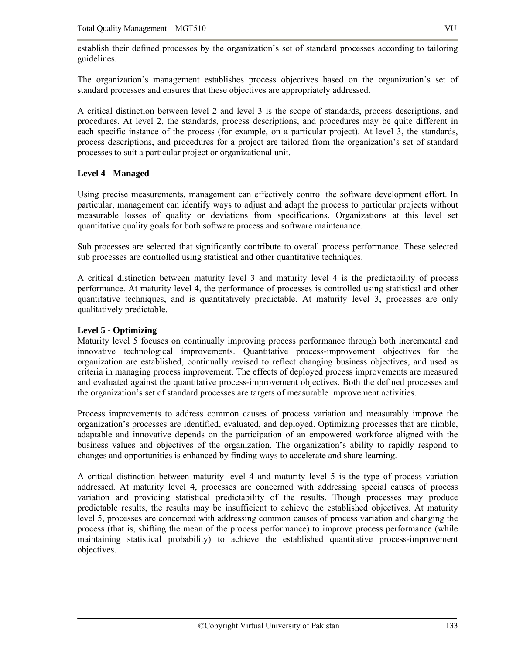The organization's management establishes process objectives based on the organization's set of standard processes and ensures that these objectives are appropriately addressed.

A critical distinction between level 2 and level 3 is the scope of standards, process descriptions, and procedures. At level 2, the standards, process descriptions, and procedures may be quite different in each specific instance of the process (for example, on a particular project). At level 3, the standards, process descriptions, and procedures for a project are tailored from the organization's set of standard processes to suit a particular project or organizational unit.

#### **Level 4 - Managed**

guidelines.

Using precise measurements, management can effectively control the software development effort. In particular, management can identify ways to adjust and adapt the process to particular projects without measurable losses of quality or deviations from specifications. Organizations at this level set quantitative quality goals for both software process and software maintenance.

Sub processes are selected that significantly contribute to overall process performance. These selected sub processes are controlled using statistical and other quantitative techniques.

A critical distinction between maturity level 3 and maturity level 4 is the predictability of process performance. At maturity level 4, the performance of processes is controlled using statistical and other quantitative techniques, and is quantitatively predictable. At maturity level 3, processes are only qualitatively predictable.

#### **Level 5 - Optimizing**

Maturity level 5 focuses on continually improving process performance through both incremental and innovative technological improvements. Quantitative process-improvement objectives for the organization are established, continually revised to reflect changing business objectives, and used as criteria in managing process improvement. The effects of deployed process improvements are measured and evaluated against the quantitative process-improvement objectives. Both the defined processes and the organization's set of standard processes are targets of measurable improvement activities.

Process improvements to address common causes of process variation and measurably improve the organization's processes are identified, evaluated, and deployed. Optimizing processes that are nimble, adaptable and innovative depends on the participation of an empowered workforce aligned with the business values and objectives of the organization. The organization's ability to rapidly respond to changes and opportunities is enhanced by finding ways to accelerate and share learning.

A critical distinction between maturity level 4 and maturity level 5 is the type of process variation addressed. At maturity level 4, processes are concerned with addressing special causes of process variation and providing statistical predictability of the results. Though processes may produce predictable results, the results may be insufficient to achieve the established objectives. At maturity level 5, processes are concerned with addressing common causes of process variation and changing the process (that is, shifting the mean of the process performance) to improve process performance (while maintaining statistical probability) to achieve the established quantitative process-improvement objectives.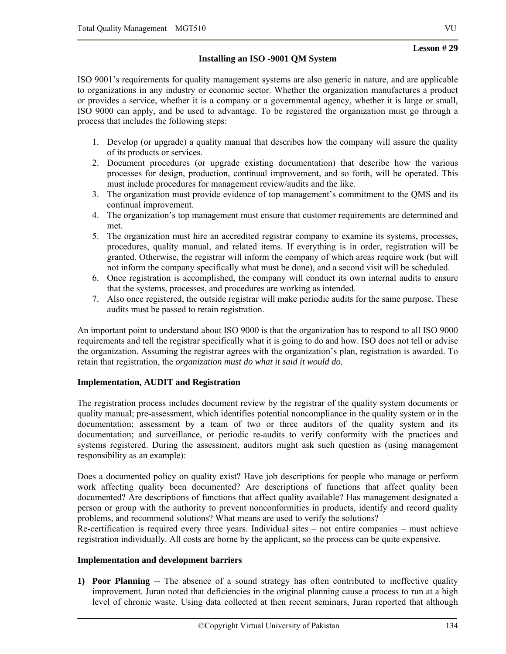#### **Installing an ISO -9001 QM System**

ISO 9001's requirements for quality management systems are also generic in nature, and are applicable to organizations in any industry or economic sector. Whether the organization manufactures a product or provides a service, whether it is a company or a governmental agency, whether it is large or small, ISO 9000 can apply, and be used to advantage. To be registered the organization must go through a process that includes the following steps:

- 1. Develop (or upgrade) a quality manual that describes how the company will assure the quality of its products or services.
- 2. Document procedures (or upgrade existing documentation) that describe how the various processes for design, production, continual improvement, and so forth, will be operated. This must include procedures for management review/audits and the like.
- 3. The organization must provide evidence of top management's commitment to the QMS and its continual improvement.
- 4. The organization's top management must ensure that customer requirements are determined and met.
- 5. The organization must hire an accredited registrar company to examine its systems, processes, procedures, quality manual, and related items. If everything is in order, registration will be granted. Otherwise, the registrar will inform the company of which areas require work (but will not inform the company specifically what must be done), and a second visit will be scheduled.
- 6. Once registration is accomplished, the company will conduct its own internal audits to ensure that the systems, processes, and procedures are working as intended.
- 7. Also once registered, the outside registrar will make periodic audits for the same purpose. These audits must be passed to retain registration.

An important point to understand about ISO 9000 is that the organization has to respond to all ISO 9000 requirements and tell the registrar specifically what it is going to do and how. ISO does not tell or advise the organization. Assuming the registrar agrees with the organization's plan, registration is awarded. To retain that registration, the *organization must do what it said it would do.* 

#### **Implementation, AUDIT and Registration**

The registration process includes document review by the registrar of the quality system documents or quality manual; pre-assessment, which identifies potential noncompliance in the quality system or in the documentation; assessment by a team of two or three auditors of the quality system and its documentation; and surveillance, or periodic re-audits to verify conformity with the practices and systems registered. During the assessment, auditors might ask such question as (using management responsibility as an example):

Does a documented policy on quality exist? Have job descriptions for people who manage or perform work affecting quality been documented? Are descriptions of functions that affect quality been documented? Are descriptions of functions that affect quality available? Has management designated a person or group with the authority to prevent nonconformities in products, identify and record quality problems, and recommend solutions? What means are used to verify the solutions?

Re-certification is required every three years. Individual sites – not entire companies – must achieve registration individually. All costs are borne by the applicant, so the process can be quite expensive.

#### **Implementation and development barriers**

**1) Poor Planning** -- The absence of a sound strategy has often contributed to ineffective quality improvement. Juran noted that deficiencies in the original planning cause a process to run at a high level of chronic waste. Using data collected at then recent seminars, Juran reported that although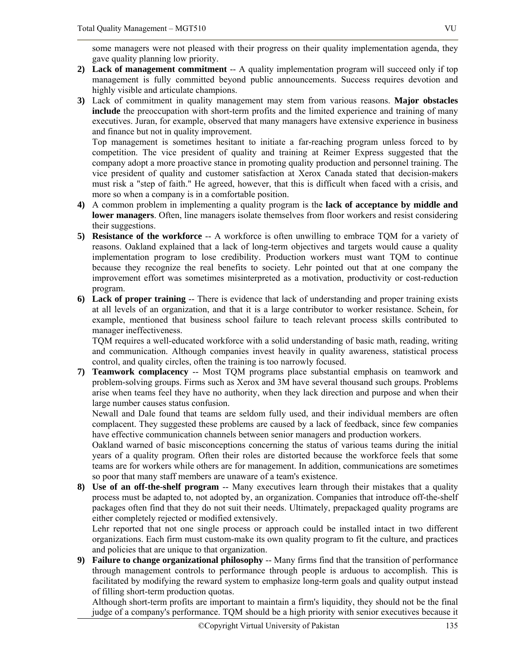some managers were not pleased with their progress on their quality implementation agenda, they gave quality planning low priority.

- **2) Lack of management commitment** -- A quality implementation program will succeed only if top management is fully committed beyond public announcements. Success requires devotion and highly visible and articulate champions.
- **3)** Lack of commitment in quality management may stem from various reasons. **Major obstacles include** the preoccupation with short-term profits and the limited experience and training of many executives. Juran, for example, observed that many managers have extensive experience in business and finance but not in quality improvement.

Top management is sometimes hesitant to initiate a far-reaching program unless forced to by competition. The vice president of quality and training at Reimer Express suggested that the company adopt a more proactive stance in promoting quality production and personnel training. The vice president of quality and customer satisfaction at Xerox Canada stated that decision-makers must risk a "step of faith." He agreed, however, that this is difficult when faced with a crisis, and more so when a company is in a comfortable position.

- **4)** A common problem in implementing a quality program is the **lack of acceptance by middle and lower managers**. Often, line managers isolate themselves from floor workers and resist considering their suggestions.
- **5) Resistance of the workforce** -- A workforce is often unwilling to embrace TQM for a variety of reasons. Oakland explained that a lack of long-term objectives and targets would cause a quality implementation program to lose credibility. Production workers must want TQM to continue because they recognize the real benefits to society. Lehr pointed out that at one company the improvement effort was sometimes misinterpreted as a motivation, productivity or cost-reduction program.
- **6) Lack of proper training** -- There is evidence that lack of understanding and proper training exists at all levels of an organization, and that it is a large contributor to worker resistance. Schein, for example, mentioned that business school failure to teach relevant process skills contributed to manager ineffectiveness.

TQM requires a well-educated workforce with a solid understanding of basic math, reading, writing and communication. Although companies invest heavily in quality awareness, statistical process control, and quality circles, often the training is too narrowly focused.

**7) Teamwork complacency** -- Most TQM programs place substantial emphasis on teamwork and problem-solving groups. Firms such as Xerox and 3M have several thousand such groups. Problems arise when teams feel they have no authority, when they lack direction and purpose and when their large number causes status confusion.

Newall and Dale found that teams are seldom fully used, and their individual members are often complacent. They suggested these problems are caused by a lack of feedback, since few companies have effective communication channels between senior managers and production workers.

Oakland warned of basic misconceptions concerning the status of various teams during the initial years of a quality program. Often their roles are distorted because the workforce feels that some teams are for workers while others are for management. In addition, communications are sometimes so poor that many staff members are unaware of a team's existence.

**8)** Use of an off-the-shelf program -- Many executives learn through their mistakes that a quality process must be adapted to, not adopted by, an organization. Companies that introduce off-the-shelf packages often find that they do not suit their needs. Ultimately, prepackaged quality programs are either completely rejected or modified extensively.

Lehr reported that not one single process or approach could be installed intact in two different organizations. Each firm must custom-make its own quality program to fit the culture, and practices and policies that are unique to that organization.

**9) Failure to change organizational philosophy** -- Many firms find that the transition of performance through management controls to performance through people is arduous to accomplish. This is facilitated by modifying the reward system to emphasize long-term goals and quality output instead of filling short-term production quotas.

Although short-term profits are important to maintain a firm's liquidity, they should not be the final judge of a company's performance. TQM should be a high priority with senior executives because it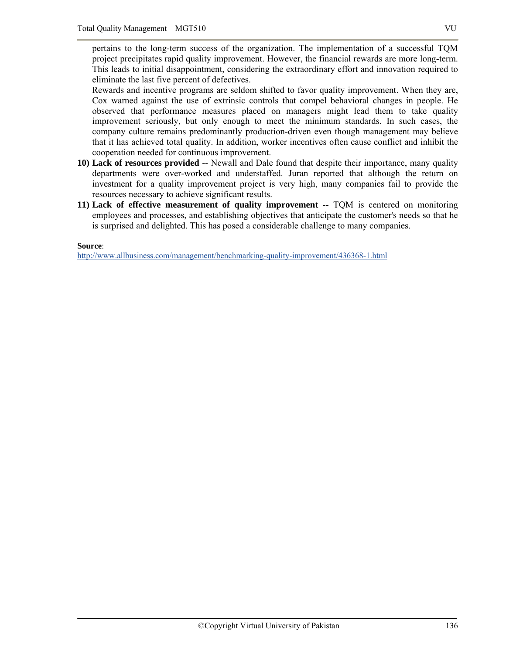pertains to the long-term success of the organization. The implementation of a successful TQM project precipitates rapid quality improvement. However, the financial rewards are more long-term. This leads to initial disappointment, considering the extraordinary effort and innovation required to eliminate the last five percent of defectives.

Rewards and incentive programs are seldom shifted to favor quality improvement. When they are, Cox warned against the use of extrinsic controls that compel behavioral changes in people. He observed that performance measures placed on managers might lead them to take quality improvement seriously, but only enough to meet the minimum standards. In such cases, the company culture remains predominantly production-driven even though management may believe that it has achieved total quality. In addition, worker incentives often cause conflict and inhibit the cooperation needed for continuous improvement.

- **10) Lack of resources provided** -- Newall and Dale found that despite their importance, many quality departments were over-worked and understaffed. Juran reported that although the return on investment for a quality improvement project is very high, many companies fail to provide the resources necessary to achieve significant results.
- **11) Lack of effective measurement of quality improvement** -- TQM is centered on monitoring employees and processes, and establishing objectives that anticipate the customer's needs so that he is surprised and delighted. This has posed a considerable challenge to many companies.

#### **Source**:

http://www.allbusiness.com/management/benchmarking-quality-improvement/436368-1.html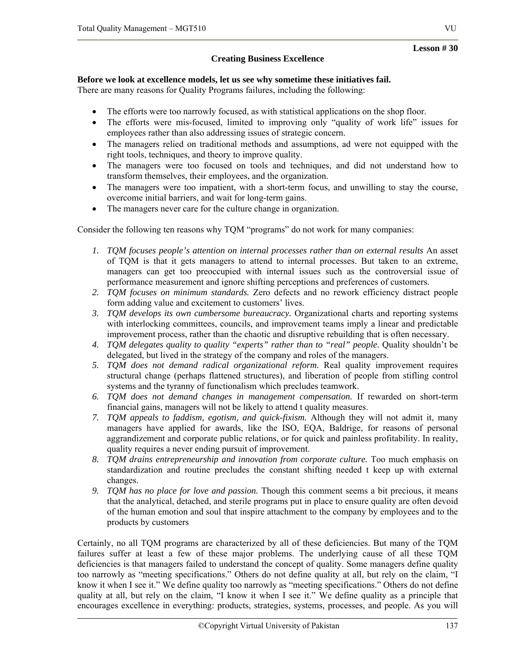### **Before we look at excellence models, let us see why sometime these initiatives fail.**

There are many reasons for Quality Programs failures, including the following:

- The efforts were too narrowly focused, as with statistical applications on the shop floor.
- The efforts were mis-focused, limited to improving only "quality of work life" issues for employees rather than also addressing issues of strategic concern.
- The managers relied on traditional methods and assumptions, ad were not equipped with the right tools, techniques, and theory to improve quality.
- The managers were too focused on tools and techniques, and did not understand how to transform themselves, their employees, and the organization.
- The managers were too impatient, with a short-term focus, and unwilling to stay the course, overcome initial barriers, and wait for long-term gains.
- The managers never care for the culture change in organization.

Consider the following ten reasons why TQM "programs" do not work for many companies:

- *1. TQM focuses people's attention on internal processes rather than on external results* An asset of TQM is that it gets managers to attend to internal processes. But taken to an extreme, managers can get too preoccupied with internal issues such as the controversial issue of performance measurement and ignore shifting perceptions and preferences of customers.
- *2. TQM focuses on minimum standards.* Zero defects and no rework efficiency distract people form adding value and excitement to customers' lives.
- *3. TQM develops its own cumbersome bureaucracy.* Organizational charts and reporting systems with interlocking committees, councils, and improvement teams imply a linear and predictable improvement process, rather than the chaotic and disruptive rebuilding that is often necessary.
- *4. TQM delegates quality to quality "experts" rather than to "real" people.* Quality shouldn't be delegated, but lived in the strategy of the company and roles of the managers.
- *5. TQM does not demand radical organizational reform.* Real quality improvement requires structural change (perhaps flattened structures), and liberation of people from stifling control systems and the tyranny of functionalism which precludes teamwork.
- *6. TQM does not demand changes in management compensation.* If rewarded on short-term financial gains, managers will not be likely to attend t quality measures.
- *7. TQM appeals to faddism, egotism, and quick-fixism.* Although they will not admit it, many managers have applied for awards, like the ISO, EQA, Baldrige, for reasons of personal aggrandizement and corporate public relations, or for quick and painless profitability. In reality, quality requires a never ending pursuit of improvement.
- *8. TQM drains entrepreneurship and innovation from corporate culture.* Too much emphasis on standardization and routine precludes the constant shifting needed t keep up with external changes.
- *9. TQM has no place for love and passion.* Though this comment seems a bit precious, it means that the analytical, detached, and sterile programs put in place to ensure quality are often devoid of the human emotion and soul that inspire attachment to the company by employees and to the products by customers

Certainly, no all TQM programs are characterized by all of these deficiencies. But many of the TQM failures suffer at least a few of these major problems. The underlying cause of all these TQM deficiencies is that managers failed to understand the concept of quality. Some managers define quality too narrowly as "meeting specifications." Others do not define quality at all, but rely on the claim, "I know it when I see it." We define quality too narrowly as "meeting specifications." Others do not define quality at all, but rely on the claim, "I know it when I see it." We define quality as a principle that encourages excellence in everything: products, strategies, systems, processes, and people. As you will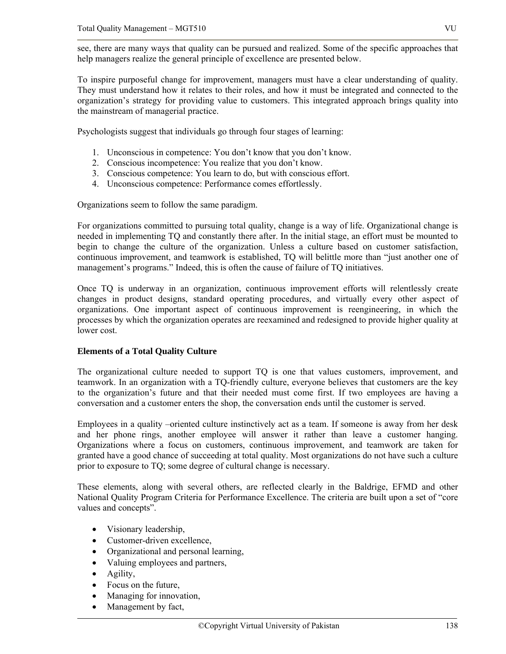To inspire purposeful change for improvement, managers must have a clear understanding of quality. They must understand how it relates to their roles, and how it must be integrated and connected to the organization's strategy for providing value to customers. This integrated approach brings quality into the mainstream of managerial practice.

Psychologists suggest that individuals go through four stages of learning:

- 1. Unconscious in competence: You don't know that you don't know.
- 2. Conscious incompetence: You realize that you don't know.
- 3. Conscious competence: You learn to do, but with conscious effort.
- 4. Unconscious competence: Performance comes effortlessly.

Organizations seem to follow the same paradigm.

For organizations committed to pursuing total quality, change is a way of life. Organizational change is needed in implementing TQ and constantly there after. In the initial stage, an effort must be mounted to begin to change the culture of the organization. Unless a culture based on customer satisfaction, continuous improvement, and teamwork is established, TQ will belittle more than "just another one of management's programs." Indeed, this is often the cause of failure of TQ initiatives.

Once TQ is underway in an organization, continuous improvement efforts will relentlessly create changes in product designs, standard operating procedures, and virtually every other aspect of organizations. One important aspect of continuous improvement is reengineering, in which the processes by which the organization operates are reexamined and redesigned to provide higher quality at lower cost.

#### **Elements of a Total Quality Culture**

The organizational culture needed to support TQ is one that values customers, improvement, and teamwork. In an organization with a TQ-friendly culture, everyone believes that customers are the key to the organization's future and that their needed must come first. If two employees are having a conversation and a customer enters the shop, the conversation ends until the customer is served.

Employees in a quality –oriented culture instinctively act as a team. If someone is away from her desk and her phone rings, another employee will answer it rather than leave a customer hanging. Organizations where a focus on customers, continuous improvement, and teamwork are taken for granted have a good chance of succeeding at total quality. Most organizations do not have such a culture prior to exposure to TQ; some degree of cultural change is necessary.

These elements, along with several others, are reflected clearly in the Baldrige, EFMD and other National Quality Program Criteria for Performance Excellence. The criteria are built upon a set of "core values and concepts".

- Visionary leadership,
- Customer-driven excellence,
- Organizational and personal learning,
- Valuing employees and partners,
- Agility,
- Focus on the future,
- Managing for innovation,
- Management by fact,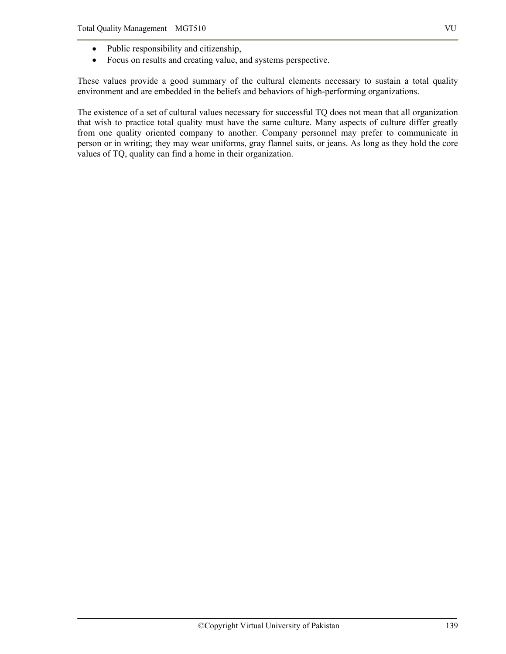- Public responsibility and citizenship,
- Focus on results and creating value, and systems perspective.

These values provide a good summary of the cultural elements necessary to sustain a total quality environment and are embedded in the beliefs and behaviors of high-performing organizations.

The existence of a set of cultural values necessary for successful TQ does not mean that all organization that wish to practice total quality must have the same culture. Many aspects of culture differ greatly from one quality oriented company to another. Company personnel may prefer to communicate in person or in writing; they may wear uniforms, gray flannel suits, or jeans. As long as they hold the core values of TQ, quality can find a home in their organization.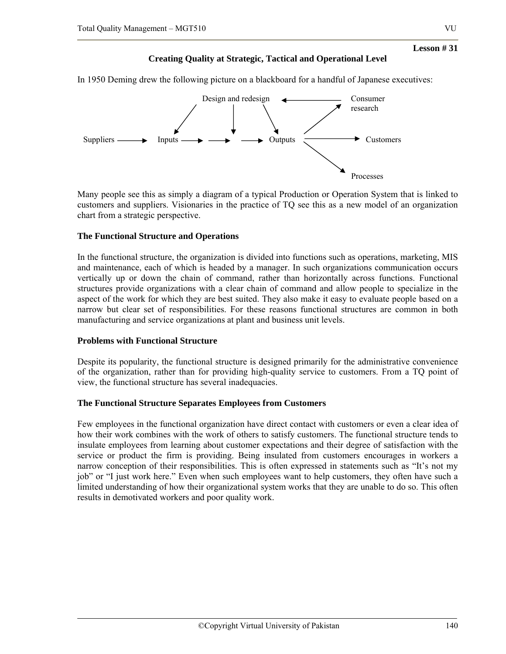#### **Lesson # 31**

#### **Creating Quality at Strategic, Tactical and Operational Level**

In 1950 Deming drew the following picture on a blackboard for a handful of Japanese executives:



Many people see this as simply a diagram of a typical Production or Operation System that is linked to customers and suppliers. Visionaries in the practice of TQ see this as a new model of an organization chart from a strategic perspective.

#### **The Functional Structure and Operations**

In the functional structure, the organization is divided into functions such as operations, marketing, MIS and maintenance, each of which is headed by a manager. In such organizations communication occurs vertically up or down the chain of command, rather than horizontally across functions. Functional structures provide organizations with a clear chain of command and allow people to specialize in the aspect of the work for which they are best suited. They also make it easy to evaluate people based on a narrow but clear set of responsibilities. For these reasons functional structures are common in both manufacturing and service organizations at plant and business unit levels.

#### **Problems with Functional Structure**

Despite its popularity, the functional structure is designed primarily for the administrative convenience of the organization, rather than for providing high-quality service to customers. From a TQ point of view, the functional structure has several inadequacies.

#### **The Functional Structure Separates Employees from Customers**

Few employees in the functional organization have direct contact with customers or even a clear idea of how their work combines with the work of others to satisfy customers. The functional structure tends to insulate employees from learning about customer expectations and their degree of satisfaction with the service or product the firm is providing. Being insulated from customers encourages in workers a narrow conception of their responsibilities. This is often expressed in statements such as "It's not my job" or "I just work here." Even when such employees want to help customers, they often have such a limited understanding of how their organizational system works that they are unable to do so. This often results in demotivated workers and poor quality work.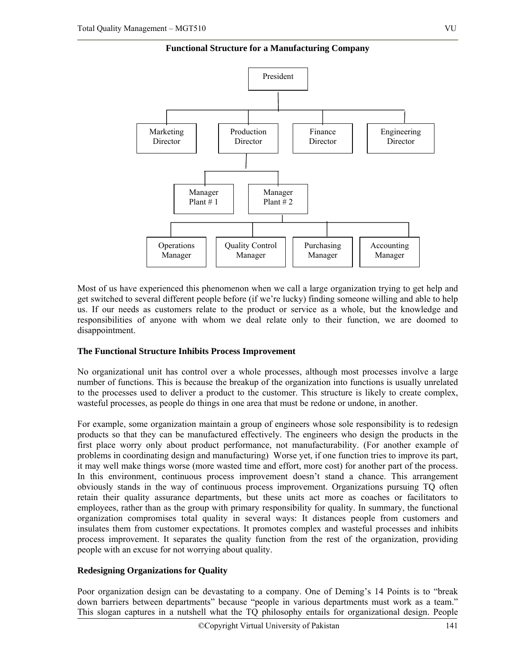



Most of us have experienced this phenomenon when we call a large organization trying to get help and get switched to several different people before (if we're lucky) finding someone willing and able to help us. If our needs as customers relate to the product or service as a whole, but the knowledge and responsibilities of anyone with whom we deal relate only to their function, we are doomed to disappointment.

#### **The Functional Structure Inhibits Process Improvement**

No organizational unit has control over a whole processes, although most processes involve a large number of functions. This is because the breakup of the organization into functions is usually unrelated to the processes used to deliver a product to the customer. This structure is likely to create complex, wasteful processes, as people do things in one area that must be redone or undone, in another.

For example, some organization maintain a group of engineers whose sole responsibility is to redesign products so that they can be manufactured effectively. The engineers who design the products in the first place worry only about product performance, not manufacturability. (For another example of problems in coordinating design and manufacturing) Worse yet, if one function tries to improve its part, it may well make things worse (more wasted time and effort, more cost) for another part of the process. In this environment, continuous process improvement doesn't stand a chance. This arrangement obviously stands in the way of continuous process improvement. Organizations pursuing TQ often retain their quality assurance departments, but these units act more as coaches or facilitators to employees, rather than as the group with primary responsibility for quality. In summary, the functional organization compromises total quality in several ways: It distances people from customers and insulates them from customer expectations. It promotes complex and wasteful processes and inhibits process improvement. It separates the quality function from the rest of the organization, providing people with an excuse for not worrying about quality.

#### **Redesigning Organizations for Quality**

Poor organization design can be devastating to a company. One of Deming's 14 Points is to "break down barriers between departments" because "people in various departments must work as a team." This slogan captures in a nutshell what the TQ philosophy entails for organizational design. People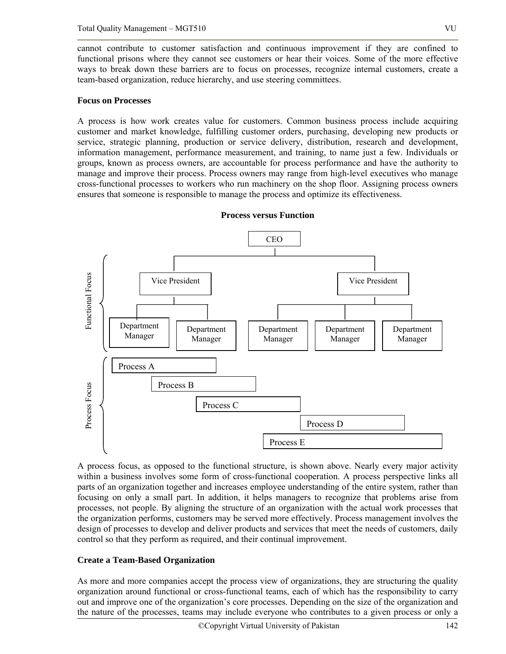cannot contribute to customer satisfaction and continuous improvement if they are confined to functional prisons where they cannot see customers or hear their voices. Some of the more effective ways to break down these barriers are to focus on processes, recognize internal customers, create a team-based organization, reduce hierarchy, and use steering committees.

#### **Focus on Processes**

A process is how work creates value for customers. Common business process include acquiring customer and market knowledge, fulfilling customer orders, purchasing, developing new products or service, strategic planning, production or service delivery, distribution, research and development, information management, performance measurement, and training, to name just a few. Individuals or groups, known as process owners, are accountable for process performance and have the authority to manage and improve their process. Process owners may range from high-level executives who manage cross-functional processes to workers who run machinery on the shop floor. Assigning process owners ensures that someone is responsible to manage the process and optimize its effectiveness.



#### **Process versus Function**

A process focus, as opposed to the functional structure, is shown above. Nearly every major activity within a business involves some form of cross-functional cooperation. A process perspective links all parts of an organization together and increases employee understanding of the entire system, rather than focusing on only a small part. In addition, it helps managers to recognize that problems arise from processes, not people. By aligning the structure of an organization with the actual work processes that the organization performs, customers may be served more effectively. Process management involves the design of processes to develop and deliver products and services that meet the needs of customers, daily control so that they perform as required, and their continual improvement.

#### **Create a Team-Based Organization**

As more and more companies accept the process view of organizations, they are structuring the quality organization around functional or cross-functional teams, each of which has the responsibility to carry out and improve one of the organization's core processes. Depending on the size of the organization and the nature of the processes, teams may include everyone who contributes to a given process or only a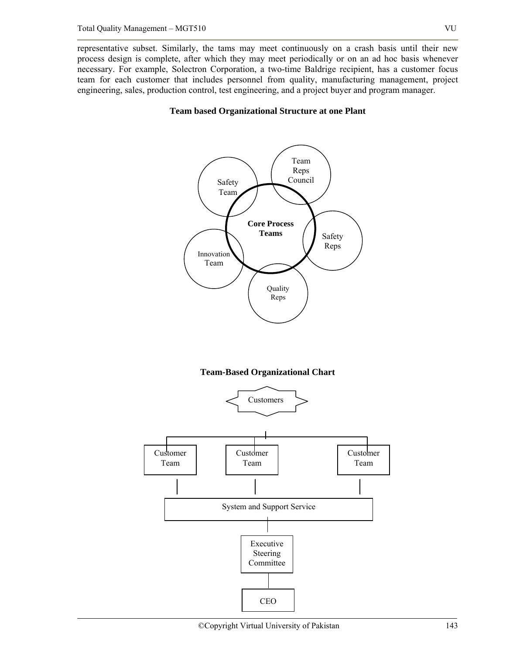representative subset. Similarly, the tams may meet continuously on a crash basis until their new process design is complete, after which they may meet periodically or on an ad hoc basis whenever necessary. For example, Solectron Corporation, a two-time Baldrige recipient, has a customer focus team for each customer that includes personnel from quality, manufacturing management, project engineering, sales, production control, test engineering, and a project buyer and program manager.

#### **Team based Organizational Structure at one Plant**





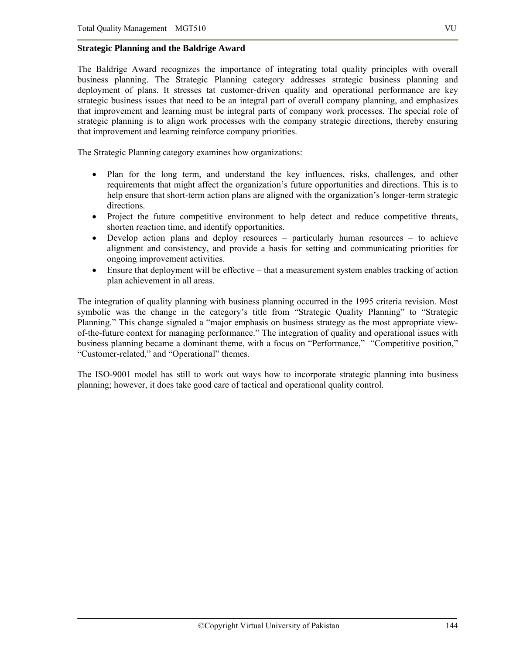#### **Strategic Planning and the Baldrige Award**

The Baldrige Award recognizes the importance of integrating total quality principles with overall business planning. The Strategic Planning category addresses strategic business planning and deployment of plans. It stresses tat customer-driven quality and operational performance are key strategic business issues that need to be an integral part of overall company planning, and emphasizes that improvement and learning must be integral parts of company work processes. The special role of strategic planning is to align work processes with the company strategic directions, thereby ensuring that improvement and learning reinforce company priorities.

The Strategic Planning category examines how organizations:

- Plan for the long term, and understand the key influences, risks, challenges, and other requirements that might affect the organization's future opportunities and directions. This is to help ensure that short-term action plans are aligned with the organization's longer-term strategic directions.
- Project the future competitive environment to help detect and reduce competitive threats, shorten reaction time, and identify opportunities.
- Develop action plans and deploy resources particularly human resources to achieve alignment and consistency, and provide a basis for setting and communicating priorities for ongoing improvement activities.
- Ensure that deployment will be effective that a measurement system enables tracking of action plan achievement in all areas.

The integration of quality planning with business planning occurred in the 1995 criteria revision. Most symbolic was the change in the category's title from "Strategic Quality Planning" to "Strategic Planning." This change signaled a "major emphasis on business strategy as the most appropriate viewof-the-future context for managing performance." The integration of quality and operational issues with business planning became a dominant theme, with a focus on "Performance," "Competitive position," "Customer-related," and "Operational" themes.

The ISO-9001 model has still to work out ways how to incorporate strategic planning into business planning; however, it does take good care of tactical and operational quality control.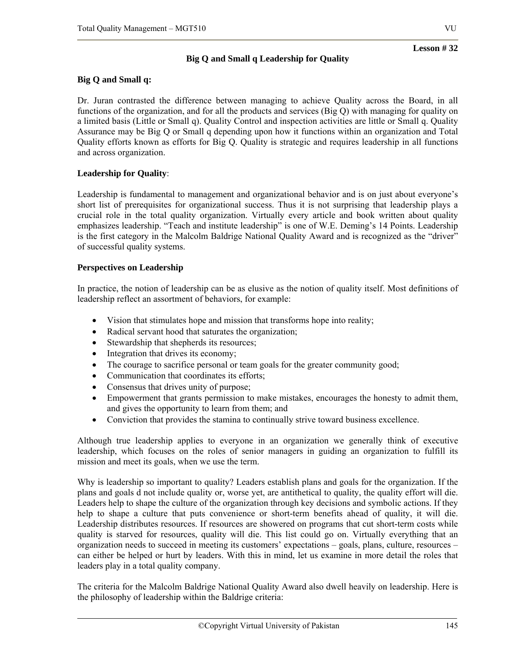## **Big Q and Small q Leadership for Quality**

## **Big Q and Small q:**

Dr. Juran contrasted the difference between managing to achieve Quality across the Board, in all functions of the organization, and for all the products and services (Big Q) with managing for quality on a limited basis (Little or Small q). Quality Control and inspection activities are little or Small q. Quality Assurance may be Big Q or Small q depending upon how it functions within an organization and Total Quality efforts known as efforts for Big Q. Quality is strategic and requires leadership in all functions and across organization.

## **Leadership for Quality**:

Leadership is fundamental to management and organizational behavior and is on just about everyone's short list of prerequisites for organizational success. Thus it is not surprising that leadership plays a crucial role in the total quality organization. Virtually every article and book written about quality emphasizes leadership. "Teach and institute leadership" is one of W.E. Deming's 14 Points. Leadership is the first category in the Malcolm Baldrige National Quality Award and is recognized as the "driver" of successful quality systems.

## **Perspectives on Leadership**

In practice, the notion of leadership can be as elusive as the notion of quality itself. Most definitions of leadership reflect an assortment of behaviors, for example:

- Vision that stimulates hope and mission that transforms hope into reality;
- Radical servant hood that saturates the organization;
- Stewardship that shepherds its resources;
- Integration that drives its economy;
- The courage to sacrifice personal or team goals for the greater community good;
- Communication that coordinates its efforts;
- Consensus that drives unity of purpose;
- Empowerment that grants permission to make mistakes, encourages the honesty to admit them, and gives the opportunity to learn from them; and
- Conviction that provides the stamina to continually strive toward business excellence.

Although true leadership applies to everyone in an organization we generally think of executive leadership, which focuses on the roles of senior managers in guiding an organization to fulfill its mission and meet its goals, when we use the term.

Why is leadership so important to quality? Leaders establish plans and goals for the organization. If the plans and goals d not include quality or, worse yet, are antithetical to quality, the quality effort will die. Leaders help to shape the culture of the organization through key decisions and symbolic actions. If they help to shape a culture that puts convenience or short-term benefits ahead of quality, it will die. Leadership distributes resources. If resources are showered on programs that cut short-term costs while quality is starved for resources, quality will die. This list could go on. Virtually everything that an organization needs to succeed in meeting its customers' expectations – goals, plans, culture, resources – can either be helped or hurt by leaders. With this in mind, let us examine in more detail the roles that leaders play in a total quality company.

The criteria for the Malcolm Baldrige National Quality Award also dwell heavily on leadership. Here is the philosophy of leadership within the Baldrige criteria:

**Lesson # 32**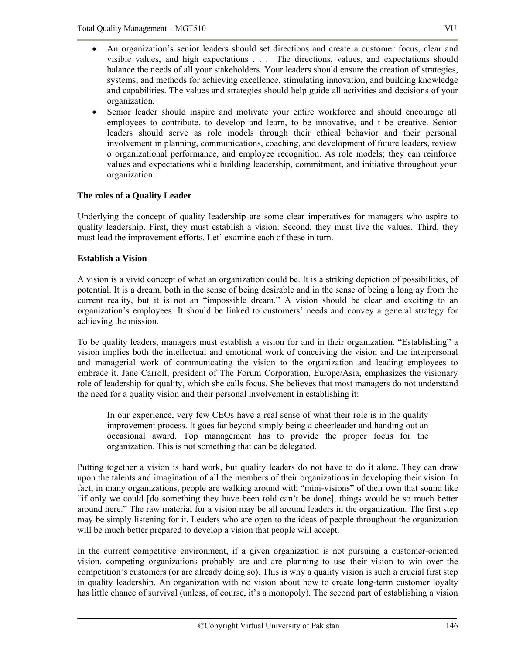- An organization's senior leaders should set directions and create a customer focus, clear and visible values, and high expectations . . . The directions, values, and expectations should balance the needs of all your stakeholders. Your leaders should ensure the creation of strategies, systems, and methods for achieving excellence, stimulating innovation, and building knowledge and capabilities. The values and strategies should help guide all activities and decisions of your organization.
- Senior leader should inspire and motivate your entire workforce and should encourage all employees to contribute, to develop and learn, to be innovative, and t be creative. Senior leaders should serve as role models through their ethical behavior and their personal involvement in planning, communications, coaching, and development of future leaders, review o organizational performance, and employee recognition. As role models; they can reinforce values and expectations while building leadership, commitment, and initiative throughout your organization.

## **The roles of a Quality Leader**

Underlying the concept of quality leadership are some clear imperatives for managers who aspire to quality leadership. First, they must establish a vision. Second, they must live the values. Third, they must lead the improvement efforts. Let' examine each of these in turn.

#### **Establish a Vision**

A vision is a vivid concept of what an organization could be. It is a striking depiction of possibilities, of potential. It is a dream, both in the sense of being desirable and in the sense of being a long ay from the current reality, but it is not an "impossible dream." A vision should be clear and exciting to an organization's employees. It should be linked to customers' needs and convey a general strategy for achieving the mission.

To be quality leaders, managers must establish a vision for and in their organization. "Establishing" a vision implies both the intellectual and emotional work of conceiving the vision and the interpersonal and managerial work of communicating the vision to the organization and leading employees to embrace it. Jane Carroll, president of The Forum Corporation, Europe/Asia, emphasizes the visionary role of leadership for quality, which she calls focus. She believes that most managers do not understand the need for a quality vision and their personal involvement in establishing it:

In our experience, very few CEOs have a real sense of what their role is in the quality improvement process. It goes far beyond simply being a cheerleader and handing out an occasional award. Top management has to provide the proper focus for the organization. This is not something that can be delegated.

Putting together a vision is hard work, but quality leaders do not have to do it alone. They can draw upon the talents and imagination of all the members of their organizations in developing their vision. In fact, in many organizations, people are walking around with "mini-visions" of their own that sound like "if only we could [do something they have been told can't be done], things would be so much better around here." The raw material for a vision may be all around leaders in the organization. The first step may be simply listening for it. Leaders who are open to the ideas of people throughout the organization will be much better prepared to develop a vision that people will accept.

In the current competitive environment, if a given organization is not pursuing a customer-oriented vision, competing organizations probably are and are planning to use their vision to win over the competition's customers (or are already doing so). This is why a quality vision is such a crucial first step in quality leadership. An organization with no vision about how to create long-term customer loyalty has little chance of survival (unless, of course, it's a monopoly). The second part of establishing a vision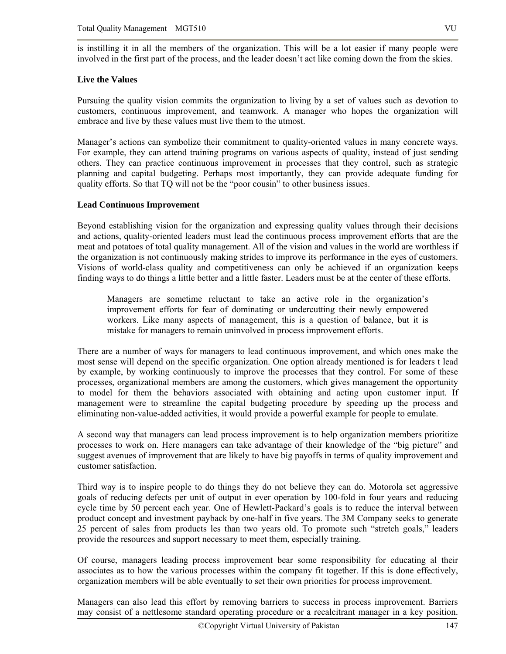is instilling it in all the members of the organization. This will be a lot easier if many people were involved in the first part of the process, and the leader doesn't act like coming down the from the skies.

#### **Live the Values**

Pursuing the quality vision commits the organization to living by a set of values such as devotion to customers, continuous improvement, and teamwork. A manager who hopes the organization will embrace and live by these values must live them to the utmost.

Manager's actions can symbolize their commitment to quality-oriented values in many concrete ways. For example, they can attend training programs on various aspects of quality, instead of just sending others. They can practice continuous improvement in processes that they control, such as strategic planning and capital budgeting. Perhaps most importantly, they can provide adequate funding for quality efforts. So that TQ will not be the "poor cousin" to other business issues.

#### **Lead Continuous Improvement**

Beyond establishing vision for the organization and expressing quality values through their decisions and actions, quality-oriented leaders must lead the continuous process improvement efforts that are the meat and potatoes of total quality management. All of the vision and values in the world are worthless if the organization is not continuously making strides to improve its performance in the eyes of customers. Visions of world-class quality and competitiveness can only be achieved if an organization keeps finding ways to do things a little better and a little faster. Leaders must be at the center of these efforts.

Managers are sometime reluctant to take an active role in the organization's improvement efforts for fear of dominating or undercutting their newly empowered workers. Like many aspects of management, this is a question of balance, but it is mistake for managers to remain uninvolved in process improvement efforts.

There are a number of ways for managers to lead continuous improvement, and which ones make the most sense will depend on the specific organization. One option already mentioned is for leaders t lead by example, by working continuously to improve the processes that they control. For some of these processes, organizational members are among the customers, which gives management the opportunity to model for them the behaviors associated with obtaining and acting upon customer input. If management were to streamline the capital budgeting procedure by speeding up the process and eliminating non-value-added activities, it would provide a powerful example for people to emulate.

A second way that managers can lead process improvement is to help organization members prioritize processes to work on. Here managers can take advantage of their knowledge of the "big picture" and suggest avenues of improvement that are likely to have big payoffs in terms of quality improvement and customer satisfaction.

Third way is to inspire people to do things they do not believe they can do. Motorola set aggressive goals of reducing defects per unit of output in ever operation by 100-fold in four years and reducing cycle time by 50 percent each year. One of Hewlett-Packard's goals is to reduce the interval between product concept and investment payback by one-half in five years. The 3M Company seeks to generate 25 percent of sales from products les than two years old. To promote such "stretch goals," leaders provide the resources and support necessary to meet them, especially training.

Of course, managers leading process improvement bear some responsibility for educating al their associates as to how the various processes within the company fit together. If this is done effectively, organization members will be able eventually to set their own priorities for process improvement.

Managers can also lead this effort by removing barriers to success in process improvement. Barriers may consist of a nettlesome standard operating procedure or a recalcitrant manager in a key position.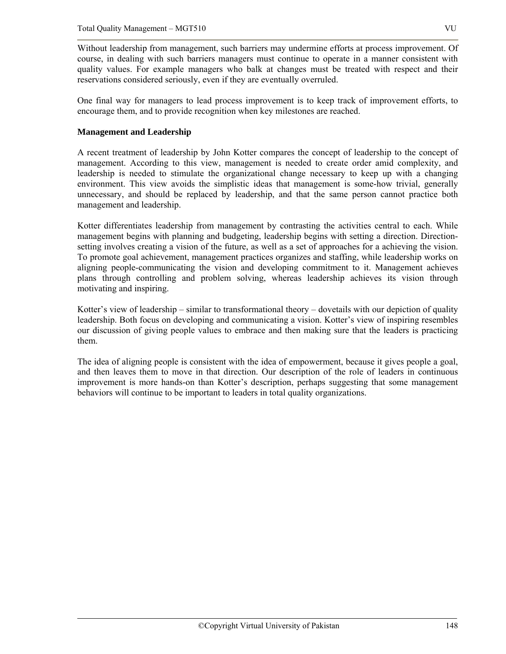Without leadership from management, such barriers may undermine efforts at process improvement. Of course, in dealing with such barriers managers must continue to operate in a manner consistent with quality values. For example managers who balk at changes must be treated with respect and their reservations considered seriously, even if they are eventually overruled.

One final way for managers to lead process improvement is to keep track of improvement efforts, to encourage them, and to provide recognition when key milestones are reached.

## **Management and Leadership**

A recent treatment of leadership by John Kotter compares the concept of leadership to the concept of management. According to this view, management is needed to create order amid complexity, and leadership is needed to stimulate the organizational change necessary to keep up with a changing environment. This view avoids the simplistic ideas that management is some-how trivial, generally unnecessary, and should be replaced by leadership, and that the same person cannot practice both management and leadership.

Kotter differentiates leadership from management by contrasting the activities central to each. While management begins with planning and budgeting, leadership begins with setting a direction. Directionsetting involves creating a vision of the future, as well as a set of approaches for a achieving the vision. To promote goal achievement, management practices organizes and staffing, while leadership works on aligning people-communicating the vision and developing commitment to it. Management achieves plans through controlling and problem solving, whereas leadership achieves its vision through motivating and inspiring.

Kotter's view of leadership – similar to transformational theory – dovetails with our depiction of quality leadership. Both focus on developing and communicating a vision. Kotter's view of inspiring resembles our discussion of giving people values to embrace and then making sure that the leaders is practicing them.

The idea of aligning people is consistent with the idea of empowerment, because it gives people a goal, and then leaves them to move in that direction. Our description of the role of leaders in continuous improvement is more hands-on than Kotter's description, perhaps suggesting that some management behaviors will continue to be important to leaders in total quality organizations.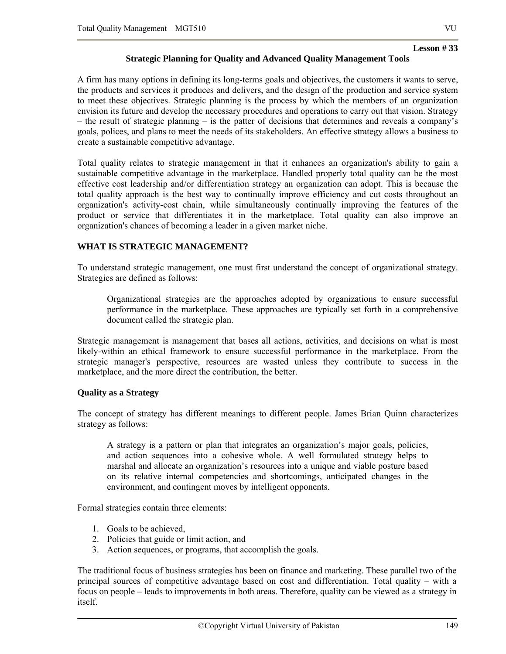#### **Lesson # 33**

#### **Strategic Planning for Quality and Advanced Quality Management Tools**

A firm has many options in defining its long-terms goals and objectives, the customers it wants to serve, the products and services it produces and delivers, and the design of the production and service system to meet these objectives. Strategic planning is the process by which the members of an organization envision its future and develop the necessary procedures and operations to carry out that vision. Strategy – the result of strategic planning – is the patter of decisions that determines and reveals a company's goals, polices, and plans to meet the needs of its stakeholders. An effective strategy allows a business to create a sustainable competitive advantage.

Total quality relates to strategic management in that it enhances an organization's ability to gain a sustainable competitive advantage in the marketplace. Handled properly total quality can be the most effective cost leadership and/or differentiation strategy an organization can adopt. This is because the total quality approach is the best way to continually improve efficiency and cut costs throughout an organization's activity-cost chain, while simultaneously continually improving the features of the product or service that differentiates it in the marketplace. Total quality can also improve an organization's chances of becoming a leader in a given market niche.

#### **WHAT IS STRATEGIC MANAGEMENT?**

To understand strategic management, one must first understand the concept of organizational strategy. Strategies are defined as follows:

Organizational strategies are the approaches adopted by organizations to ensure successful performance in the marketplace. These approaches are typically set forth in a comprehensive document called the strategic plan.

Strategic management is management that bases all actions, activities, and decisions on what is most likely-within an ethical framework to ensure successful performance in the marketplace. From the strategic manager's perspective, resources are wasted unless they contribute to success in the marketplace, and the more direct the contribution, the better.

#### **Quality as a Strategy**

The concept of strategy has different meanings to different people. James Brian Quinn characterizes strategy as follows:

A strategy is a pattern or plan that integrates an organization's major goals, policies, and action sequences into a cohesive whole. A well formulated strategy helps to marshal and allocate an organization's resources into a unique and viable posture based on its relative internal competencies and shortcomings, anticipated changes in the environment, and contingent moves by intelligent opponents.

Formal strategies contain three elements:

- 1. Goals to be achieved,
- 2. Policies that guide or limit action, and
- 3. Action sequences, or programs, that accomplish the goals.

The traditional focus of business strategies has been on finance and marketing. These parallel two of the principal sources of competitive advantage based on cost and differentiation. Total quality – with a focus on people – leads to improvements in both areas. Therefore, quality can be viewed as a strategy in itself.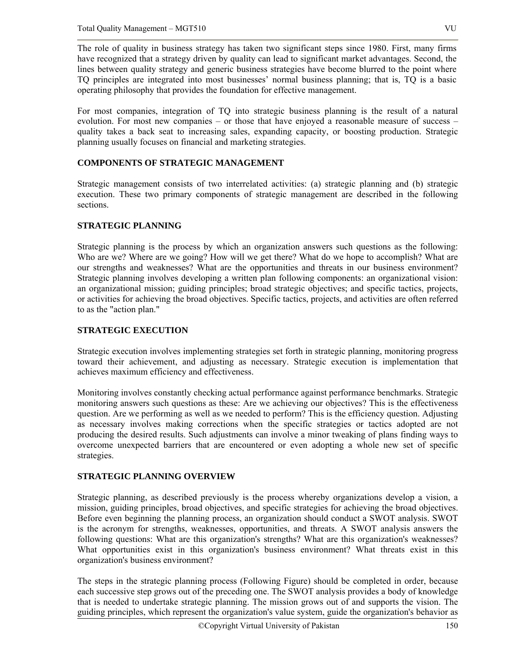The role of quality in business strategy has taken two significant steps since 1980. First, many firms

have recognized that a strategy driven by quality can lead to significant market advantages. Second, the lines between quality strategy and generic business strategies have become blurred to the point where TQ principles are integrated into most businesses' normal business planning; that is, TQ is a basic operating philosophy that provides the foundation for effective management.

For most companies, integration of TQ into strategic business planning is the result of a natural evolution. For most new companies – or those that have enjoyed a reasonable measure of success – quality takes a back seat to increasing sales, expanding capacity, or boosting production. Strategic planning usually focuses on financial and marketing strategies.

## **COMPONENTS OF STRATEGIC MANAGEMENT**

Strategic management consists of two interrelated activities: (a) strategic planning and (b) strategic execution. These two primary components of strategic management are described in the following sections.

## **STRATEGIC PLANNING**

Strategic planning is the process by which an organization answers such questions as the following: Who are we? Where are we going? How will we get there? What do we hope to accomplish? What are our strengths and weaknesses? What are the opportunities and threats in our business environment? Strategic planning involves developing a written plan following components: an organizational vision: an organizational mission; guiding principles; broad strategic objectives; and specific tactics, projects, or activities for achieving the broad objectives. Specific tactics, projects, and activities are often referred to as the "action plan."

## **STRATEGIC EXECUTION**

Strategic execution involves implementing strategies set forth in strategic planning, monitoring progress toward their achievement, and adjusting as necessary. Strategic execution is implementation that achieves maximum efficiency and effectiveness.

Monitoring involves constantly checking actual performance against performance benchmarks. Strategic monitoring answers such questions as these: Are we achieving our objectives? This is the effectiveness question. Are we performing as well as we needed to perform? This is the efficiency question. Adjusting as necessary involves making corrections when the specific strategies or tactics adopted are not producing the desired results. Such adjustments can involve a minor tweaking of plans finding ways to overcome unexpected barriers that are encountered or even adopting a whole new set of specific strategies.

## **STRATEGIC PLANNING OVERVIEW**

Strategic planning, as described previously is the process whereby organizations develop a vision, a mission, guiding principles, broad objectives, and specific strategies for achieving the broad objectives. Before even beginning the planning process, an organization should conduct a SWOT analysis. SWOT is the acronym for strengths, weaknesses, opportunities, and threats. A SWOT analysis answers the following questions: What are this organization's strengths? What are this organization's weaknesses? What opportunities exist in this organization's business environment? What threats exist in this organization's business environment?

The steps in the strategic planning process (Following Figure) should be completed in order, because each successive step grows out of the preceding one. The SWOT analysis provides a body of knowledge that is needed to undertake strategic planning. The mission grows out of and supports the vision. The guiding principles, which represent the organization's value system, guide the organization's behavior as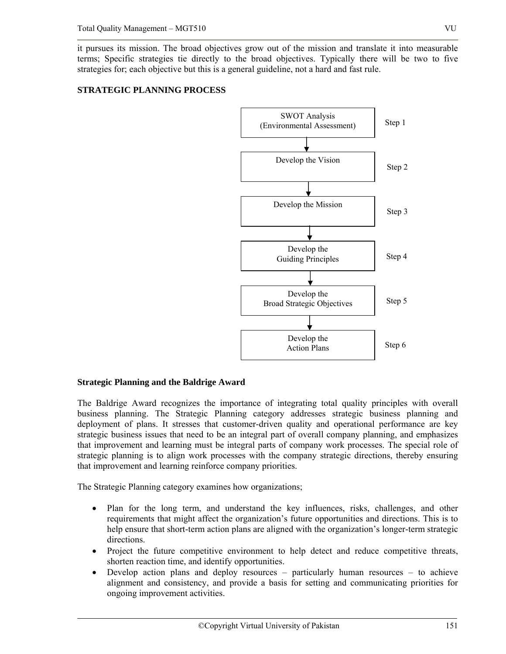it pursues its mission. The broad objectives grow out of the mission and translate it into measurable terms; Specific strategies tie directly to the broad objectives. Typically there will be two to five strategies for; each objective but this is a general guideline, not a hard and fast rule.

#### **STRATEGIC PLANNING PROCESS**



#### **Strategic Planning and the Baldrige Award**

The Baldrige Award recognizes the importance of integrating total quality principles with overall business planning. The Strategic Planning category addresses strategic business planning and deployment of plans. It stresses that customer-driven quality and operational performance are key strategic business issues that need to be an integral part of overall company planning, and emphasizes that improvement and learning must be integral parts of company work processes. The special role of strategic planning is to align work processes with the company strategic directions, thereby ensuring that improvement and learning reinforce company priorities.

The Strategic Planning category examines how organizations;

- Plan for the long term, and understand the key influences, risks, challenges, and other requirements that might affect the organization's future opportunities and directions. This is to help ensure that short-term action plans are aligned with the organization's longer-term strategic directions.
- Project the future competitive environment to help detect and reduce competitive threats, shorten reaction time, and identify opportunities.
- Develop action plans and deploy resources particularly human resources to achieve alignment and consistency, and provide a basis for setting and communicating priorities for ongoing improvement activities.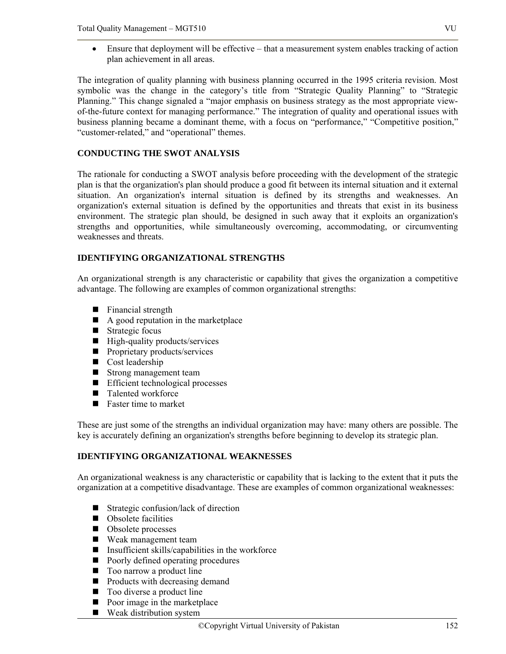• Ensure that deployment will be effective – that a measurement system enables tracking of action plan achievement in all areas.

The integration of quality planning with business planning occurred in the 1995 criteria revision. Most symbolic was the change in the category's title from "Strategic Quality Planning" to "Strategic Planning." This change signaled a "major emphasis on business strategy as the most appropriate viewof-the-future context for managing performance." The integration of quality and operational issues with business planning became a dominant theme, with a focus on "performance," "Competitive position," "customer-related," and "operational" themes.

#### **CONDUCTING THE SWOT ANALYSIS**

The rationale for conducting a SWOT analysis before proceeding with the development of the strategic plan is that the organization's plan should produce a good fit between its internal situation and it external situation. An organization's internal situation is defined by its strengths and weaknesses. An organization's external situation is defined by the opportunities and threats that exist in its business environment. The strategic plan should, be designed in such away that it exploits an organization's strengths and opportunities, while simultaneously overcoming, accommodating, or circumventing weaknesses and threats.

#### **IDENTIFYING ORGANIZATIONAL STRENGTHS**

An organizational strength is any characteristic or capability that gives the organization a competitive advantage. The following are examples of common organizational strengths:

- **Financial strength**
- A good reputation in the marketplace
- Strategic focus
- $\blacksquare$  High-quality products/services
- **Proprietary products/services**
- Cost leadership
- **Strong management team**
- Efficient technological processes
- Talented workforce
- Faster time to market

These are just some of the strengths an individual organization may have: many others are possible. The key is accurately defining an organization's strengths before beginning to develop its strategic plan.

## **IDENTIFYING ORGANIZATIONAL WEAKNESSES**

An organizational weakness is any characteristic or capability that is lacking to the extent that it puts the organization at a competitive disadvantage. These are examples of common organizational weaknesses:

- Strategic confusion/lack of direction
- Obsolete facilities
- Obsolete processes
- Weak management team
- $\blacksquare$  Insufficient skills/capabilities in the workforce
- Poorly defined operating procedures
- Too narrow a product line
- $\blacksquare$  Products with decreasing demand
- Too diverse a product line
- **Poor image in the marketplace**
- **Weak distribution system**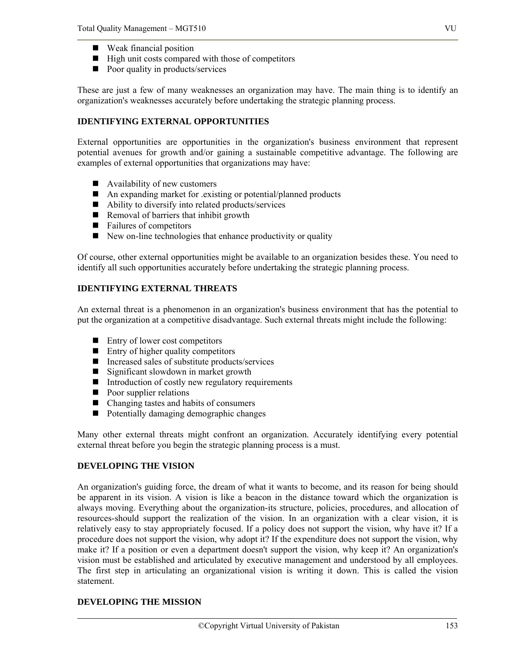- Weak financial position
- $\blacksquare$  High unit costs compared with those of competitors
- Poor quality in products/services

These are just a few of many weaknesses an organization may have. The main thing is to identify an organization's weaknesses accurately before undertaking the strategic planning process.

#### **IDENTIFYING EXTERNAL OPPORTUNITIES**

External opportunities are opportunities in the organization's business environment that represent potential avenues for growth and/or gaining a sustainable competitive advantage. The following are examples of external opportunities that organizations may have:

- Availability of new customers
- An expanding market for .existing or potential/planned products
- Ability to diversify into related products/services
- Removal of barriers that inhibit growth
- Failures of competitors
- $\blacksquare$  New on-line technologies that enhance productivity or quality

Of course, other external opportunities might be available to an organization besides these. You need to identify all such opportunities accurately before undertaking the strategic planning process.

## **IDENTIFYING EXTERNAL THREATS**

An external threat is a phenomenon in an organization's business environment that has the potential to put the organization at a competitive disadvantage. Such external threats might include the following:

- Entry of lower cost competitors
- $\blacksquare$  Entry of higher quality competitors
- $\blacksquare$  Increased sales of substitute products/services
- Significant slowdown in market growth
- Introduction of costly new regulatory requirements
- **Poor supplier relations**
- Changing tastes and habits of consumers
- Potentially damaging demographic changes

Many other external threats might confront an organization. Accurately identifying every potential external threat before you begin the strategic planning process is a must.

#### **DEVELOPING THE VISION**

An organization's guiding force, the dream of what it wants to become, and its reason for being should be apparent in its vision. A vision is like a beacon in the distance toward which the organization is always moving. Everything about the organization-its structure, policies, procedures, and allocation of resources-should support the realization of the vision. In an organization with a clear vision, it is relatively easy to stay appropriately focused. If a policy does not support the vision, why have it? If a procedure does not support the vision, why adopt it? If the expenditure does not support the vision, why make it? If a position or even a department doesn't support the vision, why keep it? An organization's vision must be established and articulated by executive management and understood by all employees. The first step in articulating an organizational vision is writing it down. This is called the vision statement.

## **DEVELOPING THE MISSION**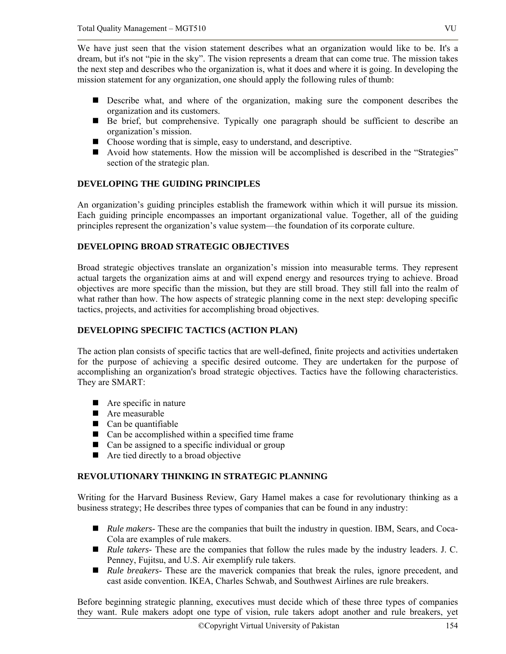We have just seen that the vision statement describes what an organization would like to be. It's a dream, but it's not "pie in the sky". The vision represents a dream that can come true. The mission takes the next step and describes who the organization is, what it does and where it is going. In developing the mission statement for any organization, one should apply the following rules of thumb:

- Describe what, and where of the organization, making sure the component describes the organization and its customers.
- Be brief, but comprehensive. Typically one paragraph should be sufficient to describe an organization's mission.
- Choose wording that is simple, easy to understand, and descriptive.
- Avoid how statements. How the mission will be accomplished is described in the "Strategies" section of the strategic plan.

## **DEVELOPING THE GUIDING PRINCIPLES**

An organization's guiding principles establish the framework within which it will pursue its mission. Each guiding principle encompasses an important organizational value. Together, all of the guiding principles represent the organization's value system—the foundation of its corporate culture.

## **DEVELOPING BROAD STRATEGIC OBJECTIVES**

Broad strategic objectives translate an organization's mission into measurable terms. They represent actual targets the organization aims at and will expend energy and resources trying to achieve. Broad objectives are more specific than the mission, but they are still broad. They still fall into the realm of what rather than how. The how aspects of strategic planning come in the next step: developing specific tactics, projects, and activities for accomplishing broad objectives.

#### **DEVELOPING SPECIFIC TACTICS (ACTION PLAN)**

The action plan consists of specific tactics that are well-defined, finite projects and activities undertaken for the purpose of achieving a specific desired outcome. They are undertaken for the purpose of accomplishing an organization's broad strategic objectives. Tactics have the following characteristics. They are SMART:

- $\blacksquare$  Are specific in nature
- Are measurable
- $\blacksquare$  Can be quantifiable
- $\Box$  Can be accomplished within a specified time frame
- Can be assigned to a specific individual or group
- $\blacksquare$  Are tied directly to a broad objective

## **REVOLUTIONARY THINKING IN STRATEGIC PLANNING**

Writing for the Harvard Business Review, Gary Hamel makes a case for revolutionary thinking as a business strategy; He describes three types of companies that can be found in any industry:

- *Rule makers* These are the companies that built the industry in question. IBM, Sears, and Coca-Cola are examples of rule makers.
- *Rule takers* These are the companies that follow the rules made by the industry leaders. J. C. Penney, Fujitsu, and U.S. Air exemplify rule takers.
- **Rule breakers** These are the maverick companies that break the rules, ignore precedent, and cast aside convention. IKEA, Charles Schwab, and Southwest Airlines are rule breakers.

Before beginning strategic planning, executives must decide which of these three types of companies they want. Rule makers adopt one type of vision, rule takers adopt another and rule breakers, yet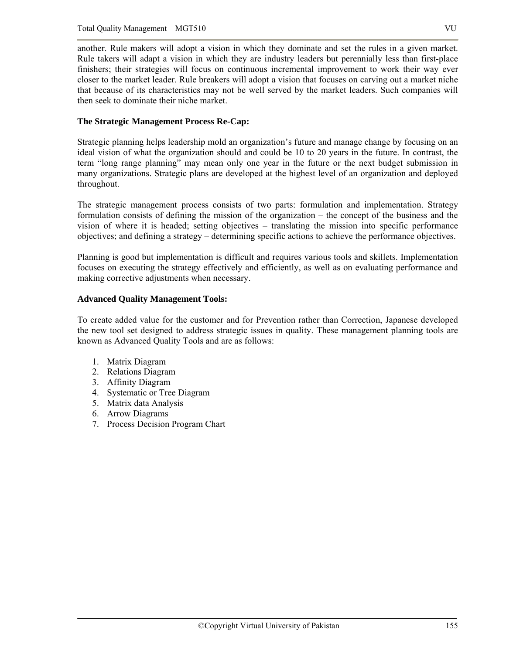another. Rule makers will adopt a vision in which they dominate and set the rules in a given market. Rule takers will adapt a vision in which they are industry leaders but perennially less than first-place finishers; their strategies will focus on continuous incremental improvement to work their way ever closer to the market leader. Rule breakers will adopt a vision that focuses on carving out a market niche that because of its characteristics may not be well served by the market leaders. Such companies will then seek to dominate their niche market.

## **The Strategic Management Process Re-Cap:**

Strategic planning helps leadership mold an organization's future and manage change by focusing on an ideal vision of what the organization should and could be 10 to 20 years in the future. In contrast, the term "long range planning" may mean only one year in the future or the next budget submission in many organizations. Strategic plans are developed at the highest level of an organization and deployed throughout.

The strategic management process consists of two parts: formulation and implementation. Strategy formulation consists of defining the mission of the organization – the concept of the business and the vision of where it is headed; setting objectives – translating the mission into specific performance objectives; and defining a strategy – determining specific actions to achieve the performance objectives.

Planning is good but implementation is difficult and requires various tools and skillets. Implementation focuses on executing the strategy effectively and efficiently, as well as on evaluating performance and making corrective adjustments when necessary.

## **Advanced Quality Management Tools:**

To create added value for the customer and for Prevention rather than Correction, Japanese developed the new tool set designed to address strategic issues in quality. These management planning tools are known as Advanced Quality Tools and are as follows:

- 1. Matrix Diagram
- 2. Relations Diagram
- 3. Affinity Diagram
- 4. Systematic or Tree Diagram
- 5. Matrix data Analysis
- 6. Arrow Diagrams
- 7. Process Decision Program Chart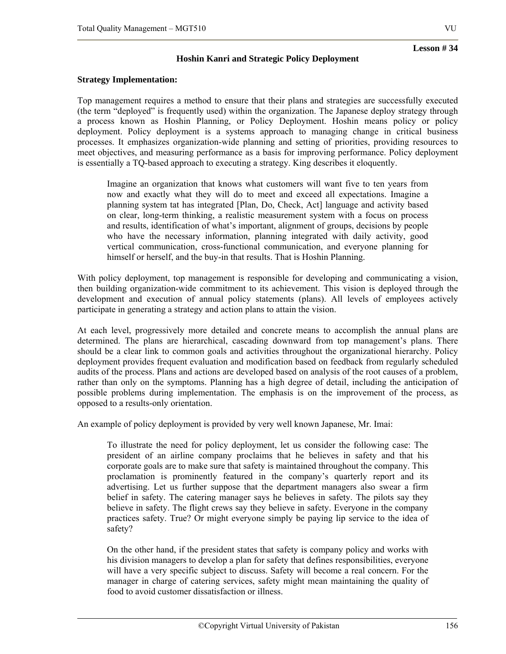## **Hoshin Kanri and Strategic Policy Deployment**

#### **Strategy Implementation:**

Top management requires a method to ensure that their plans and strategies are successfully executed (the term "deployed" is frequently used) within the organization. The Japanese deploy strategy through a process known as Hoshin Planning, or Policy Deployment. Hoshin means policy or policy deployment. Policy deployment is a systems approach to managing change in critical business processes. It emphasizes organization-wide planning and setting of priorities, providing resources to meet objectives, and measuring performance as a basis for improving performance. Policy deployment is essentially a TQ-based approach to executing a strategy. King describes it eloquently.

Imagine an organization that knows what customers will want five to ten years from now and exactly what they will do to meet and exceed all expectations. Imagine a planning system tat has integrated [Plan, Do, Check, Act] language and activity based on clear, long-term thinking, a realistic measurement system with a focus on process and results, identification of what's important, alignment of groups, decisions by people who have the necessary information, planning integrated with daily activity, good vertical communication, cross-functional communication, and everyone planning for himself or herself, and the buy-in that results. That is Hoshin Planning.

With policy deployment, top management is responsible for developing and communicating a vision, then building organization-wide commitment to its achievement. This vision is deployed through the development and execution of annual policy statements (plans). All levels of employees actively participate in generating a strategy and action plans to attain the vision.

At each level, progressively more detailed and concrete means to accomplish the annual plans are determined. The plans are hierarchical, cascading downward from top management's plans. There should be a clear link to common goals and activities throughout the organizational hierarchy. Policy deployment provides frequent evaluation and modification based on feedback from regularly scheduled audits of the process. Plans and actions are developed based on analysis of the root causes of a problem, rather than only on the symptoms. Planning has a high degree of detail, including the anticipation of possible problems during implementation. The emphasis is on the improvement of the process, as opposed to a results-only orientation.

An example of policy deployment is provided by very well known Japanese, Mr. Imai:

 To illustrate the need for policy deployment, let us consider the following case: The president of an airline company proclaims that he believes in safety and that his corporate goals are to make sure that safety is maintained throughout the company. This proclamation is prominently featured in the company's quarterly report and its advertising. Let us further suppose that the department managers also swear a firm belief in safety. The catering manager says he believes in safety. The pilots say they believe in safety. The flight crews say they believe in safety. Everyone in the company practices safety. True? Or might everyone simply be paying lip service to the idea of safety?

 On the other hand, if the president states that safety is company policy and works with his division managers to develop a plan for safety that defines responsibilities, everyone will have a very specific subject to discuss. Safety will become a real concern. For the manager in charge of catering services, safety might mean maintaining the quality of food to avoid customer dissatisfaction or illness.

**Lesson # 34**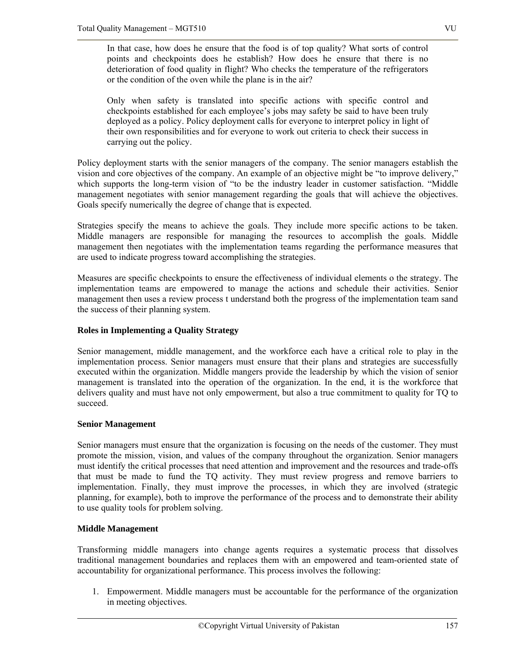In that case, how does he ensure that the food is of top quality? What sorts of control points and checkpoints does he establish? How does he ensure that there is no deterioration of food quality in flight? Who checks the temperature of the refrigerators or the condition of the oven while the plane is in the air?

 Only when safety is translated into specific actions with specific control and checkpoints established for each employee's jobs may safety be said to have been truly deployed as a policy. Policy deployment calls for everyone to interpret policy in light of their own responsibilities and for everyone to work out criteria to check their success in carrying out the policy.

Policy deployment starts with the senior managers of the company. The senior managers establish the vision and core objectives of the company. An example of an objective might be "to improve delivery," which supports the long-term vision of "to be the industry leader in customer satisfaction. "Middle" management negotiates with senior management regarding the goals that will achieve the objectives. Goals specify numerically the degree of change that is expected.

Strategies specify the means to achieve the goals. They include more specific actions to be taken. Middle managers are responsible for managing the resources to accomplish the goals. Middle management then negotiates with the implementation teams regarding the performance measures that are used to indicate progress toward accomplishing the strategies.

Measures are specific checkpoints to ensure the effectiveness of individual elements o the strategy. The implementation teams are empowered to manage the actions and schedule their activities. Senior management then uses a review process t understand both the progress of the implementation team sand the success of their planning system.

## **Roles in Implementing a Quality Strategy**

Senior management, middle management, and the workforce each have a critical role to play in the implementation process. Senior managers must ensure that their plans and strategies are successfully executed within the organization. Middle mangers provide the leadership by which the vision of senior management is translated into the operation of the organization. In the end, it is the workforce that delivers quality and must have not only empowerment, but also a true commitment to quality for TQ to succeed.

## **Senior Management**

Senior managers must ensure that the organization is focusing on the needs of the customer. They must promote the mission, vision, and values of the company throughout the organization. Senior managers must identify the critical processes that need attention and improvement and the resources and trade-offs that must be made to fund the TQ activity. They must review progress and remove barriers to implementation. Finally, they must improve the processes, in which they are involved (strategic planning, for example), both to improve the performance of the process and to demonstrate their ability to use quality tools for problem solving.

## **Middle Management**

Transforming middle managers into change agents requires a systematic process that dissolves traditional management boundaries and replaces them with an empowered and team-oriented state of accountability for organizational performance. This process involves the following:

1. Empowerment. Middle managers must be accountable for the performance of the organization in meeting objectives.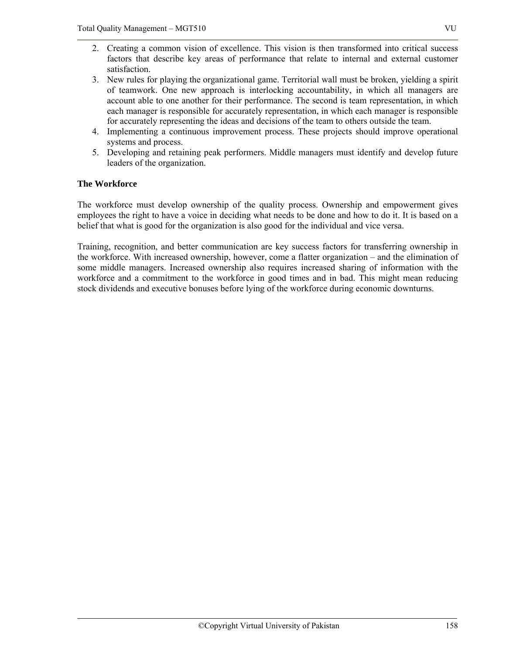- 3. New rules for playing the organizational game. Territorial wall must be broken, yielding a spirit of teamwork. One new approach is interlocking accountability, in which all managers are account able to one another for their performance. The second is team representation, in which each manager is responsible for accurately representation, in which each manager is responsible for accurately representing the ideas and decisions of the team to others outside the team.
- 4. Implementing a continuous improvement process. These projects should improve operational systems and process.
- 5. Developing and retaining peak performers. Middle managers must identify and develop future leaders of the organization.

## **The Workforce**

The workforce must develop ownership of the quality process. Ownership and empowerment gives employees the right to have a voice in deciding what needs to be done and how to do it. It is based on a belief that what is good for the organization is also good for the individual and vice versa.

Training, recognition, and better communication are key success factors for transferring ownership in the workforce. With increased ownership, however, come a flatter organization – and the elimination of some middle managers. Increased ownership also requires increased sharing of information with the workforce and a commitment to the workforce in good times and in bad. This might mean reducing stock dividends and executive bonuses before lying of the workforce during economic downturns.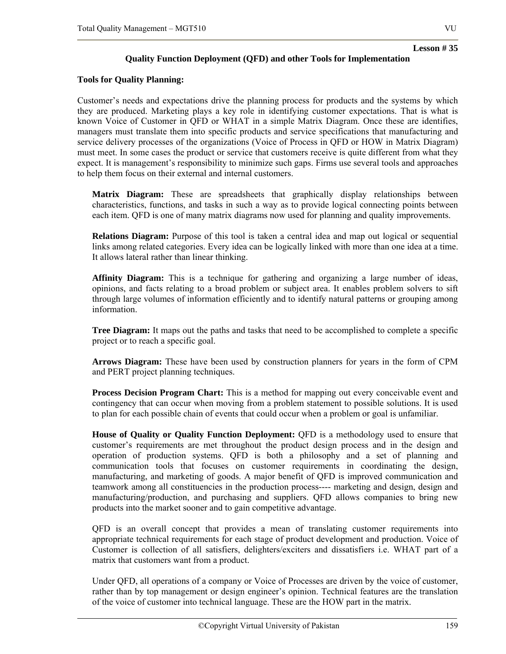## **Lesson # 35**

## **Quality Function Deployment (QFD) and other Tools for Implementation**

#### **Tools for Quality Planning:**

Customer's needs and expectations drive the planning process for products and the systems by which they are produced. Marketing plays a key role in identifying customer expectations. That is what is known Voice of Customer in QFD or WHAT in a simple Matrix Diagram. Once these are identifies, managers must translate them into specific products and service specifications that manufacturing and service delivery processes of the organizations (Voice of Process in QFD or HOW in Matrix Diagram) must meet. In some cases the product or service that customers receive is quite different from what they expect. It is management's responsibility to minimize such gaps. Firms use several tools and approaches to help them focus on their external and internal customers.

**Matrix Diagram:** These are spreadsheets that graphically display relationships between characteristics, functions, and tasks in such a way as to provide logical connecting points between each item. QFD is one of many matrix diagrams now used for planning and quality improvements.

**Relations Diagram:** Purpose of this tool is taken a central idea and map out logical or sequential links among related categories. Every idea can be logically linked with more than one idea at a time. It allows lateral rather than linear thinking.

**Affinity Diagram:** This is a technique for gathering and organizing a large number of ideas, opinions, and facts relating to a broad problem or subject area. It enables problem solvers to sift through large volumes of information efficiently and to identify natural patterns or grouping among information.

**Tree Diagram:** It maps out the paths and tasks that need to be accomplished to complete a specific project or to reach a specific goal.

**Arrows Diagram:** These have been used by construction planners for years in the form of CPM and PERT project planning techniques.

**Process Decision Program Chart:** This is a method for mapping out every conceivable event and contingency that can occur when moving from a problem statement to possible solutions. It is used to plan for each possible chain of events that could occur when a problem or goal is unfamiliar.

**House of Quality or Quality Function Deployment:** QFD is a methodology used to ensure that customer's requirements are met throughout the product design process and in the design and operation of production systems. QFD is both a philosophy and a set of planning and communication tools that focuses on customer requirements in coordinating the design, manufacturing, and marketing of goods. A major benefit of QFD is improved communication and teamwork among all constituencies in the production process---- marketing and design, design and manufacturing/production, and purchasing and suppliers. QFD allows companies to bring new products into the market sooner and to gain competitive advantage.

QFD is an overall concept that provides a mean of translating customer requirements into appropriate technical requirements for each stage of product development and production. Voice of Customer is collection of all satisfiers, delighters/exciters and dissatisfiers i.e. WHAT part of a matrix that customers want from a product.

Under QFD, all operations of a company or Voice of Processes are driven by the voice of customer, rather than by top management or design engineer's opinion. Technical features are the translation of the voice of customer into technical language. These are the HOW part in the matrix.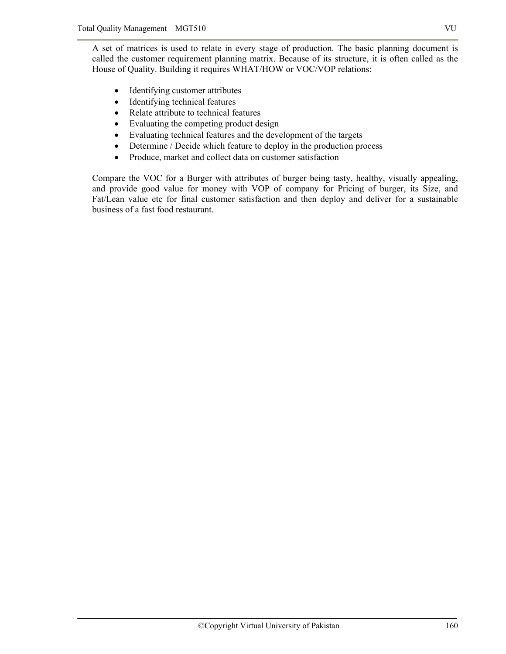A set of matrices is used to relate in every stage of production. The basic planning document is called the customer requirement planning matrix. Because of its structure, it is often called as the House of Quality. Building it requires WHAT/HOW or VOC/VOP relations:

- Identifying customer attributes
- Identifying technical features
- Relate attribute to technical features
- Evaluating the competing product design
- Evaluating technical features and the development of the targets
- Determine / Decide which feature to deploy in the production process
- Produce, market and collect data on customer satisfaction

Compare the VOC for a Burger with attributes of burger being tasty, healthy, visually appealing, and provide good value for money with VOP of company for Pricing of burger, its Size, and Fat/Lean value etc for final customer satisfaction and then deploy and deliver for a sustainable business of a fast food restaurant.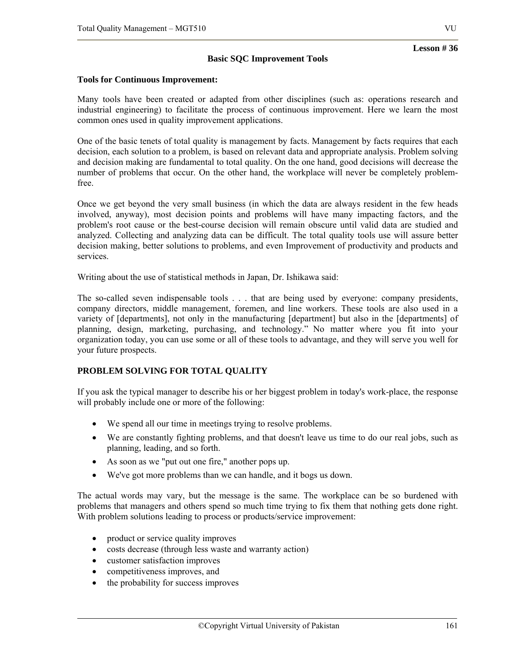### **Basic SQC Improvement Tools**

#### **Tools for Continuous Improvement:**

Many tools have been created or adapted from other disciplines (such as: operations research and industrial engineering) to facilitate the process of continuous improvement. Here we learn the most common ones used in quality improvement applications.

One of the basic tenets of total quality is management by facts. Management by facts requires that each decision, each solution to a problem, is based on relevant data and appropriate analysis. Problem solving and decision making are fundamental to total quality. On the one hand, good decisions will decrease the number of problems that occur. On the other hand, the workplace will never be completely problemfree.

Once we get beyond the very small business (in which the data are always resident in the few heads involved, anyway), most decision points and problems will have many impacting factors, and the problem's root cause or the best-course decision will remain obscure until valid data are studied and analyzed. Collecting and analyzing data can be difficult. The total quality tools use will assure better decision making, better solutions to problems, and even Improvement of productivity and products and services.

Writing about the use of statistical methods in Japan, Dr. Ishikawa said:

The so-called seven indispensable tools . . . that are being used by everyone: company presidents, company directors, middle management, foremen, and line workers. These tools are also used in a variety of [departments], not only in the manufacturing [department] but also in the [departments] of planning, design, marketing, purchasing, and technology." No matter where you fit into your organization today, you can use some or all of these tools to advantage, and they will serve you well for your future prospects.

#### **PROBLEM SOLVING FOR TOTAL QUALITY**

If you ask the typical manager to describe his or her biggest problem in today's work-place, the response will probably include one or more of the following:

- We spend all our time in meetings trying to resolve problems.
- We are constantly fighting problems, and that doesn't leave us time to do our real jobs, such as planning, leading, and so forth.
- As soon as we "put out one fire," another pops up.
- We've got more problems than we can handle, and it bogs us down.

The actual words may vary, but the message is the same. The workplace can be so burdened with problems that managers and others spend so much time trying to fix them that nothing gets done right. With problem solutions leading to process or products/service improvement:

- product or service quality improves
- costs decrease (through less waste and warranty action)
- customer satisfaction improves
- competitiveness improves, and
- the probability for success improves

**Lesson # 36**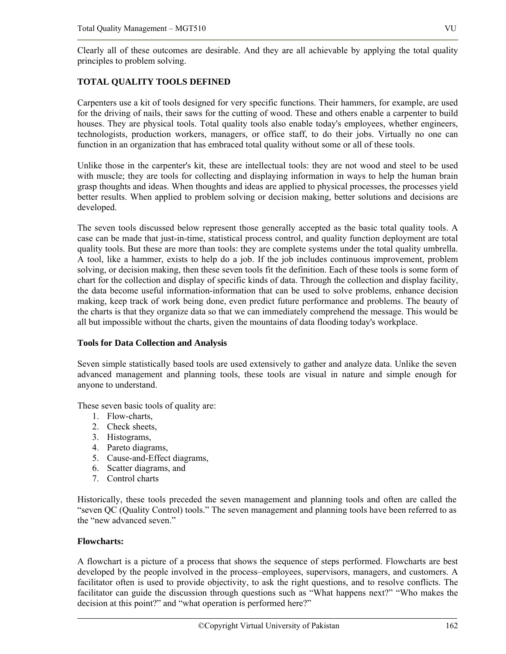Clearly all of these outcomes are desirable. And they are all achievable by applying the total quality principles to problem solving.

## **TOTAL QUALITY TOOLS DEFINED**

Carpenters use a kit of tools designed for very specific functions. Their hammers, for example, are used for the driving of nails, their saws for the cutting of wood. These and others enable a carpenter to build houses. They are physical tools. Total quality tools also enable today's employees, whether engineers, technologists, production workers, managers, or office staff, to do their jobs. Virtually no one can function in an organization that has embraced total quality without some or all of these tools.

Unlike those in the carpenter's kit, these are intellectual tools: they are not wood and steel to be used with muscle; they are tools for collecting and displaying information in ways to help the human brain grasp thoughts and ideas. When thoughts and ideas are applied to physical processes, the processes yield better results. When applied to problem solving or decision making, better solutions and decisions are developed.

The seven tools discussed below represent those generally accepted as the basic total quality tools. A case can be made that just-in-time, statistical process control, and quality function deployment are total quality tools. But these are more than tools: they are complete systems under the total quality umbrella. A tool, like a hammer, exists to help do a job. If the job includes continuous improvement, problem solving, or decision making, then these seven tools fit the definition. Each of these tools is some form of chart for the collection and display of specific kinds of data. Through the collection and display facility, the data become useful information-information that can be used to solve problems, enhance decision making, keep track of work being done, even predict future performance and problems. The beauty of the charts is that they organize data so that we can immediately comprehend the message. This would be all but impossible without the charts, given the mountains of data flooding today's workplace.

## **Tools for Data Collection and Analysis**

Seven simple statistically based tools are used extensively to gather and analyze data. Unlike the seven advanced management and planning tools, these tools are visual in nature and simple enough for anyone to understand.

These seven basic tools of quality are:

- 1. Flow-charts,
- 2. Check sheets,
- 3. Histograms,
- 4. Pareto diagrams,
- 5. Cause-and-Effect diagrams,
- 6. Scatter diagrams, and
- 7. Control charts

Historically, these tools preceded the seven management and planning tools and often are called the "seven QC (Quality Control) tools." The seven management and planning tools have been referred to as the "new advanced seven."

## **Flowcharts:**

A flowchart is a picture of a process that shows the sequence of steps performed. Flowcharts are best developed by the people involved in the process–employees, supervisors, managers, and customers. A facilitator often is used to provide objectivity, to ask the right questions, and to resolve conflicts. The facilitator can guide the discussion through questions such as "What happens next?" "Who makes the decision at this point?" and "what operation is performed here?"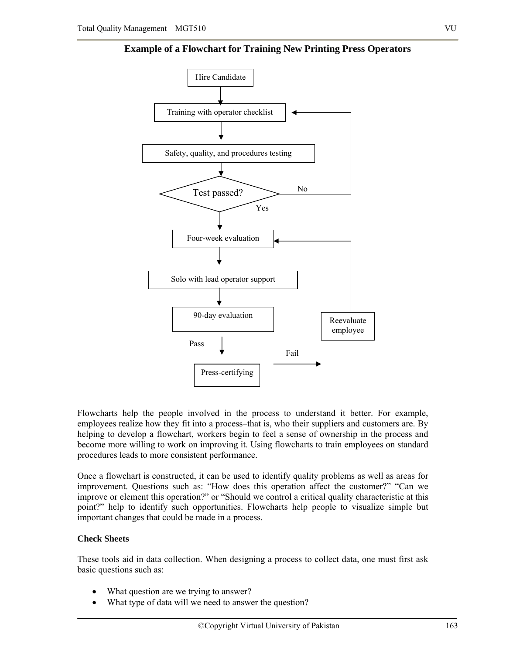



Flowcharts help the people involved in the process to understand it better. For example, employees realize how they fit into a process–that is, who their suppliers and customers are. By helping to develop a flowchart, workers begin to feel a sense of ownership in the process and become more willing to work on improving it. Using flowcharts to train employees on standard procedures leads to more consistent performance.

Once a flowchart is constructed, it can be used to identify quality problems as well as areas for improvement. Questions such as: "How does this operation affect the customer?" "Can we improve or element this operation?" or "Should we control a critical quality characteristic at this point?" help to identify such opportunities. Flowcharts help people to visualize simple but important changes that could be made in a process.

#### **Check Sheets**

These tools aid in data collection. When designing a process to collect data, one must first ask basic questions such as:

- What question are we trying to answer?
- What type of data will we need to answer the question?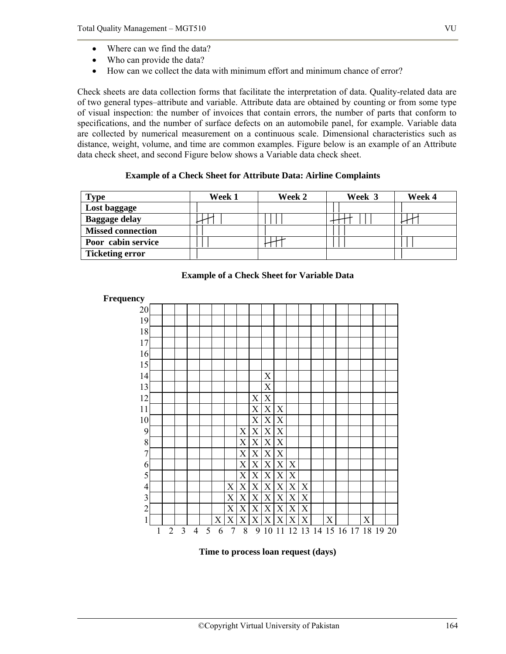- Where can we find the data?
- Who can provide the data?
- How can we collect the data with minimum effort and minimum chance of error?

Check sheets are data collection forms that facilitate the interpretation of data. Quality-related data are of two general types–attribute and variable. Attribute data are obtained by counting or from some type of visual inspection: the number of invoices that contain errors, the number of parts that conform to specifications, and the number of surface defects on an automobile panel, for example. Variable data are collected by numerical measurement on a continuous scale. Dimensional characteristics such as distance, weight, volume, and time are common examples. Figure below is an example of an Attribute data check sheet, and second Figure below shows a Variable data check sheet.

#### **Example of a Check Sheet for Attribute Data: Airline Complaints**

| $\mathbf{Type}$          | Week 1 | Week 2 | Week 3 | Week 4 |
|--------------------------|--------|--------|--------|--------|
| Lost baggage             |        |        |        |        |
| <b>Baggage delay</b>     |        |        |        |        |
| <b>Missed connection</b> |        |        |        |        |
| Poor cabin service       |        |        |        |        |
| <b>Ticketing error</b>   |        |        |        |        |





**Time to process loan request (days)**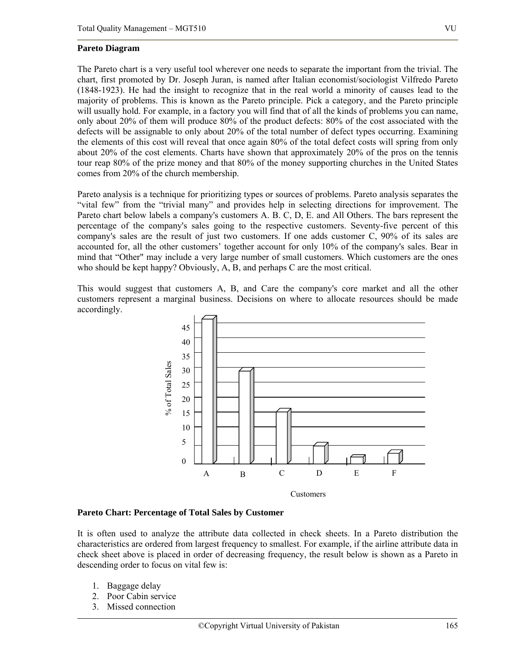The Pareto chart is a very useful tool wherever one needs to separate the important from the trivial. The chart, first promoted by Dr. Joseph Juran, is named after Italian economist/sociologist Vilfredo Pareto (1848-1923). He had the insight to recognize that in the real world a minority of causes lead to the majority of problems. This is known as the Pareto principle. Pick a category, and the Pareto principle will usually hold. For example, in a factory you will find that of all the kinds of problems you can name, only about 20% of them will produce 80% of the product defects: 80% of the cost associated with the defects will be assignable to only about 20% of the total number of defect types occurring. Examining the elements of this cost will reveal that once again 80% of the total defect costs will spring from only about 20% of the cost elements. Charts have shown that approximately 20% of the pros on the tennis tour reap 80% of the prize money and that 80% of the money supporting churches in the United States comes from 20% of the church membership.

Pareto analysis is a technique for prioritizing types or sources of problems. Pareto analysis separates the "vital few" from the "trivial many" and provides help in selecting directions for improvement. The Pareto chart below labels a company's customers A. B. C, D, E. and All Others. The bars represent the percentage of the company's sales going to the respective customers. Seventy-five percent of this company's sales are the result of just two customers. If one adds customer C, 90% of its sales are accounted for, all the other customers' together account for only 10% of the company's sales. Bear in mind that "Other" may include a very large number of small customers. Which customers are the ones who should be kept happy? Obviously, A, B, and perhaps C are the most critical.

This would suggest that customers A, B, and Care the company's core market and all the other customers represent a marginal business. Decisions on where to allocate resources should be made accordingly.



#### **Pareto Chart: Percentage of Total Sales by Customer**

It is often used to analyze the attribute data collected in check sheets. In a Pareto distribution the characteristics are ordered from largest frequency to smallest. For example, if the airline attribute data in check sheet above is placed in order of decreasing frequency, the result below is shown as a Pareto in descending order to focus on vital few is:

- 1. Baggage delay
- 2. Poor Cabin service
- 3. Missed connection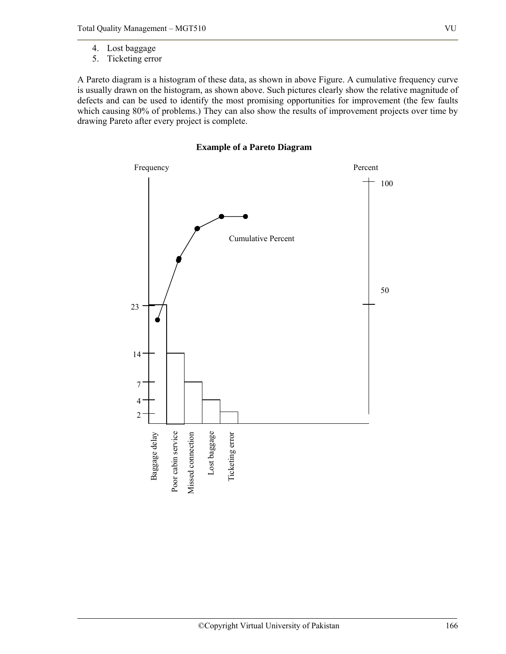- 4. Lost baggage
- 5. Ticketing error

A Pareto diagram is a histogram of these data, as shown in above Figure. A cumulative frequency curve is usually drawn on the histogram, as shown above. Such pictures clearly show the relative magnitude of defects and can be used to identify the most promising opportunities for improvement (the few faults which causing 80% of problems.) They can also show the results of improvement projects over time by drawing Pareto after every project is complete.

#### **Example of a Pareto Diagram**

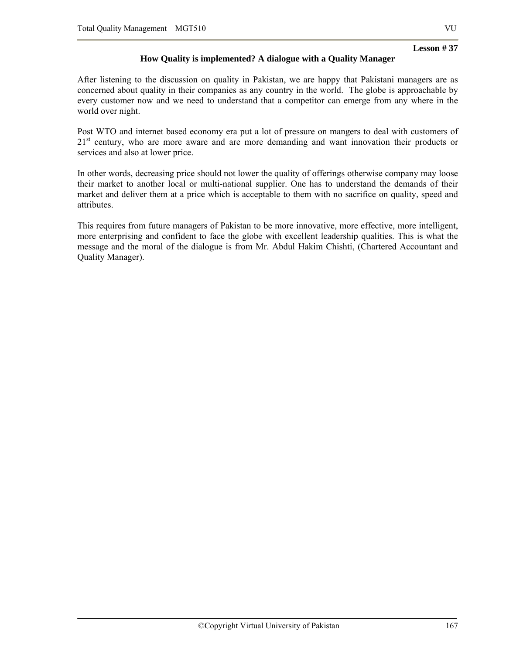## **Lesson # 37**

### **How Quality is implemented? A dialogue with a Quality Manager**

After listening to the discussion on quality in Pakistan, we are happy that Pakistani managers are as concerned about quality in their companies as any country in the world. The globe is approachable by every customer now and we need to understand that a competitor can emerge from any where in the world over night.

Post WTO and internet based economy era put a lot of pressure on mangers to deal with customers of 21<sup>st</sup> century, who are more aware and are more demanding and want innovation their products or services and also at lower price.

In other words, decreasing price should not lower the quality of offerings otherwise company may loose their market to another local or multi-national supplier. One has to understand the demands of their market and deliver them at a price which is acceptable to them with no sacrifice on quality, speed and attributes.

This requires from future managers of Pakistan to be more innovative, more effective, more intelligent, more enterprising and confident to face the globe with excellent leadership qualities. This is what the message and the moral of the dialogue is from Mr. Abdul Hakim Chishti, (Chartered Accountant and Quality Manager).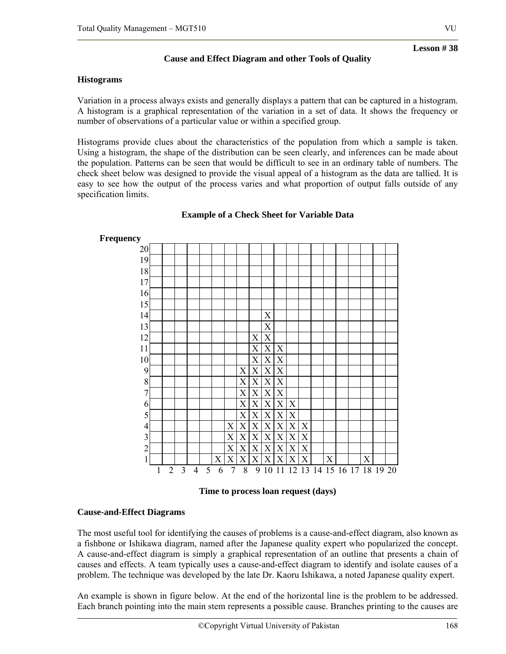#### **Cause and Effect Diagram and other Tools of Quality**

#### **Histograms**

**Frequency** 

20 19 18

Variation in a process always exists and generally displays a pattern that can be captured in a histogram. A histogram is a graphical representation of the variation in a set of data. It shows the frequency or number of observations of a particular value or within a specified group.

Histograms provide clues about the characteristics of the population from which a sample is taken. Using a histogram, the shape of the distribution can be seen clearly, and inferences can be made about the population. Patterns can be seen that would be difficult to see in an ordinary table of numbers. The check sheet below was designed to provide the visual appeal of a histogram as the data are tallied. It is easy to see how the output of the process varies and what proportion of output falls outside of any specification limits.

#### **Example of a Check Sheet for Variable Data**

17 16 15 14 X 13 X  $|12|$  | | | | | |  $|X|X|$ 11 X X X 10 X X X 9 X X X X 8 X X X X 7 | | | | |  $|X|X|X$ 6 X X X X X 5 X X X X X  $4$  | | | | |  $|X|X|X|X|X|X|X|$  $3$  | | | | | |  $|X|X|X|X|X|X|X|$ 2 | | | |  $|X|X|X|X|X|X|X|X|$ 

**Time to process loan request (days)** 

1 2 3 4 5 6 7 8 9 10 11 12 13 14 15 16 17 18 19 20

1 X X X X X X X X X X

## **Cause-and-Effect Diagrams**

The most useful tool for identifying the causes of problems is a cause-and-effect diagram, also known as a fishbone or Ishikawa diagram, named after the Japanese quality expert who popularized the concept. A cause-and-effect diagram is simply a graphical representation of an outline that presents a chain of causes and effects. A team typically uses a cause-and-effect diagram to identify and isolate causes of a problem. The technique was developed by the late Dr. Kaoru Ishikawa, a noted Japanese quality expert.

An example is shown in figure below. At the end of the horizontal line is the problem to be addressed. Each branch pointing into the main stem represents a possible cause. Branches printing to the causes are

$$
Lesson # 38
$$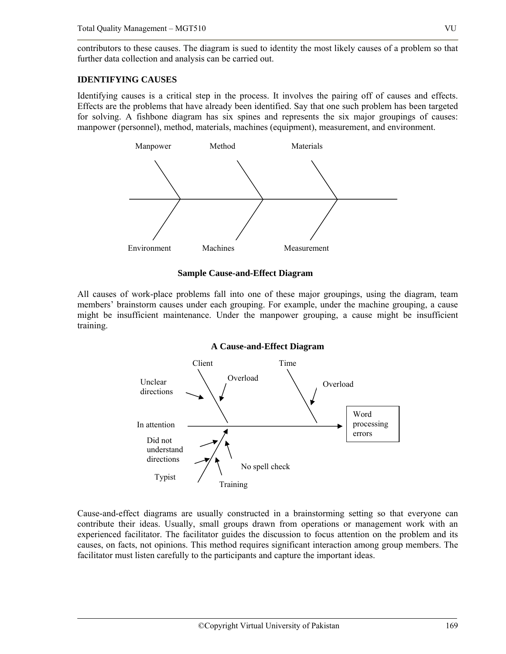contributors to these causes. The diagram is sued to identity the most likely causes of a problem so that further data collection and analysis can be carried out.

## **IDENTIFYING CAUSES**

Identifying causes is a critical step in the process. It involves the pairing off of causes and effects. Effects are the problems that have already been identified. Say that one such problem has been targeted for solving. A fishbone diagram has six spines and represents the six major groupings of causes: manpower (personnel), method, materials, machines (equipment), measurement, and environment.



#### **Sample Cause-and-Effect Diagram**

All causes of work-place problems fall into one of these major groupings, using the diagram, team members' brainstorm causes under each grouping. For example, under the machine grouping, a cause might be insufficient maintenance. Under the manpower grouping, a cause might be insufficient training.

#### **A Cause-and-Effect Diagram**



Cause-and-effect diagrams are usually constructed in a brainstorming setting so that everyone can contribute their ideas. Usually, small groups drawn from operations or management work with an experienced facilitator. The facilitator guides the discussion to focus attention on the problem and its causes, on facts, not opinions. This method requires significant interaction among group members. The facilitator must listen carefully to the participants and capture the important ideas.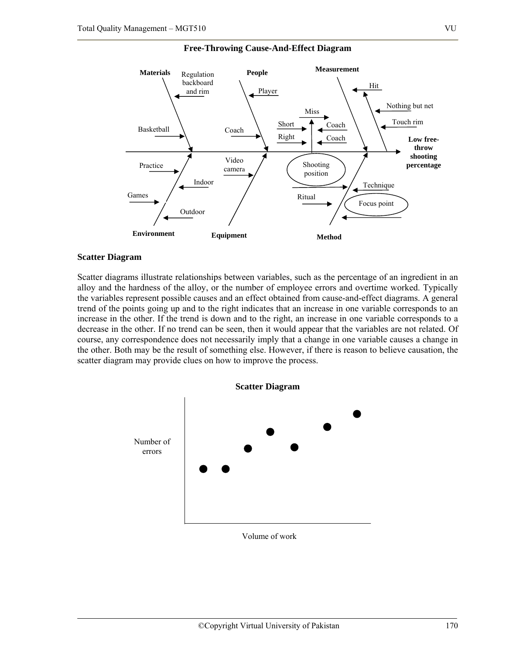

#### **Free-Throwing Cause-And-Effect Diagram**

#### **Scatter Diagram**

Scatter diagrams illustrate relationships between variables, such as the percentage of an ingredient in an alloy and the hardness of the alloy, or the number of employee errors and overtime worked. Typically the variables represent possible causes and an effect obtained from cause-and-effect diagrams. A general trend of the points going up and to the right indicates that an increase in one variable corresponds to an increase in the other. If the trend is down and to the right, an increase in one variable corresponds to a decrease in the other. If no trend can be seen, then it would appear that the variables are not related. Of course, any correspondence does not necessarily imply that a change in one variable causes a change in the other. Both may be the result of something else. However, if there is reason to believe causation, the scatter diagram may provide clues on how to improve the process.



#### Volume of work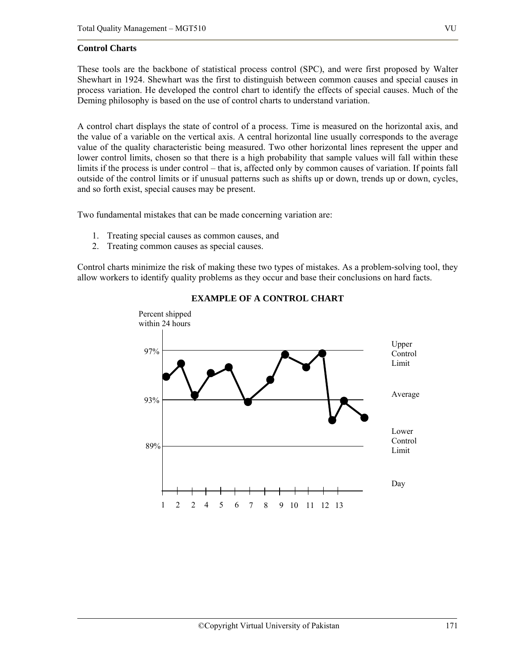#### **Control Charts**

These tools are the backbone of statistical process control (SPC), and were first proposed by Walter Shewhart in 1924. Shewhart was the first to distinguish between common causes and special causes in process variation. He developed the control chart to identify the effects of special causes. Much of the Deming philosophy is based on the use of control charts to understand variation.

A control chart displays the state of control of a process. Time is measured on the horizontal axis, and the value of a variable on the vertical axis. A central horizontal line usually corresponds to the average value of the quality characteristic being measured. Two other horizontal lines represent the upper and lower control limits, chosen so that there is a high probability that sample values will fall within these limits if the process is under control – that is, affected only by common causes of variation. If points fall outside of the control limits or if unusual patterns such as shifts up or down, trends up or down, cycles, and so forth exist, special causes may be present.

Two fundamental mistakes that can be made concerning variation are:

- 1. Treating special causes as common causes, and
- 2. Treating common causes as special causes.

Control charts minimize the risk of making these two types of mistakes. As a problem-solving tool, they allow workers to identify quality problems as they occur and base their conclusions on hard facts.



#### **EXAMPLE OF A CONTROL CHART**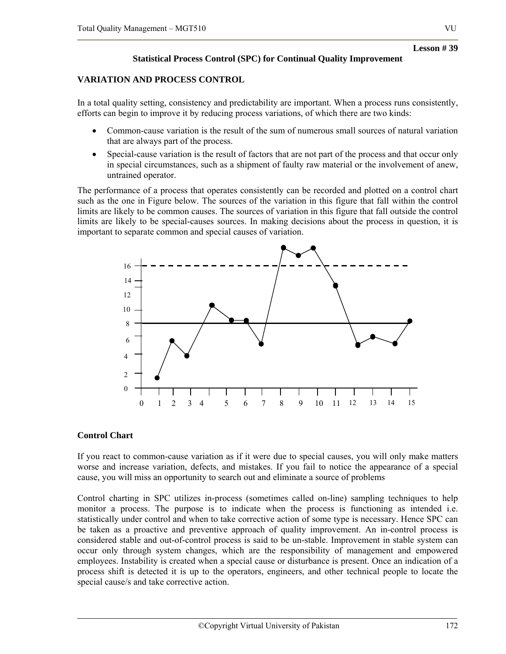#### **Lesson # 39**

## **Statistical Process Control (SPC) for Continual Quality Improvement**

## **VARIATION AND PROCESS CONTROL**

In a total quality setting, consistency and predictability are important. When a process runs consistently, efforts can begin to improve it by reducing process variations, of which there are two kinds:

- Common-cause variation is the result of the sum of numerous small sources of natural variation that are always part of the process.
- Special-cause variation is the result of factors that are not part of the process and that occur only in special circumstances, such as a shipment of faulty raw material or the involvement of anew, untrained operator.

The performance of a process that operates consistently can be recorded and plotted on a control chart such as the one in Figure below. The sources of the variation in this figure that fall within the control limits are likely to be common causes. The sources of variation in this figure that fall outside the control limits are likely to be special-causes sources. In making decisions about the process in question, it is important to separate common and special causes of variation.



## **Control Chart**

If you react to common-cause variation as if it were due to special causes, you will only make matters worse and increase variation, defects, and mistakes. If you fail to notice the appearance of a special cause, you will miss an opportunity to search out and eliminate a source of problems

Control charting in SPC utilizes in-process (sometimes called on-line) sampling techniques to help monitor a process. The purpose is to indicate when the process is functioning as intended i.e. statistically under control and when to take corrective action of some type is necessary. Hence SPC can be taken as a proactive and preventive approach of quality improvement. An in-control process is considered stable and out-of-control process is said to be un-stable. Improvement in stable system can occur only through system changes, which are the responsibility of management and empowered employees. Instability is created when a special cause or disturbance is present. Once an indication of a process shift is detected it is up to the operators, engineers, and other technical people to locate the special cause/s and take corrective action.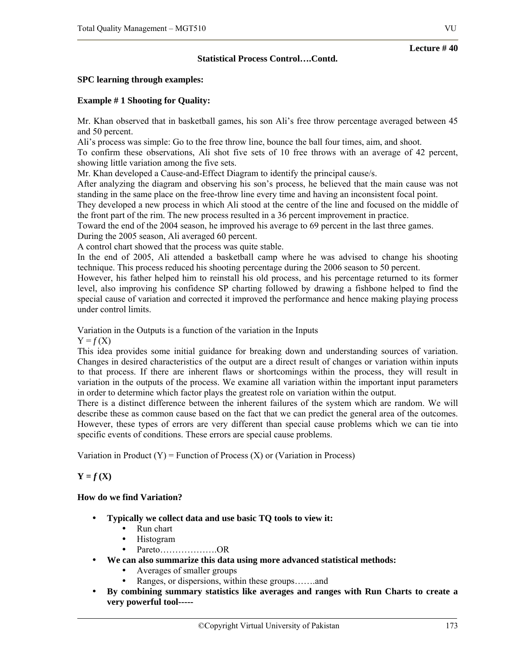#### **Statistical Process Control….Contd.**

#### **SPC learning through examples:**

#### **Example # 1 Shooting for Quality:**

Mr. Khan observed that in basketball games, his son Ali's free throw percentage averaged between 45 and 50 percent.

Ali's process was simple: Go to the free throw line, bounce the ball four times, aim, and shoot.

To confirm these observations, Ali shot five sets of 10 free throws with an average of 42 percent, showing little variation among the five sets.

Mr. Khan developed a Cause-and-Effect Diagram to identify the principal cause/s.

After analyzing the diagram and observing his son's process, he believed that the main cause was not standing in the same place on the free-throw line every time and having an inconsistent focal point.

They developed a new process in which Ali stood at the centre of the line and focused on the middle of the front part of the rim. The new process resulted in a 36 percent improvement in practice.

Toward the end of the 2004 season, he improved his average to 69 percent in the last three games.

During the 2005 season, Ali averaged 60 percent.

A control chart showed that the process was quite stable.

In the end of 2005, Ali attended a basketball camp where he was advised to change his shooting technique. This process reduced his shooting percentage during the 2006 season to 50 percent.

However, his father helped him to reinstall his old process, and his percentage returned to its former level, also improving his confidence SP charting followed by drawing a fishbone helped to find the special cause of variation and corrected it improved the performance and hence making playing process under control limits.

Variation in the Outputs is a function of the variation in the Inputs

 $Y = f(X)$ 

This idea provides some initial guidance for breaking down and understanding sources of variation. Changes in desired characteristics of the output are a direct result of changes or variation within inputs to that process. If there are inherent flaws or shortcomings within the process, they will result in variation in the outputs of the process. We examine all variation within the important input parameters in order to determine which factor plays the greatest role on variation within the output.

There is a distinct difference between the inherent failures of the system which are random. We will describe these as common cause based on the fact that we can predict the general area of the outcomes. However, these types of errors are very different than special cause problems which we can tie into specific events of conditions. These errors are special cause problems.

Variation in Product  $(Y)$  = Function of Process  $(X)$  or (Variation in Process)

## $Y = f(X)$

#### **How do we find Variation?**

- y **Typically we collect data and use basic TQ tools to view it:**
	- Run chart
		- Histogram
		- y Pareto……………….OR
- We can also summarize this data using more advanced statistical methods:
	- Averages of smaller groups
	- Ranges, or dispersions, within these groups…….and
- y **By combining summary statistics like averages and ranges with Run Charts to create a very powerful tool-----**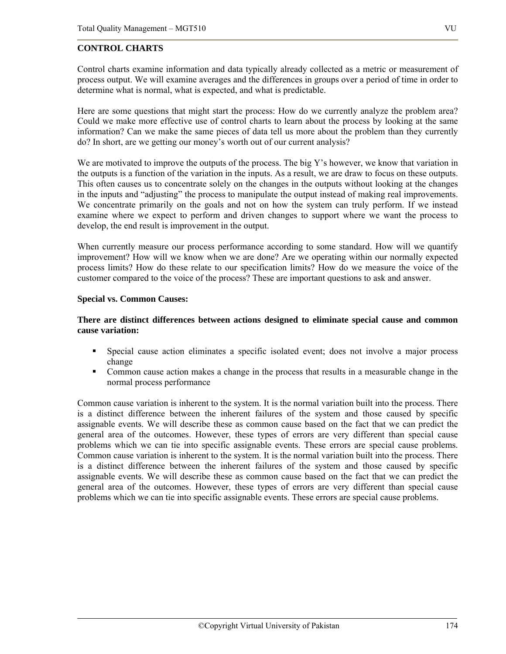## **CONTROL CHARTS**

Control charts examine information and data typically already collected as a metric or measurement of process output. We will examine averages and the differences in groups over a period of time in order to determine what is normal, what is expected, and what is predictable.

Here are some questions that might start the process: How do we currently analyze the problem area? Could we make more effective use of control charts to learn about the process by looking at the same information? Can we make the same pieces of data tell us more about the problem than they currently do? In short, are we getting our money's worth out of our current analysis?

We are motivated to improve the outputs of the process. The big Y's however, we know that variation in the outputs is a function of the variation in the inputs. As a result, we are draw to focus on these outputs. This often causes us to concentrate solely on the changes in the outputs without looking at the changes in the inputs and "adjusting" the process to manipulate the output instead of making real improvements. We concentrate primarily on the goals and not on how the system can truly perform. If we instead examine where we expect to perform and driven changes to support where we want the process to develop, the end result is improvement in the output.

When currently measure our process performance according to some standard. How will we quantify improvement? How will we know when we are done? Are we operating within our normally expected process limits? How do these relate to our specification limits? How do we measure the voice of the customer compared to the voice of the process? These are important questions to ask and answer.

#### **Special vs. Common Causes:**

#### **There are distinct differences between actions designed to eliminate special cause and common cause variation:**

- Special cause action eliminates a specific isolated event; does not involve a major process change
- Common cause action makes a change in the process that results in a measurable change in the normal process performance

Common cause variation is inherent to the system. It is the normal variation built into the process. There is a distinct difference between the inherent failures of the system and those caused by specific assignable events. We will describe these as common cause based on the fact that we can predict the general area of the outcomes. However, these types of errors are very different than special cause problems which we can tie into specific assignable events. These errors are special cause problems. Common cause variation is inherent to the system. It is the normal variation built into the process. There is a distinct difference between the inherent failures of the system and those caused by specific assignable events. We will describe these as common cause based on the fact that we can predict the general area of the outcomes. However, these types of errors are very different than special cause problems which we can tie into specific assignable events. These errors are special cause problems.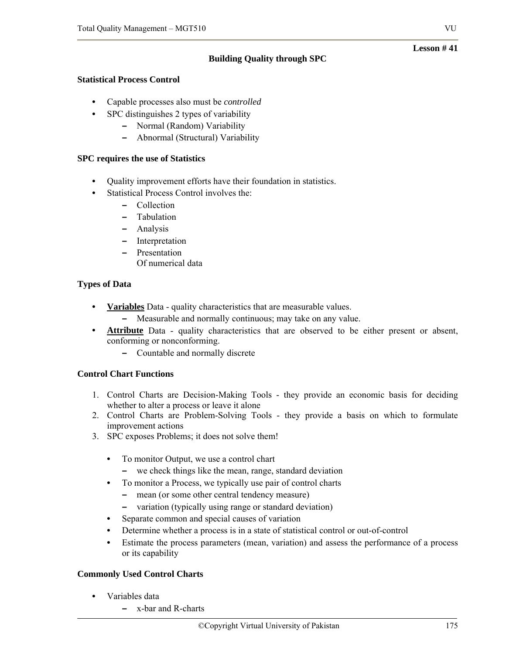### **Building Quality through SPC**

#### **Statistical Process Control**

- Capable processes also must be *controlled*
- SPC distinguishes 2 types of variability
	- Normal (Random) Variability
	- Abnormal (Structural) Variability

#### **SPC requires the use of Statistics**

- Quality improvement efforts have their foundation in statistics.
- Statistical Process Control involves the:
	- Collection
	- Tabulation
	- Analysis
	- Interpretation
	- Presentation
	- Of numerical data

#### **Types of Data**

- **Variables** Data quality characteristics that are measurable values.
	- Measurable and normally continuous; may take on any value.
- **Attribute** Data quality characteristics that are observed to be either present or absent, conforming or nonconforming.
	- Countable and normally discrete

#### **Control Chart Functions**

- 1. Control Charts are Decision-Making Tools they provide an economic basis for deciding whether to alter a process or leave it alone
- 2. Control Charts are Problem-Solving Tools they provide a basis on which to formulate improvement actions
- 3. SPC exposes Problems; it does not solve them!
	- To monitor Output, we use a control chart
		- we check things like the mean, range, standard deviation
	- To monitor a Process, we typically use pair of control charts
		- mean (or some other central tendency measure)
		- variation (typically using range or standard deviation)
	- Separate common and special causes of variation
	- Determine whether a process is in a state of statistical control or out-of-control
	- Estimate the process parameters (mean, variation) and assess the performance of a process or its capability

#### **Commonly Used Control Charts**

- Variables data
	- x-bar and R-charts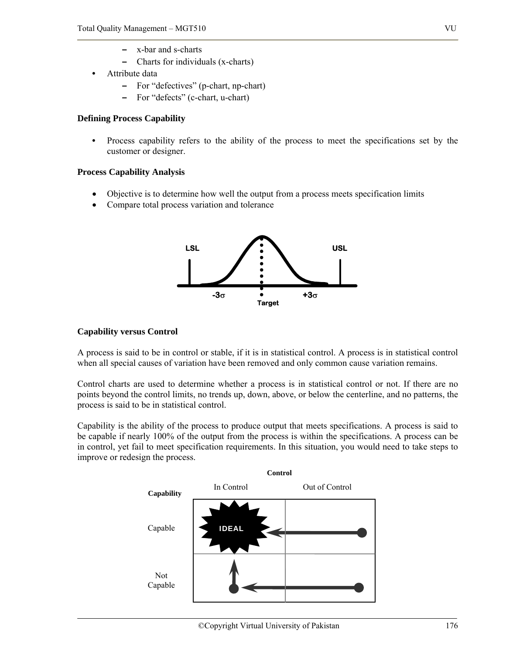- x-bar and s-charts
- Charts for individuals (x-charts)
- Attribute data
	- For "defectives" (p-chart, np-chart)
	- For "defects" (c-chart, u-chart)

## **Defining Process Capability**

• Process capability refers to the ability of the process to meet the specifications set by the customer or designer.

## **Process Capability Analysis**

- Objective is to determine how well the output from a process meets specification limits
- Compare total process variation and tolerance



## **Capability versus Control**

A process is said to be in control or stable, if it is in statistical control. A process is in statistical control when all special causes of variation have been removed and only common cause variation remains.

Control charts are used to determine whether a process is in statistical control or not. If there are no points beyond the control limits, no trends up, down, above, or below the centerline, and no patterns, the process is said to be in statistical control.

Capability is the ability of the process to produce output that meets specifications. A process is said to be capable if nearly 100% of the output from the process is within the specifications. A process can be in control, yet fail to meet specification requirements. In this situation, you would need to take steps to improve or redesign the process.

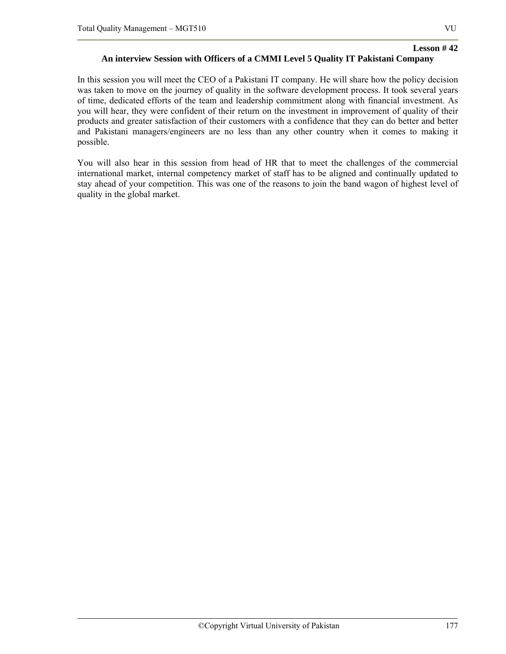# **Lesson # 42**

## **An interview Session with Officers of a CMMI Level 5 Quality IT Pakistani Company**

In this session you will meet the CEO of a Pakistani IT company. He will share how the policy decision was taken to move on the journey of quality in the software development process. It took several years of time, dedicated efforts of the team and leadership commitment along with financial investment. As you will hear, they were confident of their return on the investment in improvement of quality of their products and greater satisfaction of their customers with a confidence that they can do better and better and Pakistani managers/engineers are no less than any other country when it comes to making it possible.

You will also hear in this session from head of HR that to meet the challenges of the commercial international market, internal competency market of staff has to be aligned and continually updated to stay ahead of your competition. This was one of the reasons to join the band wagon of highest level of quality in the global market.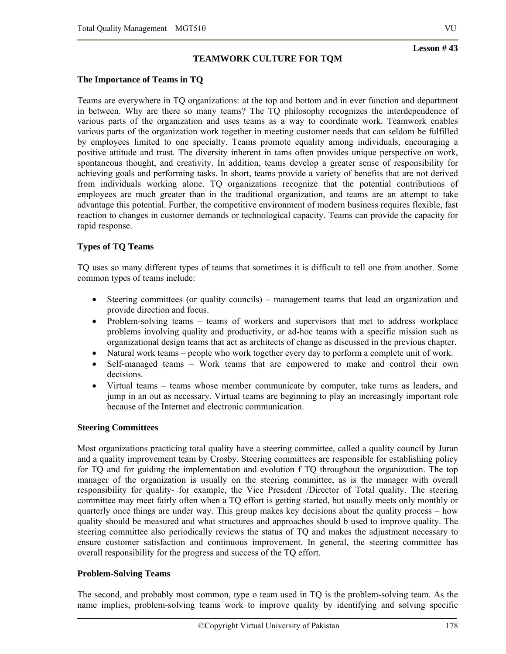## **TEAMWORK CULTURE FOR TQM**

#### **The Importance of Teams in TQ**

Teams are everywhere in TQ organizations: at the top and bottom and in ever function and department in between. Why are there so many teams? The TQ philosophy recognizes the interdependence of various parts of the organization and uses teams as a way to coordinate work. Teamwork enables various parts of the organization work together in meeting customer needs that can seldom be fulfilled by employees limited to one specialty. Teams promote equality among individuals, encouraging a positive attitude and trust. The diversity inherent in tams often provides unique perspective on work, spontaneous thought, and creativity. In addition, teams develop a greater sense of responsibility for achieving goals and performing tasks. In short, teams provide a variety of benefits that are not derived from individuals working alone. TQ organizations recognize that the potential contributions of employees are much greater than in the traditional organization, and teams are an attempt to take advantage this potential. Further, the competitive environment of modern business requires flexible, fast reaction to changes in customer demands or technological capacity. Teams can provide the capacity for rapid response.

#### **Types of TQ Teams**

TQ uses so many different types of teams that sometimes it is difficult to tell one from another. Some common types of teams include:

- Steering committees (or quality councils) management teams that lead an organization and provide direction and focus.
- Problem-solving teams teams of workers and supervisors that met to address workplace problems involving quality and productivity, or ad-hoc teams with a specific mission such as organizational design teams that act as architects of change as discussed in the previous chapter.
- Natural work teams people who work together every day to perform a complete unit of work.
- Self-managed teams Work teams that are empowered to make and control their own decisions.
- Virtual teams teams whose member communicate by computer, take turns as leaders, and jump in an out as necessary. Virtual teams are beginning to play an increasingly important role because of the Internet and electronic communication.

#### **Steering Committees**

Most organizations practicing total quality have a steering committee, called a quality council by Juran and a quality improvement team by Crosby. Steering committees are responsible for establishing policy for TQ and for guiding the implementation and evolution f TQ throughout the organization. The top manager of the organization is usually on the steering committee, as is the manager with overall responsibility for quality- for example, the Vice President /Director of Total quality. The steering committee may meet fairly often when a TQ effort is getting started, but usually meets only monthly or quarterly once things are under way. This group makes key decisions about the quality process – how quality should be measured and what structures and approaches should b used to improve quality. The steering committee also periodically reviews the status of TQ and makes the adjustment necessary to ensure customer satisfaction and continuous improvement. In general, the steering committee has overall responsibility for the progress and success of the TQ effort.

#### **Problem-Solving Teams**

The second, and probably most common, type o team used in TQ is the problem-solving team. As the name implies, problem-solving teams work to improve quality by identifying and solving specific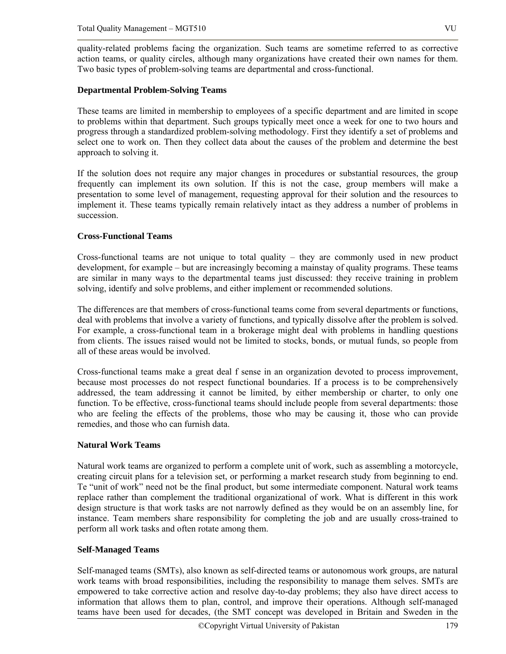quality-related problems facing the organization. Such teams are sometime referred to as corrective action teams, or quality circles, although many organizations have created their own names for them. Two basic types of problem-solving teams are departmental and cross-functional.

#### **Departmental Problem-Solving Teams**

These teams are limited in membership to employees of a specific department and are limited in scope to problems within that department. Such groups typically meet once a week for one to two hours and progress through a standardized problem-solving methodology. First they identify a set of problems and select one to work on. Then they collect data about the causes of the problem and determine the best approach to solving it.

If the solution does not require any major changes in procedures or substantial resources, the group frequently can implement its own solution. If this is not the case, group members will make a presentation to some level of management, requesting approval for their solution and the resources to implement it. These teams typically remain relatively intact as they address a number of problems in succession.

## **Cross-Functional Teams**

Cross-functional teams are not unique to total quality – they are commonly used in new product development, for example – but are increasingly becoming a mainstay of quality programs. These teams are similar in many ways to the departmental teams just discussed: they receive training in problem solving, identify and solve problems, and either implement or recommended solutions.

The differences are that members of cross-functional teams come from several departments or functions, deal with problems that involve a variety of functions, and typically dissolve after the problem is solved. For example, a cross-functional team in a brokerage might deal with problems in handling questions from clients. The issues raised would not be limited to stocks, bonds, or mutual funds, so people from all of these areas would be involved.

Cross-functional teams make a great deal f sense in an organization devoted to process improvement, because most processes do not respect functional boundaries. If a process is to be comprehensively addressed, the team addressing it cannot be limited, by either membership or charter, to only one function. To be effective, cross-functional teams should include people from several departments: those who are feeling the effects of the problems, those who may be causing it, those who can provide remedies, and those who can furnish data.

#### **Natural Work Teams**

Natural work teams are organized to perform a complete unit of work, such as assembling a motorcycle, creating circuit plans for a television set, or performing a market research study from beginning to end. Te "unit of work" need not be the final product, but some intermediate component. Natural work teams replace rather than complement the traditional organizational of work. What is different in this work design structure is that work tasks are not narrowly defined as they would be on an assembly line, for instance. Team members share responsibility for completing the job and are usually cross-trained to perform all work tasks and often rotate among them.

## **Self-Managed Teams**

Self-managed teams (SMTs), also known as self-directed teams or autonomous work groups, are natural work teams with broad responsibilities, including the responsibility to manage them selves. SMTs are empowered to take corrective action and resolve day-to-day problems; they also have direct access to information that allows them to plan, control, and improve their operations. Although self-managed teams have been used for decades, (the SMT concept was developed in Britain and Sweden in the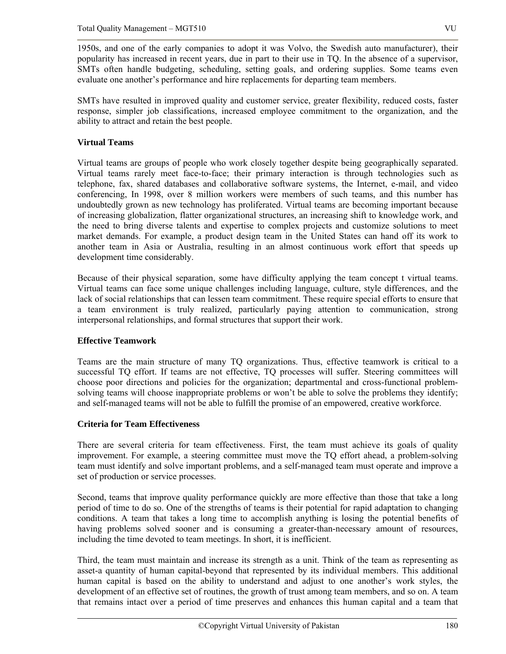1950s, and one of the early companies to adopt it was Volvo, the Swedish auto manufacturer), their popularity has increased in recent years, due in part to their use in TQ. In the absence of a supervisor, SMTs often handle budgeting, scheduling, setting goals, and ordering supplies. Some teams even evaluate one another's performance and hire replacements for departing team members.

SMTs have resulted in improved quality and customer service, greater flexibility, reduced costs, faster response, simpler job classifications, increased employee commitment to the organization, and the ability to attract and retain the best people.

## **Virtual Teams**

Virtual teams are groups of people who work closely together despite being geographically separated. Virtual teams rarely meet face-to-face; their primary interaction is through technologies such as telephone, fax, shared databases and collaborative software systems, the Internet, e-mail, and video conferencing, In 1998, over 8 million workers were members of such teams, and this number has undoubtedly grown as new technology has proliferated. Virtual teams are becoming important because of increasing globalization, flatter organizational structures, an increasing shift to knowledge work, and the need to bring diverse talents and expertise to complex projects and customize solutions to meet market demands. For example, a product design team in the United States can hand off its work to another team in Asia or Australia, resulting in an almost continuous work effort that speeds up development time considerably.

Because of their physical separation, some have difficulty applying the team concept t virtual teams. Virtual teams can face some unique challenges including language, culture, style differences, and the lack of social relationships that can lessen team commitment. These require special efforts to ensure that a team environment is truly realized, particularly paying attention to communication, strong interpersonal relationships, and formal structures that support their work.

## **Effective Teamwork**

Teams are the main structure of many TQ organizations. Thus, effective teamwork is critical to a successful TQ effort. If teams are not effective, TQ processes will suffer. Steering committees will choose poor directions and policies for the organization; departmental and cross-functional problemsolving teams will choose inappropriate problems or won't be able to solve the problems they identify; and self-managed teams will not be able to fulfill the promise of an empowered, creative workforce.

## **Criteria for Team Effectiveness**

There are several criteria for team effectiveness. First, the team must achieve its goals of quality improvement. For example, a steering committee must move the TQ effort ahead, a problem-solving team must identify and solve important problems, and a self-managed team must operate and improve a set of production or service processes.

Second, teams that improve quality performance quickly are more effective than those that take a long period of time to do so. One of the strengths of teams is their potential for rapid adaptation to changing conditions. A team that takes a long time to accomplish anything is losing the potential benefits of having problems solved sooner and is consuming a greater-than-necessary amount of resources, including the time devoted to team meetings. In short, it is inefficient.

Third, the team must maintain and increase its strength as a unit. Think of the team as representing as asset-a quantity of human capital-beyond that represented by its individual members. This additional human capital is based on the ability to understand and adjust to one another's work styles, the development of an effective set of routines, the growth of trust among team members, and so on. A team that remains intact over a period of time preserves and enhances this human capital and a team that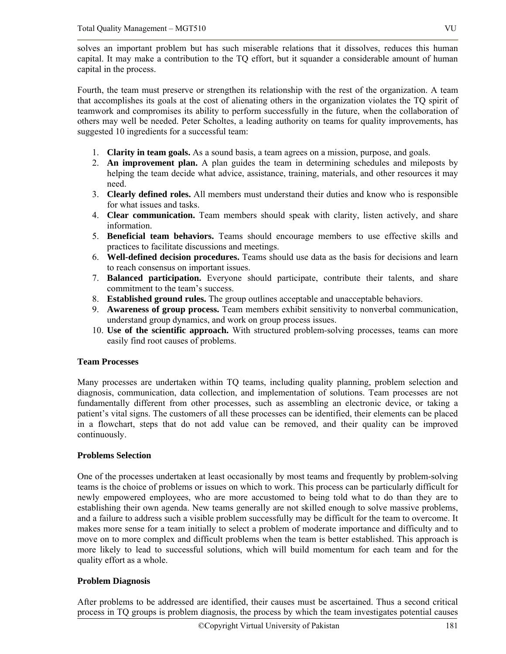solves an important problem but has such miserable relations that it dissolves, reduces this human capital. It may make a contribution to the TQ effort, but it squander a considerable amount of human capital in the process.

Fourth, the team must preserve or strengthen its relationship with the rest of the organization. A team that accomplishes its goals at the cost of alienating others in the organization violates the TQ spirit of teamwork and compromises its ability to perform successfully in the future, when the collaboration of others may well be needed. Peter Scholtes, a leading authority on teams for quality improvements, has suggested 10 ingredients for a successful team:

- 1. **Clarity in team goals.** As a sound basis, a team agrees on a mission, purpose, and goals.
- 2. **An improvement plan.** A plan guides the team in determining schedules and mileposts by helping the team decide what advice, assistance, training, materials, and other resources it may need.
- 3. **Clearly defined roles.** All members must understand their duties and know who is responsible for what issues and tasks.
- 4. **Clear communication.** Team members should speak with clarity, listen actively, and share information.
- 5. **Beneficial team behaviors.** Teams should encourage members to use effective skills and practices to facilitate discussions and meetings.
- 6. **Well-defined decision procedures.** Teams should use data as the basis for decisions and learn to reach consensus on important issues.
- 7. **Balanced participation.** Everyone should participate, contribute their talents, and share commitment to the team's success.
- 8. **Established ground rules.** The group outlines acceptable and unacceptable behaviors.
- 9. **Awareness of group process.** Team members exhibit sensitivity to nonverbal communication, understand group dynamics, and work on group process issues.
- 10. **Use of the scientific approach.** With structured problem-solving processes, teams can more easily find root causes of problems.

## **Team Processes**

Many processes are undertaken within TQ teams, including quality planning, problem selection and diagnosis, communication, data collection, and implementation of solutions. Team processes are not fundamentally different from other processes, such as assembling an electronic device, or taking a patient's vital signs. The customers of all these processes can be identified, their elements can be placed in a flowchart, steps that do not add value can be removed, and their quality can be improved continuously.

# **Problems Selection**

One of the processes undertaken at least occasionally by most teams and frequently by problem-solving teams is the choice of problems or issues on which to work. This process can be particularly difficult for newly empowered employees, who are more accustomed to being told what to do than they are to establishing their own agenda. New teams generally are not skilled enough to solve massive problems, and a failure to address such a visible problem successfully may be difficult for the team to overcome. It makes more sense for a team initially to select a problem of moderate importance and difficulty and to move on to more complex and difficult problems when the team is better established. This approach is more likely to lead to successful solutions, which will build momentum for each team and for the quality effort as a whole.

# **Problem Diagnosis**

After problems to be addressed are identified, their causes must be ascertained. Thus a second critical process in TQ groups is problem diagnosis, the process by which the team investigates potential causes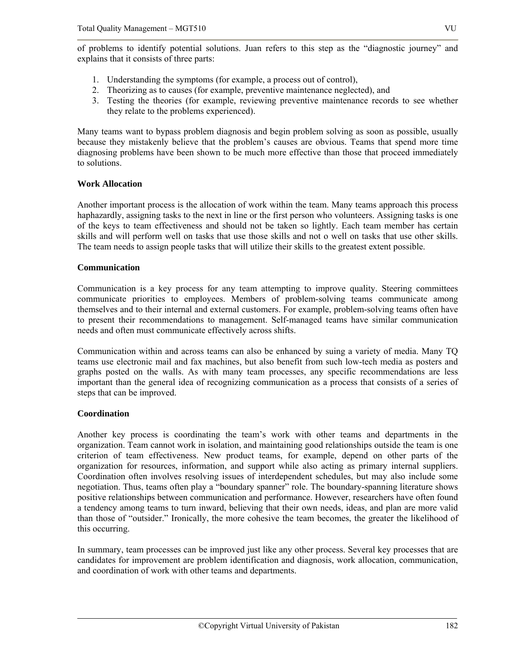of problems to identify potential solutions. Juan refers to this step as the "diagnostic journey" and explains that it consists of three parts:

- 1. Understanding the symptoms (for example, a process out of control),
- 2. Theorizing as to causes (for example, preventive maintenance neglected), and
- 3. Testing the theories (for example, reviewing preventive maintenance records to see whether they relate to the problems experienced).

Many teams want to bypass problem diagnosis and begin problem solving as soon as possible, usually because they mistakenly believe that the problem's causes are obvious. Teams that spend more time diagnosing problems have been shown to be much more effective than those that proceed immediately to solutions.

## **Work Allocation**

Another important process is the allocation of work within the team. Many teams approach this process haphazardly, assigning tasks to the next in line or the first person who volunteers. Assigning tasks is one of the keys to team effectiveness and should not be taken so lightly. Each team member has certain skills and will perform well on tasks that use those skills and not o well on tasks that use other skills. The team needs to assign people tasks that will utilize their skills to the greatest extent possible.

## **Communication**

Communication is a key process for any team attempting to improve quality. Steering committees communicate priorities to employees. Members of problem-solving teams communicate among themselves and to their internal and external customers. For example, problem-solving teams often have to present their recommendations to management. Self-managed teams have similar communication needs and often must communicate effectively across shifts.

Communication within and across teams can also be enhanced by suing a variety of media. Many TQ teams use electronic mail and fax machines, but also benefit from such low-tech media as posters and graphs posted on the walls. As with many team processes, any specific recommendations are less important than the general idea of recognizing communication as a process that consists of a series of steps that can be improved.

## **Coordination**

Another key process is coordinating the team's work with other teams and departments in the organization. Team cannot work in isolation, and maintaining good relationships outside the team is one criterion of team effectiveness. New product teams, for example, depend on other parts of the organization for resources, information, and support while also acting as primary internal suppliers. Coordination often involves resolving issues of interdependent schedules, but may also include some negotiation. Thus, teams often play a "boundary spanner" role. The boundary-spanning literature shows positive relationships between communication and performance. However, researchers have often found a tendency among teams to turn inward, believing that their own needs, ideas, and plan are more valid than those of "outsider." Ironically, the more cohesive the team becomes, the greater the likelihood of this occurring.

In summary, team processes can be improved just like any other process. Several key processes that are candidates for improvement are problem identification and diagnosis, work allocation, communication, and coordination of work with other teams and departments.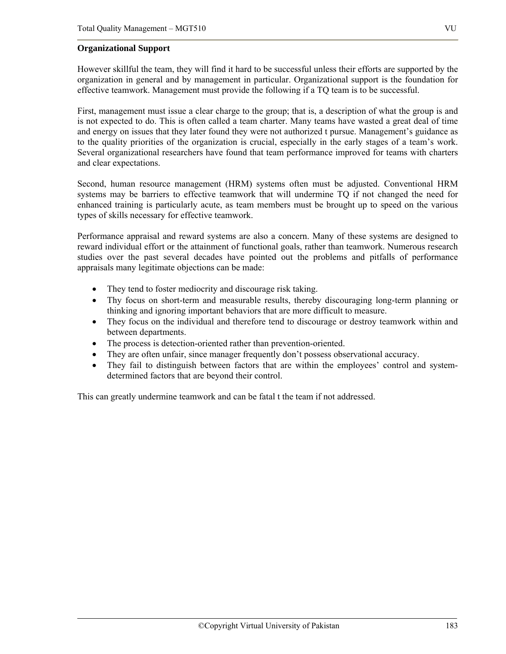## **Organizational Support**

However skillful the team, they will find it hard to be successful unless their efforts are supported by the organization in general and by management in particular. Organizational support is the foundation for effective teamwork. Management must provide the following if a TQ team is to be successful.

First, management must issue a clear charge to the group; that is, a description of what the group is and is not expected to do. This is often called a team charter. Many teams have wasted a great deal of time and energy on issues that they later found they were not authorized t pursue. Management's guidance as to the quality priorities of the organization is crucial, especially in the early stages of a team's work. Several organizational researchers have found that team performance improved for teams with charters and clear expectations.

Second, human resource management (HRM) systems often must be adjusted. Conventional HRM systems may be barriers to effective teamwork that will undermine TQ if not changed the need for enhanced training is particularly acute, as team members must be brought up to speed on the various types of skills necessary for effective teamwork.

Performance appraisal and reward systems are also a concern. Many of these systems are designed to reward individual effort or the attainment of functional goals, rather than teamwork. Numerous research studies over the past several decades have pointed out the problems and pitfalls of performance appraisals many legitimate objections can be made:

- They tend to foster mediocrity and discourage risk taking.
- Thy focus on short-term and measurable results, thereby discouraging long-term planning or thinking and ignoring important behaviors that are more difficult to measure.
- They focus on the individual and therefore tend to discourage or destroy teamwork within and between departments.
- The process is detection-oriented rather than prevention-oriented.
- They are often unfair, since manager frequently don't possess observational accuracy.
- They fail to distinguish between factors that are within the employees' control and systemdetermined factors that are beyond their control.

This can greatly undermine teamwork and can be fatal t the team if not addressed.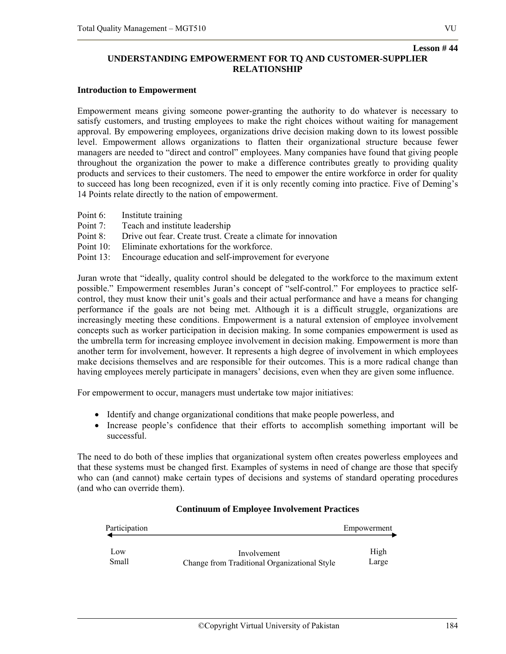#### **Lesson # 44 UNDERSTANDING EMPOWERMENT FOR TQ AND CUSTOMER-SUPPLIER RELATIONSHIP**

## **Introduction to Empowerment**

Empowerment means giving someone power-granting the authority to do whatever is necessary to satisfy customers, and trusting employees to make the right choices without waiting for management approval. By empowering employees, organizations drive decision making down to its lowest possible level. Empowerment allows organizations to flatten their organizational structure because fewer managers are needed to "direct and control" employees. Many companies have found that giving people throughout the organization the power to make a difference contributes greatly to providing quality products and services to their customers. The need to empower the entire workforce in order for quality to succeed has long been recognized, even if it is only recently coming into practice. Five of Deming's 14 Points relate directly to the nation of empowerment.

- Point 6: Institute training
- Point 7: Teach and institute leadership
- Point 8: Drive out fear. Create trust. Create a climate for innovation
- Point 10: Eliminate exhortations for the workforce.
- Point 13: Encourage education and self-improvement for everyone

Juran wrote that "ideally, quality control should be delegated to the workforce to the maximum extent possible." Empowerment resembles Juran's concept of "self-control." For employees to practice selfcontrol, they must know their unit's goals and their actual performance and have a means for changing performance if the goals are not being met. Although it is a difficult struggle, organizations are increasingly meeting these conditions. Empowerment is a natural extension of employee involvement concepts such as worker participation in decision making. In some companies empowerment is used as the umbrella term for increasing employee involvement in decision making. Empowerment is more than another term for involvement, however. It represents a high degree of involvement in which employees make decisions themselves and are responsible for their outcomes. This is a more radical change than having employees merely participate in managers' decisions, even when they are given some influence.

For empowerment to occur, managers must undertake tow major initiatives:

- Identify and change organizational conditions that make people powerless, and
- Increase people's confidence that their efforts to accomplish something important will be successful.

The need to do both of these implies that organizational system often creates powerless employees and that these systems must be changed first. Examples of systems in need of change are those that specify who can (and cannot) make certain types of decisions and systems of standard operating procedures (and who can override them).

| Participation |                                              | Empowerment |
|---------------|----------------------------------------------|-------------|
| Low           | Involvement                                  | High        |
| Small         | Change from Traditional Organizational Style | Large       |

## **Continuum of Employee Involvement Practices**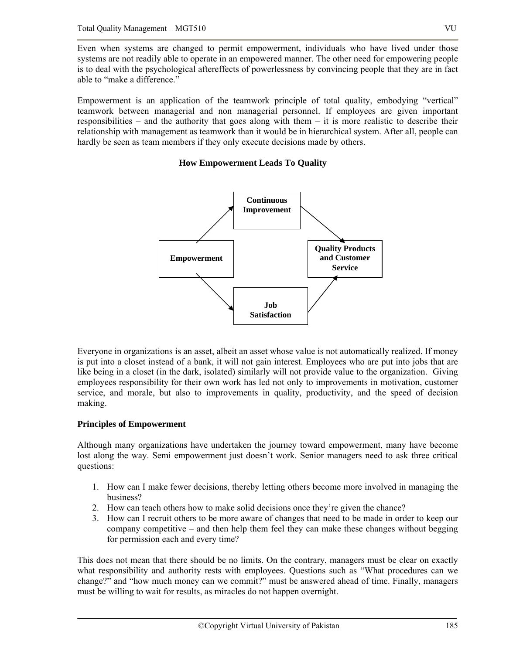Even when systems are changed to permit empowerment, individuals who have lived under those systems are not readily able to operate in an empowered manner. The other need for empowering people is to deal with the psychological aftereffects of powerlessness by convincing people that they are in fact able to "make a difference"

Empowerment is an application of the teamwork principle of total quality, embodying "vertical" teamwork between managerial and non managerial personnel. If employees are given important responsibilities – and the authority that goes along with them – it is more realistic to describe their relationship with management as teamwork than it would be in hierarchical system. After all, people can hardly be seen as team members if they only execute decisions made by others.

## **How Empowerment Leads To Quality**



Everyone in organizations is an asset, albeit an asset whose value is not automatically realized. If money is put into a closet instead of a bank, it will not gain interest. Employees who are put into jobs that are like being in a closet (in the dark, isolated) similarly will not provide value to the organization. Giving employees responsibility for their own work has led not only to improvements in motivation, customer service, and morale, but also to improvements in quality, productivity, and the speed of decision making.

## **Principles of Empowerment**

Although many organizations have undertaken the journey toward empowerment, many have become lost along the way. Semi empowerment just doesn't work. Senior managers need to ask three critical questions:

- 1. How can I make fewer decisions, thereby letting others become more involved in managing the business?
- 2. How can teach others how to make solid decisions once they're given the chance?
- 3. How can I recruit others to be more aware of changes that need to be made in order to keep our company competitive – and then help them feel they can make these changes without begging for permission each and every time?

This does not mean that there should be no limits. On the contrary, managers must be clear on exactly what responsibility and authority rests with employees. Questions such as "What procedures can we change?" and "how much money can we commit?" must be answered ahead of time. Finally, managers must be willing to wait for results, as miracles do not happen overnight.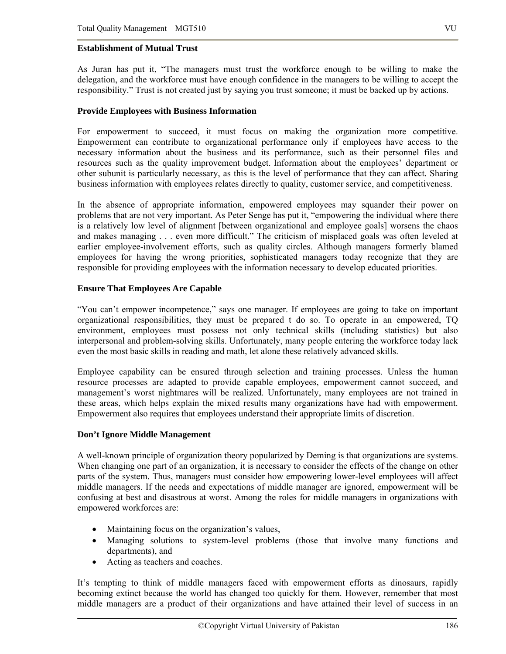#### **Establishment of Mutual Trust**

As Juran has put it, "The managers must trust the workforce enough to be willing to make the delegation, and the workforce must have enough confidence in the managers to be willing to accept the responsibility." Trust is not created just by saying you trust someone; it must be backed up by actions.

#### **Provide Employees with Business Information**

For empowerment to succeed, it must focus on making the organization more competitive. Empowerment can contribute to organizational performance only if employees have access to the necessary information about the business and its performance, such as their personnel files and resources such as the quality improvement budget. Information about the employees' department or other subunit is particularly necessary, as this is the level of performance that they can affect. Sharing business information with employees relates directly to quality, customer service, and competitiveness.

In the absence of appropriate information, empowered employees may squander their power on problems that are not very important. As Peter Senge has put it, "empowering the individual where there is a relatively low level of alignment [between organizational and employee goals] worsens the chaos and makes managing . . . even more difficult." The criticism of misplaced goals was often leveled at earlier employee-involvement efforts, such as quality circles. Although managers formerly blamed employees for having the wrong priorities, sophisticated managers today recognize that they are responsible for providing employees with the information necessary to develop educated priorities.

#### **Ensure That Employees Are Capable**

"You can't empower incompetence," says one manager. If employees are going to take on important organizational responsibilities, they must be prepared t do so. To operate in an empowered, TQ environment, employees must possess not only technical skills (including statistics) but also interpersonal and problem-solving skills. Unfortunately, many people entering the workforce today lack even the most basic skills in reading and math, let alone these relatively advanced skills.

Employee capability can be ensured through selection and training processes. Unless the human resource processes are adapted to provide capable employees, empowerment cannot succeed, and management's worst nightmares will be realized. Unfortunately, many employees are not trained in these areas, which helps explain the mixed results many organizations have had with empowerment. Empowerment also requires that employees understand their appropriate limits of discretion.

#### **Don't Ignore Middle Management**

A well-known principle of organization theory popularized by Deming is that organizations are systems. When changing one part of an organization, it is necessary to consider the effects of the change on other parts of the system. Thus, managers must consider how empowering lower-level employees will affect middle managers. If the needs and expectations of middle manager are ignored, empowerment will be confusing at best and disastrous at worst. Among the roles for middle managers in organizations with empowered workforces are:

- Maintaining focus on the organization's values,
- Managing solutions to system-level problems (those that involve many functions and departments), and
- Acting as teachers and coaches.

It's tempting to think of middle managers faced with empowerment efforts as dinosaurs, rapidly becoming extinct because the world has changed too quickly for them. However, remember that most middle managers are a product of their organizations and have attained their level of success in an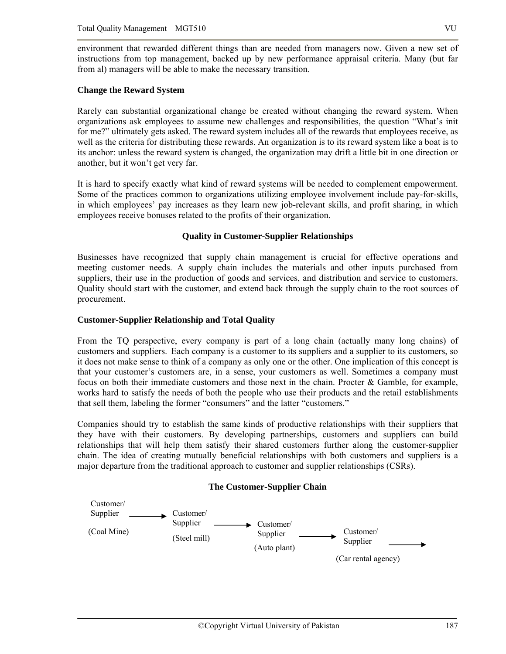environment that rewarded different things than are needed from managers now. Given a new set of instructions from top management, backed up by new performance appraisal criteria. Many (but far from al) managers will be able to make the necessary transition.

#### **Change the Reward System**

Rarely can substantial organizational change be created without changing the reward system. When organizations ask employees to assume new challenges and responsibilities, the question "What's init for me?" ultimately gets asked. The reward system includes all of the rewards that employees receive, as well as the criteria for distributing these rewards. An organization is to its reward system like a boat is to its anchor: unless the reward system is changed, the organization may drift a little bit in one direction or another, but it won't get very far.

It is hard to specify exactly what kind of reward systems will be needed to complement empowerment. Some of the practices common to organizations utilizing employee involvement include pay-for-skills, in which employees' pay increases as they learn new job-relevant skills, and profit sharing, in which employees receive bonuses related to the profits of their organization.

## **Quality in Customer-Supplier Relationships**

Businesses have recognized that supply chain management is crucial for effective operations and meeting customer needs. A supply chain includes the materials and other inputs purchased from suppliers, their use in the production of goods and services, and distribution and service to customers. Quality should start with the customer, and extend back through the supply chain to the root sources of procurement.

## **Customer-Supplier Relationship and Total Quality**

From the TQ perspective, every company is part of a long chain (actually many long chains) of customers and suppliers. Each company is a customer to its suppliers and a supplier to its customers, so it does not make sense to think of a company as only one or the other. One implication of this concept is that your customer's customers are, in a sense, your customers as well. Sometimes a company must focus on both their immediate customers and those next in the chain. Procter & Gamble, for example, works hard to satisfy the needs of both the people who use their products and the retail establishments that sell them, labeling the former "consumers" and the latter "customers."

Companies should try to establish the same kinds of productive relationships with their suppliers that they have with their customers. By developing partnerships, customers and suppliers can build relationships that will help them satisfy their shared customers further along the customer-supplier chain. The idea of creating mutually beneficial relationships with both customers and suppliers is a major departure from the traditional approach to customer and supplier relationships (CSRs).

#### **The Customer-Supplier Chain**

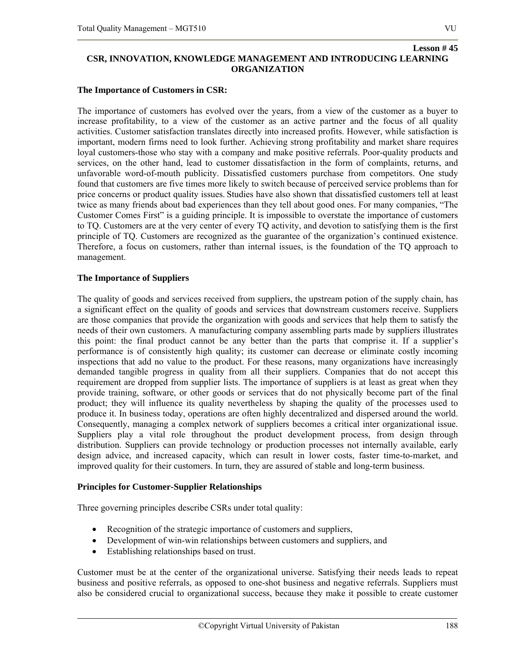**Lesson # 45** 

# **CSR, INNOVATION, KNOWLEDGE MANAGEMENT AND INTRODUCING LEARNING ORGANIZATION**

#### **The Importance of Customers in CSR:**

The importance of customers has evolved over the years, from a view of the customer as a buyer to increase profitability, to a view of the customer as an active partner and the focus of all quality activities. Customer satisfaction translates directly into increased profits. However, while satisfaction is important, modern firms need to look further. Achieving strong profitability and market share requires loyal customers-those who stay with a company and make positive referrals. Poor-quality products and services, on the other hand, lead to customer dissatisfaction in the form of complaints, returns, and unfavorable word-of-mouth publicity. Dissatisfied customers purchase from competitors. One study found that customers are five times more likely to switch because of perceived service problems than for price concerns or product quality issues. Studies have also shown that dissatisfied customers tell at least twice as many friends about bad experiences than they tell about good ones. For many companies, "The Customer Comes First" is a guiding principle. It is impossible to overstate the importance of customers to TQ. Customers are at the very center of every TQ activity, and devotion to satisfying them is the first principle of TQ. Customers are recognized as the guarantee of the organization's continued existence. Therefore, a focus on customers, rather than internal issues, is the foundation of the TQ approach to management.

#### **The Importance of Suppliers**

The quality of goods and services received from suppliers, the upstream potion of the supply chain, has a significant effect on the quality of goods and services that downstream customers receive. Suppliers are those companies that provide the organization with goods and services that help them to satisfy the needs of their own customers. A manufacturing company assembling parts made by suppliers illustrates this point: the final product cannot be any better than the parts that comprise it. If a supplier's performance is of consistently high quality; its customer can decrease or eliminate costly incoming inspections that add no value to the product. For these reasons, many organizations have increasingly demanded tangible progress in quality from all their suppliers. Companies that do not accept this requirement are dropped from supplier lists. The importance of suppliers is at least as great when they provide training, software, or other goods or services that do not physically become part of the final product; they will influence its quality nevertheless by shaping the quality of the processes used to produce it. In business today, operations are often highly decentralized and dispersed around the world. Consequently, managing a complex network of suppliers becomes a critical inter organizational issue. Suppliers play a vital role throughout the product development process, from design through distribution. Suppliers can provide technology or production processes not internally available, early design advice, and increased capacity, which can result in lower costs, faster time-to-market, and improved quality for their customers. In turn, they are assured of stable and long-term business.

#### **Principles for Customer-Supplier Relationships**

Three governing principles describe CSRs under total quality:

- Recognition of the strategic importance of customers and suppliers,
- Development of win-win relationships between customers and suppliers, and
- Establishing relationships based on trust.

Customer must be at the center of the organizational universe. Satisfying their needs leads to repeat business and positive referrals, as opposed to one-shot business and negative referrals. Suppliers must also be considered crucial to organizational success, because they make it possible to create customer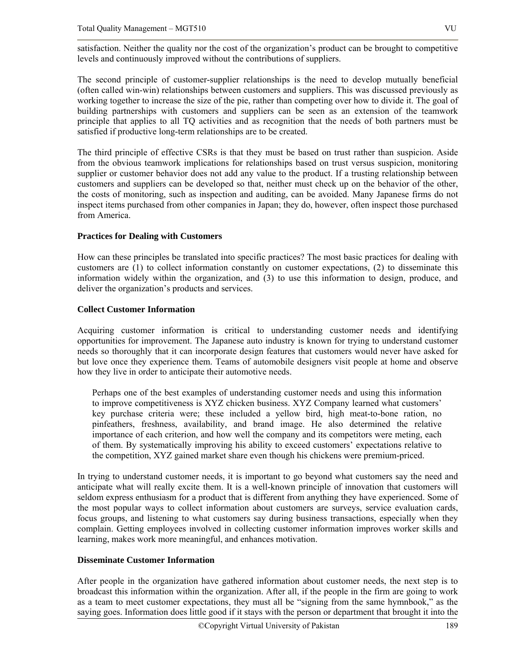The second principle of customer-supplier relationships is the need to develop mutually beneficial (often called win-win) relationships between customers and suppliers. This was discussed previously as working together to increase the size of the pie, rather than competing over how to divide it. The goal of building partnerships with customers and suppliers can be seen as an extension of the teamwork principle that applies to all TQ activities and as recognition that the needs of both partners must be satisfied if productive long-term relationships are to be created.

The third principle of effective CSRs is that they must be based on trust rather than suspicion. Aside from the obvious teamwork implications for relationships based on trust versus suspicion, monitoring supplier or customer behavior does not add any value to the product. If a trusting relationship between customers and suppliers can be developed so that, neither must check up on the behavior of the other, the costs of monitoring, such as inspection and auditing, can be avoided. Many Japanese firms do not inspect items purchased from other companies in Japan; they do, however, often inspect those purchased from America.

## **Practices for Dealing with Customers**

How can these principles be translated into specific practices? The most basic practices for dealing with customers are (1) to collect information constantly on customer expectations, (2) to disseminate this information widely within the organization, and (3) to use this information to design, produce, and deliver the organization's products and services.

## **Collect Customer Information**

Acquiring customer information is critical to understanding customer needs and identifying opportunities for improvement. The Japanese auto industry is known for trying to understand customer needs so thoroughly that it can incorporate design features that customers would never have asked for but love once they experience them. Teams of automobile designers visit people at home and observe how they live in order to anticipate their automotive needs.

Perhaps one of the best examples of understanding customer needs and using this information to improve competitiveness is XYZ chicken business. XYZ Company learned what customers' key purchase criteria were; these included a yellow bird, high meat-to-bone ration, no pinfeathers, freshness, availability, and brand image. He also determined the relative importance of each criterion, and how well the company and its competitors were meting, each of them. By systematically improving his ability to exceed customers' expectations relative to the competition, XYZ gained market share even though his chickens were premium-priced.

In trying to understand customer needs, it is important to go beyond what customers say the need and anticipate what will really excite them. It is a well-known principle of innovation that customers will seldom express enthusiasm for a product that is different from anything they have experienced. Some of the most popular ways to collect information about customers are surveys, service evaluation cards, focus groups, and listening to what customers say during business transactions, especially when they complain. Getting employees involved in collecting customer information improves worker skills and learning, makes work more meaningful, and enhances motivation.

## **Disseminate Customer Information**

After people in the organization have gathered information about customer needs, the next step is to broadcast this information within the organization. After all, if the people in the firm are going to work as a team to meet customer expectations, they must all be "signing from the same hymnbook," as the saying goes. Information does little good if it stays with the person or department that brought it into the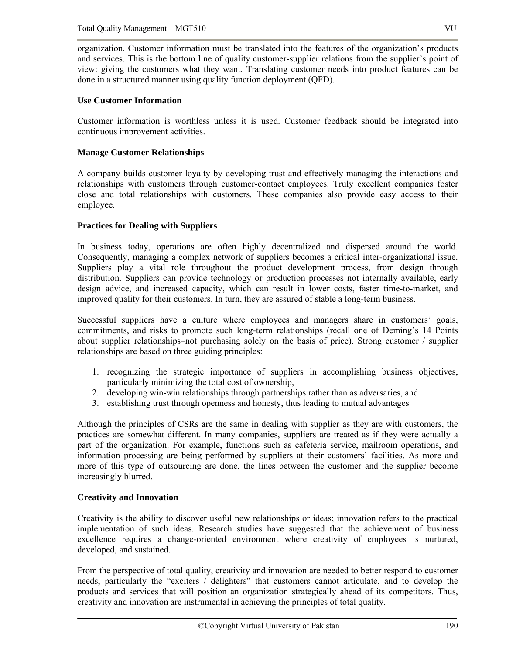organization. Customer information must be translated into the features of the organization's products and services. This is the bottom line of quality customer-supplier relations from the supplier's point of view: giving the customers what they want. Translating customer needs into product features can be done in a structured manner using quality function deployment (QFD).

## **Use Customer Information**

Customer information is worthless unless it is used. Customer feedback should be integrated into continuous improvement activities.

## **Manage Customer Relationships**

A company builds customer loyalty by developing trust and effectively managing the interactions and relationships with customers through customer-contact employees. Truly excellent companies foster close and total relationships with customers. These companies also provide easy access to their employee.

## **Practices for Dealing with Suppliers**

In business today, operations are often highly decentralized and dispersed around the world. Consequently, managing a complex network of suppliers becomes a critical inter-organizational issue. Suppliers play a vital role throughout the product development process, from design through distribution. Suppliers can provide technology or production processes not internally available, early design advice, and increased capacity, which can result in lower costs, faster time-to-market, and improved quality for their customers. In turn, they are assured of stable a long-term business.

Successful suppliers have a culture where employees and managers share in customers' goals, commitments, and risks to promote such long-term relationships (recall one of Deming's 14 Points about supplier relationships–not purchasing solely on the basis of price). Strong customer / supplier relationships are based on three guiding principles:

- 1. recognizing the strategic importance of suppliers in accomplishing business objectives, particularly minimizing the total cost of ownership,
- 2. developing win-win relationships through partnerships rather than as adversaries, and
- 3. establishing trust through openness and honesty, thus leading to mutual advantages

Although the principles of CSRs are the same in dealing with supplier as they are with customers, the practices are somewhat different. In many companies, suppliers are treated as if they were actually a part of the organization. For example, functions such as cafeteria service, mailroom operations, and information processing are being performed by suppliers at their customers' facilities. As more and more of this type of outsourcing are done, the lines between the customer and the supplier become increasingly blurred.

## **Creativity and Innovation**

Creativity is the ability to discover useful new relationships or ideas; innovation refers to the practical implementation of such ideas. Research studies have suggested that the achievement of business excellence requires a change-oriented environment where creativity of employees is nurtured, developed, and sustained.

From the perspective of total quality, creativity and innovation are needed to better respond to customer needs, particularly the "exciters / delighters" that customers cannot articulate, and to develop the products and services that will position an organization strategically ahead of its competitors. Thus, creativity and innovation are instrumental in achieving the principles of total quality.